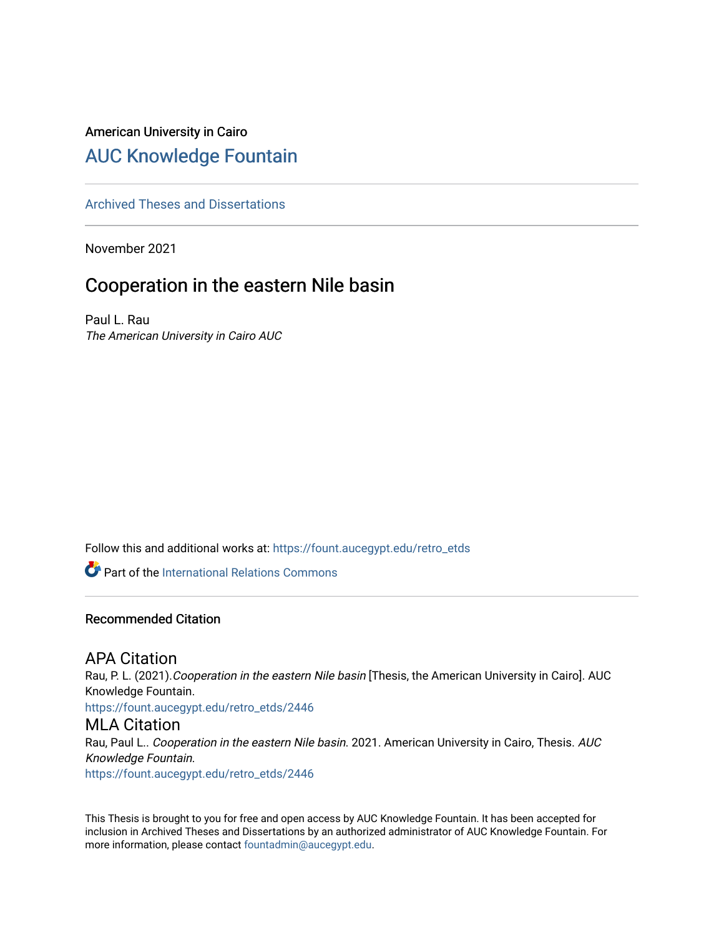## American University in Cairo [AUC Knowledge Fountain](https://fount.aucegypt.edu/)

#### [Archived Theses and Dissertations](https://fount.aucegypt.edu/retro_etds)

November 2021

## Cooperation in the eastern Nile basin

Paul L. Rau The American University in Cairo AUC

Follow this and additional works at: [https://fount.aucegypt.edu/retro\\_etds](https://fount.aucegypt.edu/retro_etds?utm_source=fount.aucegypt.edu%2Fretro_etds%2F2446&utm_medium=PDF&utm_campaign=PDFCoverPages) 

**Part of the International Relations Commons** 

#### Recommended Citation

### APA Citation

Rau, P. L. (2021). Cooperation in the eastern Nile basin [Thesis, the American University in Cairo]. AUC Knowledge Fountain.

[https://fount.aucegypt.edu/retro\\_etds/2446](https://fount.aucegypt.edu/retro_etds/2446?utm_source=fount.aucegypt.edu%2Fretro_etds%2F2446&utm_medium=PDF&utm_campaign=PDFCoverPages) 

#### MLA Citation

Rau, Paul L.. Cooperation in the eastern Nile basin. 2021. American University in Cairo, Thesis. AUC Knowledge Fountain.

[https://fount.aucegypt.edu/retro\\_etds/2446](https://fount.aucegypt.edu/retro_etds/2446?utm_source=fount.aucegypt.edu%2Fretro_etds%2F2446&utm_medium=PDF&utm_campaign=PDFCoverPages) 

This Thesis is brought to you for free and open access by AUC Knowledge Fountain. It has been accepted for inclusion in Archived Theses and Dissertations by an authorized administrator of AUC Knowledge Fountain. For more information, please contact [fountadmin@aucegypt.edu.](mailto:fountadmin@aucegypt.edu)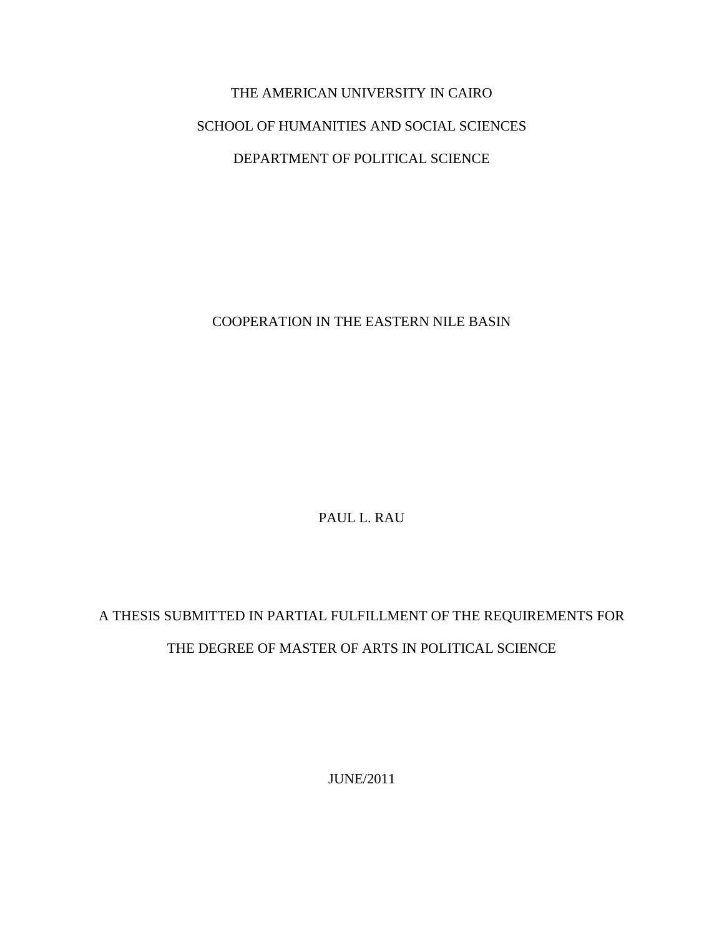# THE AMERICAN UNIVERSITY IN CAIRO SCHOOL OF HUMANITIES AND SOCIAL SCIENCES DEPARTMENT OF POLITICAL SCIENCE

### COOPERATION IN THE EASTERN NILE BASIN

PAUL L. RAU

## A THESIS SUBMITTED IN PARTIAL FULFILLMENT OF THE REQUIREMENTS FOR THE DEGREE OF MASTER OF ARTS IN POLITICAL SCIENCE

JUNE/2011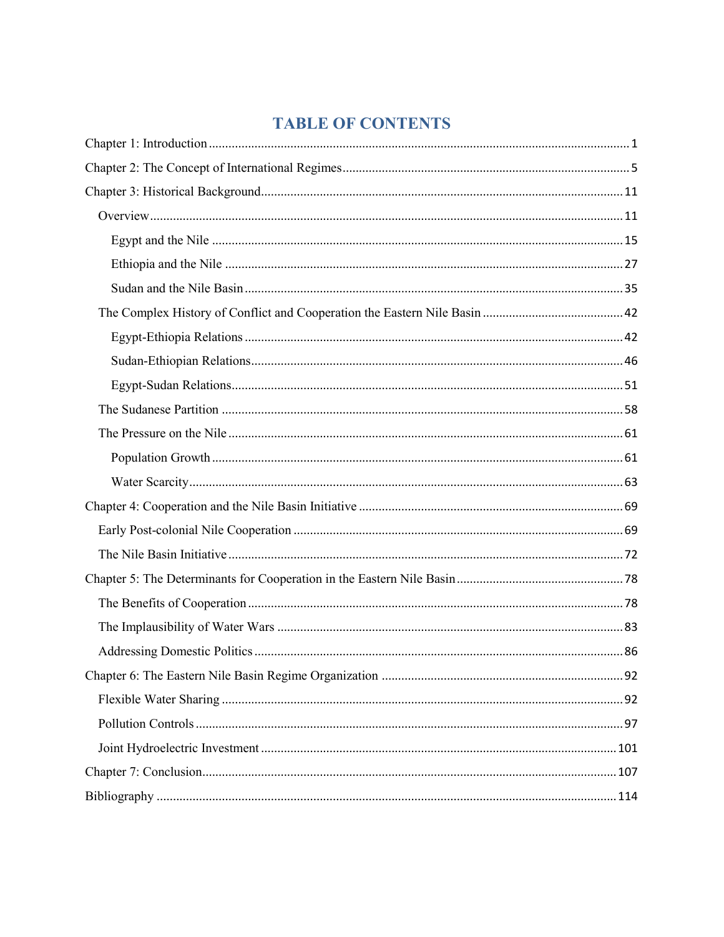## **TABLE OF CONTENTS**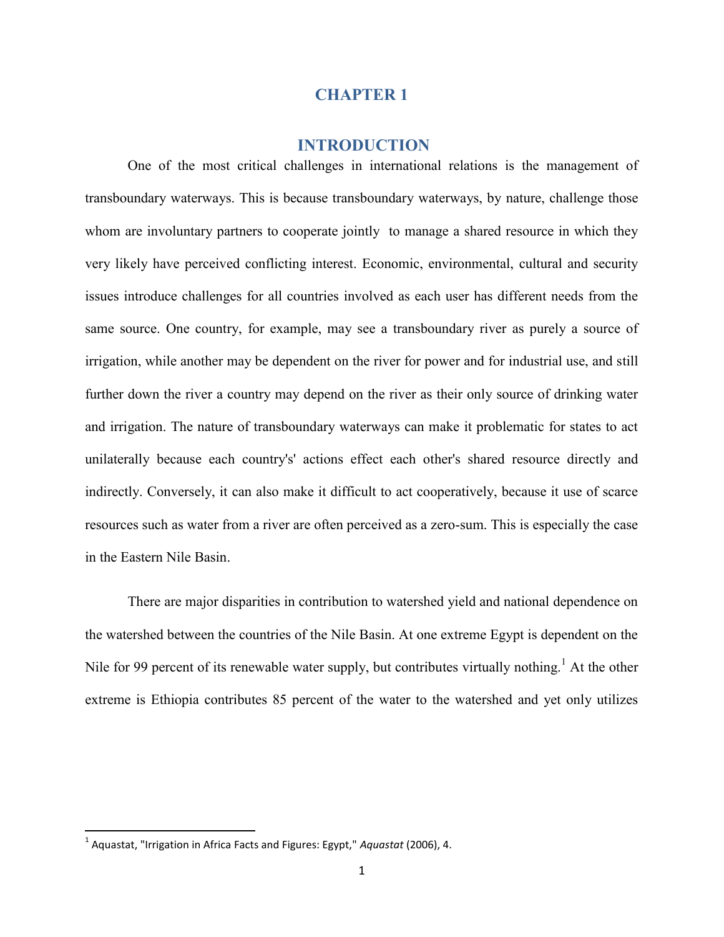#### **CHAPTER 1**

#### **INTRODUCTION**

One of the most critical challenges in international relations is the management of transboundary waterways. This is because transboundary waterways, by nature, challenge those whom are involuntary partners to cooperate jointly to manage a shared resource in which they very likely have perceived conflicting interest. Economic, environmental, cultural and security issues introduce challenges for all countries involved as each user has different needs from the same source. One country, for example, may see a transboundary river as purely a source of irrigation, while another may be dependent on the river for power and for industrial use, and still further down the river a country may depend on the river as their only source of drinking water and irrigation. The nature of transboundary waterways can make it problematic for states to act unilaterally because each country's' actions effect each other's shared resource directly and indirectly. Conversely, it can also make it difficult to act cooperatively, because it use of scarce resources such as water from a river are often perceived as a zero-sum. This is especially the case in the Eastern Nile Basin.

There are major disparities in contribution to watershed yield and national dependence on the watershed between the countries of the Nile Basin. At one extreme Egypt is dependent on the Nile for 99 percent of its renewable water supply, but contributes virtually nothing.<sup>1</sup> At the other extreme is Ethiopia contributes 85 percent of the water to the watershed and yet only utilizes

<sup>1</sup> Aquastat, "Irrigation in Africa Facts and Figures: Egypt," *Aquastat* (2006), 4.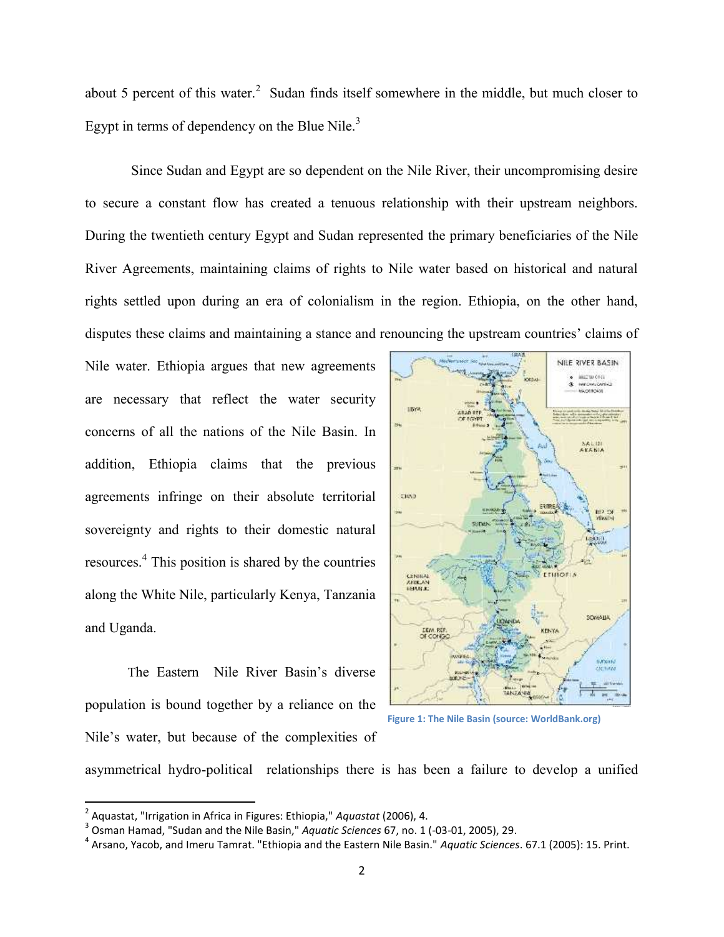about 5 percent of this water. $2$  Sudan finds itself somewhere in the middle, but much closer to Egypt in terms of dependency on the Blue Nile. $3$ 

Since Sudan and Egypt are so dependent on the Nile River, their uncompromising desire to secure a constant flow has created a tenuous relationship with their upstream neighbors. During the twentieth century Egypt and Sudan represented the primary beneficiaries of the Nile River Agreements, maintaining claims of rights to Nile water based on historical and natural rights settled upon during an era of colonialism in the region. Ethiopia, on the other hand, disputes these claims and maintaining a stance and renouncing the upstream countries' claims of

Nile water. Ethiopia argues that new agreements are necessary that reflect the water security concerns of all the nations of the Nile Basin. In addition, Ethiopia claims that the previous agreements infringe on their absolute territorial sovereignty and rights to their domestic natural resources.<sup>4</sup> This position is shared by the countries along the White Nile, particularly Kenya, Tanzania and Uganda.

The Eastern Nile River Basin's diverse population is bound together by a reliance on the Nile's water, but because of the complexities of



**Figure 1: The Nile Basin (source: WorldBank.org)**

asymmetrical hydro-political relationships there is has been a failure to develop a unified

<sup>2</sup> Aquastat, "Irrigation in Africa in Figures: Ethiopia," *Aquastat* (2006), 4.

<sup>3</sup> Osman Hamad, "Sudan and the Nile Basin," *Aquatic Sciences* 67, no. 1 (-03-01, 2005), 29.

<sup>4</sup> Arsano, Yacob, and Imeru Tamrat. "Ethiopia and the Eastern Nile Basin." *Aquatic Sciences*. 67.1 (2005): 15. Print.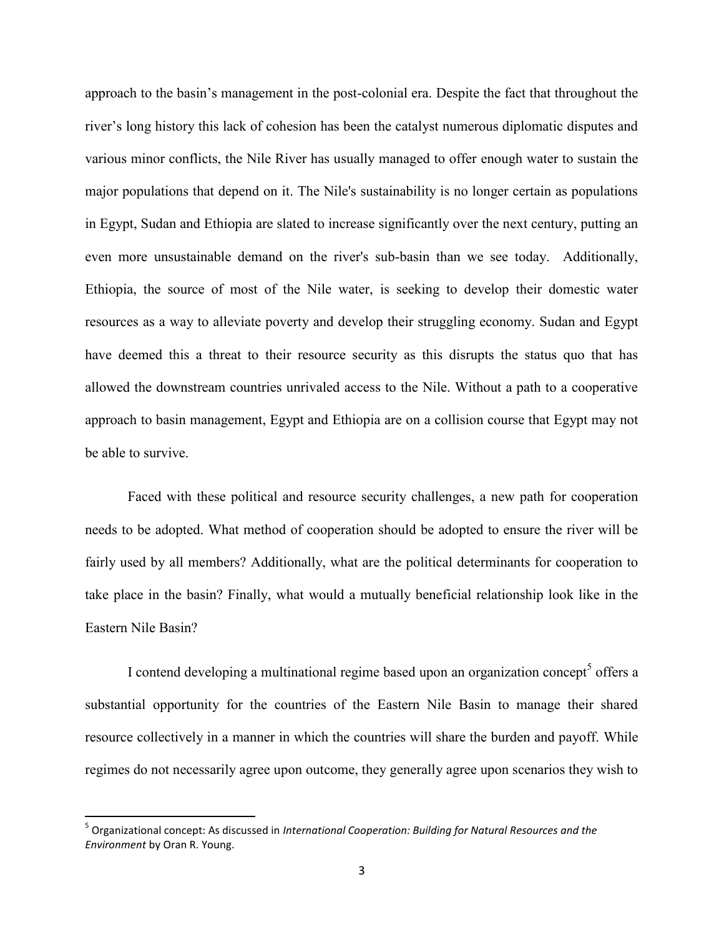approach to the basin's management in the post-colonial era. Despite the fact that throughout the river's long history this lack of cohesion has been the catalyst numerous diplomatic disputes and various minor conflicts, the Nile River has usually managed to offer enough water to sustain the major populations that depend on it. The Nile's sustainability is no longer certain as populations in Egypt, Sudan and Ethiopia are slated to increase significantly over the next century, putting an even more unsustainable demand on the river's sub-basin than we see today. Additionally, Ethiopia, the source of most of the Nile water, is seeking to develop their domestic water resources as a way to alleviate poverty and develop their struggling economy. Sudan and Egypt have deemed this a threat to their resource security as this disrupts the status quo that has allowed the downstream countries unrivaled access to the Nile. Without a path to a cooperative approach to basin management, Egypt and Ethiopia are on a collision course that Egypt may not be able to survive.

Faced with these political and resource security challenges, a new path for cooperation needs to be adopted. What method of cooperation should be adopted to ensure the river will be fairly used by all members? Additionally, what are the political determinants for cooperation to take place in the basin? Finally, what would a mutually beneficial relationship look like in the Eastern Nile Basin?

I contend developing a multinational regime based upon an organization concept<sup>5</sup> offers a substantial opportunity for the countries of the Eastern Nile Basin to manage their shared resource collectively in a manner in which the countries will share the burden and payoff. While regimes do not necessarily agree upon outcome, they generally agree upon scenarios they wish to

<sup>5</sup> Organizational concept: As discussed in *International Cooperation: Building for Natural Resources and the Environment* by Oran R. Young.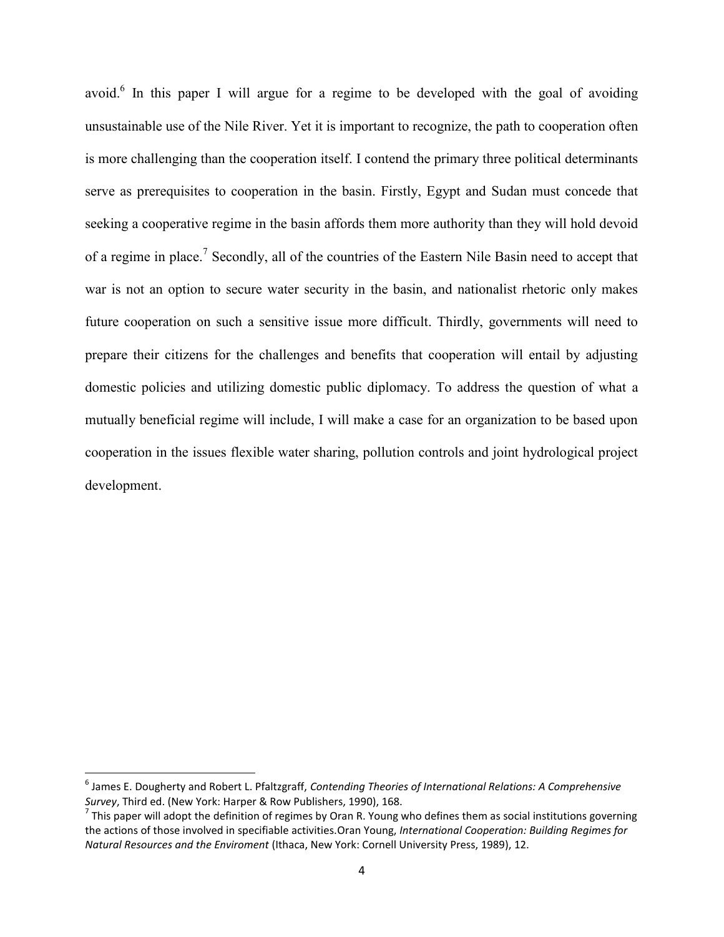avoid.<sup>6</sup> In this paper I will argue for a regime to be developed with the goal of avoiding unsustainable use of the Nile River. Yet it is important to recognize, the path to cooperation often is more challenging than the cooperation itself. I contend the primary three political determinants serve as prerequisites to cooperation in the basin. Firstly, Egypt and Sudan must concede that seeking a cooperative regime in the basin affords them more authority than they will hold devoid of a regime in place.<sup>7</sup> Secondly, all of the countries of the Eastern Nile Basin need to accept that war is not an option to secure water security in the basin, and nationalist rhetoric only makes future cooperation on such a sensitive issue more difficult. Thirdly, governments will need to prepare their citizens for the challenges and benefits that cooperation will entail by adjusting domestic policies and utilizing domestic public diplomacy. To address the question of what a mutually beneficial regime will include, I will make a case for an organization to be based upon cooperation in the issues flexible water sharing, pollution controls and joint hydrological project development.

<sup>6</sup> James E. Dougherty and Robert L. Pfaltzgraff, *Contending Theories of International Relations: A Comprehensive Survey*, Third ed. (New York: Harper & Row Publishers, 1990), 168.

 $^7$  This paper will adopt the definition of regimes by Oran R. Young who defines them as social institutions governing the actions of those involved in specifiable activities.Oran Young, *International Cooperation: Building Regimes for Natural Resources and the Enviroment* (Ithaca, New York: Cornell University Press, 1989), 12.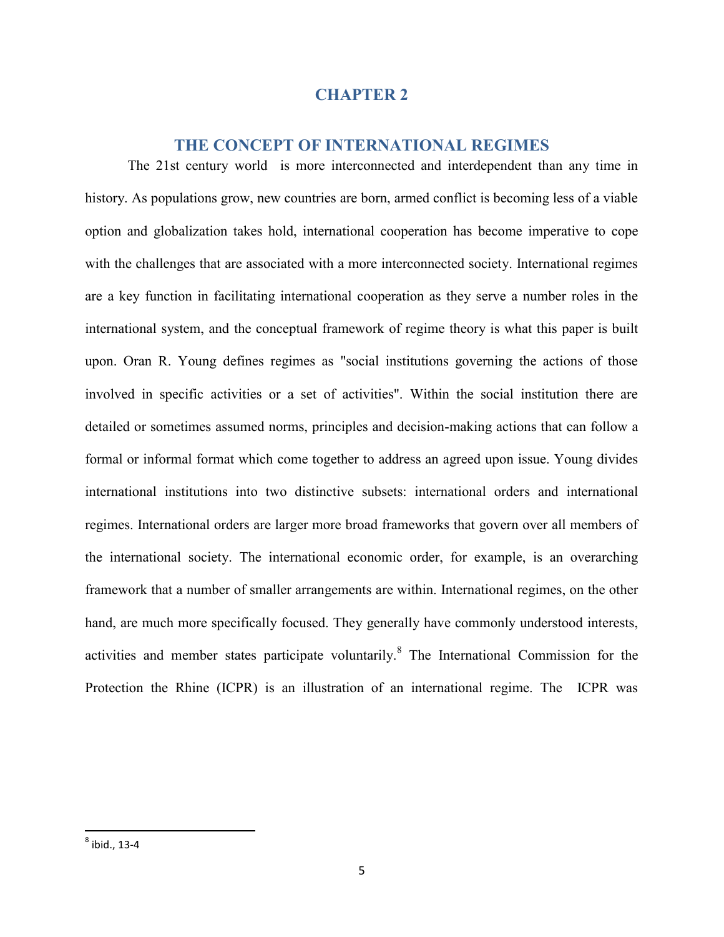#### **CHAPTER 2**

#### **THE CONCEPT OF INTERNATIONAL REGIMES**

The 21st century world is more interconnected and interdependent than any time in history. As populations grow, new countries are born, armed conflict is becoming less of a viable option and globalization takes hold, international cooperation has become imperative to cope with the challenges that are associated with a more interconnected society. International regimes are a key function in facilitating international cooperation as they serve a number roles in the international system, and the conceptual framework of regime theory is what this paper is built upon. Oran R. Young defines regimes as "social institutions governing the actions of those involved in specific activities or a set of activities". Within the social institution there are detailed or sometimes assumed norms, principles and decision-making actions that can follow a formal or informal format which come together to address an agreed upon issue. Young divides international institutions into two distinctive subsets: international orders and international regimes. International orders are larger more broad frameworks that govern over all members of the international society. The international economic order, for example, is an overarching framework that a number of smaller arrangements are within. International regimes, on the other hand, are much more specifically focused. They generally have commonly understood interests, activities and member states participate voluntarily.<sup>8</sup> The International Commission for the Protection the Rhine (ICPR) is an illustration of an international regime. The ICPR was

 $^8$  ibid., 13-4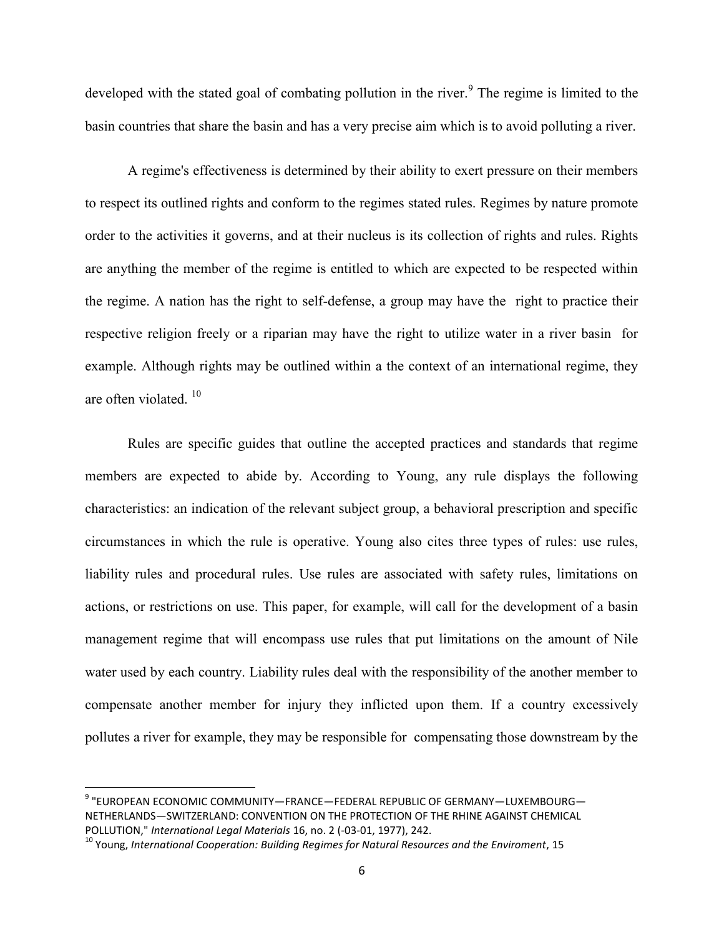developed with the stated goal of combating pollution in the river.<sup>9</sup> The regime is limited to the basin countries that share the basin and has a very precise aim which is to avoid polluting a river.

A regime's effectiveness is determined by their ability to exert pressure on their members to respect its outlined rights and conform to the regimes stated rules. Regimes by nature promote order to the activities it governs, and at their nucleus is its collection of rights and rules. Rights are anything the member of the regime is entitled to which are expected to be respected within the regime. A nation has the right to self-defense, a group may have the right to practice their respective religion freely or a riparian may have the right to utilize water in a river basin for example. Although rights may be outlined within a the context of an international regime, they are often violated  $10^{-10}$ 

Rules are specific guides that outline the accepted practices and standards that regime members are expected to abide by. According to Young, any rule displays the following characteristics: an indication of the relevant subject group, a behavioral prescription and specific circumstances in which the rule is operative. Young also cites three types of rules: use rules, liability rules and procedural rules. Use rules are associated with safety rules, limitations on actions, or restrictions on use. This paper, for example, will call for the development of a basin management regime that will encompass use rules that put limitations on the amount of Nile water used by each country. Liability rules deal with the responsibility of the another member to compensate another member for injury they inflicted upon them. If a country excessively pollutes a river for example, they may be responsible for compensating those downstream by the

<sup>9</sup> "EUROPEAN ECONOMIC COMMUNITY—FRANCE—FEDERAL REPUBLIC OF GERMANY—LUXEMBOURG— NETHERLANDS—SWITZERLAND: CONVENTION ON THE PROTECTION OF THE RHINE AGAINST CHEMICAL POLLUTION," *International Legal Materials* 16, no. 2 (-03-01, 1977), 242.

<sup>10</sup> Young, *International Cooperation: Building Regimes for Natural Resources and the Enviroment*, 15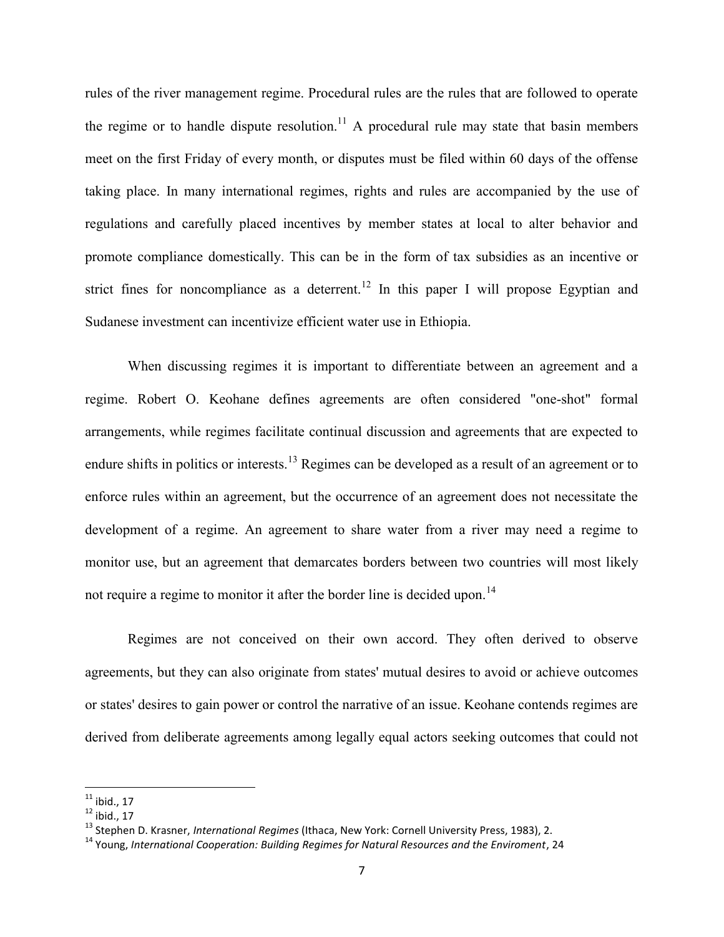rules of the river management regime. Procedural rules are the rules that are followed to operate the regime or to handle dispute resolution.<sup>11</sup> A procedural rule may state that basin members meet on the first Friday of every month, or disputes must be filed within 60 days of the offense taking place. In many international regimes, rights and rules are accompanied by the use of regulations and carefully placed incentives by member states at local to alter behavior and promote compliance domestically. This can be in the form of tax subsidies as an incentive or strict fines for noncompliance as a deterrent.<sup>12</sup> In this paper I will propose Egyptian and Sudanese investment can incentivize efficient water use in Ethiopia.

When discussing regimes it is important to differentiate between an agreement and a regime. Robert O. Keohane defines agreements are often considered "one-shot" formal arrangements, while regimes facilitate continual discussion and agreements that are expected to endure shifts in politics or interests.<sup>13</sup> Regimes can be developed as a result of an agreement or to enforce rules within an agreement, but the occurrence of an agreement does not necessitate the development of a regime. An agreement to share water from a river may need a regime to monitor use, but an agreement that demarcates borders between two countries will most likely not require a regime to monitor it after the border line is decided upon.<sup>14</sup>

Regimes are not conceived on their own accord. They often derived to observe agreements, but they can also originate from states' mutual desires to avoid or achieve outcomes or states' desires to gain power or control the narrative of an issue. Keohane contends regimes are derived from deliberate agreements among legally equal actors seeking outcomes that could not

 $^{11}$  ibid., 17

 $12$  ibid., 17

<sup>13</sup> Stephen D. Krasner, *International Regimes* (Ithaca, New York: Cornell University Press, 1983), 2.

<sup>14</sup> Young, *International Cooperation: Building Regimes for Natural Resources and the Enviroment*, 24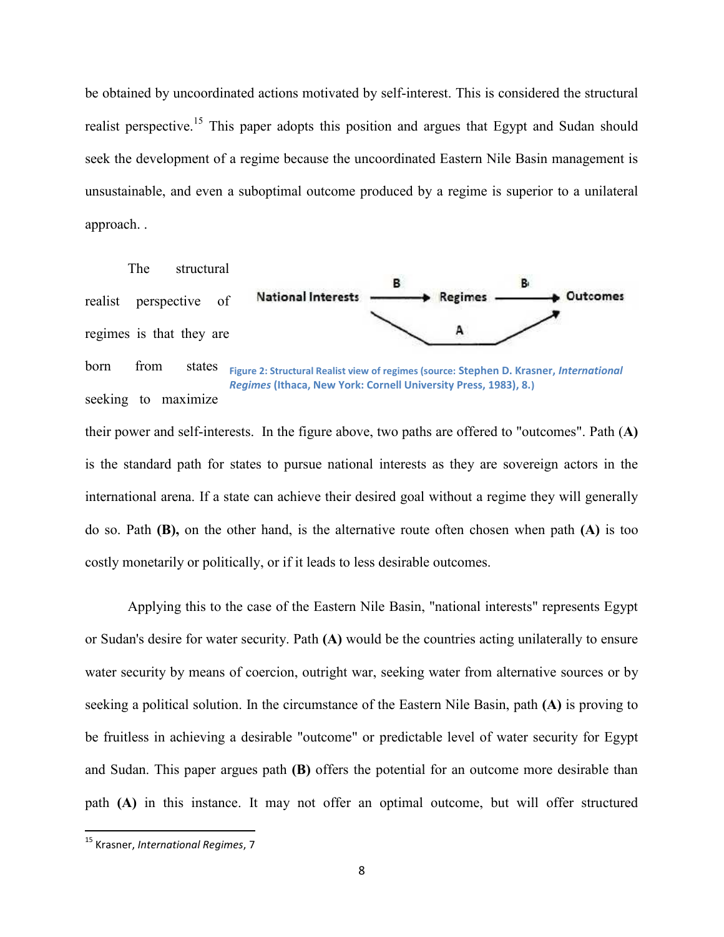be obtained by uncoordinated actions motivated by self-interest. This is considered the structural realist perspective.<sup>15</sup> This paper adopts this position and argues that Egypt and Sudan should seek the development of a regime because the uncoordinated Eastern Nile Basin management is unsustainable, and even a suboptimal outcome produced by a regime is superior to a unilateral approach. .

#### The structural



born from states seeking to maximize **Figure 2: Structural Realist view of regimes (source: Stephen D. Krasner,** *International Regimes* **(Ithaca, New York: Cornell University Press, 1983), 8.)**

their power and self-interests. In the figure above, two paths are offered to "outcomes". Path (**A)** is the standard path for states to pursue national interests as they are sovereign actors in the international arena. If a state can achieve their desired goal without a regime they will generally do so. Path **(B),** on the other hand, is the alternative route often chosen when path **(A)** is too costly monetarily or politically, or if it leads to less desirable outcomes.

Applying this to the case of the Eastern Nile Basin, "national interests" represents Egypt or Sudan's desire for water security. Path **(A)** would be the countries acting unilaterally to ensure water security by means of coercion, outright war, seeking water from alternative sources or by seeking a political solution. In the circumstance of the Eastern Nile Basin, path **(A)** is proving to be fruitless in achieving a desirable "outcome" or predictable level of water security for Egypt and Sudan. This paper argues path **(B)** offers the potential for an outcome more desirable than path **(A)** in this instance. It may not offer an optimal outcome, but will offer structured

<sup>15</sup> Krasner, *International Regimes*, 7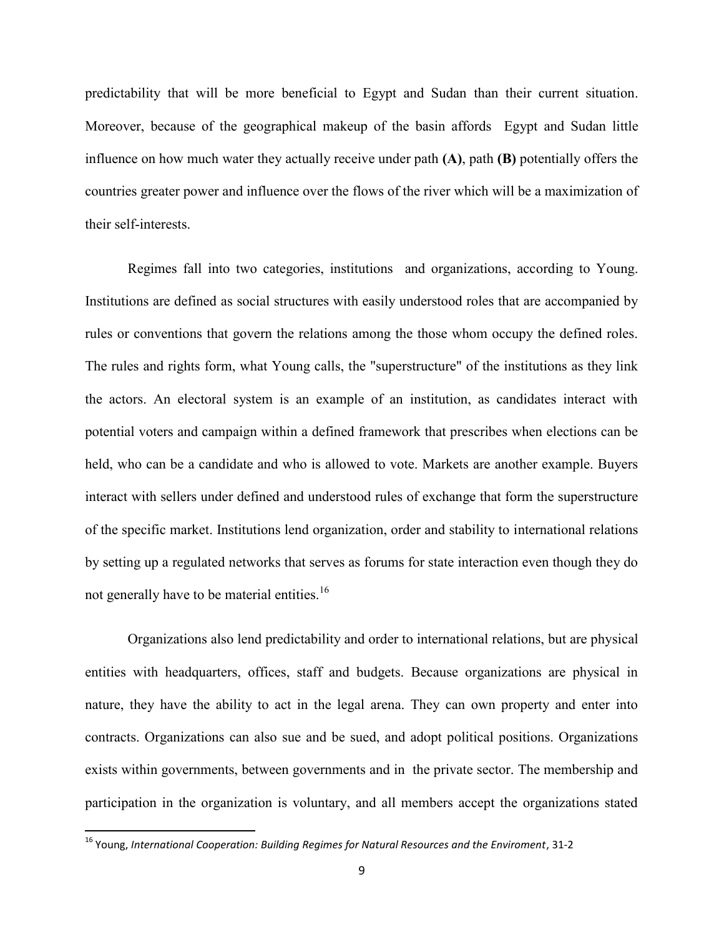predictability that will be more beneficial to Egypt and Sudan than their current situation. Moreover, because of the geographical makeup of the basin affords Egypt and Sudan little influence on how much water they actually receive under path **(A)**, path **(B)** potentially offers the countries greater power and influence over the flows of the river which will be a maximization of their self-interests.

Regimes fall into two categories, institutions and organizations, according to Young. Institutions are defined as social structures with easily understood roles that are accompanied by rules or conventions that govern the relations among the those whom occupy the defined roles. The rules and rights form, what Young calls, the "superstructure" of the institutions as they link the actors. An electoral system is an example of an institution, as candidates interact with potential voters and campaign within a defined framework that prescribes when elections can be held, who can be a candidate and who is allowed to vote. Markets are another example. Buyers interact with sellers under defined and understood rules of exchange that form the superstructure of the specific market. Institutions lend organization, order and stability to international relations by setting up a regulated networks that serves as forums for state interaction even though they do not generally have to be material entities.<sup>16</sup>

Organizations also lend predictability and order to international relations, but are physical entities with headquarters, offices, staff and budgets. Because organizations are physical in nature, they have the ability to act in the legal arena. They can own property and enter into contracts. Organizations can also sue and be sued, and adopt political positions. Organizations exists within governments, between governments and in the private sector. The membership and participation in the organization is voluntary, and all members accept the organizations stated

<sup>16</sup> Young, *International Cooperation: Building Regimes for Natural Resources and the Enviroment*, 31-2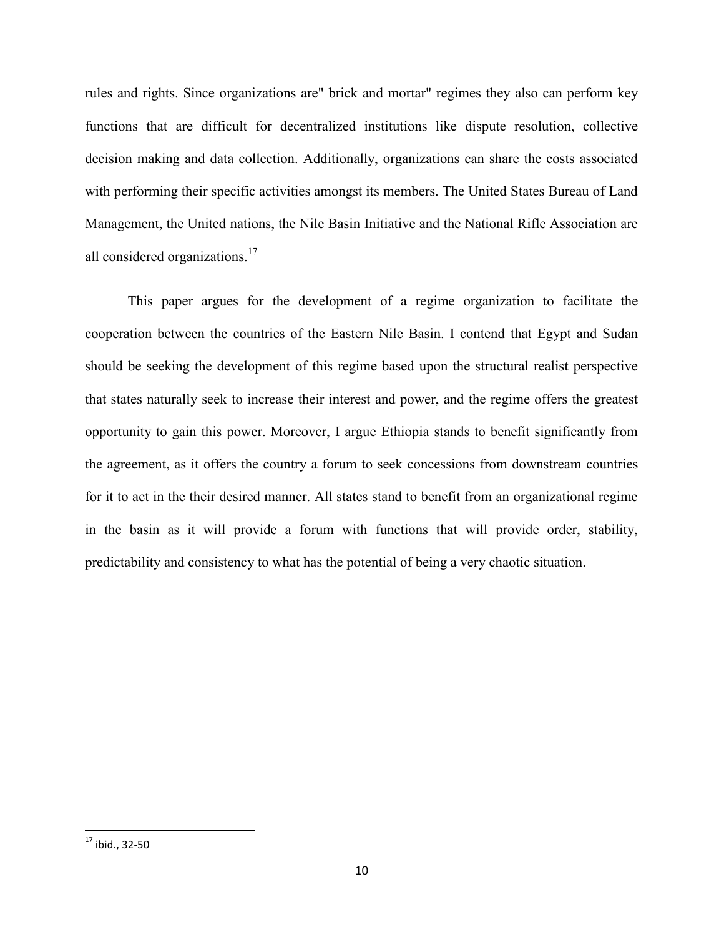rules and rights. Since organizations are" brick and mortar" regimes they also can perform key functions that are difficult for decentralized institutions like dispute resolution, collective decision making and data collection. Additionally, organizations can share the costs associated with performing their specific activities amongst its members. The United States Bureau of Land Management, the United nations, the Nile Basin Initiative and the National Rifle Association are all considered organizations.<sup>17</sup>

This paper argues for the development of a regime organization to facilitate the cooperation between the countries of the Eastern Nile Basin. I contend that Egypt and Sudan should be seeking the development of this regime based upon the structural realist perspective that states naturally seek to increase their interest and power, and the regime offers the greatest opportunity to gain this power. Moreover, I argue Ethiopia stands to benefit significantly from the agreement, as it offers the country a forum to seek concessions from downstream countries for it to act in the their desired manner. All states stand to benefit from an organizational regime in the basin as it will provide a forum with functions that will provide order, stability, predictability and consistency to what has the potential of being a very chaotic situation.

 $17$  ibid., 32-50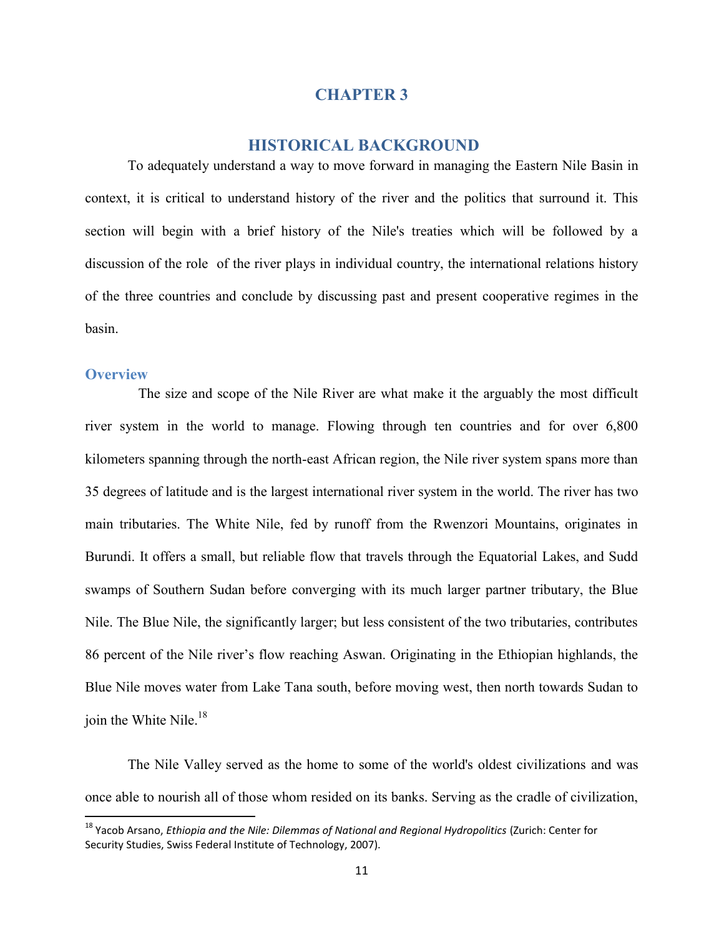#### **CHAPTER 3**

#### **HISTORICAL BACKGROUND**

To adequately understand a way to move forward in managing the Eastern Nile Basin in context, it is critical to understand history of the river and the politics that surround it. This section will begin with a brief history of the Nile's treaties which will be followed by a discussion of the role of the river plays in individual country, the international relations history of the three countries and conclude by discussing past and present cooperative regimes in the basin.

#### **Overview**

The size and scope of the Nile River are what make it the arguably the most difficult river system in the world to manage. Flowing through ten countries and for over 6,800 kilometers spanning through the north-east African region, the Nile river system spans more than 35 degrees of latitude and is the largest international river system in the world. The river has two main tributaries. The White Nile, fed by runoff from the Rwenzori Mountains, originates in Burundi. It offers a small, but reliable flow that travels through the Equatorial Lakes, and Sudd swamps of Southern Sudan before converging with its much larger partner tributary, the Blue Nile. The Blue Nile, the significantly larger; but less consistent of the two tributaries, contributes 86 percent of the Nile river's flow reaching Aswan. Originating in the Ethiopian highlands, the Blue Nile moves water from Lake Tana south, before moving west, then north towards Sudan to join the White Nile.<sup>18</sup>

The Nile Valley served as the home to some of the world's oldest civilizations and was once able to nourish all of those whom resided on its banks. Serving as the cradle of civilization,

<sup>18</sup> Yacob Arsano, *Ethiopia and the Nile: Dilemmas of National and Regional Hydropolitics* (Zurich: Center for Security Studies, Swiss Federal Institute of Technology, 2007).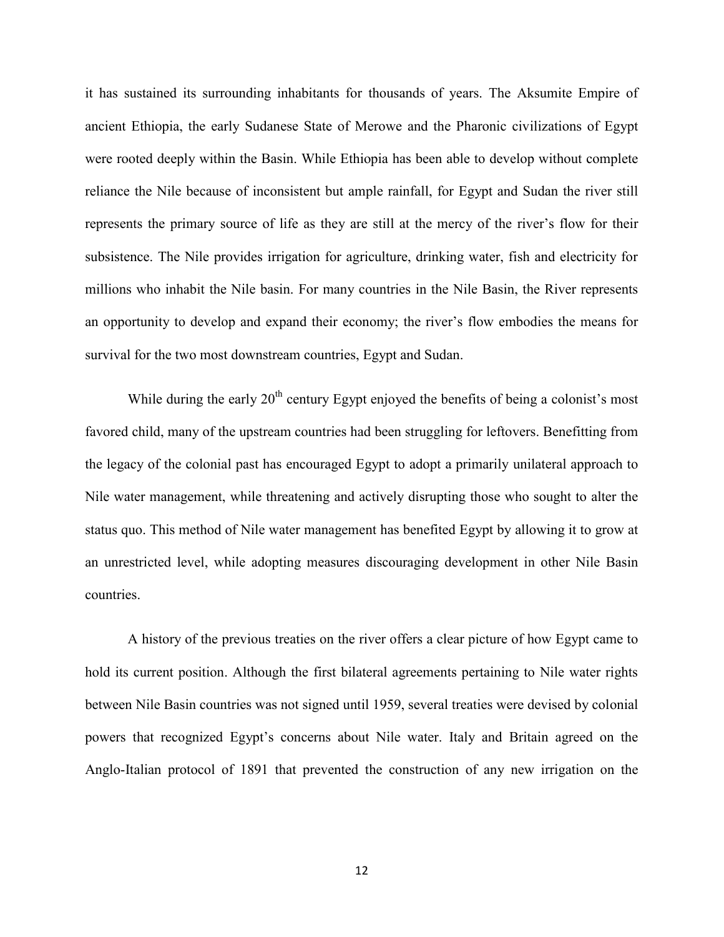it has sustained its surrounding inhabitants for thousands of years. The Aksumite Empire of ancient Ethiopia, the early Sudanese State of Merowe and the Pharonic civilizations of Egypt were rooted deeply within the Basin. While Ethiopia has been able to develop without complete reliance the Nile because of inconsistent but ample rainfall, for Egypt and Sudan the river still represents the primary source of life as they are still at the mercy of the river's flow for their subsistence. The Nile provides irrigation for agriculture, drinking water, fish and electricity for millions who inhabit the Nile basin. For many countries in the Nile Basin, the River represents an opportunity to develop and expand their economy; the river's flow embodies the means for survival for the two most downstream countries, Egypt and Sudan.

While during the early  $20<sup>th</sup>$  century Egypt enjoyed the benefits of being a colonist's most favored child, many of the upstream countries had been struggling for leftovers. Benefitting from the legacy of the colonial past has encouraged Egypt to adopt a primarily unilateral approach to Nile water management, while threatening and actively disrupting those who sought to alter the status quo. This method of Nile water management has benefited Egypt by allowing it to grow at an unrestricted level, while adopting measures discouraging development in other Nile Basin countries.

A history of the previous treaties on the river offers a clear picture of how Egypt came to hold its current position. Although the first bilateral agreements pertaining to Nile water rights between Nile Basin countries was not signed until 1959, several treaties were devised by colonial powers that recognized Egypt's concerns about Nile water. Italy and Britain agreed on the Anglo-Italian protocol of 1891 that prevented the construction of any new irrigation on the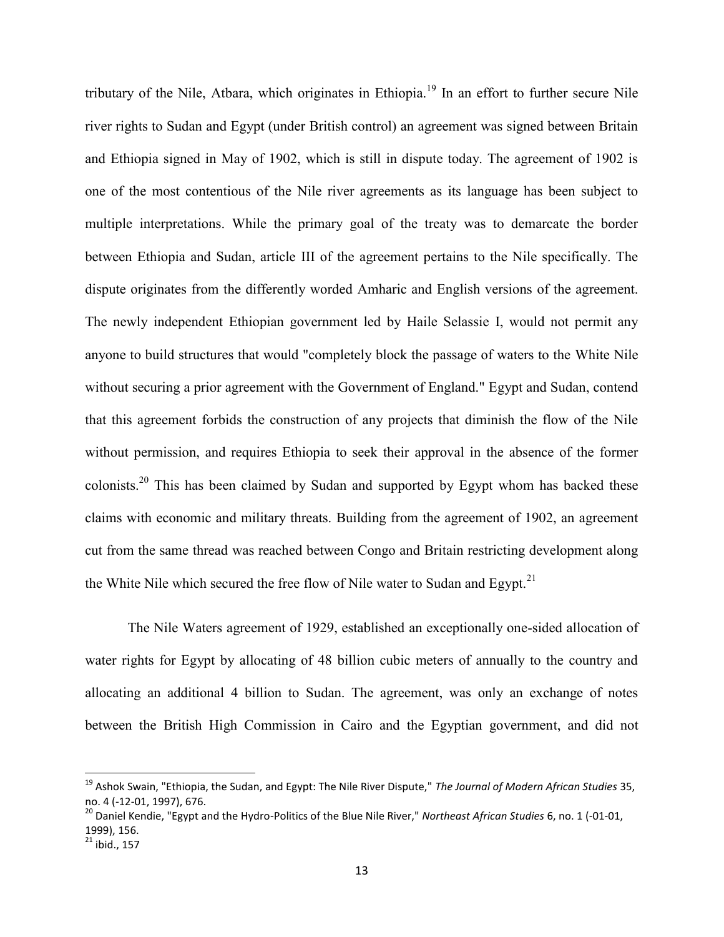tributary of the Nile, Atbara, which originates in Ethiopia.<sup>19</sup> In an effort to further secure Nile river rights to Sudan and Egypt (under British control) an agreement was signed between Britain and Ethiopia signed in May of 1902, which is still in dispute today. The agreement of 1902 is one of the most contentious of the Nile river agreements as its language has been subject to multiple interpretations. While the primary goal of the treaty was to demarcate the border between Ethiopia and Sudan, article III of the agreement pertains to the Nile specifically. The dispute originates from the differently worded Amharic and English versions of the agreement. The newly independent Ethiopian government led by Haile Selassie I, would not permit any anyone to build structures that would "completely block the passage of waters to the White Nile without securing a prior agreement with the Government of England." Egypt and Sudan, contend that this agreement forbids the construction of any projects that diminish the flow of the Nile without permission, and requires Ethiopia to seek their approval in the absence of the former colonists.<sup>20</sup> This has been claimed by Sudan and supported by Egypt whom has backed these claims with economic and military threats. Building from the agreement of 1902, an agreement cut from the same thread was reached between Congo and Britain restricting development along the White Nile which secured the free flow of Nile water to Sudan and Egypt.<sup>21</sup>

The Nile Waters agreement of 1929, established an exceptionally one-sided allocation of water rights for Egypt by allocating of 48 billion cubic meters of annually to the country and allocating an additional 4 billion to Sudan. The agreement, was only an exchange of notes between the British High Commission in Cairo and the Egyptian government, and did not

<sup>19</sup> Ashok Swain, "Ethiopia, the Sudan, and Egypt: The Nile River Dispute," *The Journal of Modern African Studies* 35, no. 4 (-12-01, 1997), 676.

<sup>20</sup> Daniel Kendie, "Egypt and the Hydro-Politics of the Blue Nile River," *Northeast African Studies* 6, no. 1 (-01-01, 1999), 156.

 $21$  ibid., 157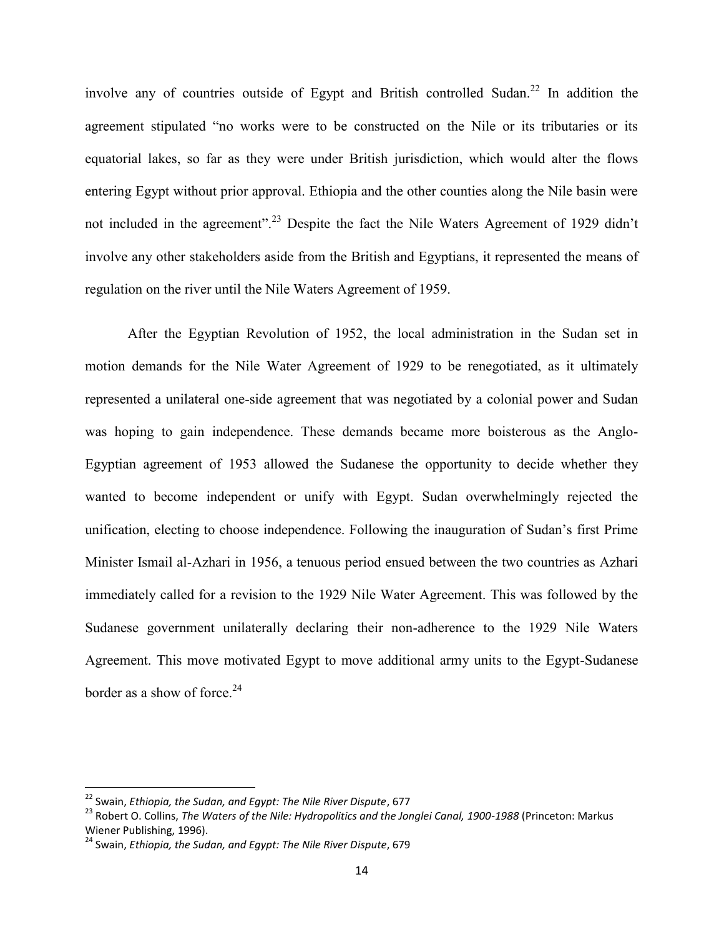involve any of countries outside of Egypt and British controlled Sudan.<sup>22</sup> In addition the agreement stipulated "no works were to be constructed on the Nile or its tributaries or its equatorial lakes, so far as they were under British jurisdiction, which would alter the flows entering Egypt without prior approval. Ethiopia and the other counties along the Nile basin were not included in the agreement".<sup>23</sup> Despite the fact the Nile Waters Agreement of 1929 didn't involve any other stakeholders aside from the British and Egyptians, it represented the means of regulation on the river until the Nile Waters Agreement of 1959.

After the Egyptian Revolution of 1952, the local administration in the Sudan set in motion demands for the Nile Water Agreement of 1929 to be renegotiated, as it ultimately represented a unilateral one-side agreement that was negotiated by a colonial power and Sudan was hoping to gain independence. These demands became more boisterous as the Anglo-Egyptian agreement of 1953 allowed the Sudanese the opportunity to decide whether they wanted to become independent or unify with Egypt. Sudan overwhelmingly rejected the unification, electing to choose independence. Following the inauguration of Sudan's first Prime Minister Ismail al-Azhari in 1956, a tenuous period ensued between the two countries as Azhari immediately called for a revision to the 1929 Nile Water Agreement. This was followed by the Sudanese government unilaterally declaring their non-adherence to the 1929 Nile Waters Agreement. This move motivated Egypt to move additional army units to the Egypt-Sudanese border as a show of force.<sup>24</sup>

<sup>22</sup> Swain, *Ethiopia, the Sudan, and Egypt: The Nile River Dispute*, 677

<sup>23</sup> Robert O. Collins, *The Waters of the Nile: Hydropolitics and the Jonglei Canal, 1900-1988* (Princeton: Markus Wiener Publishing, 1996).

<sup>24</sup> Swain, *Ethiopia, the Sudan, and Egypt: The Nile River Dispute*, 679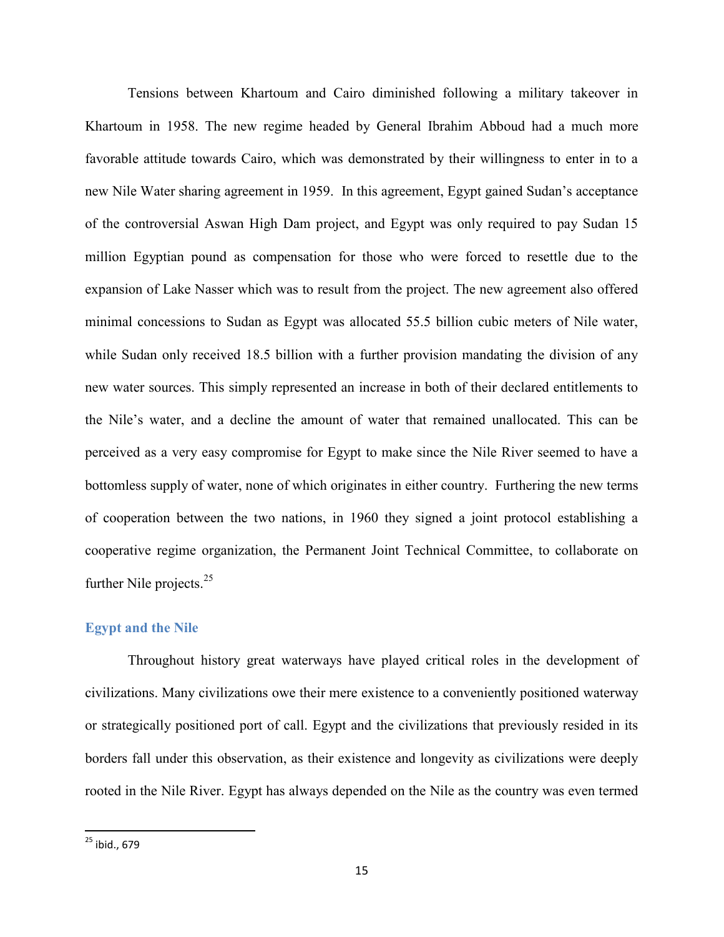Tensions between Khartoum and Cairo diminished following a military takeover in Khartoum in 1958. The new regime headed by General Ibrahim Abboud had a much more favorable attitude towards Cairo, which was demonstrated by their willingness to enter in to a new Nile Water sharing agreement in 1959. In this agreement, Egypt gained Sudan's acceptance of the controversial Aswan High Dam project, and Egypt was only required to pay Sudan 15 million Egyptian pound as compensation for those who were forced to resettle due to the expansion of Lake Nasser which was to result from the project. The new agreement also offered minimal concessions to Sudan as Egypt was allocated 55.5 billion cubic meters of Nile water, while Sudan only received 18.5 billion with a further provision mandating the division of any new water sources. This simply represented an increase in both of their declared entitlements to the Nile's water, and a decline the amount of water that remained unallocated. This can be perceived as a very easy compromise for Egypt to make since the Nile River seemed to have a bottomless supply of water, none of which originates in either country. Furthering the new terms of cooperation between the two nations, in 1960 they signed a joint protocol establishing a cooperative regime organization, the Permanent Joint Technical Committee, to collaborate on further Nile projects.<sup>25</sup>

#### **Egypt and the Nile**

Throughout history great waterways have played critical roles in the development of civilizations. Many civilizations owe their mere existence to a conveniently positioned waterway or strategically positioned port of call. Egypt and the civilizations that previously resided in its borders fall under this observation, as their existence and longevity as civilizations were deeply rooted in the Nile River. Egypt has always depended on the Nile as the country was even termed

 $25$  ibid., 679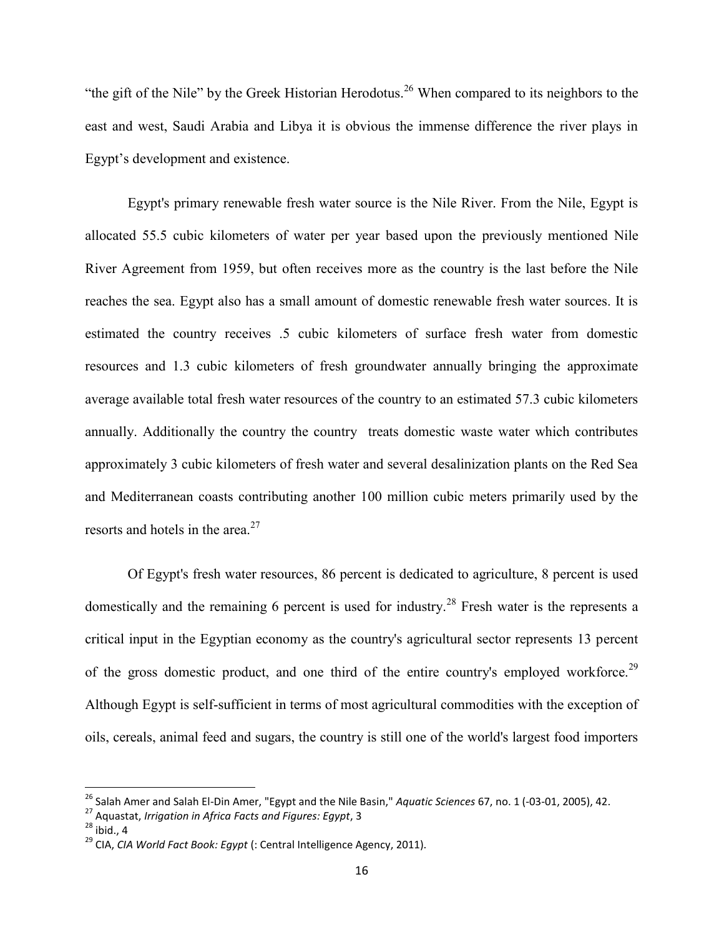"the gift of the Nile" by the Greek Historian Herodotus.<sup>26</sup> When compared to its neighbors to the east and west, Saudi Arabia and Libya it is obvious the immense difference the river plays in Egypt's development and existence.

Egypt's primary renewable fresh water source is the Nile River. From the Nile, Egypt is allocated 55.5 cubic kilometers of water per year based upon the previously mentioned Nile River Agreement from 1959, but often receives more as the country is the last before the Nile reaches the sea. Egypt also has a small amount of domestic renewable fresh water sources. It is estimated the country receives .5 cubic kilometers of surface fresh water from domestic resources and 1.3 cubic kilometers of fresh groundwater annually bringing the approximate average available total fresh water resources of the country to an estimated 57.3 cubic kilometers annually. Additionally the country the country treats domestic waste water which contributes approximately 3 cubic kilometers of fresh water and several desalinization plants on the Red Sea and Mediterranean coasts contributing another 100 million cubic meters primarily used by the resorts and hotels in the area. $27$ 

Of Egypt's fresh water resources, 86 percent is dedicated to agriculture, 8 percent is used domestically and the remaining 6 percent is used for industry.<sup>28</sup> Fresh water is the represents a critical input in the Egyptian economy as the country's agricultural sector represents 13 percent of the gross domestic product, and one third of the entire country's employed workforce.<sup>29</sup> Although Egypt is self-sufficient in terms of most agricultural commodities with the exception of oils, cereals, animal feed and sugars, the country is still one of the world's largest food importers

<sup>26</sup> Salah Amer and Salah El-Din Amer, "Egypt and the Nile Basin," *Aquatic Sciences* 67, no. 1 (-03-01, 2005), 42.

<sup>27</sup> Aquastat, *Irrigation in Africa Facts and Figures: Egypt*, 3

 $28$  ibid., 4

<sup>29</sup> CIA, *CIA World Fact Book: Egypt* (: Central Intelligence Agency, 2011).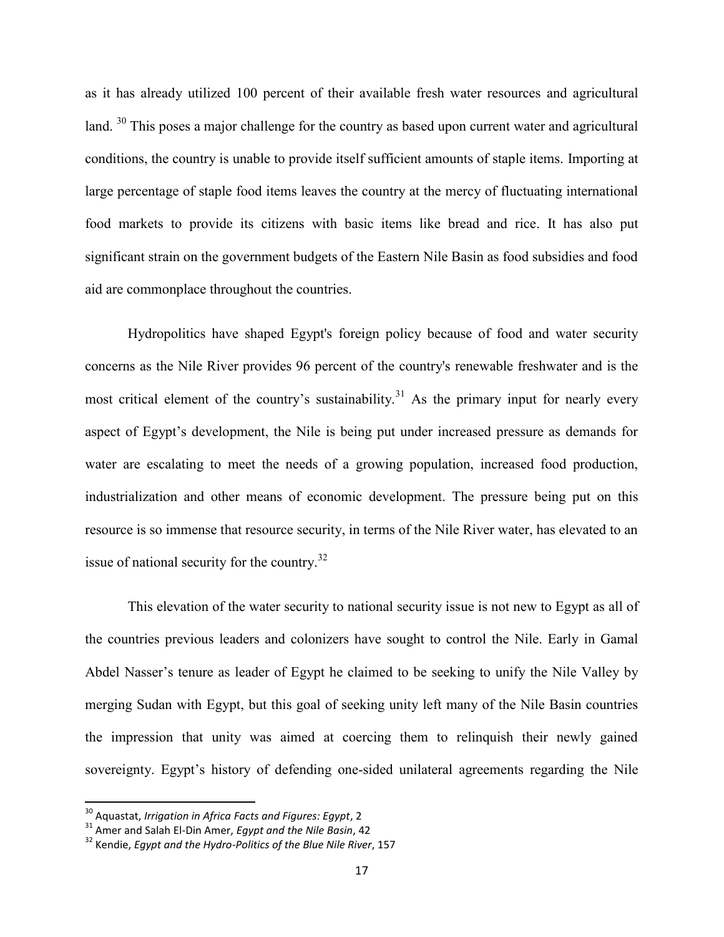as it has already utilized 100 percent of their available fresh water resources and agricultural land. <sup>30</sup> This poses a major challenge for the country as based upon current water and agricultural conditions, the country is unable to provide itself sufficient amounts of staple items. Importing at large percentage of staple food items leaves the country at the mercy of fluctuating international food markets to provide its citizens with basic items like bread and rice. It has also put significant strain on the government budgets of the Eastern Nile Basin as food subsidies and food aid are commonplace throughout the countries.

Hydropolitics have shaped Egypt's foreign policy because of food and water security concerns as the Nile River provides 96 percent of the country's renewable freshwater and is the most critical element of the country's sustainability.<sup>31</sup> As the primary input for nearly every aspect of Egypt's development, the Nile is being put under increased pressure as demands for water are escalating to meet the needs of a growing population, increased food production, industrialization and other means of economic development. The pressure being put on this resource is so immense that resource security, in terms of the Nile River water, has elevated to an issue of national security for the country.<sup>32</sup>

This elevation of the water security to national security issue is not new to Egypt as all of the countries previous leaders and colonizers have sought to control the Nile. Early in Gamal Abdel Nasser's tenure as leader of Egypt he claimed to be seeking to unify the Nile Valley by merging Sudan with Egypt, but this goal of seeking unity left many of the Nile Basin countries the impression that unity was aimed at coercing them to relinquish their newly gained sovereignty. Egypt's history of defending one-sided unilateral agreements regarding the Nile

<sup>30</sup> Aquastat, *Irrigation in Africa Facts and Figures: Egypt*, 2

<sup>31</sup> Amer and Salah El-Din Amer, *Egypt and the Nile Basin*, 42

<sup>32</sup> Kendie, *Egypt and the Hydro-Politics of the Blue Nile River*, 157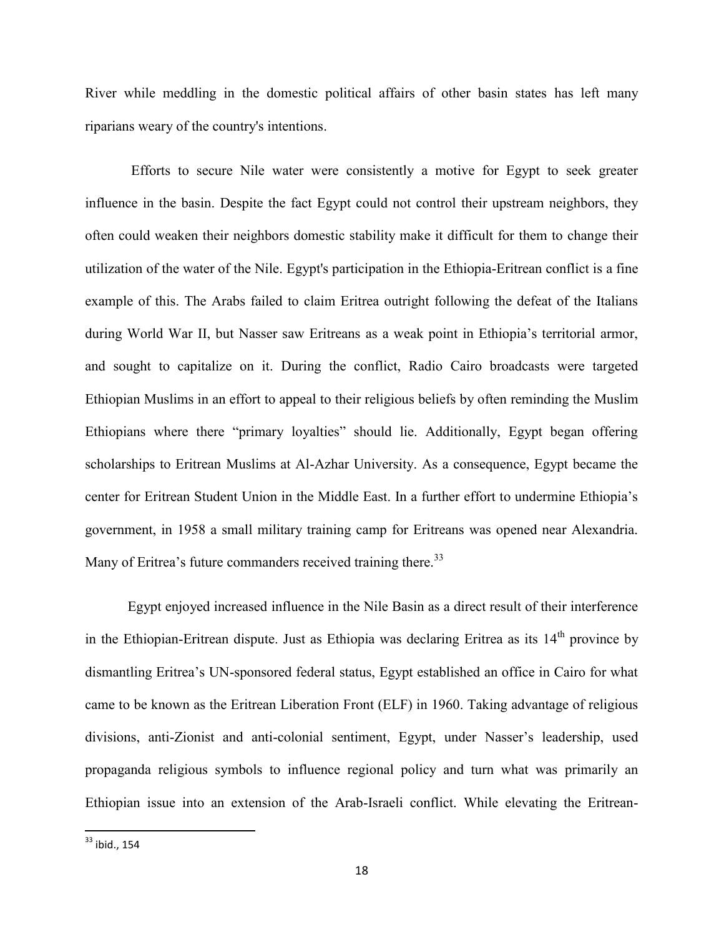River while meddling in the domestic political affairs of other basin states has left many riparians weary of the country's intentions.

Efforts to secure Nile water were consistently a motive for Egypt to seek greater influence in the basin. Despite the fact Egypt could not control their upstream neighbors, they often could weaken their neighbors domestic stability make it difficult for them to change their utilization of the water of the Nile. Egypt's participation in the Ethiopia-Eritrean conflict is a fine example of this. The Arabs failed to claim Eritrea outright following the defeat of the Italians during World War II, but Nasser saw Eritreans as a weak point in Ethiopia's territorial armor, and sought to capitalize on it. During the conflict, Radio Cairo broadcasts were targeted Ethiopian Muslims in an effort to appeal to their religious beliefs by often reminding the Muslim Ethiopians where there "primary loyalties" should lie. Additionally, Egypt began offering scholarships to Eritrean Muslims at Al-Azhar University. As a consequence, Egypt became the center for Eritrean Student Union in the Middle East. In a further effort to undermine Ethiopia's government, in 1958 a small military training camp for Eritreans was opened near Alexandria. Many of Eritrea's future commanders received training there.<sup>33</sup>

Egypt enjoyed increased influence in the Nile Basin as a direct result of their interference in the Ethiopian-Eritrean dispute. Just as Ethiopia was declaring Eritrea as its  $14<sup>th</sup>$  province by dismantling Eritrea's UN-sponsored federal status, Egypt established an office in Cairo for what came to be known as the Eritrean Liberation Front (ELF) in 1960. Taking advantage of religious divisions, anti-Zionist and anti-colonial sentiment, Egypt, under Nasser's leadership, used propaganda religious symbols to influence regional policy and turn what was primarily an Ethiopian issue into an extension of the Arab-Israeli conflict. While elevating the Eritrean-

 $33$  ibid., 154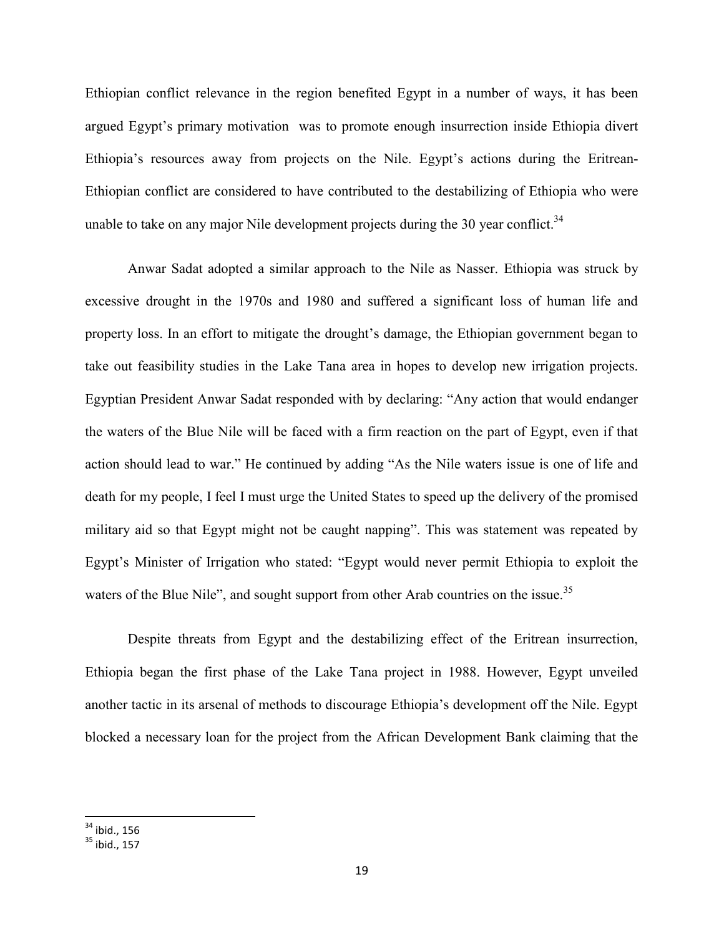Ethiopian conflict relevance in the region benefited Egypt in a number of ways, it has been argued Egypt's primary motivation was to promote enough insurrection inside Ethiopia divert Ethiopia's resources away from projects on the Nile. Egypt's actions during the Eritrean-Ethiopian conflict are considered to have contributed to the destabilizing of Ethiopia who were unable to take on any major Nile development projects during the 30 year conflict.<sup>34</sup>

Anwar Sadat adopted a similar approach to the Nile as Nasser. Ethiopia was struck by excessive drought in the 1970s and 1980 and suffered a significant loss of human life and property loss. In an effort to mitigate the drought's damage, the Ethiopian government began to take out feasibility studies in the Lake Tana area in hopes to develop new irrigation projects. Egyptian President Anwar Sadat responded with by declaring: "Any action that would endanger the waters of the Blue Nile will be faced with a firm reaction on the part of Egypt, even if that action should lead to war." He continued by adding "As the Nile waters issue is one of life and death for my people, I feel I must urge the United States to speed up the delivery of the promised military aid so that Egypt might not be caught napping". This was statement was repeated by Egypt's Minister of Irrigation who stated: "Egypt would never permit Ethiopia to exploit the waters of the Blue Nile", and sought support from other Arab countries on the issue.<sup>35</sup>

Despite threats from Egypt and the destabilizing effect of the Eritrean insurrection, Ethiopia began the first phase of the Lake Tana project in 1988. However, Egypt unveiled another tactic in its arsenal of methods to discourage Ethiopia's development off the Nile. Egypt blocked a necessary loan for the project from the African Development Bank claiming that the

 $34$  ibid., 156

 $35$  ibid., 157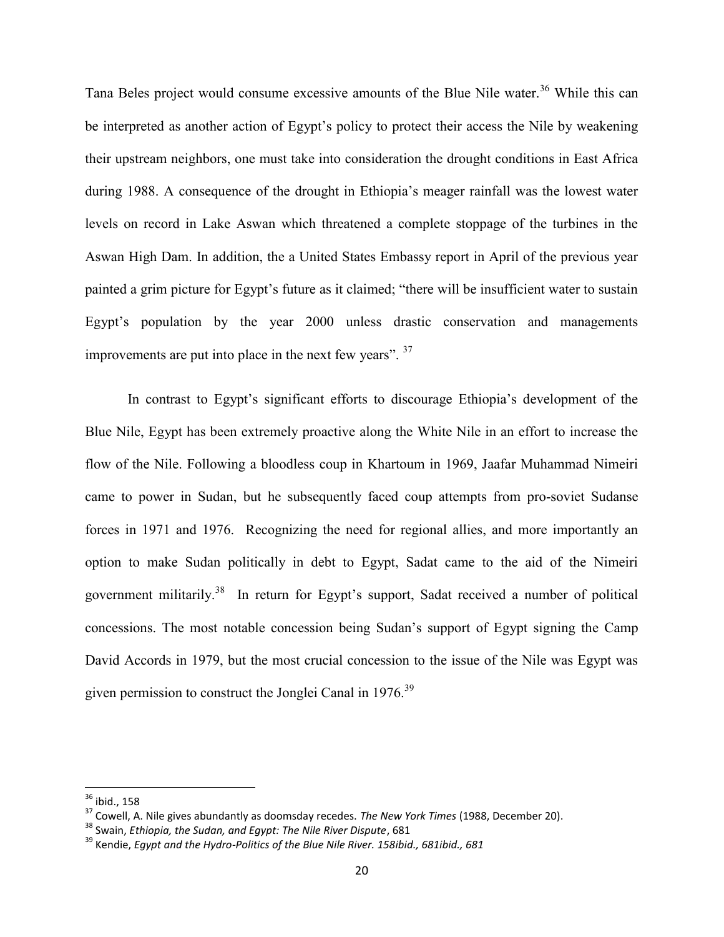Tana Beles project would consume excessive amounts of the Blue Nile water.<sup>36</sup> While this can be interpreted as another action of Egypt's policy to protect their access the Nile by weakening their upstream neighbors, one must take into consideration the drought conditions in East Africa during 1988. A consequence of the drought in Ethiopia's meager rainfall was the lowest water levels on record in Lake Aswan which threatened a complete stoppage of the turbines in the Aswan High Dam. In addition, the a United States Embassy report in April of the previous year painted a grim picture for Egypt's future as it claimed; "there will be insufficient water to sustain Egypt's population by the year 2000 unless drastic conservation and managements improvements are put into place in the next few years". <sup>37</sup>

In contrast to Egypt's significant efforts to discourage Ethiopia's development of the Blue Nile, Egypt has been extremely proactive along the White Nile in an effort to increase the flow of the Nile. Following a bloodless coup in Khartoum in 1969, Jaafar Muhammad Nimeiri came to power in Sudan, but he subsequently faced coup attempts from pro-soviet Sudanse forces in 1971 and 1976. Recognizing the need for regional allies, and more importantly an option to make Sudan politically in debt to Egypt, Sadat came to the aid of the Nimeiri government militarily.<sup>38</sup> In return for Egypt's support, Sadat received a number of political concessions. The most notable concession being Sudan's support of Egypt signing the Camp David Accords in 1979, but the most crucial concession to the issue of the Nile was Egypt was given permission to construct the Jonglei Canal in 1976.<sup>39</sup>

 $36$  ibid., 158

<sup>37</sup> Cowell, A. Nile gives abundantly as doomsday recedes. *The New York Times* (1988, December 20).

<sup>38</sup> Swain, *Ethiopia, the Sudan, and Egypt: The Nile River Dispute*, 681

<sup>39</sup> Kendie, *Egypt and the Hydro-Politics of the Blue Nile River. 158ibid., 681ibid., 681*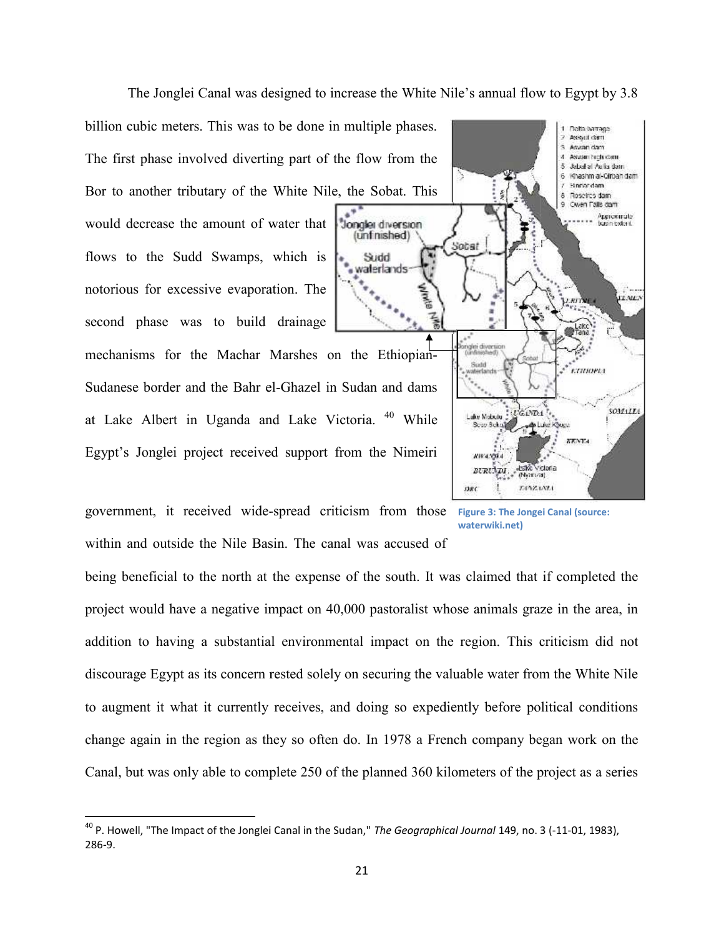The Jonglei Canal was designed to increase the White Nile's annual flow to Egypt by 3.8

billion cubic meters. This was to be done in multiple phases. The first phase involved diverting part of the flow from the Bor to another tributary of the White Nile, the Sobat. This would decrease the amount of water that flows to the Sudd Swamps, which is notorious for excessive evaporation. The second phase was to build drainage mechanisms for the Machar Marshes on the Ethiopian-Sudanese border and the Bahr el-Ghazel in Sudan and dams at Lake Albert in Uganda and Lake Victoria. <sup>40</sup> While Egypt's Jonglei project received support from the Nimeiri Dependent Canal was designed to increase the White Nile's annual flow to Egypt by<br>
phase involved diverting part of the flow from the<br>
mother tributary of the White Nile, the Sobat. This<br>
streamed the sudd Swamps, which is of the flow from<br>Nile, the Sobat.<br>at **Jongles diverse**<br>is<br>the soluded waterlands<br>is<br>the soluded waterlands<br>seed the Ethiop<br>is<br>the Ethiop<br>of the Ethiop<br>of the Ninconnumental impact<br>of the south and was accure and was accure



government, it received wide-spread criticism from those Figure 3: The Jongei Canal (source:<br>
within and outside the Nile Basin. The canal was accused of within and outside the Nile Basin. The canal was accused of

**waterwiki.net)**

being beneficial to the north at the expense of the south. It was claimed that if completed the project would have a negative impact on 40,000 pastoralist whose animals graze in the area, in addition to having a substantial environmental impact on the region. This criticism did not discourage Egypt as its concern rested solely on securing the valuable water from the White Nile to augment it what it currently receives, and doing so expediently before political conditions change again in the region as they so often do. In 1978 a French company began work on the Canal, but was only able to complete 250 of the planned 360 kilometers of the project as a series in the negative impact on 40,000 pastoralist whose animals graze in the area, ition to having a substantial environmental impact on the region. This criticism did neourage Egypt as its concern rested solely on securing the Figure 3: The Jongei<br>
s accused of<br>
e south. It was claimed that if<br>
pastoralist whose animals graze<br>
mpact on the region. This cr<br>
curring the valuable water from<br>
ng so expediently before poli<br>
1978 a French company beg<br>

<sup>40</sup> P. Howell, "The Impact of the Jonglei Canal in the Sudan," *The Geographical Journal* 149, no. 3 (-11-01, 1983), 286-9.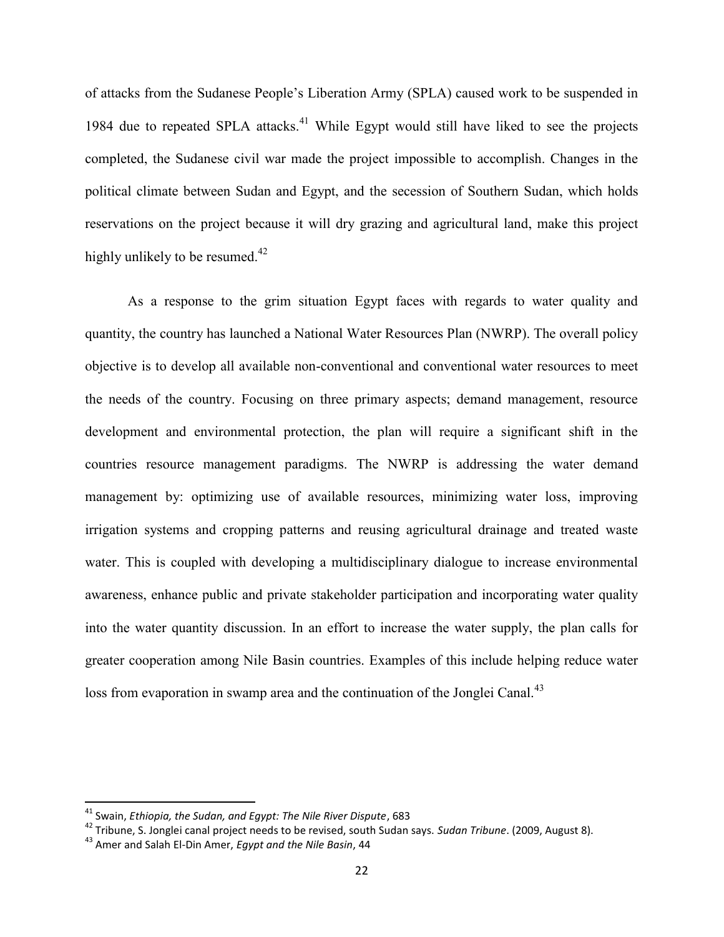of attacks from the Sudanese People's Liberation Army (SPLA) caused work to be suspended in 1984 due to repeated SPLA attacks.<sup>41</sup> While Egypt would still have liked to see the projects completed, the Sudanese civil war made the project impossible to accomplish. Changes in the political climate between Sudan and Egypt, and the secession of Southern Sudan, which holds reservations on the project because it will dry grazing and agricultural land, make this project highly unlikely to be resumed. $42$ 

As a response to the grim situation Egypt faces with regards to water quality and quantity, the country has launched a National Water Resources Plan (NWRP). The overall policy objective is to develop all available non-conventional and conventional water resources to meet the needs of the country. Focusing on three primary aspects; demand management, resource development and environmental protection, the plan will require a significant shift in the countries resource management paradigms. The NWRP is addressing the water demand management by: optimizing use of available resources, minimizing water loss, improving irrigation systems and cropping patterns and reusing agricultural drainage and treated waste water. This is coupled with developing a multidisciplinary dialogue to increase environmental awareness, enhance public and private stakeholder participation and incorporating water quality into the water quantity discussion. In an effort to increase the water supply, the plan calls for greater cooperation among Nile Basin countries. Examples of this include helping reduce water loss from evaporation in swamp area and the continuation of the Jonglei Canal.<sup>43</sup>

<sup>41</sup> Swain, *Ethiopia, the Sudan, and Egypt: The Nile River Dispute*, 683

<sup>42</sup> Tribune, S. Jonglei canal project needs to be revised, south Sudan says. *Sudan Tribune*. (2009, August 8).

<sup>43</sup> Amer and Salah El-Din Amer, *Egypt and the Nile Basin*, 44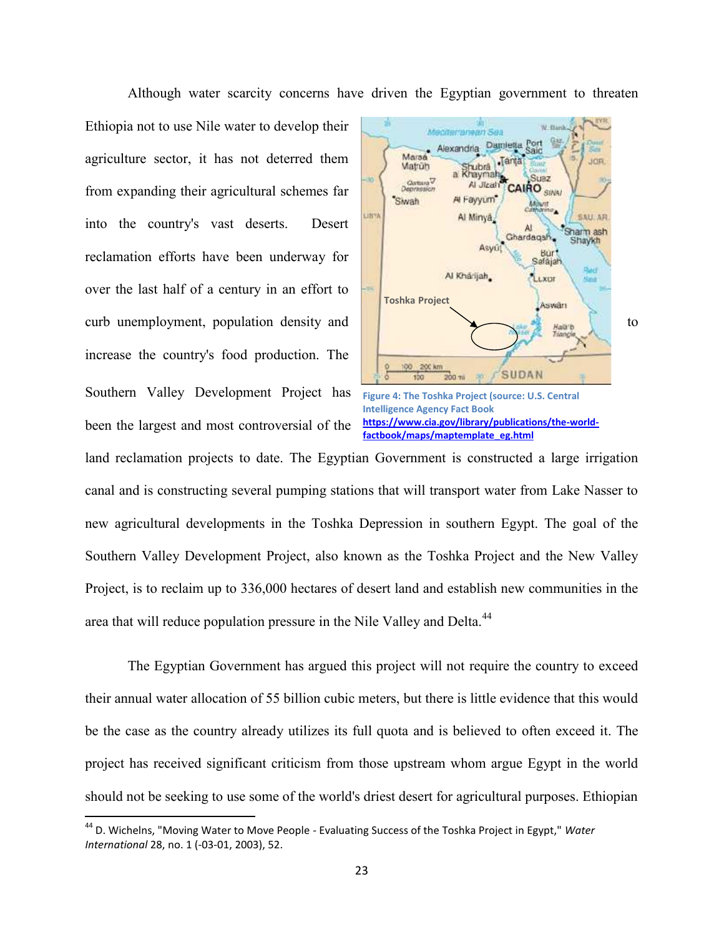Although water scarcity concerns have driven the Egyptian government to threaten

Ethiopia not to use Nile water to develop their agriculture sector, it has not deterred them from expanding their agricultural schemes far into the country's vast deserts. Desert reclamation efforts have been underway for over the last half of a century in an effort to increase the country's food production. The Southern Valley Development Project has

been the largest and most controversial of the





land reclamation projects to date. The Egyptian Government is constructed a large irrigation canal and is constructing several pumping stations that will transport water from Lake Nasser to new agricultural developments in the Toshka Depression in southern Egypt. The goal of the Southern Valley Development Project, also known as the Toshka Project and the New Valley Project, is to reclaim up to 336,000 hectares of desert land and establish new communities in the area that will reduce population pressure in the Nile Valley and Delta.<sup>44</sup>

The Egyptian Government has argued this project will not require the country to exceed their annual water allocation of 55 billion cubic meters, but there is little evidence that this would be the case as the country already utilizes its full quota and is believed to often exceed it. The project has received significant criticism from those upstream whom argue Egypt in the world should not be seeking to use some of the world's driest desert for agricultural purposes. Ethiopian

<sup>44</sup> D. Wichelns, "Moving Water to Move People - Evaluating Success of the Toshka Project in Egypt," *Water International* 28, no. 1 (-03-01, 2003), 52.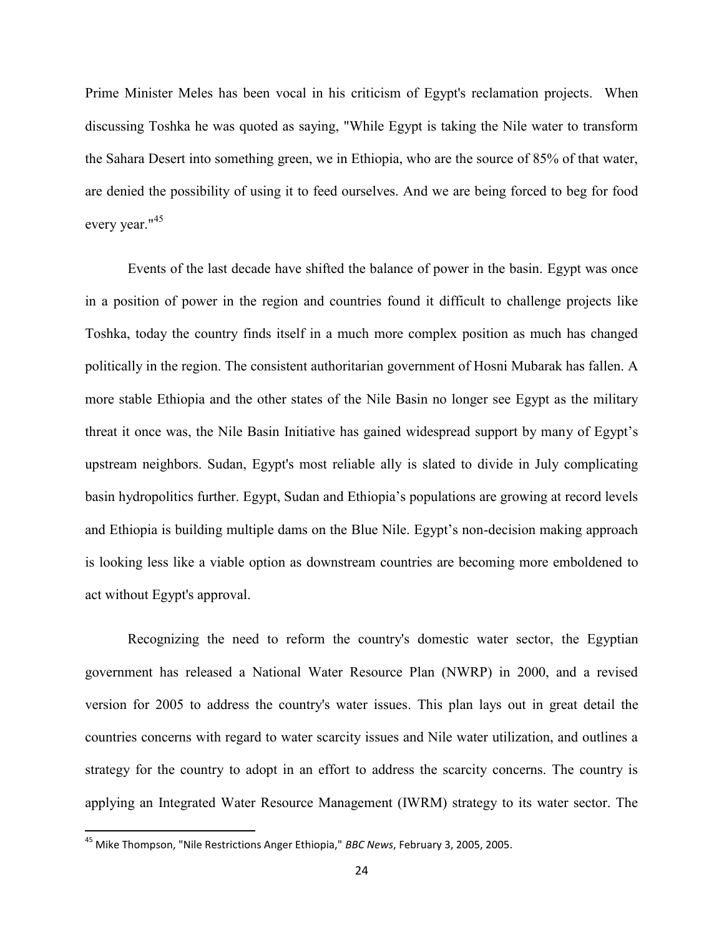Prime Minister Meles has been vocal in his criticism of Egypt's reclamation projects. When discussing Toshka he was quoted as saying, "While Egypt is taking the Nile water to transform the Sahara Desert into something green, we in Ethiopia, who are the source of 85% of that water, are denied the possibility of using it to feed ourselves. And we are being forced to beg for food every year."<sup>45</sup>

Events of the last decade have shifted the balance of power in the basin. Egypt was once in a position of power in the region and countries found it difficult to challenge projects like Toshka, today the country finds itself in a much more complex position as much has changed politically in the region. The consistent authoritarian government of Hosni Mubarak has fallen. A more stable Ethiopia and the other states of the Nile Basin no longer see Egypt as the military threat it once was, the Nile Basin Initiative has gained widespread support by many of Egypt's upstream neighbors. Sudan, Egypt's most reliable ally is slated to divide in July complicating basin hydropolitics further. Egypt, Sudan and Ethiopia's populations are growing at record levels and Ethiopia is building multiple dams on the Blue Nile. Egypt's non-decision making approach is looking less like a viable option as downstream countries are becoming more emboldened to act without Egypt's approval.

Recognizing the need to reform the country's domestic water sector, the Egyptian government has released a National Water Resource Plan (NWRP) in 2000, and a revised version for 2005 to address the country's water issues. This plan lays out in great detail the countries concerns with regard to water scarcity issues and Nile water utilization, and outlines a strategy for the country to adopt in an effort to address the scarcity concerns. The country is applying an Integrated Water Resource Management (IWRM) strategy to its water sector. The

<sup>45</sup> Mike Thompson, "Nile Restrictions Anger Ethiopia," *BBC News*, February 3, 2005, 2005.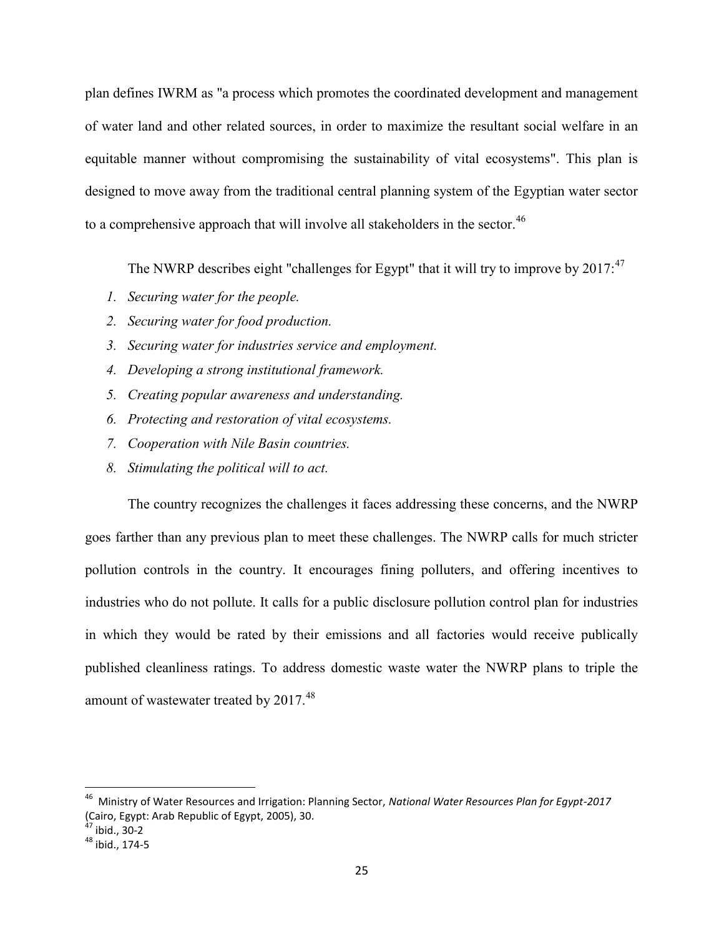plan defines IWRM as "a process which promotes the coordinated development and management of water land and other related sources, in order to maximize the resultant social welfare in an equitable manner without compromising the sustainability of vital ecosystems". This plan is designed to move away from the traditional central planning system of the Egyptian water sector to a comprehensive approach that will involve all stakeholders in the sector.<sup>46</sup>

The NWRP describes eight "challenges for Egypt" that it will try to improve by  $2017$ :<sup>47</sup>

- *1. Securing water for the people.*
- *2. Securing water for food production.*
- *3. Securing water for industries service and employment.*
- *4. Developing a strong institutional framework.*
- *5. Creating popular awareness and understanding.*
- *6. Protecting and restoration of vital ecosystems.*
- *7. Cooperation with Nile Basin countries.*
- *8. Stimulating the political will to act.*

The country recognizes the challenges it faces addressing these concerns, and the NWRP goes farther than any previous plan to meet these challenges. The NWRP calls for much stricter pollution controls in the country. It encourages fining polluters, and offering incentives to industries who do not pollute. It calls for a public disclosure pollution control plan for industries in which they would be rated by their emissions and all factories would receive publically published cleanliness ratings. To address domestic waste water the NWRP plans to triple the amount of wastewater treated by 2017.<sup>48</sup>

<sup>46</sup> Ministry of Water Resources and Irrigation: Planning Sector, *National Water Resources Plan for Egypt-2017* (Cairo, Egypt: Arab Republic of Egypt, 2005), 30.

<sup>47</sup> ibid., 30-2

<sup>48</sup> ibid., 174-5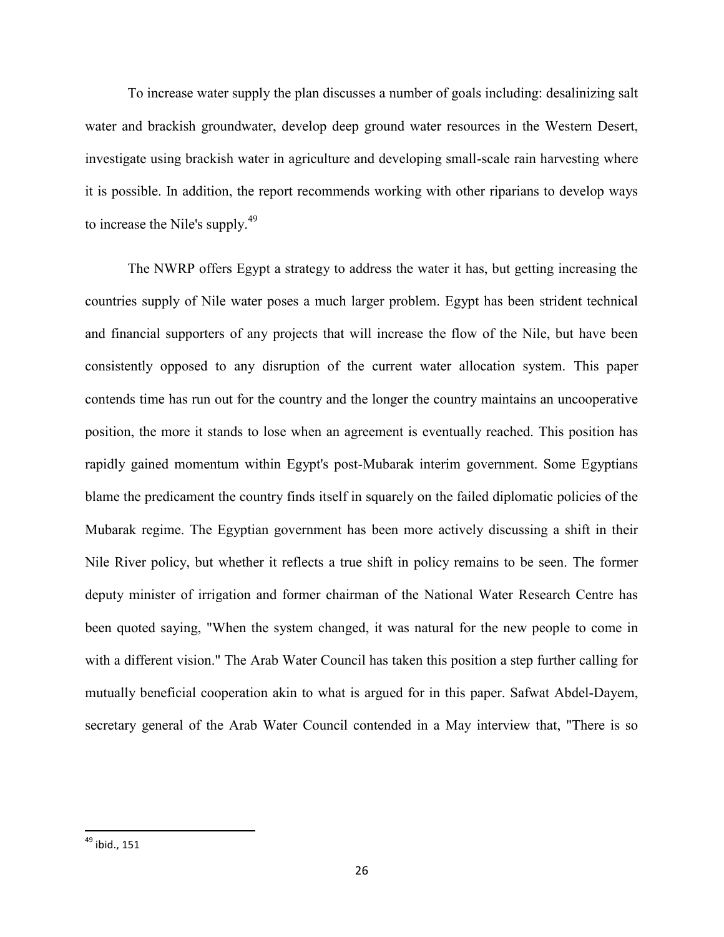To increase water supply the plan discusses a number of goals including: desalinizing salt water and brackish groundwater, develop deep ground water resources in the Western Desert, investigate using brackish water in agriculture and developing small-scale rain harvesting where it is possible. In addition, the report recommends working with other riparians to develop ways to increase the Nile's supply.<sup>49</sup>

The NWRP offers Egypt a strategy to address the water it has, but getting increasing the countries supply of Nile water poses a much larger problem. Egypt has been strident technical and financial supporters of any projects that will increase the flow of the Nile, but have been consistently opposed to any disruption of the current water allocation system. This paper contends time has run out for the country and the longer the country maintains an uncooperative position, the more it stands to lose when an agreement is eventually reached. This position has rapidly gained momentum within Egypt's post-Mubarak interim government. Some Egyptians blame the predicament the country finds itself in squarely on the failed diplomatic policies of the Mubarak regime. The Egyptian government has been more actively discussing a shift in their Nile River policy, but whether it reflects a true shift in policy remains to be seen. The former deputy minister of irrigation and former chairman of the National Water Research Centre has been quoted saying, "When the system changed, it was natural for the new people to come in with a different vision." The Arab Water Council has taken this position a step further calling for mutually beneficial cooperation akin to what is argued for in this paper. Safwat Abdel-Dayem, secretary general of the Arab Water Council contended in a May interview that, "There is so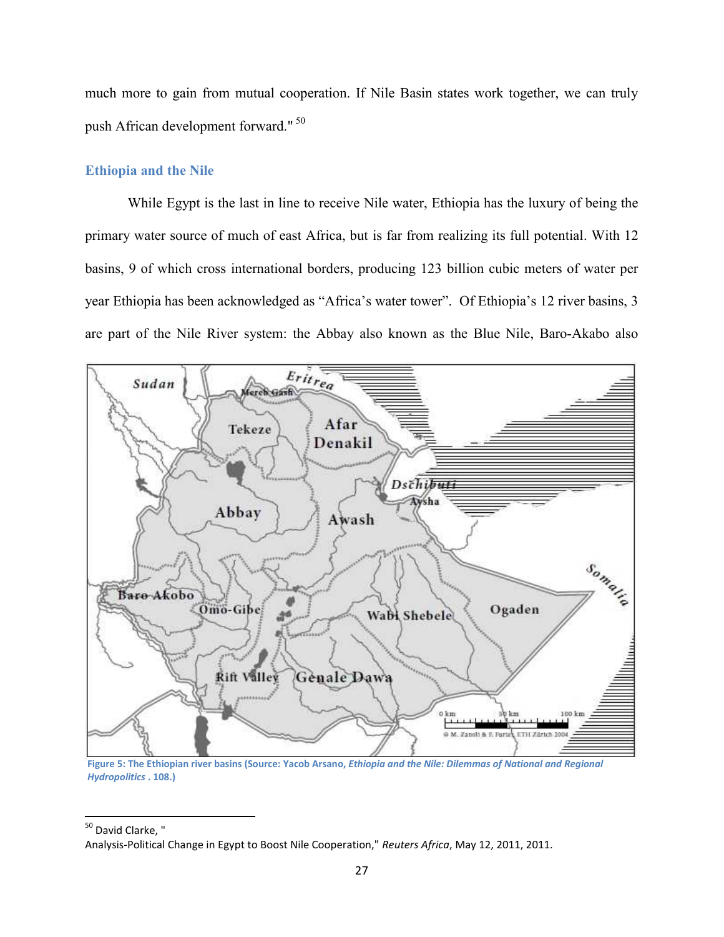much more to gain from mutual cooperation. If Nile Basin states work together, we can truly push African development forward." <sup>50</sup>

#### **Ethiopia and the Nile**

While Egypt is the last in line to receive Nile water, Ethiopia has the luxury of being the primary water source of much of east Africa, but is far from realizing its full potential. With 12 basins, 9 of which cross international borders, producing 123 billion cubic meters of water per year Ethiopia has been acknowledged as "Africa's water tower". Of Ethiopia's 12 river basins, 3 are part of the Nile River system: the Abbay also known as the Blue Nile, Baro-Akabo also



**Figure 5: The Ethiopian river basins (Source: Yacob Arsano,** *Ethiopia and the Nile: Dilemmas of National and Regional Hydropolitics* **. 108.)**

<sup>50</sup> David Clarke, "

Analysis-Political Change in Egypt to Boost Nile Cooperation," *Reuters Africa*, May 12, 2011, 2011.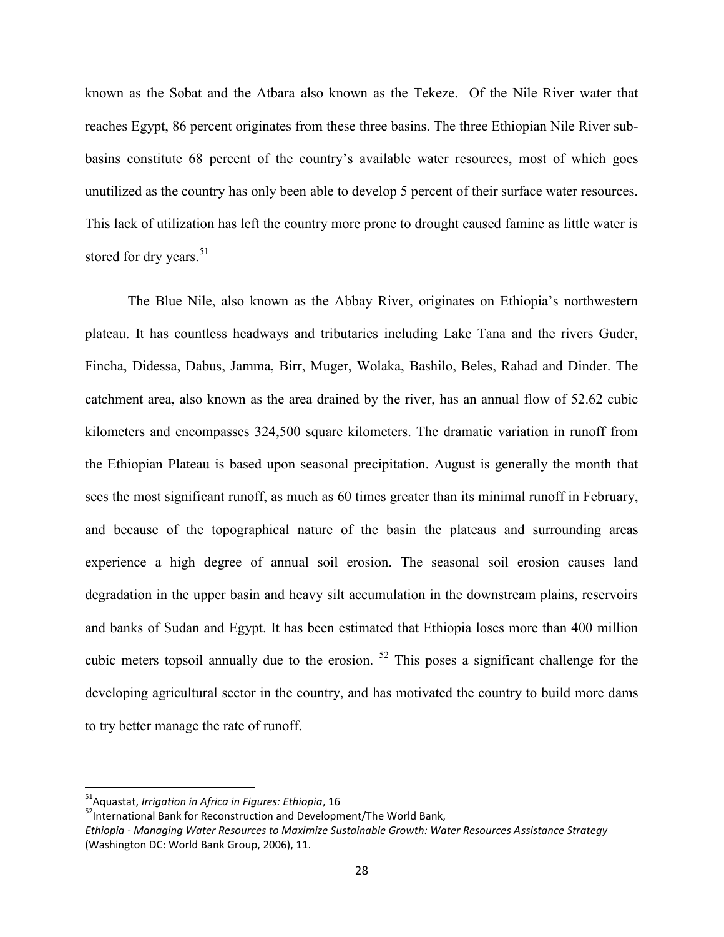known as the Sobat and the Atbara also known as the Tekeze. Of the Nile River water that reaches Egypt, 86 percent originates from these three basins. The three Ethiopian Nile River subbasins constitute 68 percent of the country's available water resources, most of which goes unutilized as the country has only been able to develop 5 percent of their surface water resources. This lack of utilization has left the country more prone to drought caused famine as little water is stored for dry years.<sup>51</sup>

The Blue Nile, also known as the Abbay River, originates on Ethiopia's northwestern plateau. It has countless headways and tributaries including Lake Tana and the rivers Guder, Fincha, Didessa, Dabus, Jamma, Birr, Muger, Wolaka, Bashilo, Beles, Rahad and Dinder. The catchment area, also known as the area drained by the river, has an annual flow of 52.62 cubic kilometers and encompasses 324,500 square kilometers. The dramatic variation in runoff from the Ethiopian Plateau is based upon seasonal precipitation. August is generally the month that sees the most significant runoff, as much as 60 times greater than its minimal runoff in February, and because of the topographical nature of the basin the plateaus and surrounding areas experience a high degree of annual soil erosion. The seasonal soil erosion causes land degradation in the upper basin and heavy silt accumulation in the downstream plains, reservoirs and banks of Sudan and Egypt. It has been estimated that Ethiopia loses more than 400 million cubic meters topsoil annually due to the erosion. <sup>52</sup> This poses a significant challenge for the developing agricultural sector in the country, and has motivated the country to build more dams to try better manage the rate of runoff.

<sup>51</sup>Aquastat, *Irrigation in Africa in Figures: Ethiopia*, 16

<sup>&</sup>lt;sup>52</sup>International Bank for Reconstruction and Development/The World Bank,

*Ethiopia - Managing Water Resources to Maximize Sustainable Growth: Water Resources Assistance Strategy* (Washington DC: World Bank Group, 2006), 11.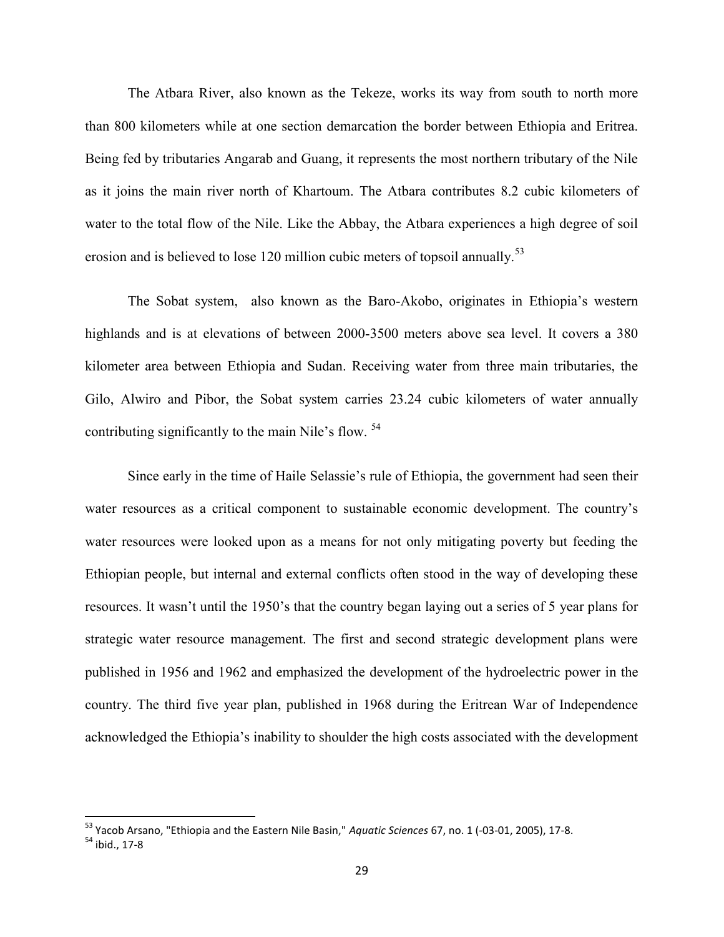The Atbara River, also known as the Tekeze, works its way from south to north more than 800 kilometers while at one section demarcation the border between Ethiopia and Eritrea. Being fed by tributaries Angarab and Guang, it represents the most northern tributary of the Nile as it joins the main river north of Khartoum. The Atbara contributes 8.2 cubic kilometers of water to the total flow of the Nile. Like the Abbay, the Atbara experiences a high degree of soil erosion and is believed to lose 120 million cubic meters of topsoil annually.<sup>53</sup>

The Sobat system, also known as the Baro-Akobo, originates in Ethiopia's western highlands and is at elevations of between 2000-3500 meters above sea level. It covers a 380 kilometer area between Ethiopia and Sudan. Receiving water from three main tributaries, the Gilo, Alwiro and Pibor, the Sobat system carries 23.24 cubic kilometers of water annually contributing significantly to the main Nile's flow. <sup>54</sup>

Since early in the time of Haile Selassie's rule of Ethiopia, the government had seen their water resources as a critical component to sustainable economic development. The country's water resources were looked upon as a means for not only mitigating poverty but feeding the Ethiopian people, but internal and external conflicts often stood in the way of developing these resources. It wasn't until the 1950's that the country began laying out a series of 5 year plans for strategic water resource management. The first and second strategic development plans were published in 1956 and 1962 and emphasized the development of the hydroelectric power in the country. The third five year plan, published in 1968 during the Eritrean War of Independence acknowledged the Ethiopia's inability to shoulder the high costs associated with the development

<sup>53</sup> Yacob Arsano, "Ethiopia and the Eastern Nile Basin," *Aquatic Sciences* 67, no. 1 (-03-01, 2005), 17-8.

<sup>54</sup> ibid., 17-8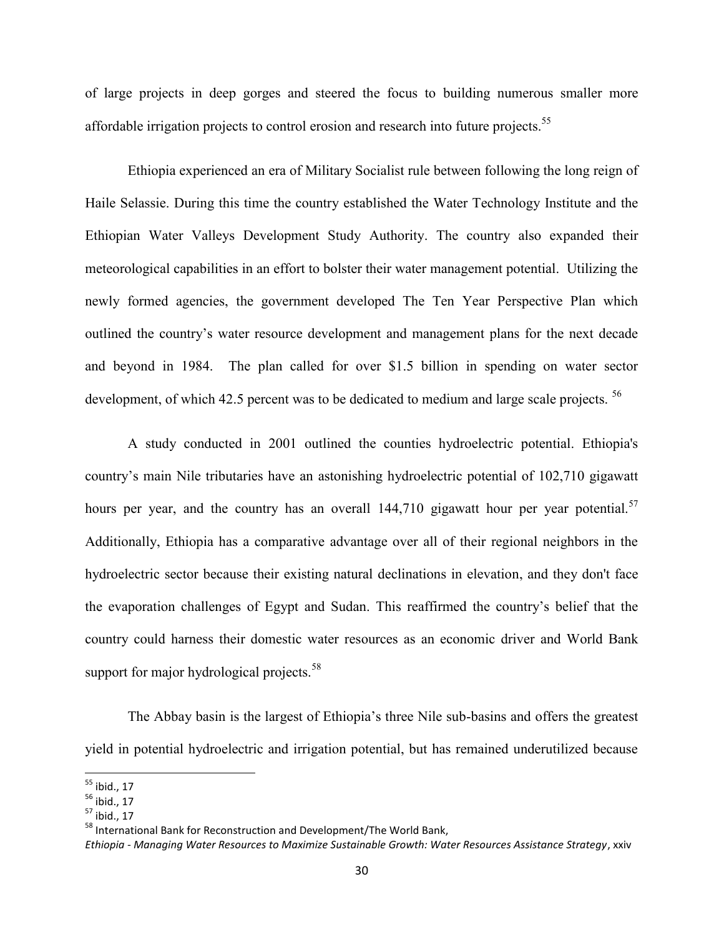of large projects in deep gorges and steered the focus to building numerous smaller more affordable irrigation projects to control erosion and research into future projects.<sup>55</sup>

Ethiopia experienced an era of Military Socialist rule between following the long reign of Haile Selassie. During this time the country established the Water Technology Institute and the Ethiopian Water Valleys Development Study Authority. The country also expanded their meteorological capabilities in an effort to bolster their water management potential. Utilizing the newly formed agencies, the government developed The Ten Year Perspective Plan which outlined the country's water resource development and management plans for the next decade and beyond in 1984. The plan called for over \$1.5 billion in spending on water sector development, of which 42.5 percent was to be dedicated to medium and large scale projects. <sup>56</sup>

A study conducted in 2001 outlined the counties hydroelectric potential. Ethiopia's country's main Nile tributaries have an astonishing hydroelectric potential of 102,710 gigawatt hours per year, and the country has an overall  $144,710$  gigawatt hour per year potential.<sup>57</sup> Additionally, Ethiopia has a comparative advantage over all of their regional neighbors in the hydroelectric sector because their existing natural declinations in elevation, and they don't face the evaporation challenges of Egypt and Sudan. This reaffirmed the country's belief that the country could harness their domestic water resources as an economic driver and World Bank support for major hydrological projects.<sup>58</sup>

The Abbay basin is the largest of Ethiopia's three Nile sub-basins and offers the greatest yield in potential hydroelectric and irrigation potential, but has remained underutilized because

<sup>55</sup> ibid., 17

 $56$  ibid., 17

<sup>57</sup> ibid., 17

<sup>&</sup>lt;sup>58</sup> International Bank for Reconstruction and Development/The World Bank,

*Ethiopia - Managing Water Resources to Maximize Sustainable Growth: Water Resources Assistance Strategy*, xxiv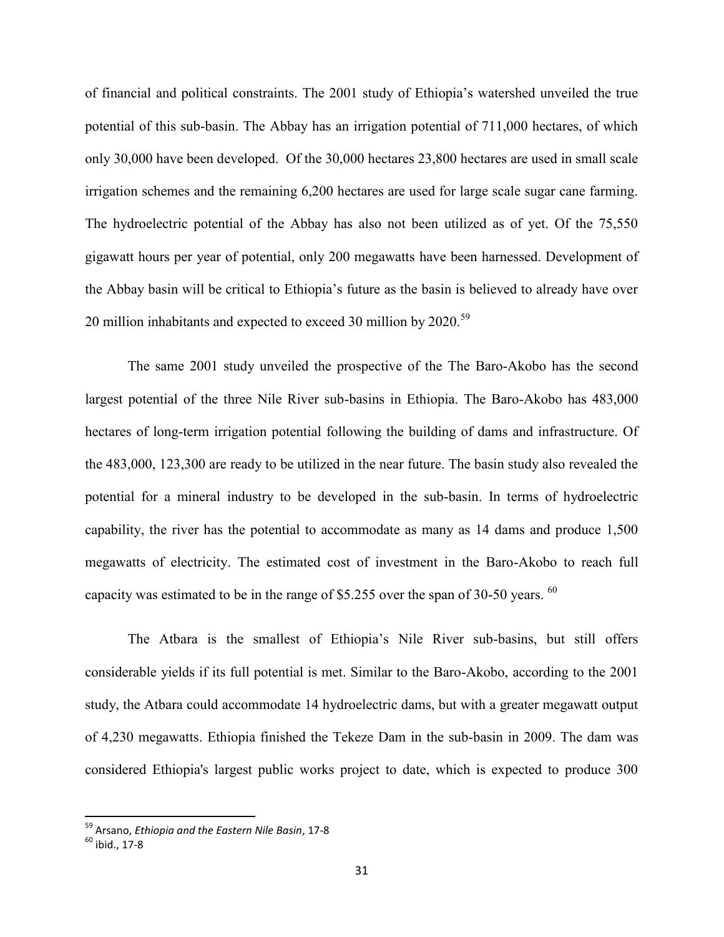of financial and political constraints. The 2001 study of Ethiopia's watershed unveiled the true potential of this sub-basin. The Abbay has an irrigation potential of 711,000 hectares, of which only 30,000 have been developed. Of the 30,000 hectares 23,800 hectares are used in small scale irrigation schemes and the remaining 6,200 hectares are used for large scale sugar cane farming. The hydroelectric potential of the Abbay has also not been utilized as of yet. Of the 75,550 gigawatt hours per year of potential, only 200 megawatts have been harnessed. Development of the Abbay basin will be critical to Ethiopia's future as the basin is believed to already have over 20 million inhabitants and expected to exceed 30 million by 2020.<sup>59</sup>

The same 2001 study unveiled the prospective of the The Baro-Akobo has the second largest potential of the three Nile River sub-basins in Ethiopia. The Baro-Akobo has 483,000 hectares of long-term irrigation potential following the building of dams and infrastructure. Of the 483,000, 123,300 are ready to be utilized in the near future. The basin study also revealed the potential for a mineral industry to be developed in the sub-basin. In terms of hydroelectric capability, the river has the potential to accommodate as many as 14 dams and produce 1,500 megawatts of electricity. The estimated cost of investment in the Baro-Akobo to reach full capacity was estimated to be in the range of \$5.255 over the span of 30-50 years. <sup>60</sup>

The Atbara is the smallest of Ethiopia's Nile River sub-basins, but still offers considerable yields if its full potential is met. Similar to the Baro-Akobo, according to the 2001 study, the Atbara could accommodate 14 hydroelectric dams, but with a greater megawatt output of 4,230 megawatts. Ethiopia finished the Tekeze Dam in the sub-basin in 2009. The dam was considered Ethiopia's largest public works project to date, which is expected to produce 300

<sup>59</sup> Arsano, *Ethiopia and the Eastern Nile Basin*, 17-8

 $60$  ihid., 17-8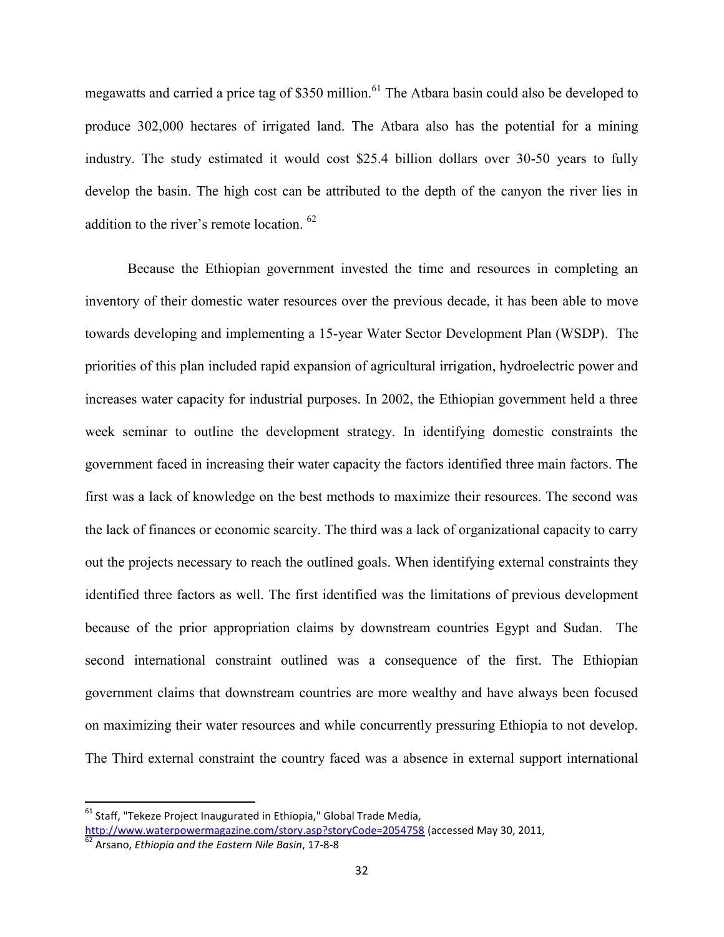megawatts and carried a price tag of \$350 million.<sup>61</sup> The Atbara basin could also be developed to produce 302,000 hectares of irrigated land. The Atbara also has the potential for a mining industry. The study estimated it would cost \$25.4 billion dollars over 30-50 years to fully develop the basin. The high cost can be attributed to the depth of the canyon the river lies in addition to the river's remote location. <sup>62</sup>

Because the Ethiopian government invested the time and resources in completing an inventory of their domestic water resources over the previous decade, it has been able to move towards developing and implementing a 15-year Water Sector Development Plan (WSDP). The priorities of this plan included rapid expansion of agricultural irrigation, hydroelectric power and increases water capacity for industrial purposes. In 2002, the Ethiopian government held a three week seminar to outline the development strategy. In identifying domestic constraints the government faced in increasing their water capacity the factors identified three main factors. The first was a lack of knowledge on the best methods to maximize their resources. The second was the lack of finances or economic scarcity. The third was a lack of organizational capacity to carry out the projects necessary to reach the outlined goals. When identifying external constraints they identified three factors as well. The first identified was the limitations of previous development because of the prior appropriation claims by downstream countries Egypt and Sudan. The second international constraint outlined was a consequence of the first. The Ethiopian government claims that downstream countries are more wealthy and have always been focused on maximizing their water resources and while concurrently pressuring Ethiopia to not develop. The Third external constraint the country faced was a absence in external support international

 $61$  Staff, "Tekeze Project Inaugurated in Ethiopia," Global Trade Media, http://www.waterpowermagazine.com/story.asp?storyCode=2054758 (accessed May 30, 2011,

<sup>62</sup> Arsano, *Ethiopia and the Eastern Nile Basin*, 17-8-8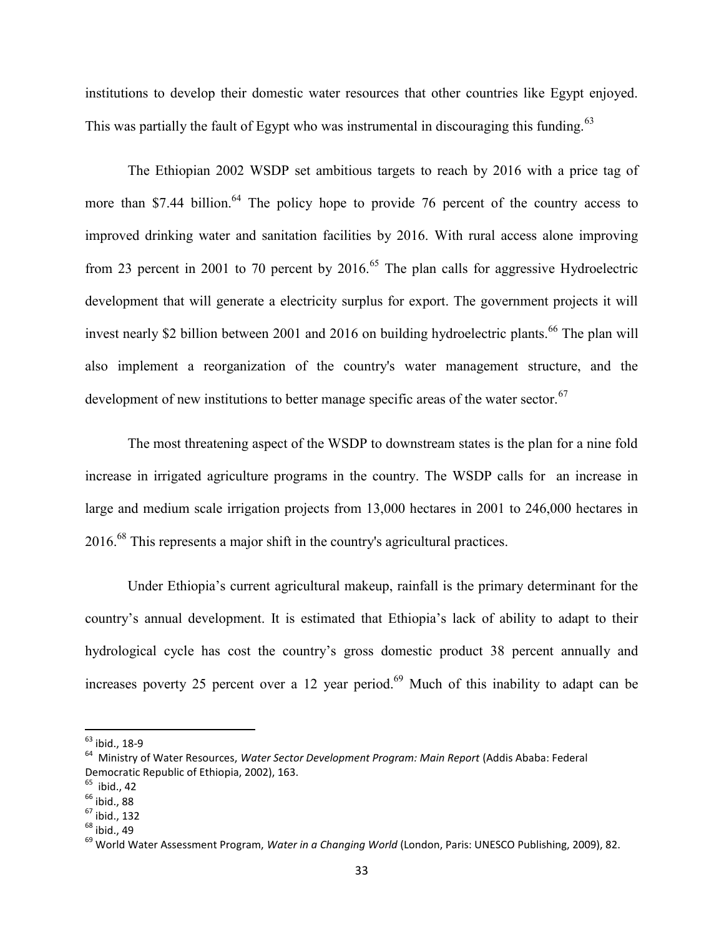institutions to develop their domestic water resources that other countries like Egypt enjoyed. This was partially the fault of Egypt who was instrumental in discouraging this funding.<sup>63</sup>

The Ethiopian 2002 WSDP set ambitious targets to reach by 2016 with a price tag of more than \$7.44 billion.<sup>64</sup> The policy hope to provide 76 percent of the country access to improved drinking water and sanitation facilities by 2016. With rural access alone improving from 23 percent in 2001 to 70 percent by  $2016$ <sup>65</sup>. The plan calls for aggressive Hydroelectric development that will generate a electricity surplus for export. The government projects it will invest nearly \$2 billion between 2001 and 2016 on building hydroelectric plants.<sup>66</sup> The plan will also implement a reorganization of the country's water management structure, and the development of new institutions to better manage specific areas of the water sector.<sup>67</sup>

The most threatening aspect of the WSDP to downstream states is the plan for a nine fold increase in irrigated agriculture programs in the country. The WSDP calls for an increase in large and medium scale irrigation projects from 13,000 hectares in 2001 to 246,000 hectares in 2016.<sup>68</sup> This represents a major shift in the country's agricultural practices.

Under Ethiopia's current agricultural makeup, rainfall is the primary determinant for the country's annual development. It is estimated that Ethiopia's lack of ability to adapt to their hydrological cycle has cost the country's gross domestic product 38 percent annually and increases poverty 25 percent over a 12 year period.<sup>69</sup> Much of this inability to adapt can be

<sup>63</sup> ibid., 18-9

<sup>64</sup> Ministry of Water Resources, *Water Sector Development Program: Main Report* (Addis Ababa: Federal Democratic Republic of Ethiopia, 2002), 163.

 $65$  ibid., 42

 $<sup>66</sup>$  ibid., 88</sup>

 $67$  ibid., 132

 $68$  ibid., 49

<sup>69</sup> World Water Assessment Program, *Water in a Changing World* (London, Paris: UNESCO Publishing, 2009), 82.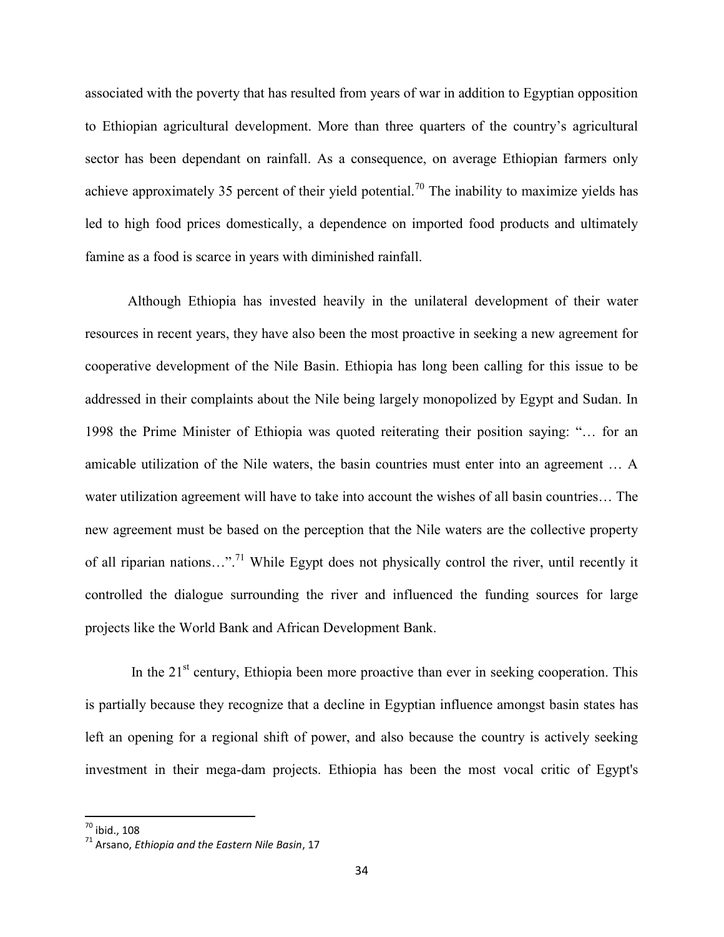associated with the poverty that has resulted from years of war in addition to Egyptian opposition to Ethiopian agricultural development. More than three quarters of the country's agricultural sector has been dependant on rainfall. As a consequence, on average Ethiopian farmers only achieve approximately 35 percent of their yield potential.<sup>70</sup> The inability to maximize yields has led to high food prices domestically, a dependence on imported food products and ultimately famine as a food is scarce in years with diminished rainfall.

Although Ethiopia has invested heavily in the unilateral development of their water resources in recent years, they have also been the most proactive in seeking a new agreement for cooperative development of the Nile Basin. Ethiopia has long been calling for this issue to be addressed in their complaints about the Nile being largely monopolized by Egypt and Sudan. In 1998 the Prime Minister of Ethiopia was quoted reiterating their position saying: "… for an amicable utilization of the Nile waters, the basin countries must enter into an agreement … A water utilization agreement will have to take into account the wishes of all basin countries… The new agreement must be based on the perception that the Nile waters are the collective property of all riparian nations...".<sup>71</sup> While Egypt does not physically control the river, until recently it controlled the dialogue surrounding the river and influenced the funding sources for large projects like the World Bank and African Development Bank.

In the  $21<sup>st</sup>$  century, Ethiopia been more proactive than ever in seeking cooperation. This is partially because they recognize that a decline in Egyptian influence amongst basin states has left an opening for a regional shift of power, and also because the country is actively seeking investment in their mega-dam projects. Ethiopia has been the most vocal critic of Egypt's

 $70$  ibid., 108

<sup>71</sup> Arsano, *Ethiopia and the Eastern Nile Basin*, 17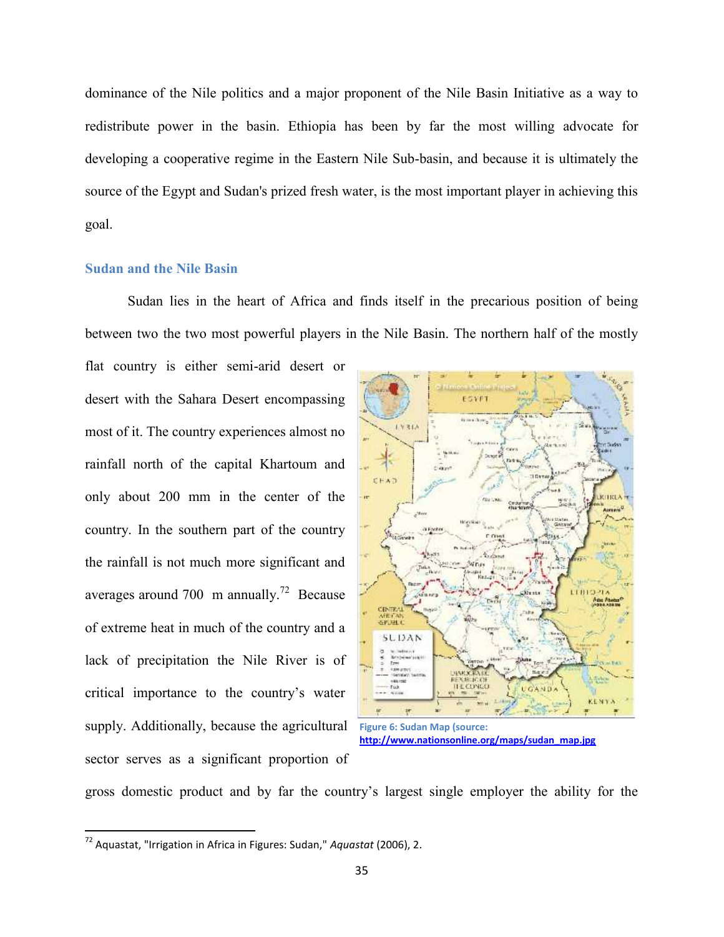dominance of the Nile politics and a major proponent of the Nile Basin Initiative as a way to redistribute power in the basin. Ethiopia has been by far the most willing advocate for developing a cooperative regime in the Eastern Nile Sub-basin, and because it is ultimately the source of the Egypt and Sudan's prized fresh water, is the most important player in achieving this goal.

## **Sudan and the Nile Basin**

Sudan lies in the heart of Africa and finds itself in the precarious position of being between two the two most powerful players in the Nile Basin. The northern half of the mostly

flat country is either semi-arid desert or desert with the Sahara Desert encompassing most of it. The country experiences almost no rainfall north of the capital Khartoum and only about 200 mm in the center of the country. In the southern part of the country the rainfall is not much more significant and averages around 700 m annually.<sup>72</sup> Because of extreme heat in much of the country and a lack of precipitation the Nile River is of critical importance to the country's water supply. Additionally, because the agricultural sector serves as a significant proportion of



gross domestic product and by far the country's largest single employer the ability for the

<sup>72</sup> Aquastat, "Irrigation in Africa in Figures: Sudan," *Aquastat* (2006), 2.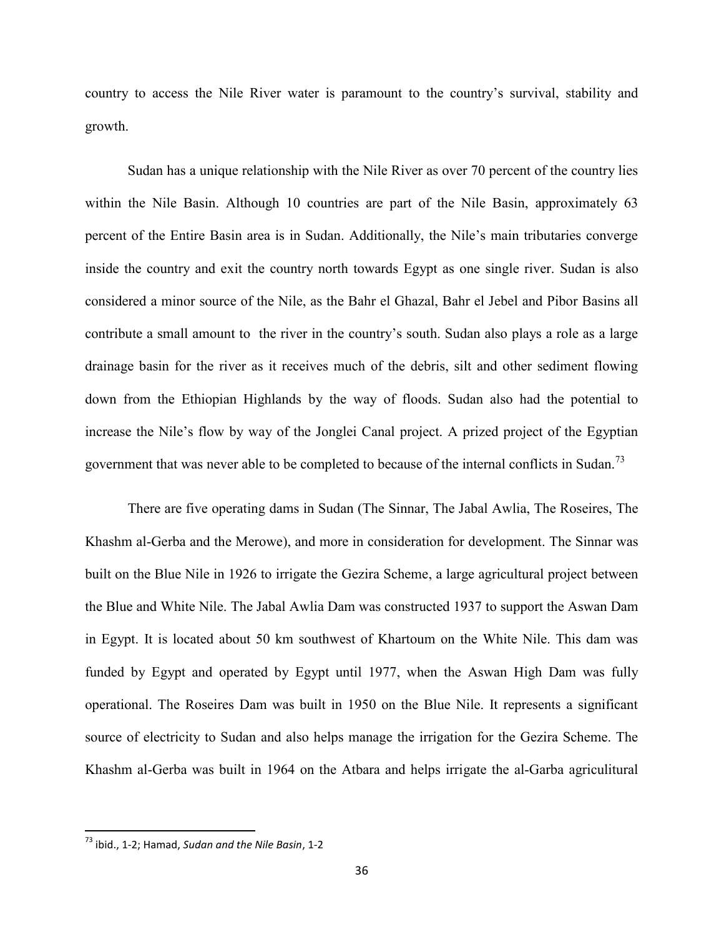country to access the Nile River water is paramount to the country's survival, stability and growth.

Sudan has a unique relationship with the Nile River as over 70 percent of the country lies within the Nile Basin. Although 10 countries are part of the Nile Basin, approximately 63 percent of the Entire Basin area is in Sudan. Additionally, the Nile's main tributaries converge inside the country and exit the country north towards Egypt as one single river. Sudan is also considered a minor source of the Nile, as the Bahr el Ghazal, Bahr el Jebel and Pibor Basins all contribute a small amount to the river in the country's south. Sudan also plays a role as a large drainage basin for the river as it receives much of the debris, silt and other sediment flowing down from the Ethiopian Highlands by the way of floods. Sudan also had the potential to increase the Nile's flow by way of the Jonglei Canal project. A prized project of the Egyptian government that was never able to be completed to because of the internal conflicts in Sudan.<sup>73</sup>

There are five operating dams in Sudan (The Sinnar, The Jabal Awlia, The Roseires, The Khashm al-Gerba and the Merowe), and more in consideration for development. The Sinnar was built on the Blue Nile in 1926 to irrigate the Gezira Scheme, a large agricultural project between the Blue and White Nile. The Jabal Awlia Dam was constructed 1937 to support the Aswan Dam in Egypt. It is located about 50 km southwest of Khartoum on the White Nile. This dam was funded by Egypt and operated by Egypt until 1977, when the Aswan High Dam was fully operational. The Roseires Dam was built in 1950 on the Blue Nile. It represents a significant source of electricity to Sudan and also helps manage the irrigation for the Gezira Scheme. The Khashm al-Gerba was built in 1964 on the Atbara and helps irrigate the al-Garba agriculitural

<sup>73</sup> ibid., 1-2; Hamad, *Sudan and the Nile Basin*, 1-2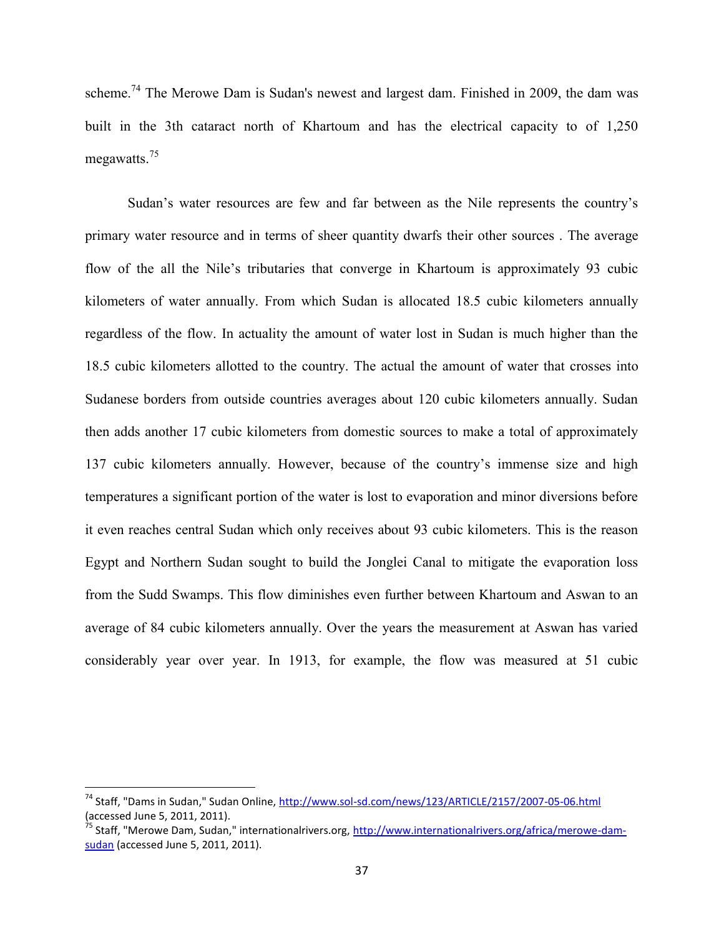scheme.<sup>74</sup> The Merowe Dam is Sudan's newest and largest dam. Finished in 2009, the dam was built in the 3th cataract north of Khartoum and has the electrical capacity to of 1,250 megawatts.<sup>75</sup>

Sudan's water resources are few and far between as the Nile represents the country's primary water resource and in terms of sheer quantity dwarfs their other sources . The average flow of the all the Nile's tributaries that converge in Khartoum is approximately 93 cubic kilometers of water annually. From which Sudan is allocated 18.5 cubic kilometers annually regardless of the flow. In actuality the amount of water lost in Sudan is much higher than the 18.5 cubic kilometers allotted to the country. The actual the amount of water that crosses into Sudanese borders from outside countries averages about 120 cubic kilometers annually. Sudan then adds another 17 cubic kilometers from domestic sources to make a total of approximately 137 cubic kilometers annually. However, because of the country's immense size and high temperatures a significant portion of the water is lost to evaporation and minor diversions before it even reaches central Sudan which only receives about 93 cubic kilometers. This is the reason Egypt and Northern Sudan sought to build the Jonglei Canal to mitigate the evaporation loss from the Sudd Swamps. This flow diminishes even further between Khartoum and Aswan to an average of 84 cubic kilometers annually. Over the years the measurement at Aswan has varied considerably year over year. In 1913, for example, the flow was measured at 51 cubic

<sup>&</sup>lt;sup>74</sup> Staff, "Dams in Sudan," Sudan Online, http://www.sol-sd.com/news/123/ARTICLE/2157/2007-05-06.html (accessed June 5, 2011, 2011).

<sup>&</sup>lt;sup>75</sup> Staff, "Merowe Dam, Sudan," internationalrivers.org, <u>http://www.internationalrivers.org/africa/merowe-dam-</u> sudan (accessed June 5, 2011, 2011).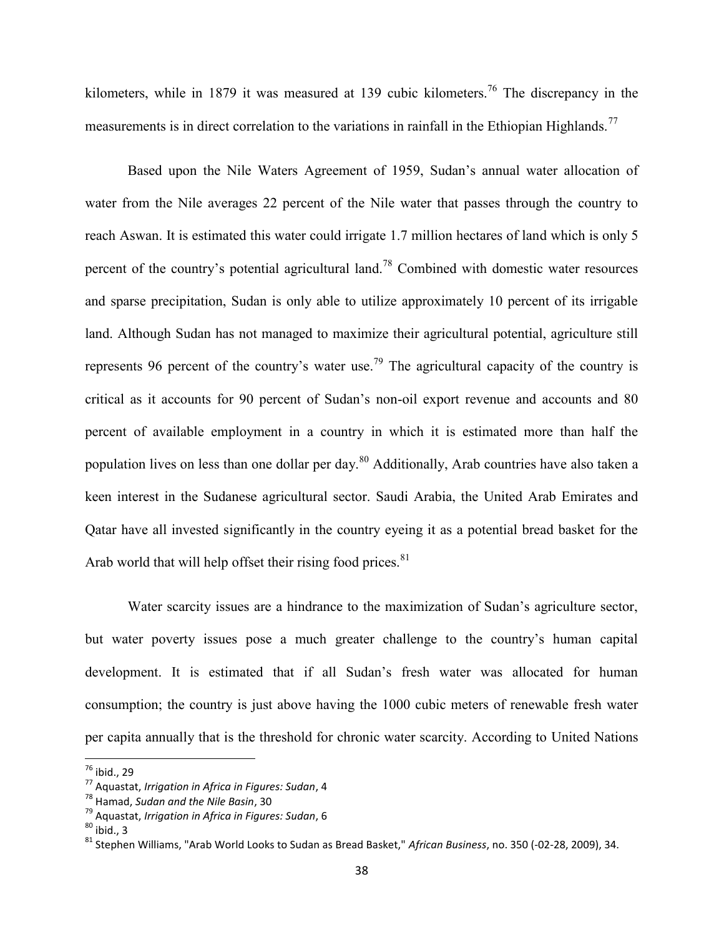kilometers, while in 1879 it was measured at 139 cubic kilometers.<sup>76</sup> The discrepancy in the measurements is in direct correlation to the variations in rainfall in the Ethiopian Highlands.<sup>77</sup>

Based upon the Nile Waters Agreement of 1959, Sudan's annual water allocation of water from the Nile averages 22 percent of the Nile water that passes through the country to reach Aswan. It is estimated this water could irrigate 1.7 million hectares of land which is only 5 percent of the country's potential agricultural land.<sup>78</sup> Combined with domestic water resources and sparse precipitation, Sudan is only able to utilize approximately 10 percent of its irrigable land. Although Sudan has not managed to maximize their agricultural potential, agriculture still represents 96 percent of the country's water use.<sup>79</sup> The agricultural capacity of the country is critical as it accounts for 90 percent of Sudan's non-oil export revenue and accounts and 80 percent of available employment in a country in which it is estimated more than half the population lives on less than one dollar per day.<sup>80</sup> Additionally, Arab countries have also taken a keen interest in the Sudanese agricultural sector. Saudi Arabia, the United Arab Emirates and Qatar have all invested significantly in the country eyeing it as a potential bread basket for the Arab world that will help offset their rising food prices. $81$ 

Water scarcity issues are a hindrance to the maximization of Sudan's agriculture sector, but water poverty issues pose a much greater challenge to the country's human capital development. It is estimated that if all Sudan's fresh water was allocated for human consumption; the country is just above having the 1000 cubic meters of renewable fresh water per capita annually that is the threshold for chronic water scarcity. According to United Nations

 $76$  ibid., 29

<sup>77</sup> Aquastat, *Irrigation in Africa in Figures: Sudan*, 4

<sup>78</sup> Hamad, *Sudan and the Nile Basin*, 30

<sup>79</sup> Aquastat, *Irrigation in Africa in Figures: Sudan*, 6

 $80$  ibid., 3

<sup>81</sup> Stephen Williams, "Arab World Looks to Sudan as Bread Basket," *African Business*, no. 350 (-02-28, 2009), 34.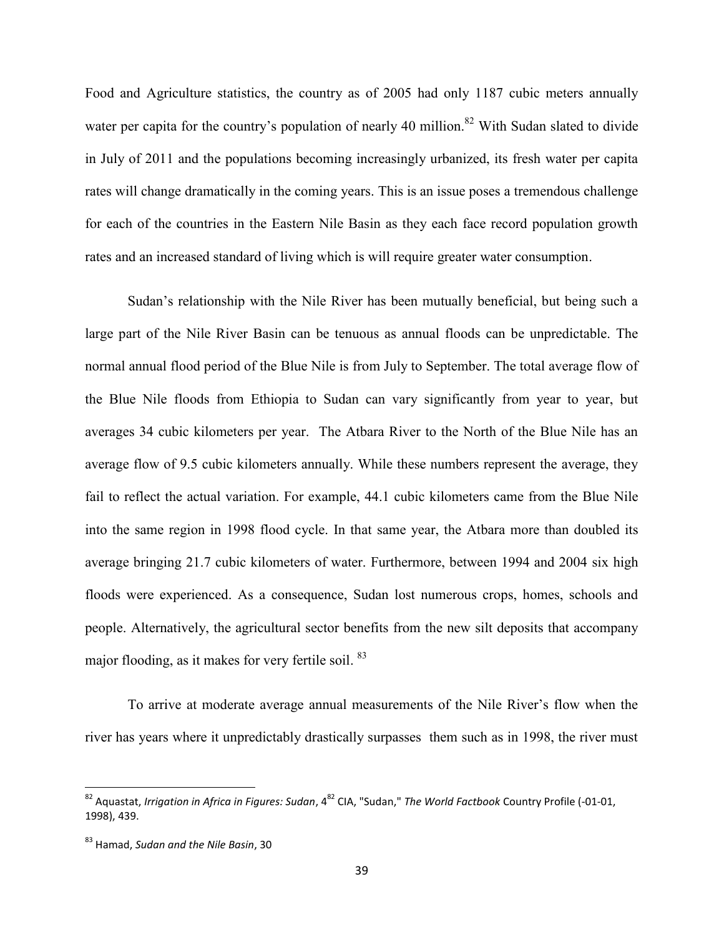Food and Agriculture statistics, the country as of 2005 had only 1187 cubic meters annually water per capita for the country's population of nearly 40 million.<sup>82</sup> With Sudan slated to divide in July of 2011 and the populations becoming increasingly urbanized, its fresh water per capita rates will change dramatically in the coming years. This is an issue poses a tremendous challenge for each of the countries in the Eastern Nile Basin as they each face record population growth rates and an increased standard of living which is will require greater water consumption.

Sudan's relationship with the Nile River has been mutually beneficial, but being such a large part of the Nile River Basin can be tenuous as annual floods can be unpredictable. The normal annual flood period of the Blue Nile is from July to September. The total average flow of the Blue Nile floods from Ethiopia to Sudan can vary significantly from year to year, but averages 34 cubic kilometers per year. The Atbara River to the North of the Blue Nile has an average flow of 9.5 cubic kilometers annually. While these numbers represent the average, they fail to reflect the actual variation. For example, 44.1 cubic kilometers came from the Blue Nile into the same region in 1998 flood cycle. In that same year, the Atbara more than doubled its average bringing 21.7 cubic kilometers of water. Furthermore, between 1994 and 2004 six high floods were experienced. As a consequence, Sudan lost numerous crops, homes, schools and people. Alternatively, the agricultural sector benefits from the new silt deposits that accompany major flooding, as it makes for very fertile soil. <sup>83</sup>

To arrive at moderate average annual measurements of the Nile River's flow when the river has years where it unpredictably drastically surpasses them such as in 1998, the river must

<sup>&</sup>lt;sup>82</sup> Aquastat, *Irrigation in Africa in Figures: Sudan*, 4<sup>82</sup> CIA, "Sudan," *The World Factbook* Country Profile (-01-01, 1998), 439.

<sup>83</sup> Hamad, *Sudan and the Nile Basin*, 30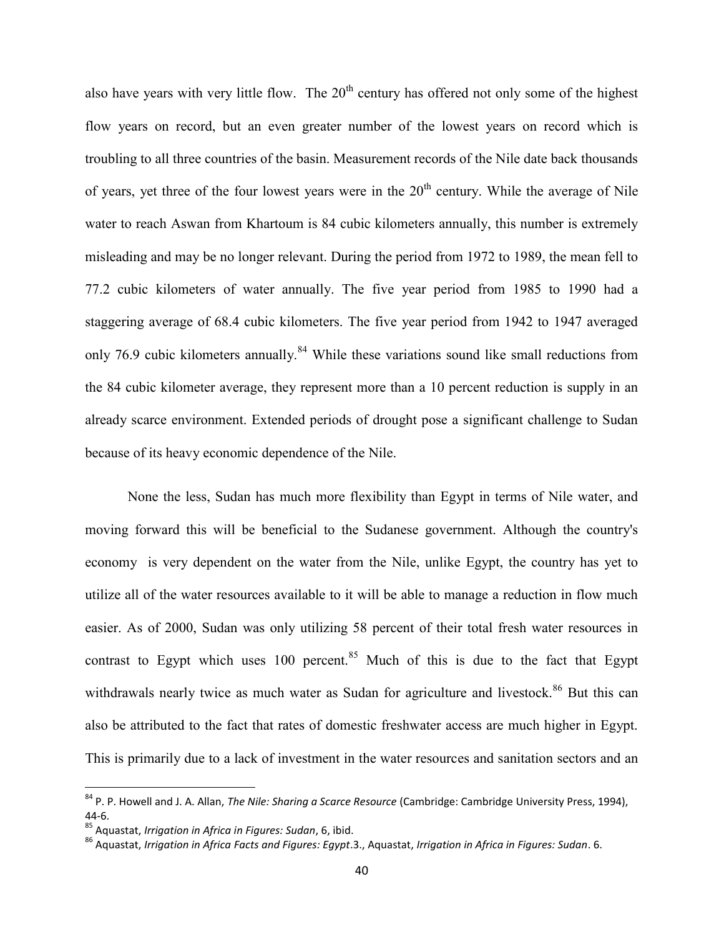also have years with very little flow. The  $20<sup>th</sup>$  century has offered not only some of the highest flow years on record, but an even greater number of the lowest years on record which is troubling to all three countries of the basin. Measurement records of the Nile date back thousands of years, yet three of the four lowest years were in the  $20<sup>th</sup>$  century. While the average of Nile water to reach Aswan from Khartoum is 84 cubic kilometers annually, this number is extremely misleading and may be no longer relevant. During the period from 1972 to 1989, the mean fell to 77.2 cubic kilometers of water annually. The five year period from 1985 to 1990 had a staggering average of 68.4 cubic kilometers. The five year period from 1942 to 1947 averaged only 76.9 cubic kilometers annually.<sup>84</sup> While these variations sound like small reductions from the 84 cubic kilometer average, they represent more than a 10 percent reduction is supply in an already scarce environment. Extended periods of drought pose a significant challenge to Sudan because of its heavy economic dependence of the Nile.

None the less, Sudan has much more flexibility than Egypt in terms of Nile water, and moving forward this will be beneficial to the Sudanese government. Although the country's economy is very dependent on the water from the Nile, unlike Egypt, the country has yet to utilize all of the water resources available to it will be able to manage a reduction in flow much easier. As of 2000, Sudan was only utilizing 58 percent of their total fresh water resources in contrast to Egypt which uses 100 percent.<sup>85</sup> Much of this is due to the fact that Egypt withdrawals nearly twice as much water as Sudan for agriculture and livestock.<sup>86</sup> But this can also be attributed to the fact that rates of domestic freshwater access are much higher in Egypt. This is primarily due to a lack of investment in the water resources and sanitation sectors and an

<sup>84</sup> P. P. Howell and J. A. Allan, *The Nile: Sharing a Scarce Resource* (Cambridge: Cambridge University Press, 1994), 44-6.

<sup>85</sup> Aquastat, *Irrigation in Africa in Figures: Sudan*, 6, ibid.

<sup>86</sup> Aquastat, *Irrigation in Africa Facts and Figures: Egypt*.3., Aquastat, *Irrigation in Africa in Figures: Sudan*. 6.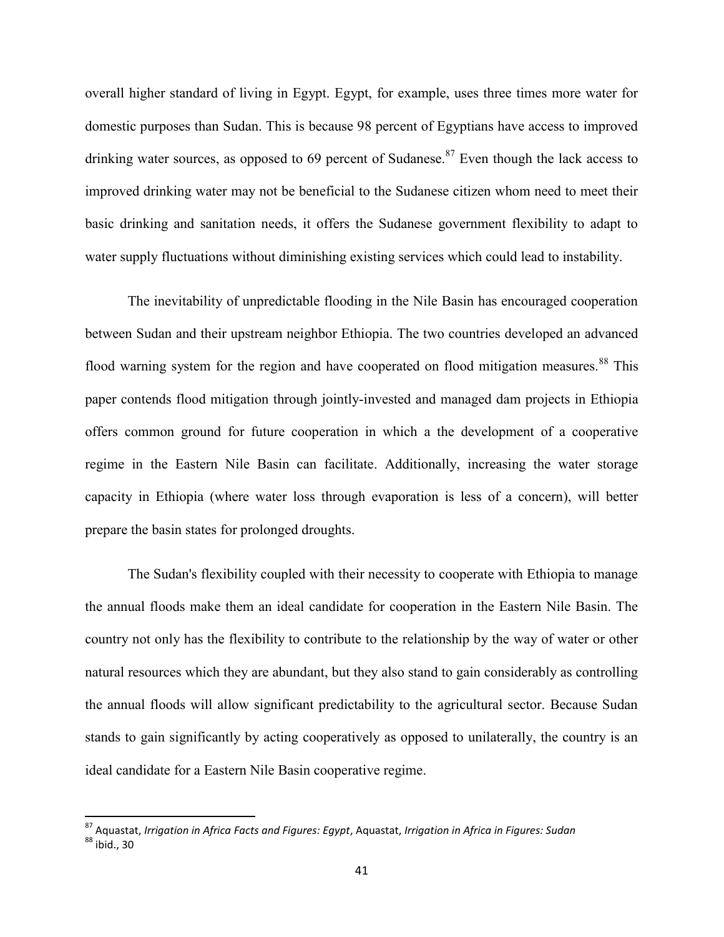overall higher standard of living in Egypt. Egypt, for example, uses three times more water for domestic purposes than Sudan. This is because 98 percent of Egyptians have access to improved drinking water sources, as opposed to 69 percent of Sudanese.<sup>87</sup> Even though the lack access to improved drinking water may not be beneficial to the Sudanese citizen whom need to meet their basic drinking and sanitation needs, it offers the Sudanese government flexibility to adapt to water supply fluctuations without diminishing existing services which could lead to instability.

The inevitability of unpredictable flooding in the Nile Basin has encouraged cooperation between Sudan and their upstream neighbor Ethiopia. The two countries developed an advanced flood warning system for the region and have cooperated on flood mitigation measures.<sup>88</sup> This paper contends flood mitigation through jointly-invested and managed dam projects in Ethiopia offers common ground for future cooperation in which a the development of a cooperative regime in the Eastern Nile Basin can facilitate. Additionally, increasing the water storage capacity in Ethiopia (where water loss through evaporation is less of a concern), will better prepare the basin states for prolonged droughts.

The Sudan's flexibility coupled with their necessity to cooperate with Ethiopia to manage the annual floods make them an ideal candidate for cooperation in the Eastern Nile Basin. The country not only has the flexibility to contribute to the relationship by the way of water or other natural resources which they are abundant, but they also stand to gain considerably as controlling the annual floods will allow significant predictability to the agricultural sector. Because Sudan stands to gain significantly by acting cooperatively as opposed to unilaterally, the country is an ideal candidate for a Eastern Nile Basin cooperative regime.

<sup>87</sup> Aquastat, *Irrigation in Africa Facts and Figures: Egypt*, Aquastat, *Irrigation in Africa in Figures: Sudan* <sup>88</sup> ibid., 30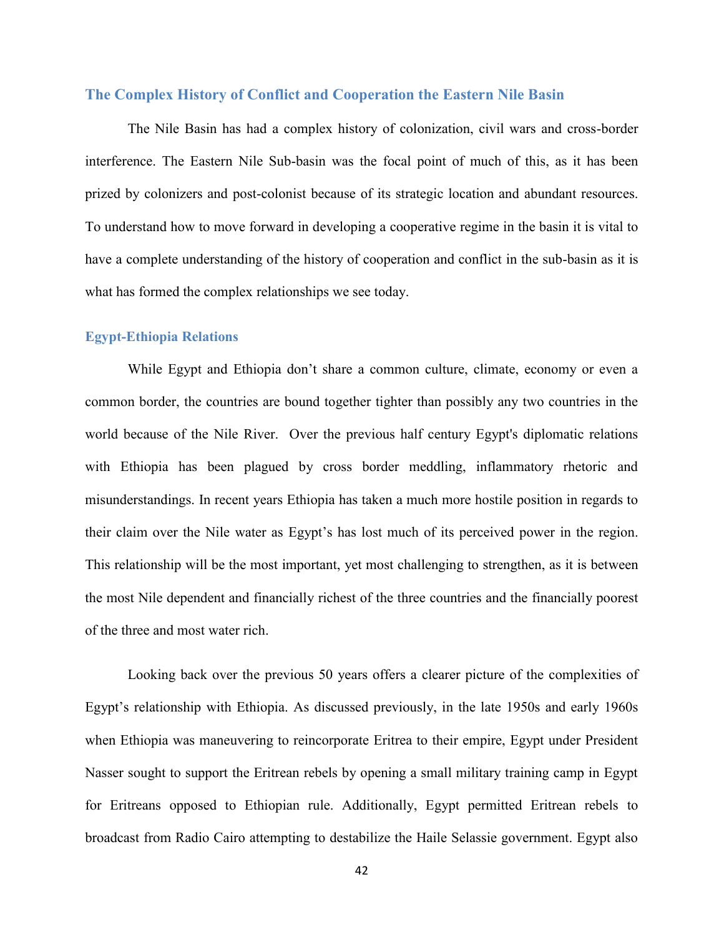### **The Complex History of Conflict and Cooperation the Eastern Nile Basin**

The Nile Basin has had a complex history of colonization, civil wars and cross-border interference. The Eastern Nile Sub-basin was the focal point of much of this, as it has been prized by colonizers and post-colonist because of its strategic location and abundant resources. To understand how to move forward in developing a cooperative regime in the basin it is vital to have a complete understanding of the history of cooperation and conflict in the sub-basin as it is what has formed the complex relationships we see today.

### **Egypt-Ethiopia Relations**

While Egypt and Ethiopia don't share a common culture, climate, economy or even a common border, the countries are bound together tighter than possibly any two countries in the world because of the Nile River. Over the previous half century Egypt's diplomatic relations with Ethiopia has been plagued by cross border meddling, inflammatory rhetoric and misunderstandings. In recent years Ethiopia has taken a much more hostile position in regards to their claim over the Nile water as Egypt's has lost much of its perceived power in the region. This relationship will be the most important, yet most challenging to strengthen, as it is between the most Nile dependent and financially richest of the three countries and the financially poorest of the three and most water rich.

Looking back over the previous 50 years offers a clearer picture of the complexities of Egypt's relationship with Ethiopia. As discussed previously, in the late 1950s and early 1960s when Ethiopia was maneuvering to reincorporate Eritrea to their empire, Egypt under President Nasser sought to support the Eritrean rebels by opening a small military training camp in Egypt for Eritreans opposed to Ethiopian rule. Additionally, Egypt permitted Eritrean rebels to broadcast from Radio Cairo attempting to destabilize the Haile Selassie government. Egypt also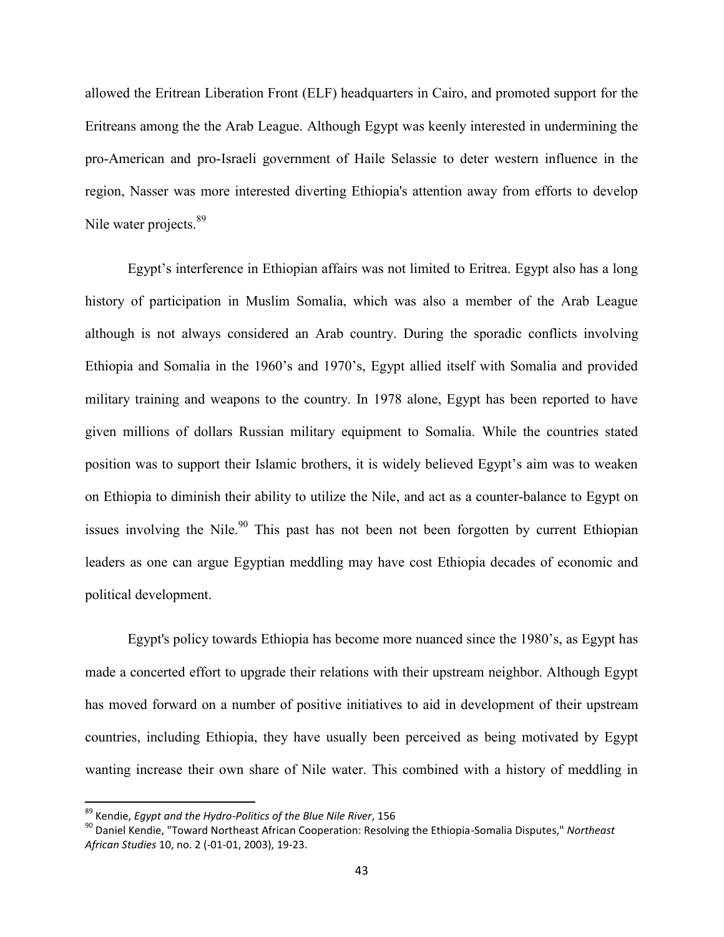allowed the Eritrean Liberation Front (ELF) headquarters in Cairo, and promoted support for the Eritreans among the the Arab League. Although Egypt was keenly interested in undermining the pro-American and pro-Israeli government of Haile Selassie to deter western influence in the region, Nasser was more interested diverting Ethiopia's attention away from efforts to develop Nile water projects.<sup>89</sup>

Egypt's interference in Ethiopian affairs was not limited to Eritrea. Egypt also has a long history of participation in Muslim Somalia, which was also a member of the Arab League although is not always considered an Arab country. During the sporadic conflicts involving Ethiopia and Somalia in the 1960's and 1970's, Egypt allied itself with Somalia and provided military training and weapons to the country. In 1978 alone, Egypt has been reported to have given millions of dollars Russian military equipment to Somalia. While the countries stated position was to support their Islamic brothers, it is widely believed Egypt's aim was to weaken on Ethiopia to diminish their ability to utilize the Nile, and act as a counter-balance to Egypt on issues involving the Nile.<sup>90</sup> This past has not been not been forgotten by current Ethiopian leaders as one can argue Egyptian meddling may have cost Ethiopia decades of economic and political development.

Egypt's policy towards Ethiopia has become more nuanced since the 1980's, as Egypt has made a concerted effort to upgrade their relations with their upstream neighbor. Although Egypt has moved forward on a number of positive initiatives to aid in development of their upstream countries, including Ethiopia, they have usually been perceived as being motivated by Egypt wanting increase their own share of Nile water. This combined with a history of meddling in

<sup>89</sup> Kendie, *Egypt and the Hydro-Politics of the Blue Nile River*, 156

<sup>90</sup> Daniel Kendie, "Toward Northeast African Cooperation: Resolving the Ethiopia-Somalia Disputes," *Northeast African Studies* 10, no. 2 (-01-01, 2003), 19-23.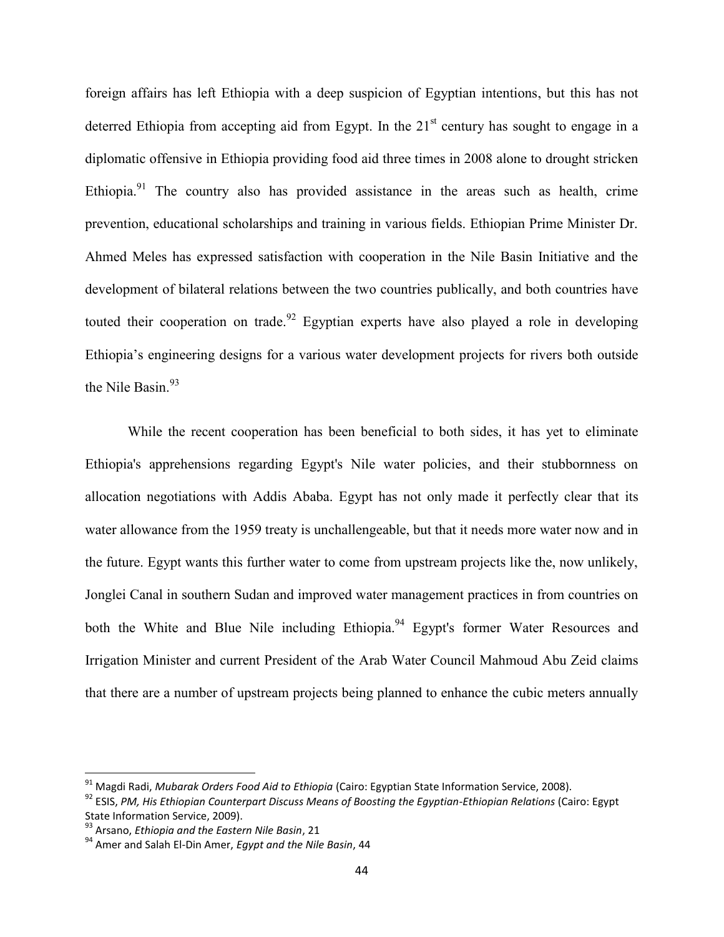foreign affairs has left Ethiopia with a deep suspicion of Egyptian intentions, but this has not deterred Ethiopia from accepting aid from Egypt. In the  $21<sup>st</sup>$  century has sought to engage in a diplomatic offensive in Ethiopia providing food aid three times in 2008 alone to drought stricken Ethiopia.<sup>91</sup> The country also has provided assistance in the areas such as health, crime prevention, educational scholarships and training in various fields. Ethiopian Prime Minister Dr. Ahmed Meles has expressed satisfaction with cooperation in the Nile Basin Initiative and the development of bilateral relations between the two countries publically, and both countries have touted their cooperation on trade.<sup>92</sup> Egyptian experts have also played a role in developing Ethiopia's engineering designs for a various water development projects for rivers both outside the Nile Basin.<sup>93</sup>

While the recent cooperation has been beneficial to both sides, it has yet to eliminate Ethiopia's apprehensions regarding Egypt's Nile water policies, and their stubbornness on allocation negotiations with Addis Ababa. Egypt has not only made it perfectly clear that its water allowance from the 1959 treaty is unchallengeable, but that it needs more water now and in the future. Egypt wants this further water to come from upstream projects like the, now unlikely, Jonglei Canal in southern Sudan and improved water management practices in from countries on both the White and Blue Nile including Ethiopia.<sup>94</sup> Egypt's former Water Resources and Irrigation Minister and current President of the Arab Water Council Mahmoud Abu Zeid claims that there are a number of upstream projects being planned to enhance the cubic meters annually

<sup>91</sup> Magdi Radi, *Mubarak Orders Food Aid to Ethiopia* (Cairo: Egyptian State Information Service, 2008).

<sup>92</sup> ESIS, *PM, His Ethiopian Counterpart Discuss Means of Boosting the Egyptian-Ethiopian Relations* (Cairo: Egypt State Information Service, 2009).

<sup>93</sup> Arsano, *Ethiopia and the Eastern Nile Basin*, 21

<sup>94</sup> Amer and Salah El-Din Amer, *Egypt and the Nile Basin*, 44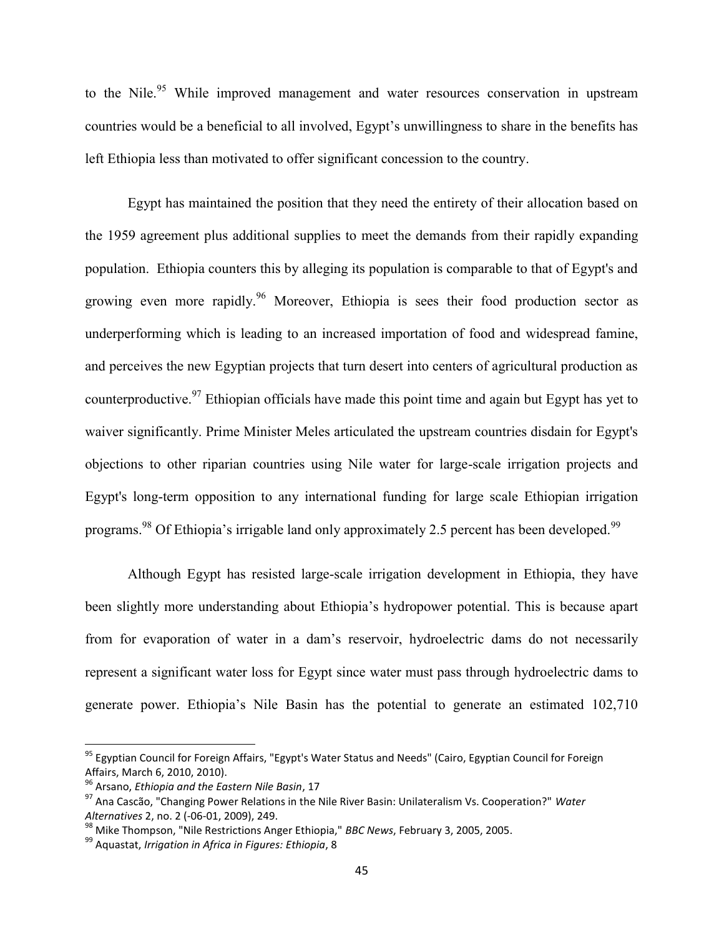to the Nile.<sup>95</sup> While improved management and water resources conservation in upstream countries would be a beneficial to all involved, Egypt's unwillingness to share in the benefits has left Ethiopia less than motivated to offer significant concession to the country.

Egypt has maintained the position that they need the entirety of their allocation based on the 1959 agreement plus additional supplies to meet the demands from their rapidly expanding population. Ethiopia counters this by alleging its population is comparable to that of Egypt's and growing even more rapidly.<sup>96</sup> Moreover, Ethiopia is sees their food production sector as underperforming which is leading to an increased importation of food and widespread famine, and perceives the new Egyptian projects that turn desert into centers of agricultural production as counterproductive.<sup>97</sup> Ethiopian officials have made this point time and again but Egypt has yet to waiver significantly. Prime Minister Meles articulated the upstream countries disdain for Egypt's objections to other riparian countries using Nile water for large-scale irrigation projects and Egypt's long-term opposition to any international funding for large scale Ethiopian irrigation programs.<sup>98</sup> Of Ethiopia's irrigable land only approximately 2.5 percent has been developed.<sup>99</sup>

Although Egypt has resisted large-scale irrigation development in Ethiopia, they have been slightly more understanding about Ethiopia's hydropower potential. This is because apart from for evaporation of water in a dam's reservoir, hydroelectric dams do not necessarily represent a significant water loss for Egypt since water must pass through hydroelectric dams to generate power. Ethiopia's Nile Basin has the potential to generate an estimated 102,710

<sup>&</sup>lt;sup>95</sup> Egyptian Council for Foreign Affairs, "Egypt's Water Status and Needs" (Cairo, Egyptian Council for Foreign Affairs, March 6, 2010, 2010).

<sup>96</sup> Arsano, *Ethiopia and the Eastern Nile Basin*, 17

<sup>97</sup> Ana Cascão, "Changing Power Relations in the Nile River Basin: Unilateralism Vs. Cooperation?" *Water Alternatives* 2, no. 2 (-06-01, 2009), 249.

<sup>98</sup> Mike Thompson, "Nile Restrictions Anger Ethiopia," *BBC News*, February 3, 2005, 2005.

<sup>99</sup> Aquastat, *Irrigation in Africa in Figures: Ethiopia*, 8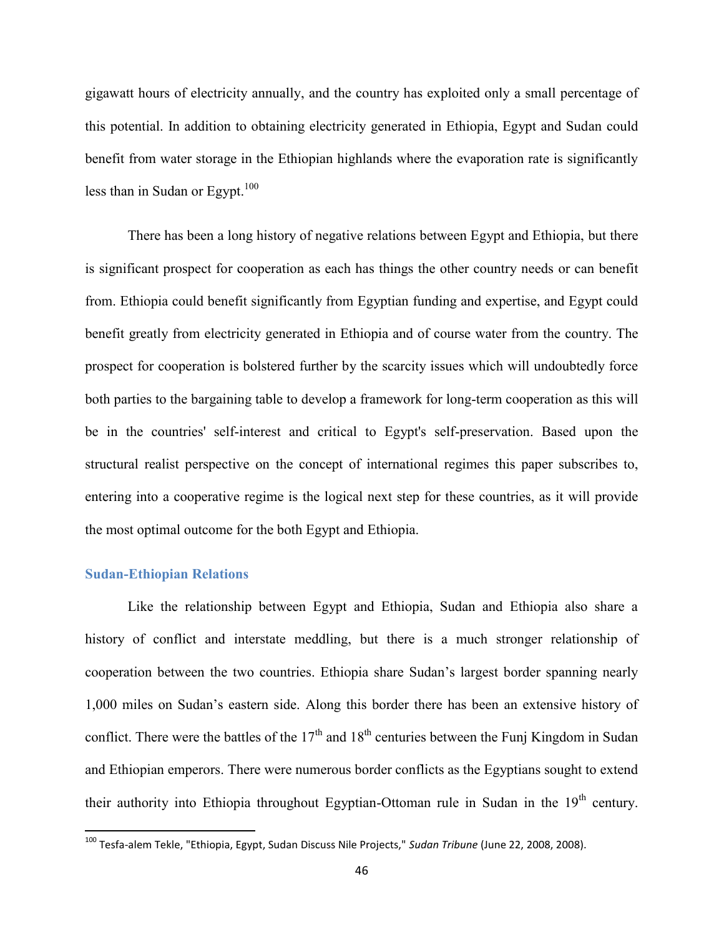gigawatt hours of electricity annually, and the country has exploited only a small percentage of this potential. In addition to obtaining electricity generated in Ethiopia, Egypt and Sudan could benefit from water storage in the Ethiopian highlands where the evaporation rate is significantly less than in Sudan or Egypt. $100$ 

There has been a long history of negative relations between Egypt and Ethiopia, but there is significant prospect for cooperation as each has things the other country needs or can benefit from. Ethiopia could benefit significantly from Egyptian funding and expertise, and Egypt could benefit greatly from electricity generated in Ethiopia and of course water from the country. The prospect for cooperation is bolstered further by the scarcity issues which will undoubtedly force both parties to the bargaining table to develop a framework for long-term cooperation as this will be in the countries' self-interest and critical to Egypt's self-preservation. Based upon the structural realist perspective on the concept of international regimes this paper subscribes to, entering into a cooperative regime is the logical next step for these countries, as it will provide the most optimal outcome for the both Egypt and Ethiopia.

### **Sudan-Ethiopian Relations**

Like the relationship between Egypt and Ethiopia, Sudan and Ethiopia also share a history of conflict and interstate meddling, but there is a much stronger relationship of cooperation between the two countries. Ethiopia share Sudan's largest border spanning nearly 1,000 miles on Sudan's eastern side. Along this border there has been an extensive history of conflict. There were the battles of the  $17<sup>th</sup>$  and  $18<sup>th</sup>$  centuries between the Funj Kingdom in Sudan and Ethiopian emperors. There were numerous border conflicts as the Egyptians sought to extend their authority into Ethiopia throughout Egyptian-Ottoman rule in Sudan in the  $19<sup>th</sup>$  century.

<sup>100</sup> Tesfa-alem Tekle, "Ethiopia, Egypt, Sudan Discuss Nile Projects," *Sudan Tribune* (June 22, 2008, 2008).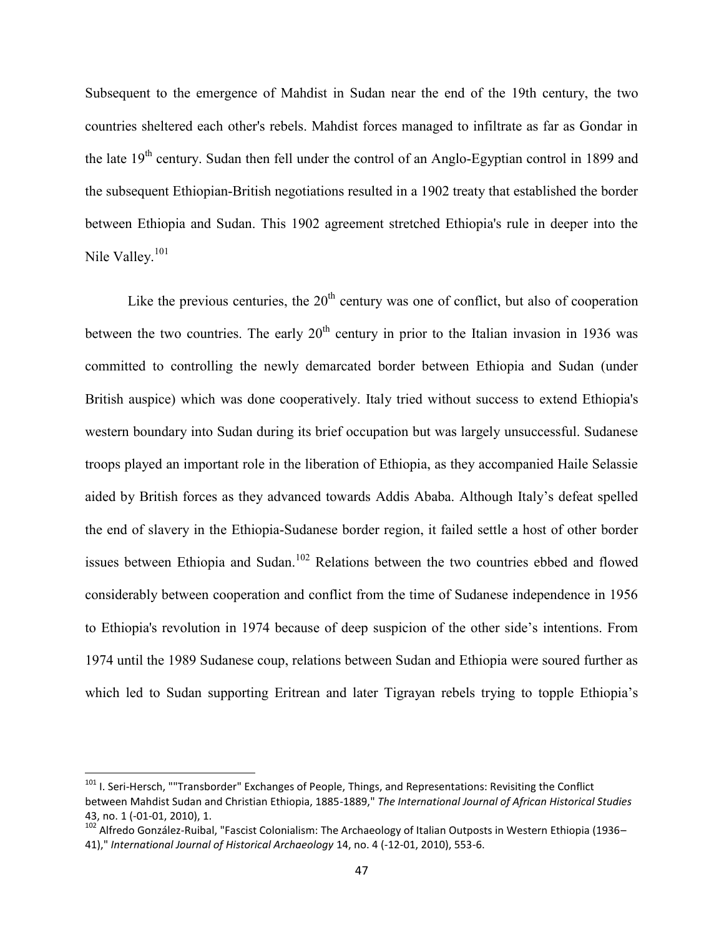Subsequent to the emergence of Mahdist in Sudan near the end of the 19th century, the two countries sheltered each other's rebels. Mahdist forces managed to infiltrate as far as Gondar in the late 19<sup>th</sup> century. Sudan then fell under the control of an Anglo-Egyptian control in 1899 and the subsequent Ethiopian-British negotiations resulted in a 1902 treaty that established the border between Ethiopia and Sudan. This 1902 agreement stretched Ethiopia's rule in deeper into the Nile Valley.<sup>101</sup>

Like the previous centuries, the  $20<sup>th</sup>$  century was one of conflict, but also of cooperation between the two countries. The early  $20<sup>th</sup>$  century in prior to the Italian invasion in 1936 was committed to controlling the newly demarcated border between Ethiopia and Sudan (under British auspice) which was done cooperatively. Italy tried without success to extend Ethiopia's western boundary into Sudan during its brief occupation but was largely unsuccessful. Sudanese troops played an important role in the liberation of Ethiopia, as they accompanied Haile Selassie aided by British forces as they advanced towards Addis Ababa. Although Italy's defeat spelled the end of slavery in the Ethiopia-Sudanese border region, it failed settle a host of other border issues between Ethiopia and Sudan.<sup>102</sup> Relations between the two countries ebbed and flowed considerably between cooperation and conflict from the time of Sudanese independence in 1956 to Ethiopia's revolution in 1974 because of deep suspicion of the other side's intentions. From 1974 until the 1989 Sudanese coup, relations between Sudan and Ethiopia were soured further as which led to Sudan supporting Eritrean and later Tigrayan rebels trying to topple Ethiopia's

 $101$  I. Seri-Hersch, ""Transborder" Exchanges of People, Things, and Representations: Revisiting the Conflict between Mahdist Sudan and Christian Ethiopia, 1885-1889," *The International Journal of African Historical Studies* 43, no. 1 (-01-01, 2010), 1.

<sup>&</sup>lt;sup>102</sup> Alfredo González-Ruibal, "Fascist Colonialism: The Archaeology of Italian Outposts in Western Ethiopia (1936– 41)," *International Journal of Historical Archaeology* 14, no. 4 (-12-01, 2010), 553-6.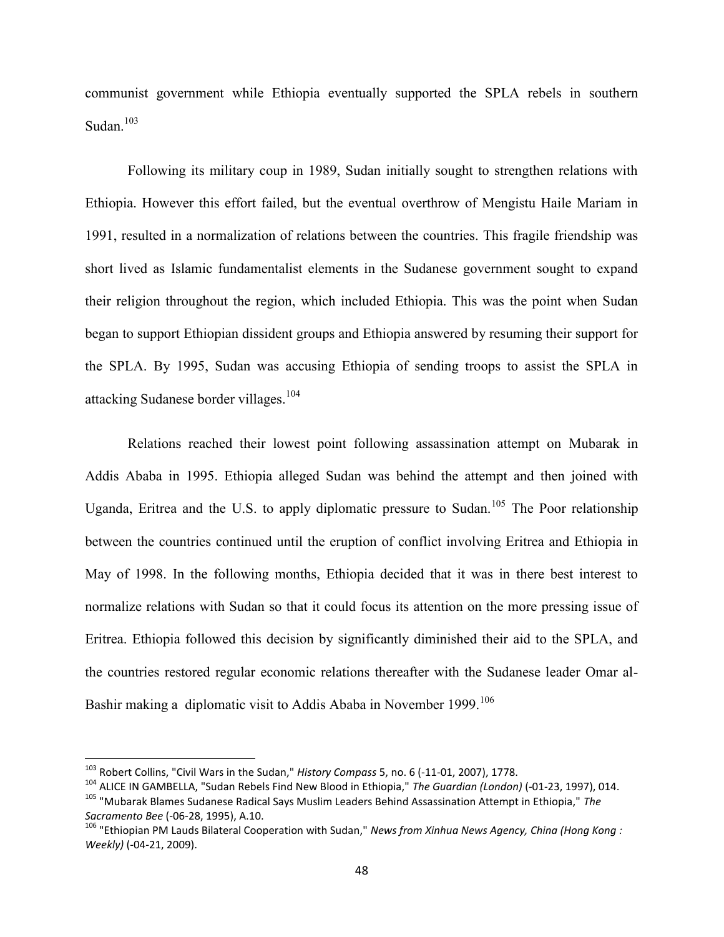communist government while Ethiopia eventually supported the SPLA rebels in southern Sudan.<sup>103</sup>

Following its military coup in 1989, Sudan initially sought to strengthen relations with Ethiopia. However this effort failed, but the eventual overthrow of Mengistu Haile Mariam in 1991, resulted in a normalization of relations between the countries. This fragile friendship was short lived as Islamic fundamentalist elements in the Sudanese government sought to expand their religion throughout the region, which included Ethiopia. This was the point when Sudan began to support Ethiopian dissident groups and Ethiopia answered by resuming their support for the SPLA. By 1995, Sudan was accusing Ethiopia of sending troops to assist the SPLA in attacking Sudanese border villages.<sup>104</sup>

Relations reached their lowest point following assassination attempt on Mubarak in Addis Ababa in 1995. Ethiopia alleged Sudan was behind the attempt and then joined with Uganda, Eritrea and the U.S. to apply diplomatic pressure to Sudan.<sup>105</sup> The Poor relationship between the countries continued until the eruption of conflict involving Eritrea and Ethiopia in May of 1998. In the following months, Ethiopia decided that it was in there best interest to normalize relations with Sudan so that it could focus its attention on the more pressing issue of Eritrea. Ethiopia followed this decision by significantly diminished their aid to the SPLA, and the countries restored regular economic relations thereafter with the Sudanese leader Omar al-Bashir making a diplomatic visit to Addis Ababa in November 1999.<sup>106</sup>

<sup>103</sup> Robert Collins, "Civil Wars in the Sudan," *History Compass* 5, no. 6 (-11-01, 2007), 1778.

<sup>104</sup> ALICE IN GAMBELLA, "Sudan Rebels Find New Blood in Ethiopia," *The Guardian (London)* (-01-23, 1997), 014.

<sup>105</sup> "Mubarak Blames Sudanese Radical Says Muslim Leaders Behind Assassination Attempt in Ethiopia," *The Sacramento Bee* (-06-28, 1995), A.10.

<sup>106</sup> "Ethiopian PM Lauds Bilateral Cooperation with Sudan," *News from Xinhua News Agency, China (Hong Kong : Weekly)* (-04-21, 2009).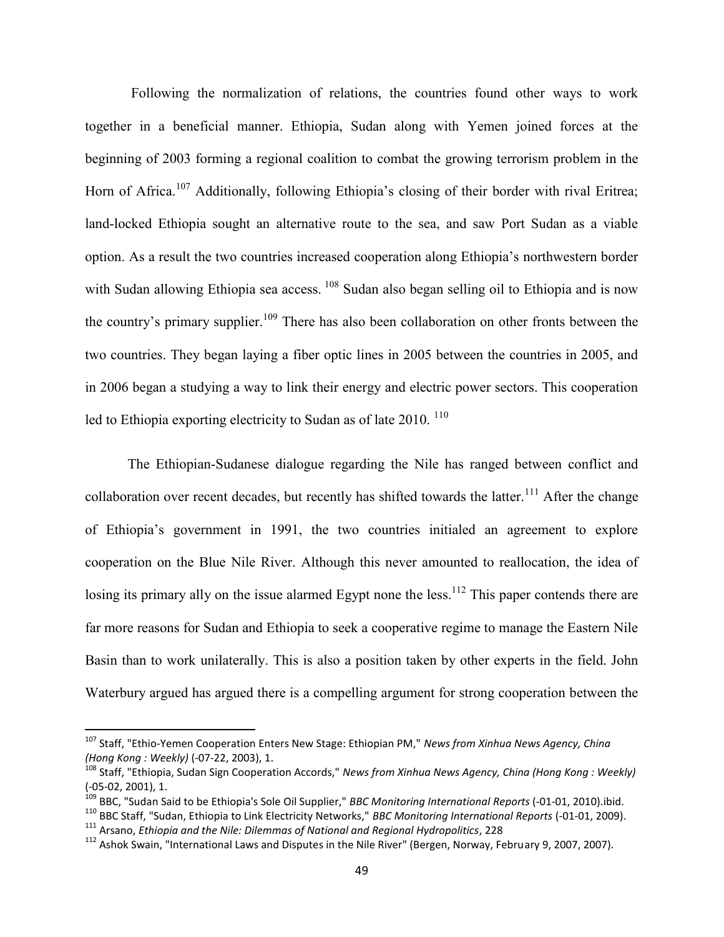Following the normalization of relations, the countries found other ways to work together in a beneficial manner. Ethiopia, Sudan along with Yemen joined forces at the beginning of 2003 forming a regional coalition to combat the growing terrorism problem in the Horn of Africa.<sup>107</sup> Additionally, following Ethiopia's closing of their border with rival Eritrea; land-locked Ethiopia sought an alternative route to the sea, and saw Port Sudan as a viable option. As a result the two countries increased cooperation along Ethiopia's northwestern border with Sudan allowing Ethiopia sea access. <sup>108</sup> Sudan also began selling oil to Ethiopia and is now the country's primary supplier.<sup>109</sup> There has also been collaboration on other fronts between the two countries. They began laying a fiber optic lines in 2005 between the countries in 2005, and in 2006 began a studying a way to link their energy and electric power sectors. This cooperation led to Ethiopia exporting electricity to Sudan as of late  $2010$ . <sup>110</sup>

The Ethiopian-Sudanese dialogue regarding the Nile has ranged between conflict and collaboration over recent decades, but recently has shifted towards the latter.<sup>111</sup> After the change of Ethiopia's government in 1991, the two countries initialed an agreement to explore cooperation on the Blue Nile River. Although this never amounted to reallocation, the idea of losing its primary ally on the issue alarmed Egypt none the less.<sup>112</sup> This paper contends there are far more reasons for Sudan and Ethiopia to seek a cooperative regime to manage the Eastern Nile Basin than to work unilaterally. This is also a position taken by other experts in the field. John Waterbury argued has argued there is a compelling argument for strong cooperation between the

<sup>107</sup> Staff, "Ethio-Yemen Cooperation Enters New Stage: Ethiopian PM," *News from Xinhua News Agency, China (Hong Kong : Weekly)* (-07-22, 2003), 1.

<sup>108</sup> Staff, "Ethiopia, Sudan Sign Cooperation Accords," *News from Xinhua News Agency, China (Hong Kong : Weekly)* (-05-02, 2001), 1.

<sup>109</sup> BBC, "Sudan Said to be Ethiopia's Sole Oil Supplier," *BBC Monitoring International Reports* (-01-01, 2010).ibid.

<sup>110</sup> BBC Staff, "Sudan, Ethiopia to Link Electricity Networks," *BBC Monitoring International Reports* (-01-01, 2009).

<sup>111</sup> Arsano, *Ethiopia and the Nile: Dilemmas of National and Regional Hydropolitics*, 228

<sup>&</sup>lt;sup>112</sup> Ashok Swain, "International Laws and Disputes in the Nile River" (Bergen, Norway, February 9, 2007, 2007).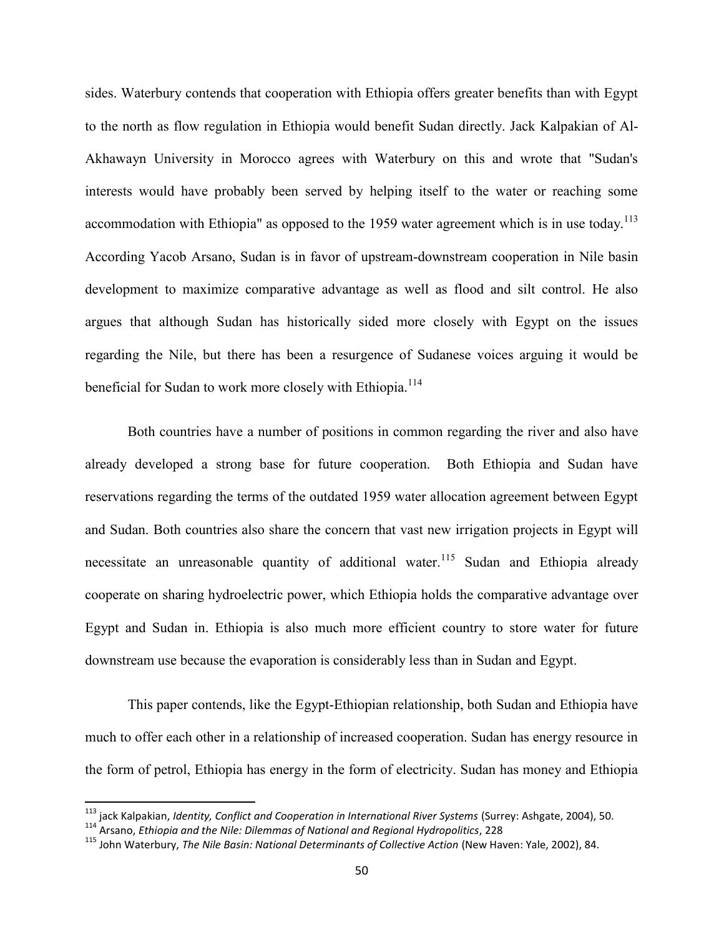sides. Waterbury contends that cooperation with Ethiopia offers greater benefits than with Egypt to the north as flow regulation in Ethiopia would benefit Sudan directly. Jack Kalpakian of Al-Akhawayn University in Morocco agrees with Waterbury on this and wrote that "Sudan's interests would have probably been served by helping itself to the water or reaching some accommodation with Ethiopia" as opposed to the 1959 water agreement which is in use today.<sup>113</sup> According Yacob Arsano, Sudan is in favor of upstream-downstream cooperation in Nile basin development to maximize comparative advantage as well as flood and silt control. He also argues that although Sudan has historically sided more closely with Egypt on the issues regarding the Nile, but there has been a resurgence of Sudanese voices arguing it would be beneficial for Sudan to work more closely with Ethiopia.<sup>114</sup>

Both countries have a number of positions in common regarding the river and also have already developed a strong base for future cooperation. Both Ethiopia and Sudan have reservations regarding the terms of the outdated 1959 water allocation agreement between Egypt and Sudan. Both countries also share the concern that vast new irrigation projects in Egypt will necessitate an unreasonable quantity of additional water.<sup>115</sup> Sudan and Ethiopia already cooperate on sharing hydroelectric power, which Ethiopia holds the comparative advantage over Egypt and Sudan in. Ethiopia is also much more efficient country to store water for future downstream use because the evaporation is considerably less than in Sudan and Egypt.

This paper contends, like the Egypt-Ethiopian relationship, both Sudan and Ethiopia have much to offer each other in a relationship of increased cooperation. Sudan has energy resource in the form of petrol, Ethiopia has energy in the form of electricity. Sudan has money and Ethiopia

<sup>113</sup> jack Kalpakian, *Identity, Conflict and Cooperation in International River Systems* (Surrey: Ashgate, 2004), 50.

<sup>114</sup> Arsano, *Ethiopia and the Nile: Dilemmas of National and Regional Hydropolitics*, 228

<sup>115</sup> John Waterbury, *The Nile Basin: National Determinants of Collective Action* (New Haven: Yale, 2002), 84.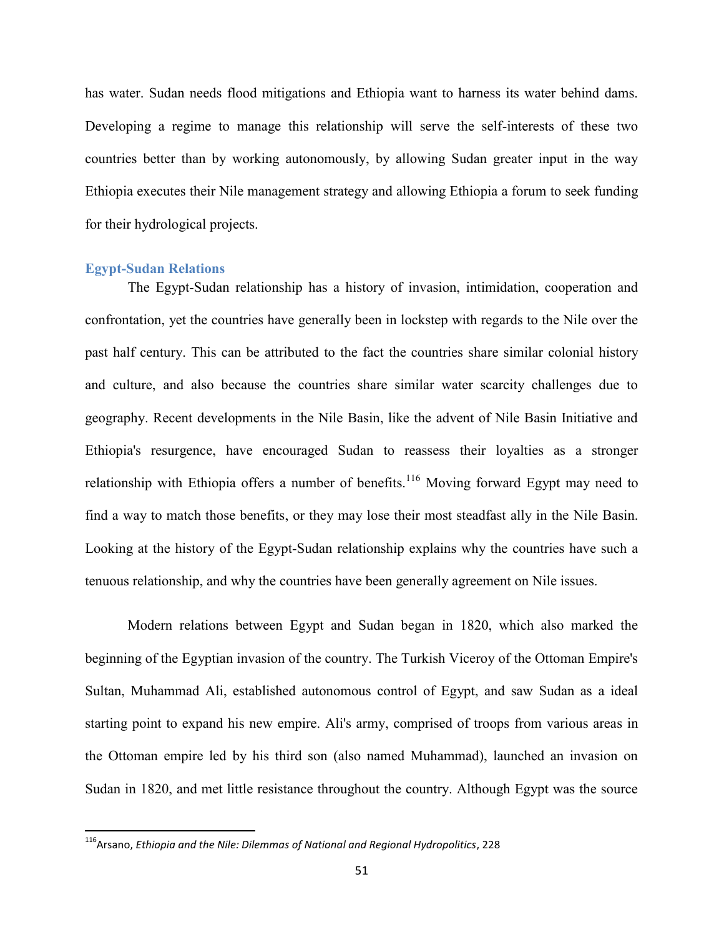has water. Sudan needs flood mitigations and Ethiopia want to harness its water behind dams. Developing a regime to manage this relationship will serve the self-interests of these two countries better than by working autonomously, by allowing Sudan greater input in the way Ethiopia executes their Nile management strategy and allowing Ethiopia a forum to seek funding for their hydrological projects.

#### **Egypt-Sudan Relations**

The Egypt-Sudan relationship has a history of invasion, intimidation, cooperation and confrontation, yet the countries have generally been in lockstep with regards to the Nile over the past half century. This can be attributed to the fact the countries share similar colonial history and culture, and also because the countries share similar water scarcity challenges due to geography. Recent developments in the Nile Basin, like the advent of Nile Basin Initiative and Ethiopia's resurgence, have encouraged Sudan to reassess their loyalties as a stronger relationship with Ethiopia offers a number of benefits.<sup>116</sup> Moving forward Egypt may need to find a way to match those benefits, or they may lose their most steadfast ally in the Nile Basin. Looking at the history of the Egypt-Sudan relationship explains why the countries have such a tenuous relationship, and why the countries have been generally agreement on Nile issues.

Modern relations between Egypt and Sudan began in 1820, which also marked the beginning of the Egyptian invasion of the country. The Turkish Viceroy of the Ottoman Empire's Sultan, Muhammad Ali, established autonomous control of Egypt, and saw Sudan as a ideal starting point to expand his new empire. Ali's army, comprised of troops from various areas in the Ottoman empire led by his third son (also named Muhammad), launched an invasion on Sudan in 1820, and met little resistance throughout the country. Although Egypt was the source

<sup>116</sup>Arsano, *Ethiopia and the Nile: Dilemmas of National and Regional Hydropolitics*, 228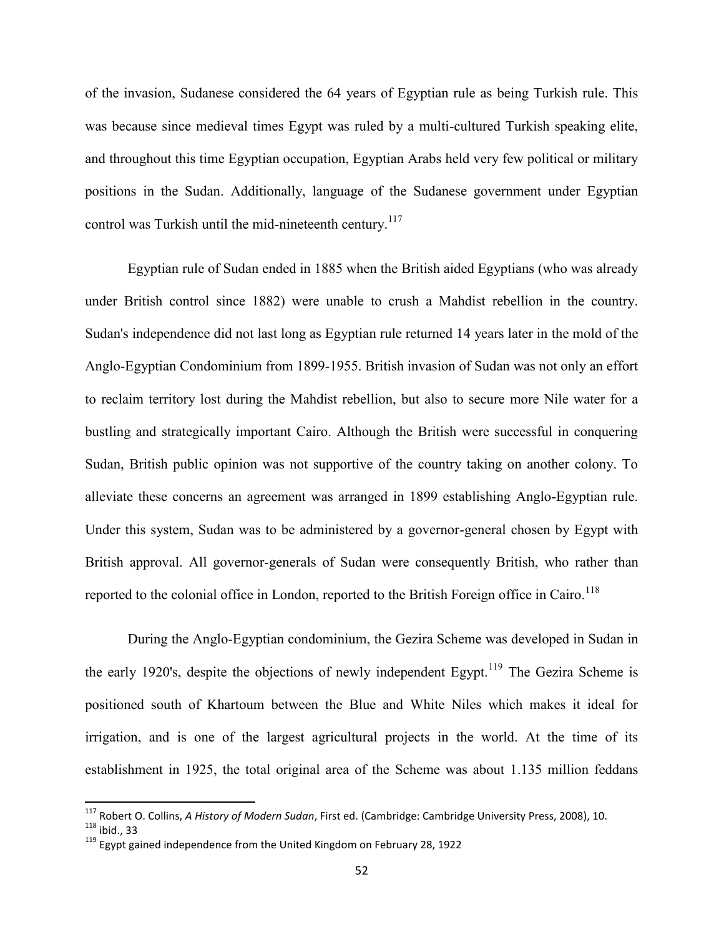of the invasion, Sudanese considered the 64 years of Egyptian rule as being Turkish rule. This was because since medieval times Egypt was ruled by a multi-cultured Turkish speaking elite, and throughout this time Egyptian occupation, Egyptian Arabs held very few political or military positions in the Sudan. Additionally, language of the Sudanese government under Egyptian control was Turkish until the mid-nineteenth century.<sup>117</sup>

Egyptian rule of Sudan ended in 1885 when the British aided Egyptians (who was already under British control since 1882) were unable to crush a Mahdist rebellion in the country. Sudan's independence did not last long as Egyptian rule returned 14 years later in the mold of the Anglo-Egyptian Condominium from 1899-1955. British invasion of Sudan was not only an effort to reclaim territory lost during the Mahdist rebellion, but also to secure more Nile water for a bustling and strategically important Cairo. Although the British were successful in conquering Sudan, British public opinion was not supportive of the country taking on another colony. To alleviate these concerns an agreement was arranged in 1899 establishing Anglo-Egyptian rule. Under this system, Sudan was to be administered by a governor-general chosen by Egypt with British approval. All governor-generals of Sudan were consequently British, who rather than reported to the colonial office in London, reported to the British Foreign office in Cairo.<sup>118</sup>

During the Anglo-Egyptian condominium, the Gezira Scheme was developed in Sudan in the early 1920's, despite the objections of newly independent Egypt.<sup>119</sup> The Gezira Scheme is positioned south of Khartoum between the Blue and White Niles which makes it ideal for irrigation, and is one of the largest agricultural projects in the world. At the time of its establishment in 1925, the total original area of the Scheme was about 1.135 million feddans

<sup>117</sup> Robert O. Collins, *A History of Modern Sudan*, First ed. (Cambridge: Cambridge University Press, 2008), 10.  $118$  ibid., 33

 $119$  Egypt gained independence from the United Kingdom on February 28, 1922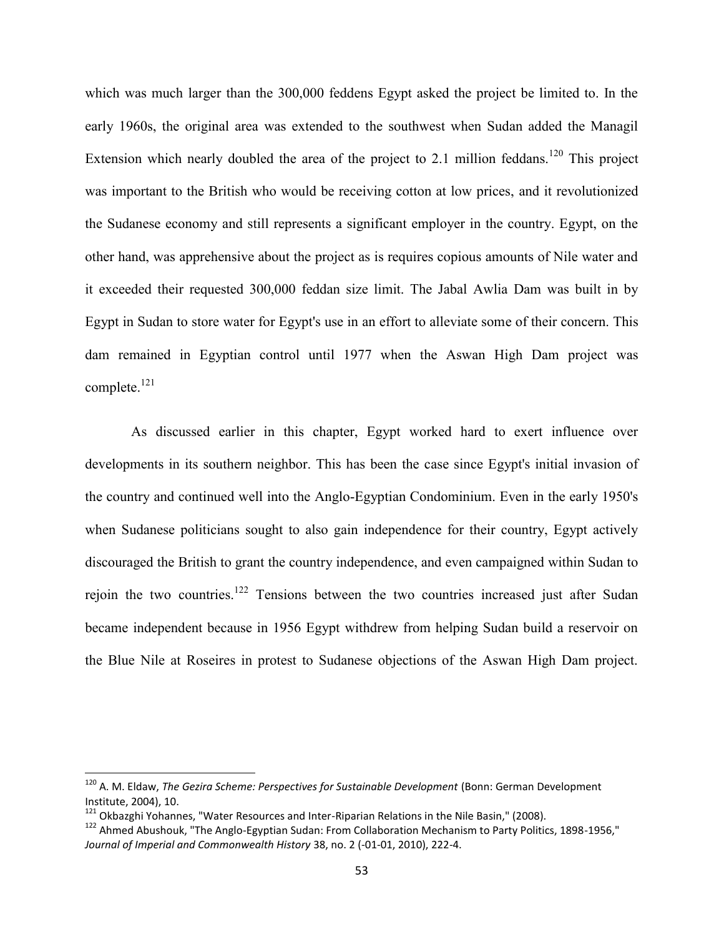which was much larger than the 300,000 feddens Egypt asked the project be limited to. In the early 1960s, the original area was extended to the southwest when Sudan added the Managil Extension which nearly doubled the area of the project to 2.1 million feddans.<sup>120</sup> This project was important to the British who would be receiving cotton at low prices, and it revolutionized the Sudanese economy and still represents a significant employer in the country. Egypt, on the other hand, was apprehensive about the project as is requires copious amounts of Nile water and it exceeded their requested 300,000 feddan size limit. The Jabal Awlia Dam was built in by Egypt in Sudan to store water for Egypt's use in an effort to alleviate some of their concern. This dam remained in Egyptian control until 1977 when the Aswan High Dam project was complete.<sup>121</sup>

As discussed earlier in this chapter, Egypt worked hard to exert influence over developments in its southern neighbor. This has been the case since Egypt's initial invasion of the country and continued well into the Anglo-Egyptian Condominium. Even in the early 1950's when Sudanese politicians sought to also gain independence for their country, Egypt actively discouraged the British to grant the country independence, and even campaigned within Sudan to rejoin the two countries.<sup>122</sup> Tensions between the two countries increased just after Sudan became independent because in 1956 Egypt withdrew from helping Sudan build a reservoir on the Blue Nile at Roseires in protest to Sudanese objections of the Aswan High Dam project.

<sup>120</sup> A. M. Eldaw, *The Gezira Scheme: Perspectives for Sustainable Development* (Bonn: German Development Institute, 2004), 10.

<sup>&</sup>lt;sup>121</sup> Okbazghi Yohannes, "Water Resources and Inter-Riparian Relations in the Nile Basin," (2008).

<sup>122</sup> Ahmed Abushouk, "The Anglo-Egyptian Sudan: From Collaboration Mechanism to Party Politics, 1898-1956," *Journal of Imperial and Commonwealth History* 38, no. 2 (-01-01, 2010), 222-4.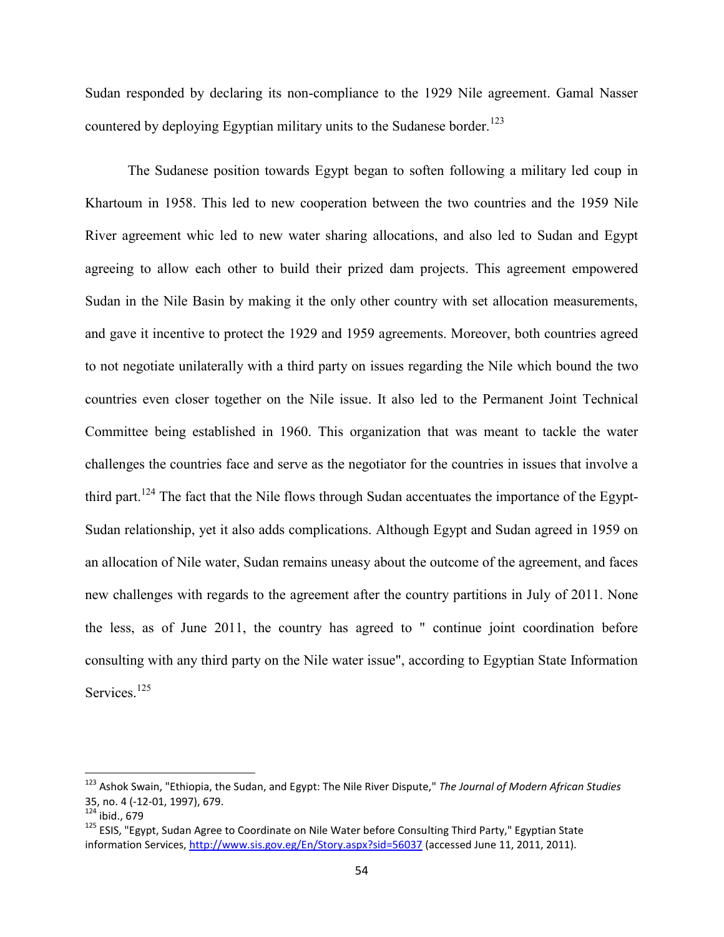Sudan responded by declaring its non-compliance to the 1929 Nile agreement. Gamal Nasser countered by deploying Egyptian military units to the Sudanese border.<sup>123</sup>

The Sudanese position towards Egypt began to soften following a military led coup in Khartoum in 1958. This led to new cooperation between the two countries and the 1959 Nile River agreement whic led to new water sharing allocations, and also led to Sudan and Egypt agreeing to allow each other to build their prized dam projects. This agreement empowered Sudan in the Nile Basin by making it the only other country with set allocation measurements, and gave it incentive to protect the 1929 and 1959 agreements. Moreover, both countries agreed to not negotiate unilaterally with a third party on issues regarding the Nile which bound the two countries even closer together on the Nile issue. It also led to the Permanent Joint Technical Committee being established in 1960. This organization that was meant to tackle the water challenges the countries face and serve as the negotiator for the countries in issues that involve a third part.<sup>124</sup> The fact that the Nile flows through Sudan accentuates the importance of the Egypt-Sudan relationship, yet it also adds complications. Although Egypt and Sudan agreed in 1959 on an allocation of Nile water, Sudan remains uneasy about the outcome of the agreement, and faces new challenges with regards to the agreement after the country partitions in July of 2011. None the less, as of June 2011, the country has agreed to " continue joint coordination before consulting with any third party on the Nile water issue", according to Egyptian State Information Services<sup>125</sup>

<sup>123</sup> Ashok Swain, "Ethiopia, the Sudan, and Egypt: The Nile River Dispute," *The Journal of Modern African Studies* 35, no. 4 (-12-01, 1997), 679.

 $i$ bid., 679

<sup>&</sup>lt;sup>125</sup> ESIS, "Egypt, Sudan Agree to Coordinate on Nile Water before Consulting Third Party," Egyptian State information Services, http://www.sis.gov.eg/En/Story.aspx?sid=56037 (accessed June 11, 2011, 2011).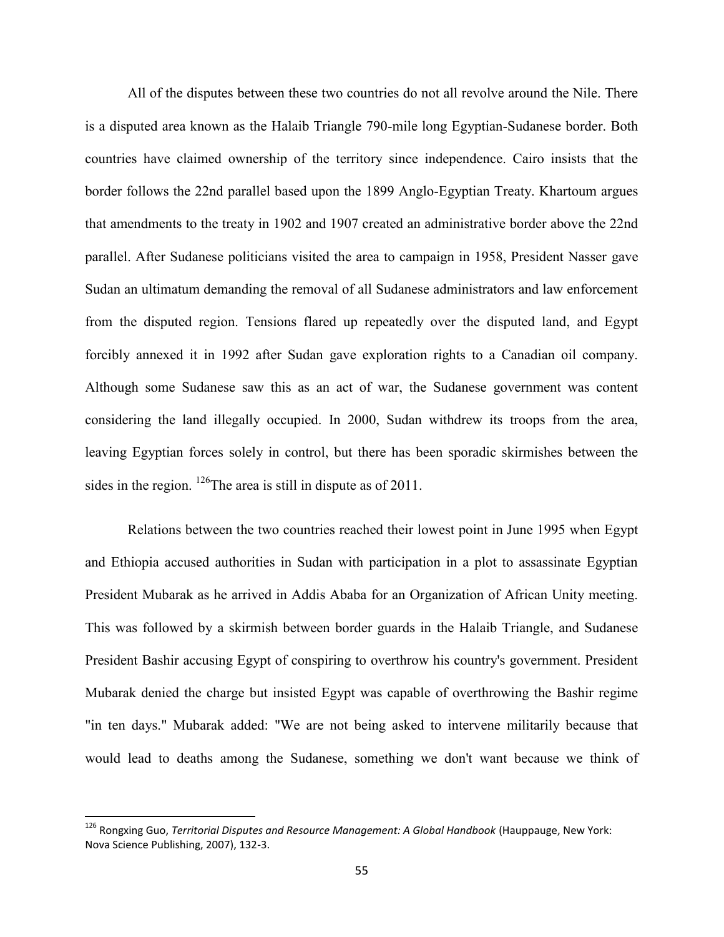All of the disputes between these two countries do not all revolve around the Nile. There is a disputed area known as the Halaib Triangle 790-mile long Egyptian-Sudanese border. Both countries have claimed ownership of the territory since independence. Cairo insists that the border follows the 22nd parallel based upon the 1899 Anglo-Egyptian Treaty. Khartoum argues that amendments to the treaty in 1902 and 1907 created an administrative border above the 22nd parallel. After Sudanese politicians visited the area to campaign in 1958, President Nasser gave Sudan an ultimatum demanding the removal of all Sudanese administrators and law enforcement from the disputed region. Tensions flared up repeatedly over the disputed land, and Egypt forcibly annexed it in 1992 after Sudan gave exploration rights to a Canadian oil company. Although some Sudanese saw this as an act of war, the Sudanese government was content considering the land illegally occupied. In 2000, Sudan withdrew its troops from the area, leaving Egyptian forces solely in control, but there has been sporadic skirmishes between the sides in the region. <sup>126</sup>The area is still in dispute as of 2011.

Relations between the two countries reached their lowest point in June 1995 when Egypt and Ethiopia accused authorities in Sudan with participation in a plot to assassinate Egyptian President Mubarak as he arrived in Addis Ababa for an Organization of African Unity meeting. This was followed by a skirmish between border guards in the Halaib Triangle, and Sudanese President Bashir accusing Egypt of conspiring to overthrow his country's government. President Mubarak denied the charge but insisted Egypt was capable of overthrowing the Bashir regime "in ten days." Mubarak added: "We are not being asked to intervene militarily because that would lead to deaths among the Sudanese, something we don't want because we think of

<sup>126</sup> Rongxing Guo, *Territorial Disputes and Resource Management: A Global Handbook* (Hauppauge, New York: Nova Science Publishing, 2007), 132-3.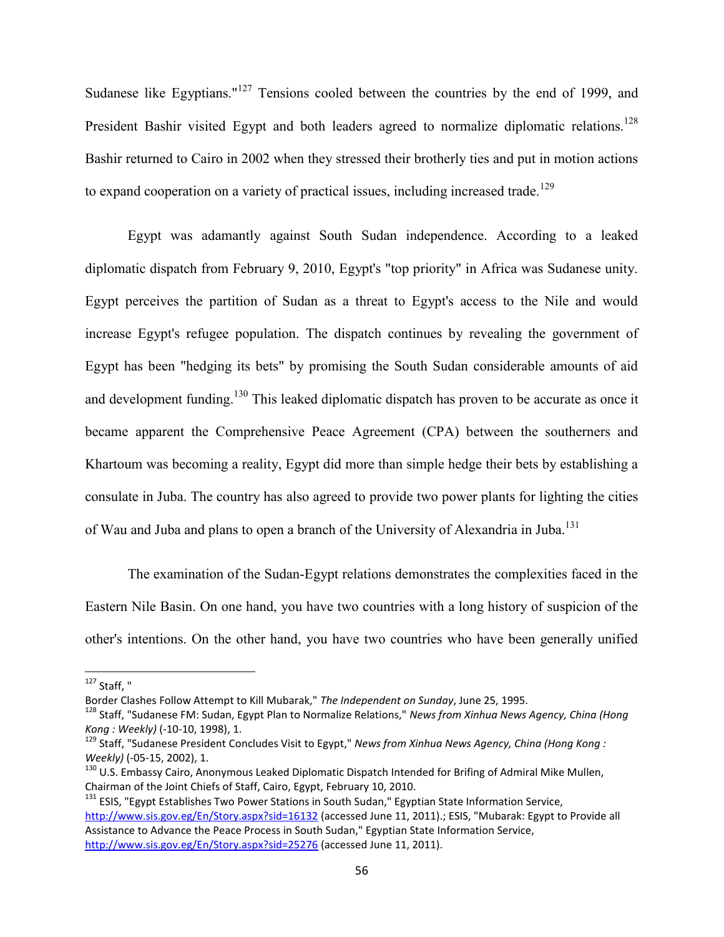Sudanese like Egyptians."<sup>127</sup> Tensions cooled between the countries by the end of 1999, and President Bashir visited Egypt and both leaders agreed to normalize diplomatic relations.<sup>128</sup> Bashir returned to Cairo in 2002 when they stressed their brotherly ties and put in motion actions to expand cooperation on a variety of practical issues, including increased trade.<sup>129</sup>

Egypt was adamantly against South Sudan independence. According to a leaked diplomatic dispatch from February 9, 2010, Egypt's "top priority" in Africa was Sudanese unity. Egypt perceives the partition of Sudan as a threat to Egypt's access to the Nile and would increase Egypt's refugee population. The dispatch continues by revealing the government of Egypt has been "hedging its bets" by promising the South Sudan considerable amounts of aid and development funding.<sup>130</sup> This leaked diplomatic dispatch has proven to be accurate as once it became apparent the Comprehensive Peace Agreement (CPA) between the southerners and Khartoum was becoming a reality, Egypt did more than simple hedge their bets by establishing a consulate in Juba. The country has also agreed to provide two power plants for lighting the cities of Wau and Juba and plans to open a branch of the University of Alexandria in Juba.<sup>131</sup>

The examination of the Sudan-Egypt relations demonstrates the complexities faced in the Eastern Nile Basin. On one hand, you have two countries with a long history of suspicion of the other's intentions. On the other hand, you have two countries who have been generally unified

 $127$  Staff."

Border Clashes Follow Attempt to Kill Mubarak," *The Independent on Sunday*, June 25, 1995.

<sup>128</sup> Staff, "Sudanese FM: Sudan, Egypt Plan to Normalize Relations," *News from Xinhua News Agency, China (Hong Kong : Weekly)* (-10-10, 1998), 1.

<sup>129</sup> Staff, "Sudanese President Concludes Visit to Egypt," *News from Xinhua News Agency, China (Hong Kong : Weekly)* (-05-15, 2002), 1.

<sup>&</sup>lt;sup>130</sup> U.S. Embassy Cairo, Anonymous Leaked Diplomatic Dispatch Intended for Brifing of Admiral Mike Mullen, Chairman of the Joint Chiefs of Staff, Cairo, Egypt, February 10, 2010.

<sup>&</sup>lt;sup>131</sup> ESIS, "Egypt Establishes Two Power Stations in South Sudan," Egyptian State Information Service, http://www.sis.gov.eg/En/Story.aspx?sid=16132 (accessed June 11, 2011).; ESIS, "Mubarak: Egypt to Provide all Assistance to Advance the Peace Process in South Sudan," Egyptian State Information Service, http://www.sis.gov.eg/En/Story.aspx?sid=25276 (accessed June 11, 2011).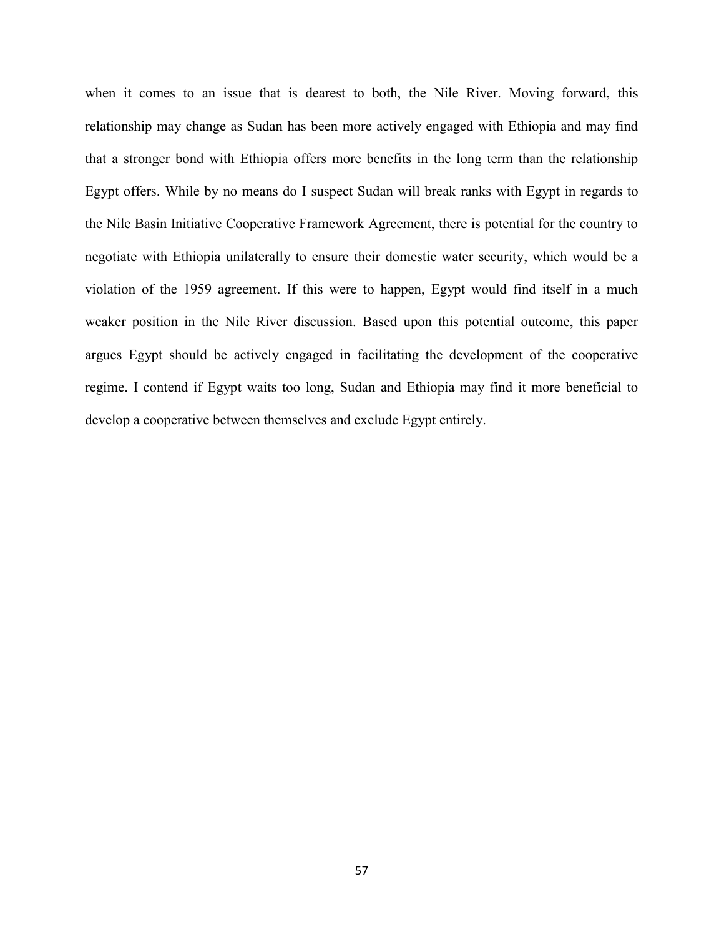when it comes to an issue that is dearest to both, the Nile River. Moving forward, this relationship may change as Sudan has been more actively engaged with Ethiopia and may find that a stronger bond with Ethiopia offers more benefits in the long term than the relationship Egypt offers. While by no means do I suspect Sudan will break ranks with Egypt in regards to the Nile Basin Initiative Cooperative Framework Agreement, there is potential for the country to negotiate with Ethiopia unilaterally to ensure their domestic water security, which would be a violation of the 1959 agreement. If this were to happen, Egypt would find itself in a much weaker position in the Nile River discussion. Based upon this potential outcome, this paper argues Egypt should be actively engaged in facilitating the development of the cooperative regime. I contend if Egypt waits too long, Sudan and Ethiopia may find it more beneficial to develop a cooperative between themselves and exclude Egypt entirely.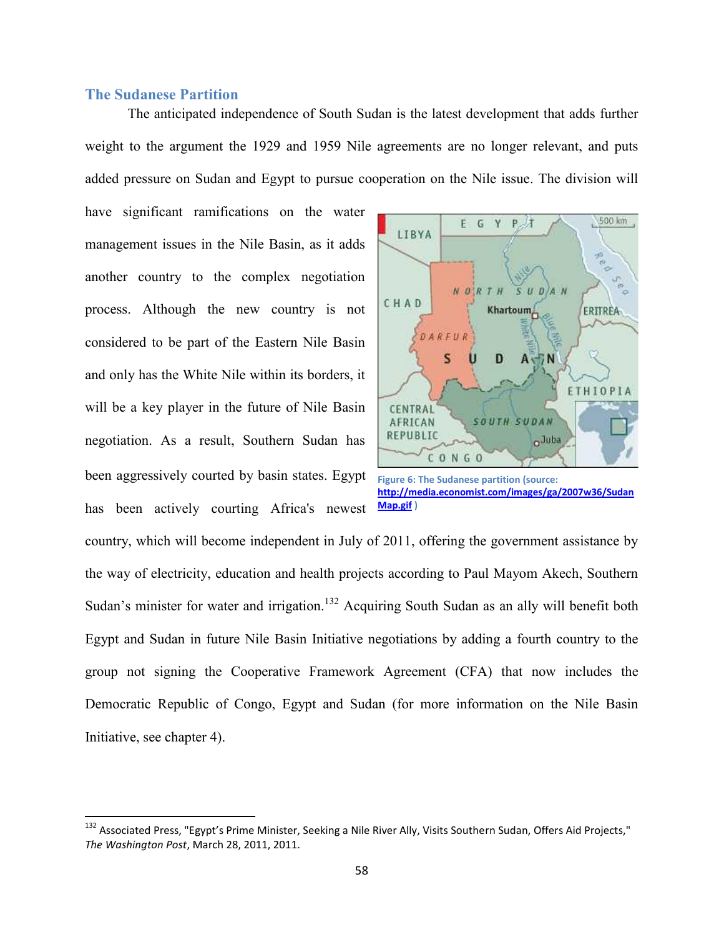# **The Sudanese Partition**

The anticipated independence of South Sudan is the latest development that adds further weight to the argument the 1929 and 1959 Nile agreements are no longer relevant, and puts added pressure on Sudan and Egypt to pursue cooperation on the Nile issue. The division will

have significant ramifications on the water management issues in the Nile Basin, as it adds another country to the complex negotiation process. Although the new country is not considered to be part of the Eastern Nile Basin and only has the White Nile within its borders, it will be a key player in the future of Nile Basin negotiation. As a result, Southern Sudan has been aggressively courted by basin states. Egypt has been actively courting Africa's newest



**Figure 6: The Sudanese partition (source: http://media.economist.com/images/ga/2007w36/Sudan Map.gif )**

country, which will become independent in July of 2011, offering the government assistance by the way of electricity, education and health projects according to Paul Mayom Akech, Southern Sudan's minister for water and irrigation.<sup>132</sup> Acquiring South Sudan as an ally will benefit both Egypt and Sudan in future Nile Basin Initiative negotiations by adding a fourth country to the group not signing the Cooperative Framework Agreement (CFA) that now includes the Democratic Republic of Congo, Egypt and Sudan (for more information on the Nile Basin Initiative, see chapter 4).

<sup>&</sup>lt;sup>132</sup> Associated Press, "Egypt's Prime Minister, Seeking a Nile River Ally, Visits Southern Sudan, Offers Aid Projects," *The Washington Post*, March 28, 2011, 2011.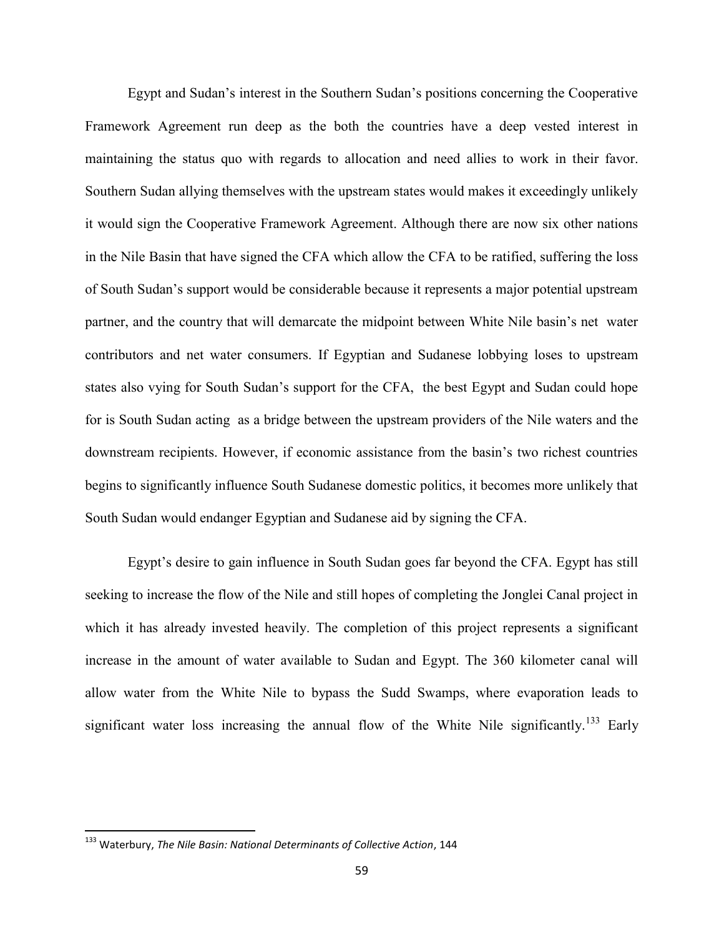Egypt and Sudan's interest in the Southern Sudan's positions concerning the Cooperative Framework Agreement run deep as the both the countries have a deep vested interest in maintaining the status quo with regards to allocation and need allies to work in their favor. Southern Sudan allying themselves with the upstream states would makes it exceedingly unlikely it would sign the Cooperative Framework Agreement. Although there are now six other nations in the Nile Basin that have signed the CFA which allow the CFA to be ratified, suffering the loss of South Sudan's support would be considerable because it represents a major potential upstream partner, and the country that will demarcate the midpoint between White Nile basin's net water contributors and net water consumers. If Egyptian and Sudanese lobbying loses to upstream states also vying for South Sudan's support for the CFA, the best Egypt and Sudan could hope for is South Sudan acting as a bridge between the upstream providers of the Nile waters and the downstream recipients. However, if economic assistance from the basin's two richest countries begins to significantly influence South Sudanese domestic politics, it becomes more unlikely that South Sudan would endanger Egyptian and Sudanese aid by signing the CFA.

Egypt's desire to gain influence in South Sudan goes far beyond the CFA. Egypt has still seeking to increase the flow of the Nile and still hopes of completing the Jonglei Canal project in which it has already invested heavily. The completion of this project represents a significant increase in the amount of water available to Sudan and Egypt. The 360 kilometer canal will allow water from the White Nile to bypass the Sudd Swamps, where evaporation leads to significant water loss increasing the annual flow of the White Nile significantly.<sup>133</sup> Early

<sup>133</sup> Waterbury, *The Nile Basin: National Determinants of Collective Action*, 144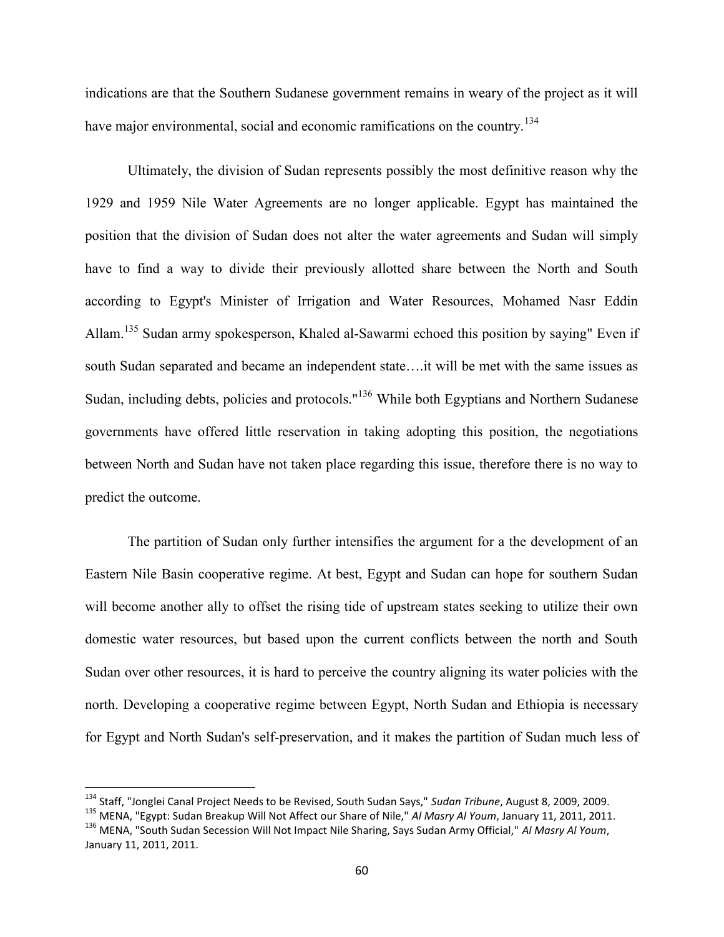indications are that the Southern Sudanese government remains in weary of the project as it will have major environmental, social and economic ramifications on the country.<sup>134</sup>

Ultimately, the division of Sudan represents possibly the most definitive reason why the 1929 and 1959 Nile Water Agreements are no longer applicable. Egypt has maintained the position that the division of Sudan does not alter the water agreements and Sudan will simply have to find a way to divide their previously allotted share between the North and South according to Egypt's Minister of Irrigation and Water Resources, Mohamed Nasr Eddin Allam.<sup>135</sup> Sudan army spokesperson, Khaled al-Sawarmi echoed this position by saying" Even if south Sudan separated and became an independent state….it will be met with the same issues as Sudan, including debts, policies and protocols."<sup>136</sup> While both Egyptians and Northern Sudanese governments have offered little reservation in taking adopting this position, the negotiations between North and Sudan have not taken place regarding this issue, therefore there is no way to predict the outcome.

The partition of Sudan only further intensifies the argument for a the development of an Eastern Nile Basin cooperative regime. At best, Egypt and Sudan can hope for southern Sudan will become another ally to offset the rising tide of upstream states seeking to utilize their own domestic water resources, but based upon the current conflicts between the north and South Sudan over other resources, it is hard to perceive the country aligning its water policies with the north. Developing a cooperative regime between Egypt, North Sudan and Ethiopia is necessary for Egypt and North Sudan's self-preservation, and it makes the partition of Sudan much less of

<sup>134</sup> Staff, "Jonglei Canal Project Needs to be Revised, South Sudan Says," *Sudan Tribune*, August 8, 2009, 2009.

<sup>135</sup> MENA, "Egypt: Sudan Breakup Will Not Affect our Share of Nile," *Al Masry Al Youm*, January 11, 2011, 2011.

<sup>136</sup> MENA, "South Sudan Secession Will Not Impact Nile Sharing, Says Sudan Army Official," *Al Masry Al Youm*, January 11, 2011, 2011.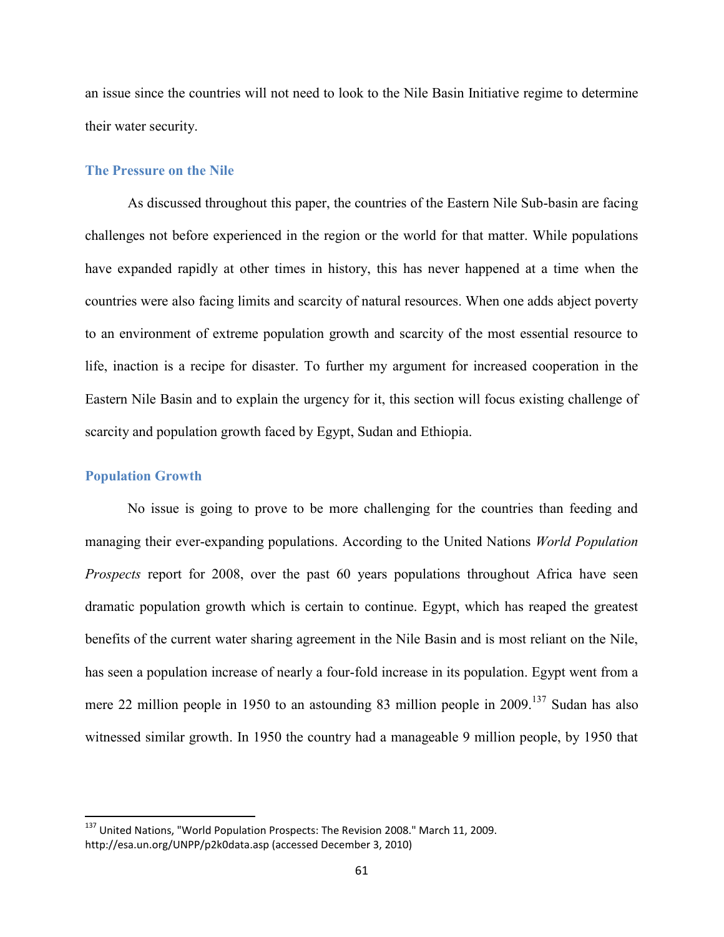an issue since the countries will not need to look to the Nile Basin Initiative regime to determine their water security.

#### **The Pressure on the Nile**

As discussed throughout this paper, the countries of the Eastern Nile Sub-basin are facing challenges not before experienced in the region or the world for that matter. While populations have expanded rapidly at other times in history, this has never happened at a time when the countries were also facing limits and scarcity of natural resources. When one adds abject poverty to an environment of extreme population growth and scarcity of the most essential resource to life, inaction is a recipe for disaster. To further my argument for increased cooperation in the Eastern Nile Basin and to explain the urgency for it, this section will focus existing challenge of scarcity and population growth faced by Egypt, Sudan and Ethiopia.

## **Population Growth**

No issue is going to prove to be more challenging for the countries than feeding and managing their ever-expanding populations. According to the United Nations *World Population Prospects* report for 2008, over the past 60 years populations throughout Africa have seen dramatic population growth which is certain to continue. Egypt, which has reaped the greatest benefits of the current water sharing agreement in the Nile Basin and is most reliant on the Nile, has seen a population increase of nearly a four-fold increase in its population. Egypt went from a mere 22 million people in 1950 to an astounding 83 million people in  $2009$ .<sup>137</sup> Sudan has also witnessed similar growth. In 1950 the country had a manageable 9 million people, by 1950 that

<sup>137</sup> United Nations, "World Population Prospects: The Revision 2008." March 11, 2009. http://esa.un.org/UNPP/p2k0data.asp (accessed December 3, 2010)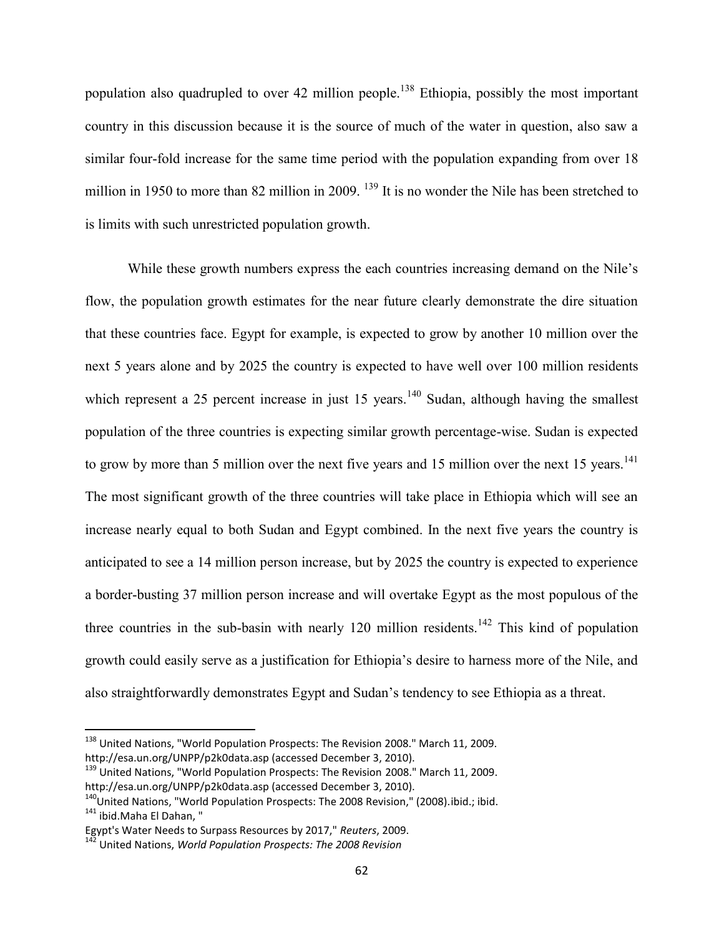population also quadrupled to over 42 million people.<sup>138</sup> Ethiopia, possibly the most important country in this discussion because it is the source of much of the water in question, also saw a similar four-fold increase for the same time period with the population expanding from over 18 million in 1950 to more than 82 million in 2009. <sup>139</sup> It is no wonder the Nile has been stretched to is limits with such unrestricted population growth.

While these growth numbers express the each countries increasing demand on the Nile's flow, the population growth estimates for the near future clearly demonstrate the dire situation that these countries face. Egypt for example, is expected to grow by another 10 million over the next 5 years alone and by 2025 the country is expected to have well over 100 million residents which represent a 25 percent increase in just 15 years.<sup>140</sup> Sudan, although having the smallest population of the three countries is expecting similar growth percentage-wise. Sudan is expected to grow by more than 5 million over the next five years and 15 million over the next 15 years.<sup>141</sup> The most significant growth of the three countries will take place in Ethiopia which will see an increase nearly equal to both Sudan and Egypt combined. In the next five years the country is anticipated to see a 14 million person increase, but by 2025 the country is expected to experience a border-busting 37 million person increase and will overtake Egypt as the most populous of the three countries in the sub-basin with nearly 120 million residents.<sup>142</sup> This kind of population growth could easily serve as a justification for Ethiopia's desire to harness more of the Nile, and also straightforwardly demonstrates Egypt and Sudan's tendency to see Ethiopia as a threat.

<sup>138</sup> United Nations, "World Population Prospects: The Revision 2008." March 11, 2009. http://esa.un.org/UNPP/p2k0data.asp (accessed December 3, 2010).

<sup>&</sup>lt;sup>139</sup> United Nations, "World Population Prospects: The Revision 2008." March 11, 2009. http://esa.un.org/UNPP/p2k0data.asp (accessed December 3, 2010).

 $140$ United Nations, "World Population Prospects: The 2008 Revision," (2008).ibid.; ibid. 141 ibid.Maha El Dahan, "

Egypt's Water Needs to Surpass Resources by 2017," *Reuters*, 2009.

<sup>142</sup> United Nations, *World Population Prospects: The 2008 Revision*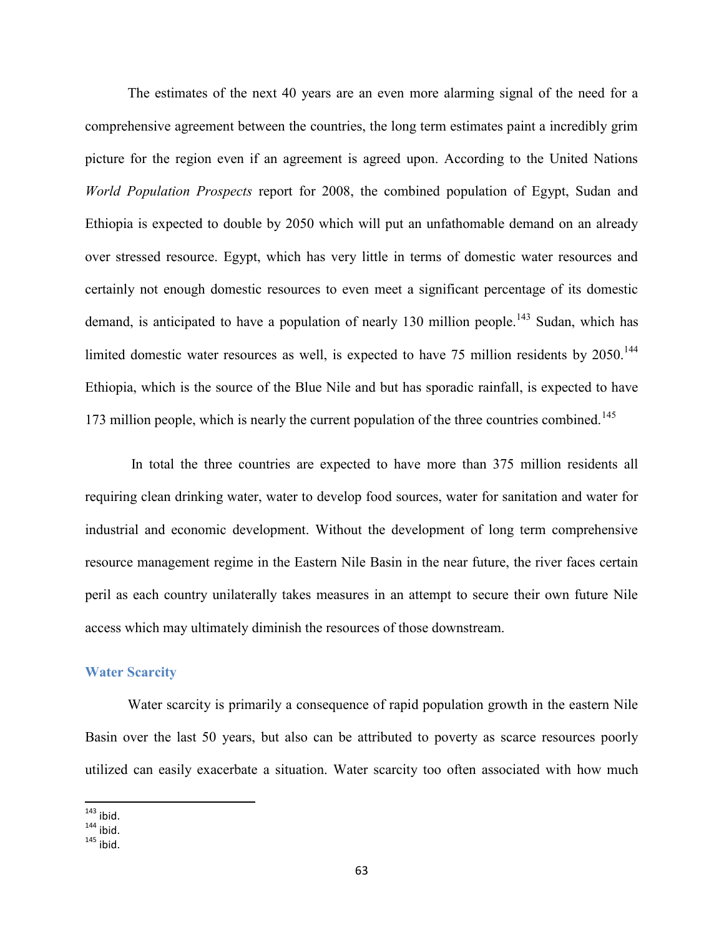The estimates of the next 40 years are an even more alarming signal of the need for a comprehensive agreement between the countries, the long term estimates paint a incredibly grim picture for the region even if an agreement is agreed upon. According to the United Nations *World Population Prospects* report for 2008, the combined population of Egypt, Sudan and Ethiopia is expected to double by 2050 which will put an unfathomable demand on an already over stressed resource. Egypt, which has very little in terms of domestic water resources and certainly not enough domestic resources to even meet a significant percentage of its domestic demand, is anticipated to have a population of nearly 130 million people.<sup>143</sup> Sudan, which has limited domestic water resources as well, is expected to have  $75$  million residents by  $2050$ .<sup>144</sup> Ethiopia, which is the source of the Blue Nile and but has sporadic rainfall, is expected to have 173 million people, which is nearly the current population of the three countries combined.<sup>145</sup>

In total the three countries are expected to have more than 375 million residents all requiring clean drinking water, water to develop food sources, water for sanitation and water for industrial and economic development. Without the development of long term comprehensive resource management regime in the Eastern Nile Basin in the near future, the river faces certain peril as each country unilaterally takes measures in an attempt to secure their own future Nile access which may ultimately diminish the resources of those downstream.

## **Water Scarcity**

Water scarcity is primarily a consequence of rapid population growth in the eastern Nile Basin over the last 50 years, but also can be attributed to poverty as scarce resources poorly utilized can easily exacerbate a situation. Water scarcity too often associated with how much

 $143$  ibid.

 $144$  ibid.

 $145$  ibid.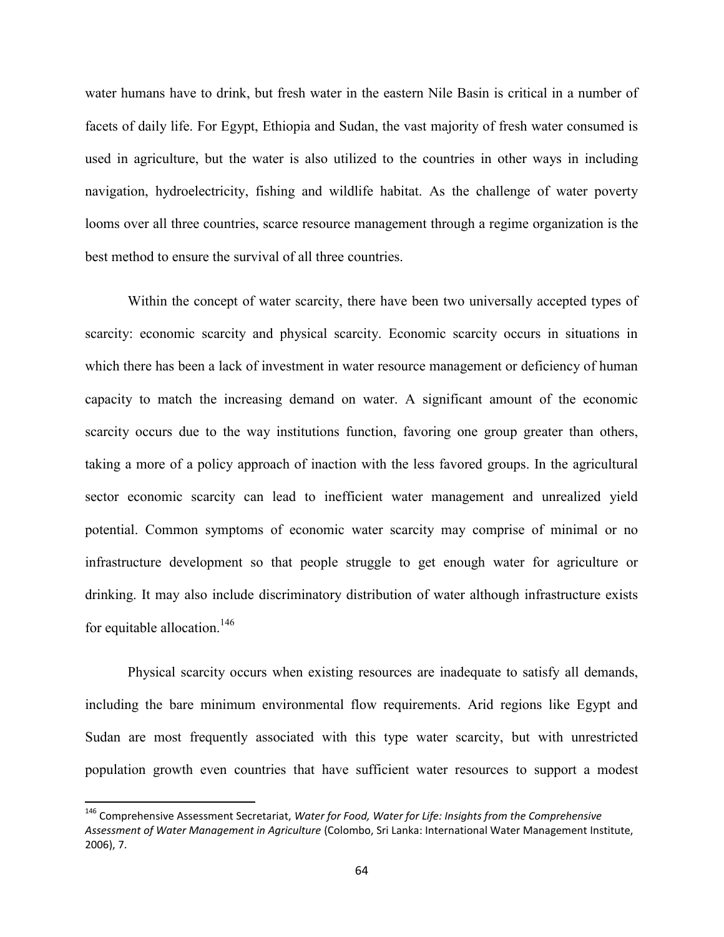water humans have to drink, but fresh water in the eastern Nile Basin is critical in a number of facets of daily life. For Egypt, Ethiopia and Sudan, the vast majority of fresh water consumed is used in agriculture, but the water is also utilized to the countries in other ways in including navigation, hydroelectricity, fishing and wildlife habitat. As the challenge of water poverty looms over all three countries, scarce resource management through a regime organization is the best method to ensure the survival of all three countries.

Within the concept of water scarcity, there have been two universally accepted types of scarcity: economic scarcity and physical scarcity. Economic scarcity occurs in situations in which there has been a lack of investment in water resource management or deficiency of human capacity to match the increasing demand on water. A significant amount of the economic scarcity occurs due to the way institutions function, favoring one group greater than others, taking a more of a policy approach of inaction with the less favored groups. In the agricultural sector economic scarcity can lead to inefficient water management and unrealized yield potential. Common symptoms of economic water scarcity may comprise of minimal or no infrastructure development so that people struggle to get enough water for agriculture or drinking. It may also include discriminatory distribution of water although infrastructure exists for equitable allocation.<sup>146</sup>

Physical scarcity occurs when existing resources are inadequate to satisfy all demands, including the bare minimum environmental flow requirements. Arid regions like Egypt and Sudan are most frequently associated with this type water scarcity, but with unrestricted population growth even countries that have sufficient water resources to support a modest

<sup>146</sup> Comprehensive Assessment Secretariat, *Water for Food, Water for Life: Insights from the Comprehensive Assessment of Water Management in Agriculture* (Colombo, Sri Lanka: International Water Management Institute, 2006), 7.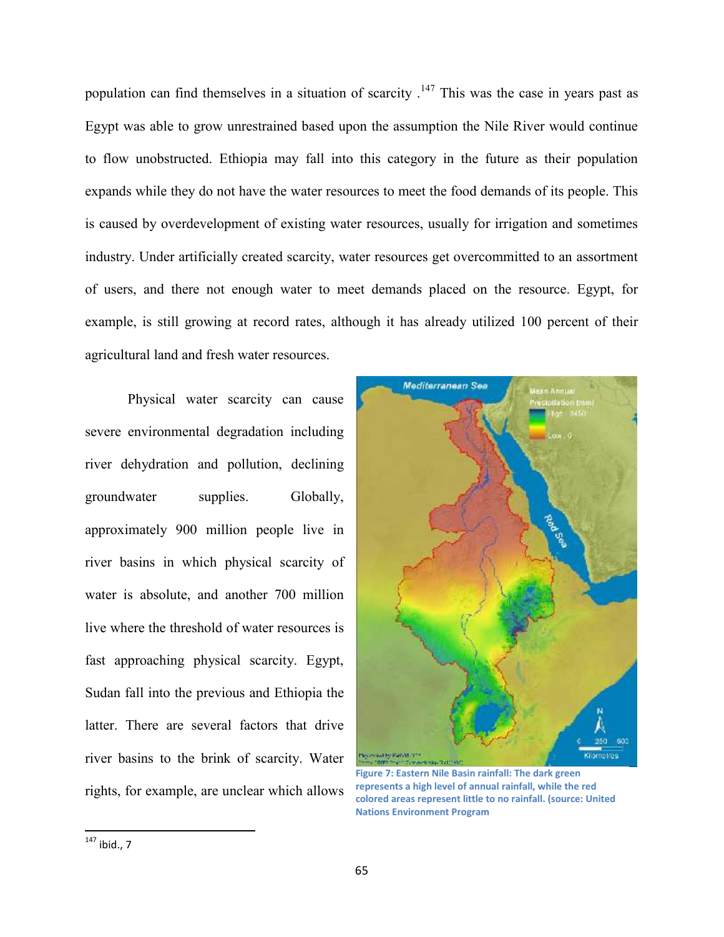population can find themselves in a situation of scarcity .<sup>147</sup> This was the case in years past as Egypt was able to grow unrestrained based upon the assumption the Nile River would continue to flow unobstructed. Ethiopia may fall into this category in the future as their population expands while they do not have the water resources to meet the food demands of its people. This is caused by overdevelopment of existing water resources, usually for irrigation and sometimes industry. Under artificially created scarcity, water resources get overcommitted to an assortment of users, and there not enough water to meet demands placed on the resource. Egypt, for example, is still growing at record rates, although it has already utilized 100 percent of their agricultural land and fresh water resources.

Physical water scarcity can cause severe environmental degradation including river dehydration and pollution, declining groundwater supplies. Globally, approximately 900 million people live in river basins in which physical scarcity of water is absolute, and another 700 million live where the threshold of water resources is fast approaching physical scarcity. Egypt, Sudan fall into the previous and Ethiopia the latter. There are several factors that drive river basins to the brink of scarcity. Water rights, for example, are unclear which allows



**Figure 7: Eastern Nile Basin rainfall: The dark green represents a high level of annual rainfall, while the red colored areas represent little to no rainfall. (source: United Nations Environment Program**

 $147$  ibid., 7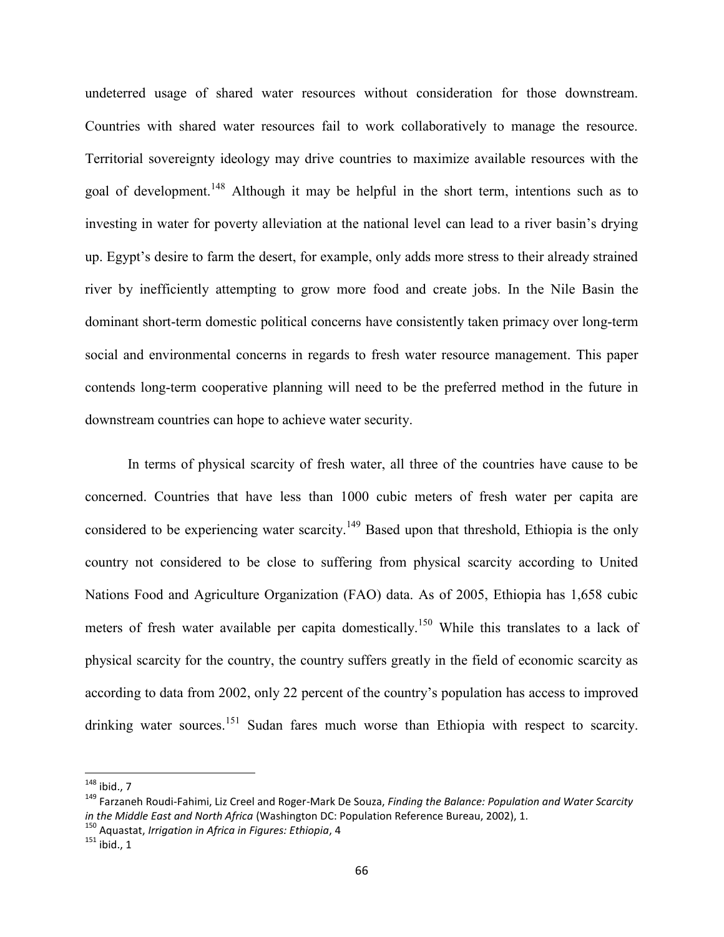undeterred usage of shared water resources without consideration for those downstream. Countries with shared water resources fail to work collaboratively to manage the resource. Territorial sovereignty ideology may drive countries to maximize available resources with the goal of development.<sup>148</sup> Although it may be helpful in the short term, intentions such as to investing in water for poverty alleviation at the national level can lead to a river basin's drying up. Egypt's desire to farm the desert, for example, only adds more stress to their already strained river by inefficiently attempting to grow more food and create jobs. In the Nile Basin the dominant short-term domestic political concerns have consistently taken primacy over long-term social and environmental concerns in regards to fresh water resource management. This paper contends long-term cooperative planning will need to be the preferred method in the future in downstream countries can hope to achieve water security.

In terms of physical scarcity of fresh water, all three of the countries have cause to be concerned. Countries that have less than 1000 cubic meters of fresh water per capita are considered to be experiencing water scarcity.<sup>149</sup> Based upon that threshold, Ethiopia is the only country not considered to be close to suffering from physical scarcity according to United Nations Food and Agriculture Organization (FAO) data. As of 2005, Ethiopia has 1,658 cubic meters of fresh water available per capita domestically.<sup>150</sup> While this translates to a lack of physical scarcity for the country, the country suffers greatly in the field of economic scarcity as according to data from 2002, only 22 percent of the country's population has access to improved drinking water sources.<sup>151</sup> Sudan fares much worse than Ethiopia with respect to scarcity.

<sup>148</sup> ibid., 7

<sup>149</sup> Farzaneh Roudi-Fahimi, Liz Creel and Roger-Mark De Souza, *Finding the Balance: Population and Water Scarcity in the Middle East and North Africa* (Washington DC: Population Reference Bureau, 2002), 1.

<sup>150</sup> Aquastat, *Irrigation in Africa in Figures: Ethiopia*, 4

 $151$  ibid., 1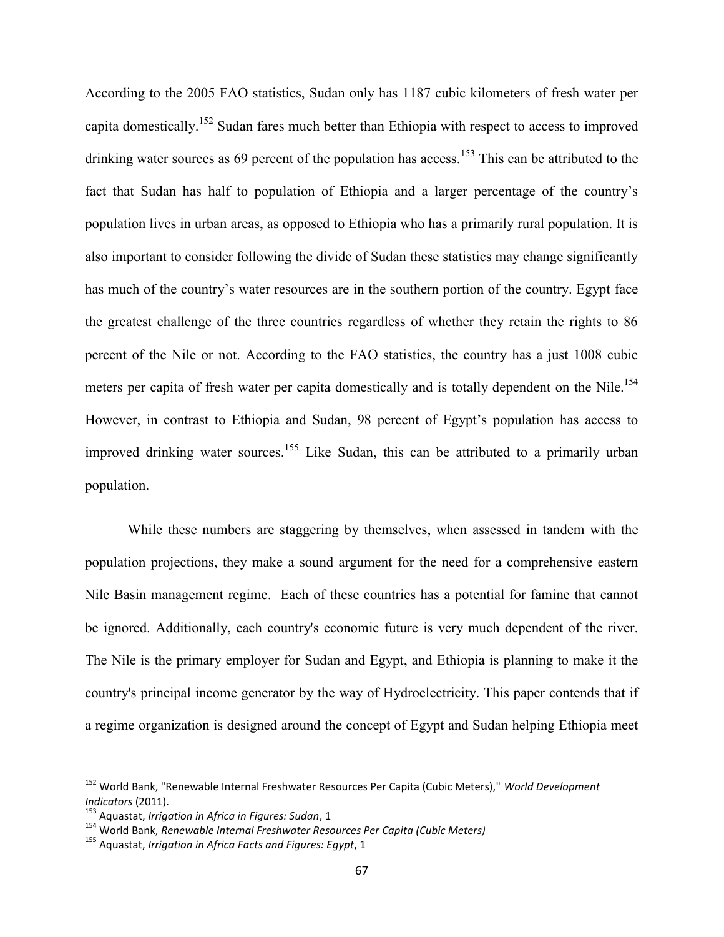According to the 2005 FAO statistics, Sudan only has 1187 cubic kilometers of fresh water per capita domestically.<sup>152</sup> Sudan fares much better than Ethiopia with respect to access to improved drinking water sources as 69 percent of the population has access.<sup>153</sup> This can be attributed to the fact that Sudan has half to population of Ethiopia and a larger percentage of the country's population lives in urban areas, as opposed to Ethiopia who has a primarily rural population. It is also important to consider following the divide of Sudan these statistics may change significantly has much of the country's water resources are in the southern portion of the country. Egypt face the greatest challenge of the three countries regardless of whether they retain the rights to 86 percent of the Nile or not. According to the FAO statistics, the country has a just 1008 cubic meters per capita of fresh water per capita domestically and is totally dependent on the Nile.<sup>154</sup> However, in contrast to Ethiopia and Sudan, 98 percent of Egypt's population has access to improved drinking water sources.<sup>155</sup> Like Sudan, this can be attributed to a primarily urban population.

While these numbers are staggering by themselves, when assessed in tandem with the population projections, they make a sound argument for the need for a comprehensive eastern Nile Basin management regime. Each of these countries has a potential for famine that cannot be ignored. Additionally, each country's economic future is very much dependent of the river. The Nile is the primary employer for Sudan and Egypt, and Ethiopia is planning to make it the country's principal income generator by the way of Hydroelectricity. This paper contends that if a regime organization is designed around the concept of Egypt and Sudan helping Ethiopia meet

<sup>152</sup> World Bank, "Renewable Internal Freshwater Resources Per Capita (Cubic Meters)," *World Development Indicators* (2011).

<sup>153</sup> Aquastat, *Irrigation in Africa in Figures: Sudan*, 1

<sup>154</sup> World Bank, *Renewable Internal Freshwater Resources Per Capita (Cubic Meters)*

<sup>155</sup> Aquastat, *Irrigation in Africa Facts and Figures: Egypt*, 1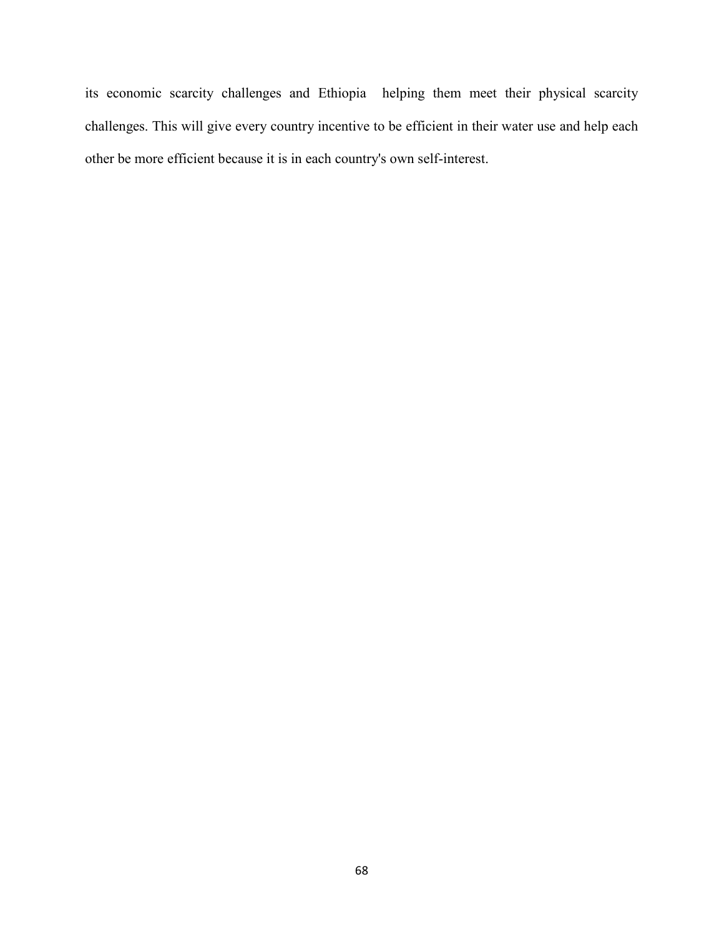its economic scarcity challenges and Ethiopia helping them meet their physical scarcity challenges. This will give every country incentive to be efficient in their water use and help each other be more efficient because it is in each country's own self-interest.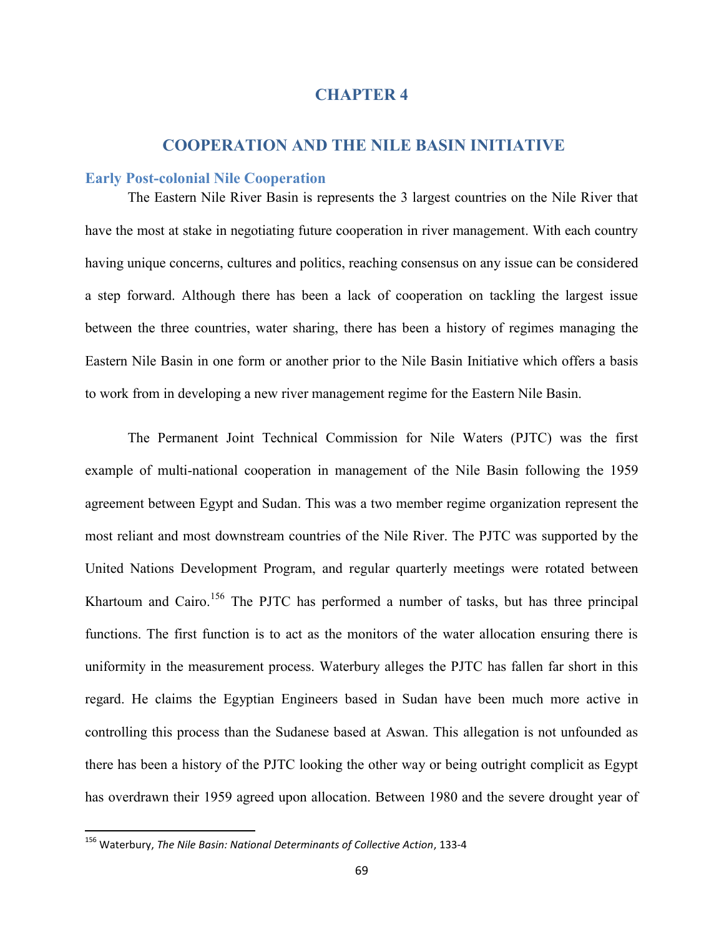# **CHAPTER 4**

# **COOPERATION AND THE NILE BASIN INITIATIVE**

## **Early Post-colonial Nile Cooperation**

The Eastern Nile River Basin is represents the 3 largest countries on the Nile River that have the most at stake in negotiating future cooperation in river management. With each country having unique concerns, cultures and politics, reaching consensus on any issue can be considered a step forward. Although there has been a lack of cooperation on tackling the largest issue between the three countries, water sharing, there has been a history of regimes managing the Eastern Nile Basin in one form or another prior to the Nile Basin Initiative which offers a basis to work from in developing a new river management regime for the Eastern Nile Basin.

The Permanent Joint Technical Commission for Nile Waters (PJTC) was the first example of multi-national cooperation in management of the Nile Basin following the 1959 agreement between Egypt and Sudan. This was a two member regime organization represent the most reliant and most downstream countries of the Nile River. The PJTC was supported by the United Nations Development Program, and regular quarterly meetings were rotated between Khartoum and Cairo.<sup>156</sup> The PJTC has performed a number of tasks, but has three principal functions. The first function is to act as the monitors of the water allocation ensuring there is uniformity in the measurement process. Waterbury alleges the PJTC has fallen far short in this regard. He claims the Egyptian Engineers based in Sudan have been much more active in controlling this process than the Sudanese based at Aswan. This allegation is not unfounded as there has been a history of the PJTC looking the other way or being outright complicit as Egypt has overdrawn their 1959 agreed upon allocation. Between 1980 and the severe drought year of

<sup>156</sup> Waterbury, *The Nile Basin: National Determinants of Collective Action*, 133-4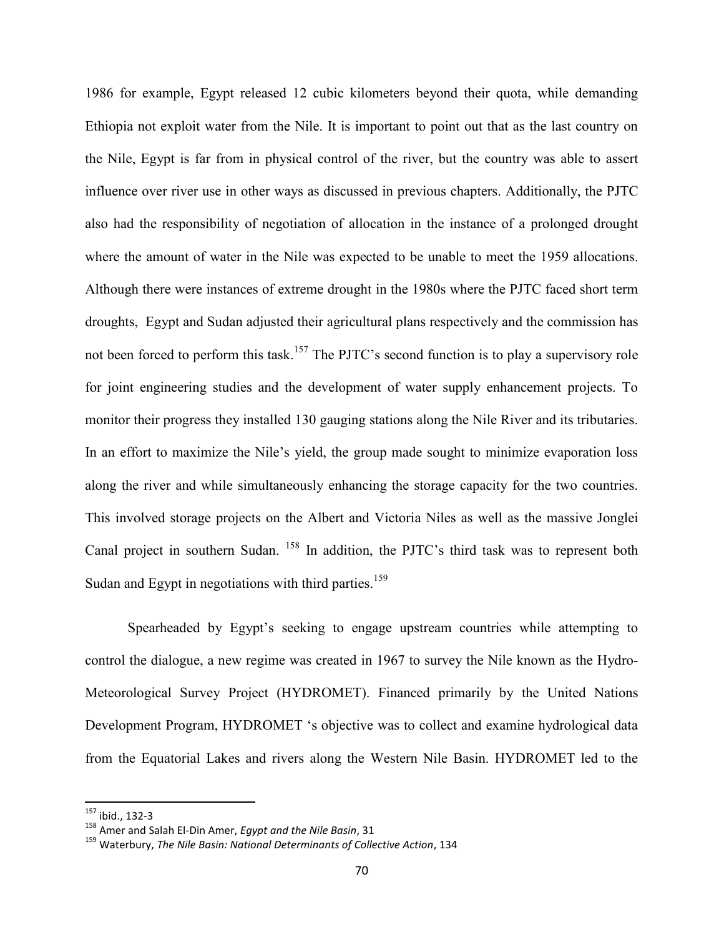1986 for example, Egypt released 12 cubic kilometers beyond their quota, while demanding Ethiopia not exploit water from the Nile. It is important to point out that as the last country on the Nile, Egypt is far from in physical control of the river, but the country was able to assert influence over river use in other ways as discussed in previous chapters. Additionally, the PJTC also had the responsibility of negotiation of allocation in the instance of a prolonged drought where the amount of water in the Nile was expected to be unable to meet the 1959 allocations. Although there were instances of extreme drought in the 1980s where the PJTC faced short term droughts, Egypt and Sudan adjusted their agricultural plans respectively and the commission has not been forced to perform this task.<sup>157</sup> The PJTC's second function is to play a supervisory role for joint engineering studies and the development of water supply enhancement projects. To monitor their progress they installed 130 gauging stations along the Nile River and its tributaries. In an effort to maximize the Nile's yield, the group made sought to minimize evaporation loss along the river and while simultaneously enhancing the storage capacity for the two countries. This involved storage projects on the Albert and Victoria Niles as well as the massive Jonglei Canal project in southern Sudan. <sup>158</sup> In addition, the PJTC's third task was to represent both Sudan and Egypt in negotiations with third parties.<sup>159</sup>

Spearheaded by Egypt's seeking to engage upstream countries while attempting to control the dialogue, a new regime was created in 1967 to survey the Nile known as the Hydro-Meteorological Survey Project (HYDROMET). Financed primarily by the United Nations Development Program, HYDROMET 's objective was to collect and examine hydrological data from the Equatorial Lakes and rivers along the Western Nile Basin. HYDROMET led to the

<sup>157</sup> ibid., 132-3

<sup>158</sup> Amer and Salah El-Din Amer, *Egypt and the Nile Basin*, 31

<sup>159</sup> Waterbury, *The Nile Basin: National Determinants of Collective Action*, 134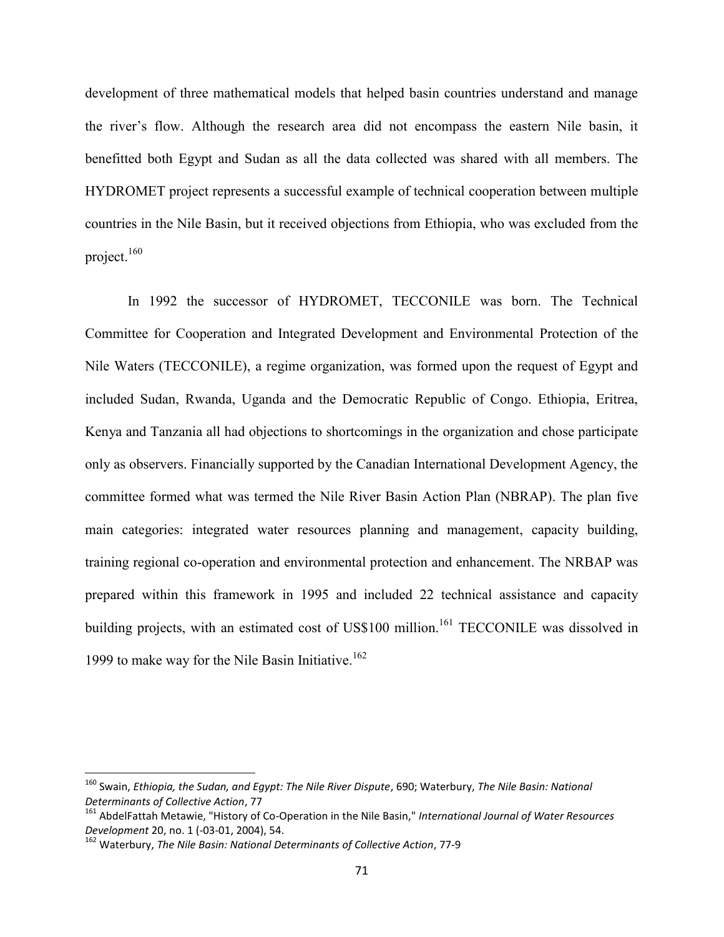development of three mathematical models that helped basin countries understand and manage the river's flow. Although the research area did not encompass the eastern Nile basin, it benefitted both Egypt and Sudan as all the data collected was shared with all members. The HYDROMET project represents a successful example of technical cooperation between multiple countries in the Nile Basin, but it received objections from Ethiopia, who was excluded from the project.<sup>160</sup>

In 1992 the successor of HYDROMET, TECCONILE was born. The Technical Committee for Cooperation and Integrated Development and Environmental Protection of the Nile Waters (TECCONILE), a regime organization, was formed upon the request of Egypt and included Sudan, Rwanda, Uganda and the Democratic Republic of Congo. Ethiopia, Eritrea, Kenya and Tanzania all had objections to shortcomings in the organization and chose participate only as observers. Financially supported by the Canadian International Development Agency, the committee formed what was termed the Nile River Basin Action Plan (NBRAP). The plan five main categories: integrated water resources planning and management, capacity building, training regional co-operation and environmental protection and enhancement. The NRBAP was prepared within this framework in 1995 and included 22 technical assistance and capacity building projects, with an estimated cost of US\$100 million.<sup>161</sup> TECCONILE was dissolved in 1999 to make way for the Nile Basin Initiative. 162

<sup>160</sup> Swain, *Ethiopia, the Sudan, and Egypt: The Nile River Dispute*, 690; Waterbury, *The Nile Basin: National Determinants of Collective Action*, 77

<sup>161</sup> AbdelFattah Metawie, "History of Co-Operation in the Nile Basin," *International Journal of Water Resources Development* 20, no. 1 (-03-01, 2004), 54.

<sup>162</sup> Waterbury, *The Nile Basin: National Determinants of Collective Action*, 77-9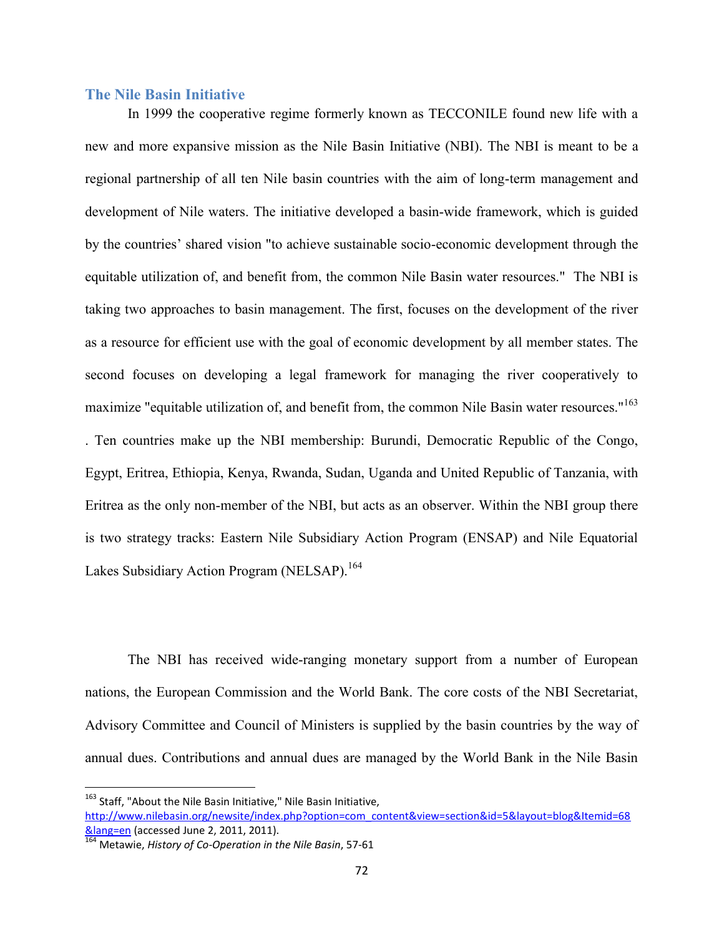#### **The Nile Basin Initiative**

In 1999 the cooperative regime formerly known as TECCONILE found new life with a new and more expansive mission as the Nile Basin Initiative (NBI). The NBI is meant to be a regional partnership of all ten Nile basin countries with the aim of long-term management and development of Nile waters. The initiative developed a basin-wide framework, which is guided by the countries' shared vision "to achieve sustainable socio-economic development through the equitable utilization of, and benefit from, the common Nile Basin water resources." The NBI is taking two approaches to basin management. The first, focuses on the development of the river as a resource for efficient use with the goal of economic development by all member states. The second focuses on developing a legal framework for managing the river cooperatively to maximize "equitable utilization of, and benefit from, the common Nile Basin water resources."<sup>163</sup> . Ten countries make up the NBI membership: Burundi, Democratic Republic of the Congo, Egypt, Eritrea, Ethiopia, Kenya, Rwanda, Sudan, Uganda and United Republic of Tanzania, with Eritrea as the only non-member of the NBI, but acts as an observer. Within the NBI group there is two strategy tracks: Eastern Nile Subsidiary Action Program (ENSAP) and Nile Equatorial Lakes Subsidiary Action Program (NELSAP).<sup>164</sup>

The NBI has received wide-ranging monetary support from a number of European nations, the European Commission and the World Bank. The core costs of the NBI Secretariat, Advisory Committee and Council of Ministers is supplied by the basin countries by the way of annual dues. Contributions and annual dues are managed by the World Bank in the Nile Basin

<sup>&</sup>lt;sup>163</sup> Staff, "About the Nile Basin Initiative," Nile Basin Initiative,

http://www.nilebasin.org/newsite/index.php?option=com\_content&view=section&id=5&layout=blog&Itemid=68 &lang=en (accessed June 2, 2011, 2011).

<sup>164</sup> Metawie, *History of Co-Operation in the Nile Basin*, 57-61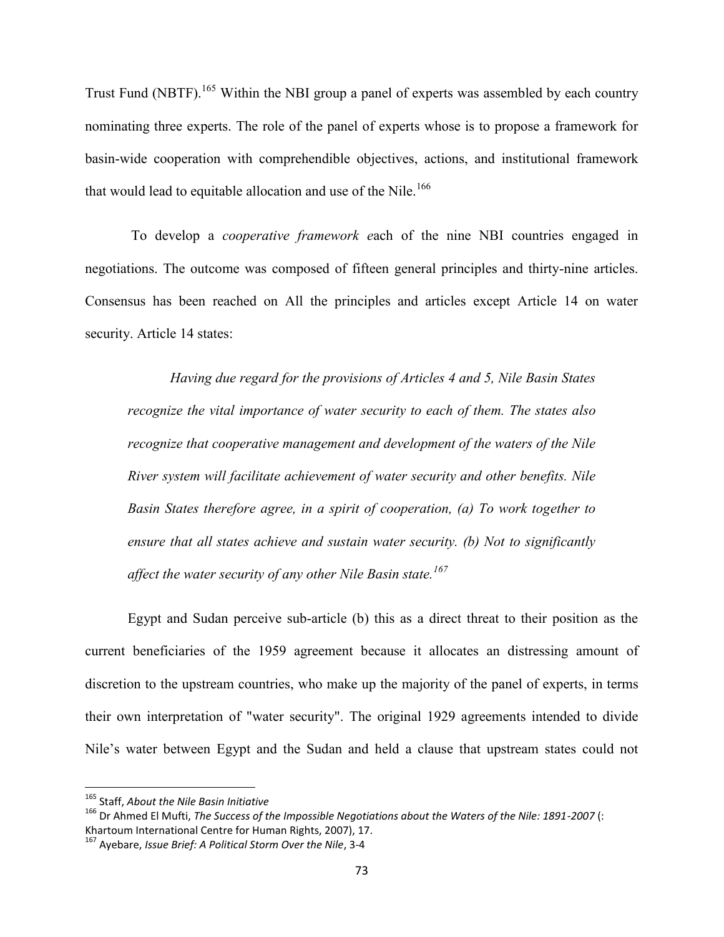Trust Fund (NBTF).<sup>165</sup> Within the NBI group a panel of experts was assembled by each country nominating three experts. The role of the panel of experts whose is to propose a framework for basin-wide cooperation with comprehendible objectives, actions, and institutional framework that would lead to equitable allocation and use of the Nile.<sup>166</sup>

To develop a *cooperative framework e*ach of the nine NBI countries engaged in negotiations. The outcome was composed of fifteen general principles and thirty-nine articles. Consensus has been reached on All the principles and articles except Article 14 on water security. Article 14 states:

*Having due regard for the provisions of Articles 4 and 5, Nile Basin States recognize the vital importance of water security to each of them. The states also recognize that cooperative management and development of the waters of the Nile River system will facilitate achievement of water security and other benefits. Nile Basin States therefore agree, in a spirit of cooperation, (a) To work together to ensure that all states achieve and sustain water security. (b) Not to significantly affect the water security of any other Nile Basin state.<sup>167</sup>*

Egypt and Sudan perceive sub-article (b) this as a direct threat to their position as the current beneficiaries of the 1959 agreement because it allocates an distressing amount of discretion to the upstream countries, who make up the majority of the panel of experts, in terms their own interpretation of "water security". The original 1929 agreements intended to divide Nile's water between Egypt and the Sudan and held a clause that upstream states could not

<sup>165</sup> Staff, *About the Nile Basin Initiative*

<sup>166</sup> Dr Ahmed El Mufti, *The Success of the Impossible Negotiations about the Waters of the Nile: 1891-2007* (: Khartoum International Centre for Human Rights, 2007), 17.

<sup>167</sup> Ayebare, *Issue Brief: A Political Storm Over the Nile*, 3-4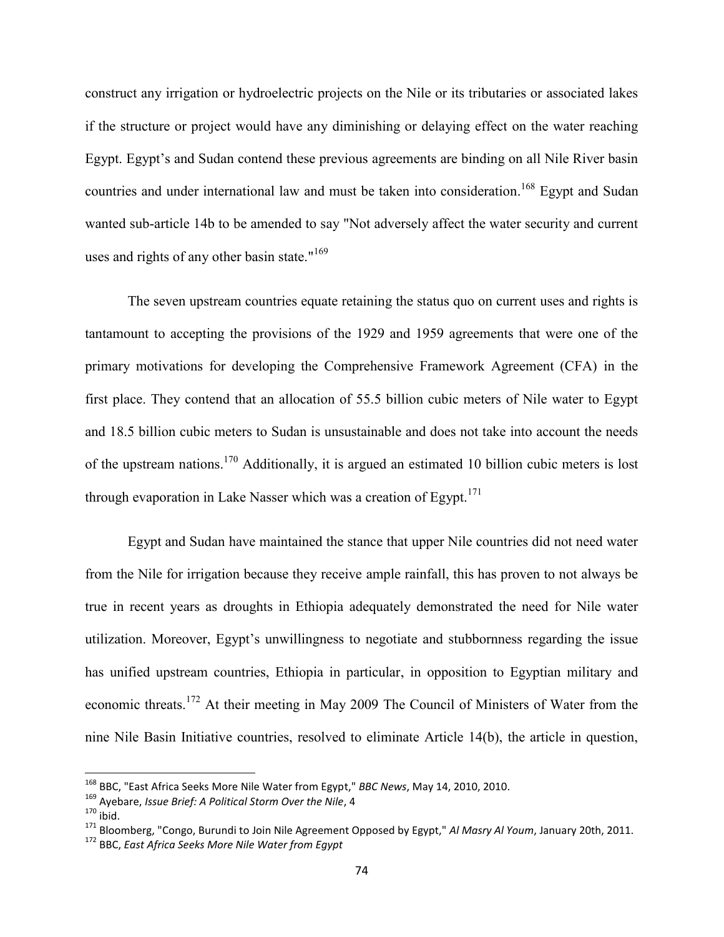construct any irrigation or hydroelectric projects on the Nile or its tributaries or associated lakes if the structure or project would have any diminishing or delaying effect on the water reaching Egypt. Egypt's and Sudan contend these previous agreements are binding on all Nile River basin countries and under international law and must be taken into consideration.<sup>168</sup> Egypt and Sudan wanted sub-article 14b to be amended to say "Not adversely affect the water security and current uses and rights of any other basin state."<sup>169</sup>

The seven upstream countries equate retaining the status quo on current uses and rights is tantamount to accepting the provisions of the 1929 and 1959 agreements that were one of the primary motivations for developing the Comprehensive Framework Agreement (CFA) in the first place. They contend that an allocation of 55.5 billion cubic meters of Nile water to Egypt and 18.5 billion cubic meters to Sudan is unsustainable and does not take into account the needs of the upstream nations.<sup>170</sup> Additionally, it is argued an estimated 10 billion cubic meters is lost through evaporation in Lake Nasser which was a creation of  $E$ gypt.<sup>171</sup>

Egypt and Sudan have maintained the stance that upper Nile countries did not need water from the Nile for irrigation because they receive ample rainfall, this has proven to not always be true in recent years as droughts in Ethiopia adequately demonstrated the need for Nile water utilization. Moreover, Egypt's unwillingness to negotiate and stubbornness regarding the issue has unified upstream countries, Ethiopia in particular, in opposition to Egyptian military and economic threats.<sup>172</sup> At their meeting in May 2009 The Council of Ministers of Water from the nine Nile Basin Initiative countries, resolved to eliminate Article 14(b), the article in question,

<sup>168</sup> BBC, "East Africa Seeks More Nile Water from Egypt," *BBC News*, May 14, 2010, 2010.

<sup>169</sup> Ayebare, *Issue Brief: A Political Storm Over the Nile*, 4

 $170$  ibid.

<sup>171</sup> Bloomberg, "Congo, Burundi to Join Nile Agreement Opposed by Egypt," *Al Masry Al Youm*, January 20th, 2011.

<sup>172</sup> BBC, *East Africa Seeks More Nile Water from Egypt*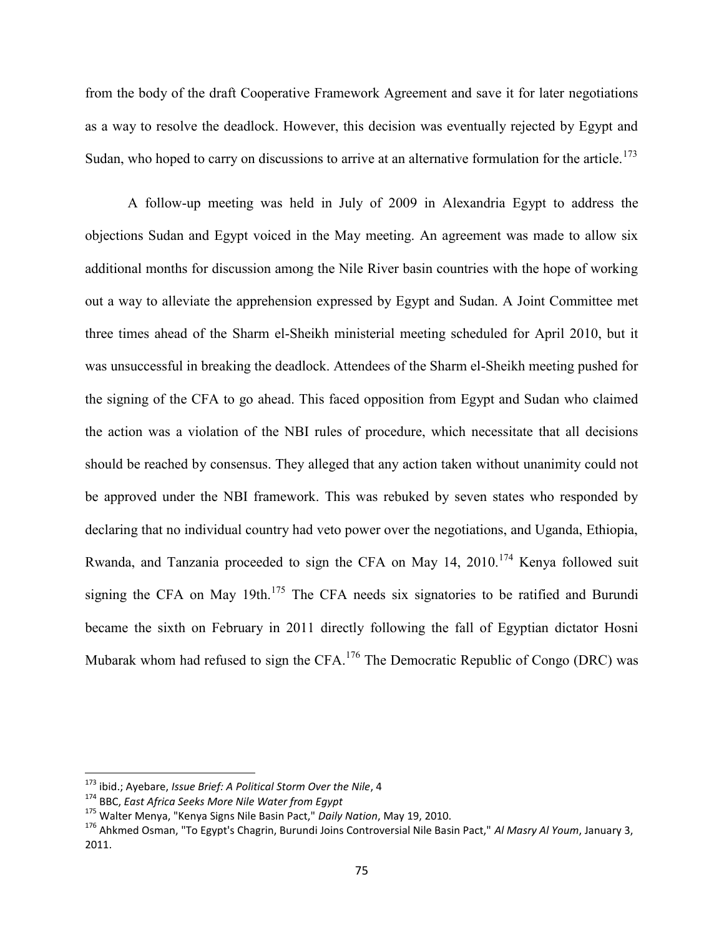from the body of the draft Cooperative Framework Agreement and save it for later negotiations as a way to resolve the deadlock. However, this decision was eventually rejected by Egypt and Sudan, who hoped to carry on discussions to arrive at an alternative formulation for the article.<sup>173</sup>

A follow-up meeting was held in July of 2009 in Alexandria Egypt to address the objections Sudan and Egypt voiced in the May meeting. An agreement was made to allow six additional months for discussion among the Nile River basin countries with the hope of working out a way to alleviate the apprehension expressed by Egypt and Sudan. A Joint Committee met three times ahead of the Sharm el-Sheikh ministerial meeting scheduled for April 2010, but it was unsuccessful in breaking the deadlock. Attendees of the Sharm el-Sheikh meeting pushed for the signing of the CFA to go ahead. This faced opposition from Egypt and Sudan who claimed the action was a violation of the NBI rules of procedure, which necessitate that all decisions should be reached by consensus. They alleged that any action taken without unanimity could not be approved under the NBI framework. This was rebuked by seven states who responded by declaring that no individual country had veto power over the negotiations, and Uganda, Ethiopia, Rwanda, and Tanzania proceeded to sign the CFA on May 14, 2010.<sup>174</sup> Kenya followed suit signing the CFA on May 19th.<sup>175</sup> The CFA needs six signatories to be ratified and Burundi became the sixth on February in 2011 directly following the fall of Egyptian dictator Hosni Mubarak whom had refused to sign the CFA.<sup>176</sup> The Democratic Republic of Congo (DRC) was

<sup>173</sup> ibid.; Ayebare, *Issue Brief: A Political Storm Over the Nile*, 4

<sup>174</sup> BBC, *East Africa Seeks More Nile Water from Egypt*

<sup>175</sup> Walter Menya, "Kenya Signs Nile Basin Pact," *Daily Nation*, May 19, 2010.

<sup>176</sup> Ahkmed Osman, "To Egypt's Chagrin, Burundi Joins Controversial Nile Basin Pact," *Al Masry Al Youm*, January 3, 2011.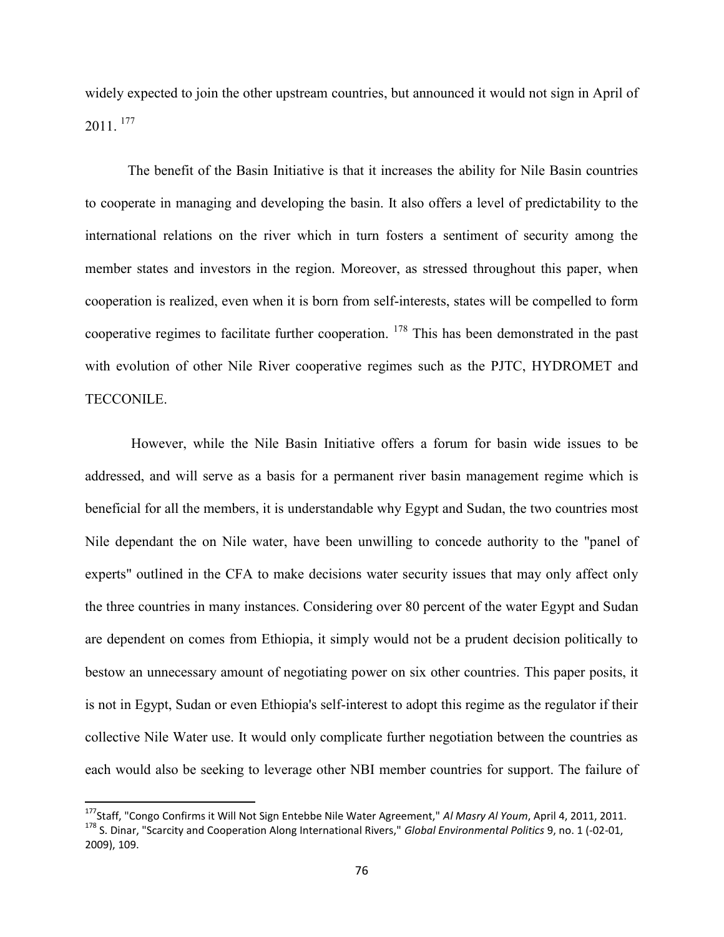widely expected to join the other upstream countries, but announced it would not sign in April of  $2011.$ <sup>177</sup>

The benefit of the Basin Initiative is that it increases the ability for Nile Basin countries to cooperate in managing and developing the basin. It also offers a level of predictability to the international relations on the river which in turn fosters a sentiment of security among the member states and investors in the region. Moreover, as stressed throughout this paper, when cooperation is realized, even when it is born from self-interests, states will be compelled to form cooperative regimes to facilitate further cooperation. <sup>178</sup> This has been demonstrated in the past with evolution of other Nile River cooperative regimes such as the PJTC, HYDROMET and TECCONILE.

However, while the Nile Basin Initiative offers a forum for basin wide issues to be addressed, and will serve as a basis for a permanent river basin management regime which is beneficial for all the members, it is understandable why Egypt and Sudan, the two countries most Nile dependant the on Nile water, have been unwilling to concede authority to the "panel of experts" outlined in the CFA to make decisions water security issues that may only affect only the three countries in many instances. Considering over 80 percent of the water Egypt and Sudan are dependent on comes from Ethiopia, it simply would not be a prudent decision politically to bestow an unnecessary amount of negotiating power on six other countries. This paper posits, it is not in Egypt, Sudan or even Ethiopia's self-interest to adopt this regime as the regulator if their collective Nile Water use. It would only complicate further negotiation between the countries as each would also be seeking to leverage other NBI member countries for support. The failure of

<sup>177</sup>Staff, "Congo Confirms it Will Not Sign Entebbe Nile Water Agreement," *Al Masry Al Youm*, April 4, 2011, 2011. <sup>178</sup> S. Dinar, "Scarcity and Cooperation Along International Rivers," *Global Environmental Politics* 9, no. 1 (-02-01, 2009), 109.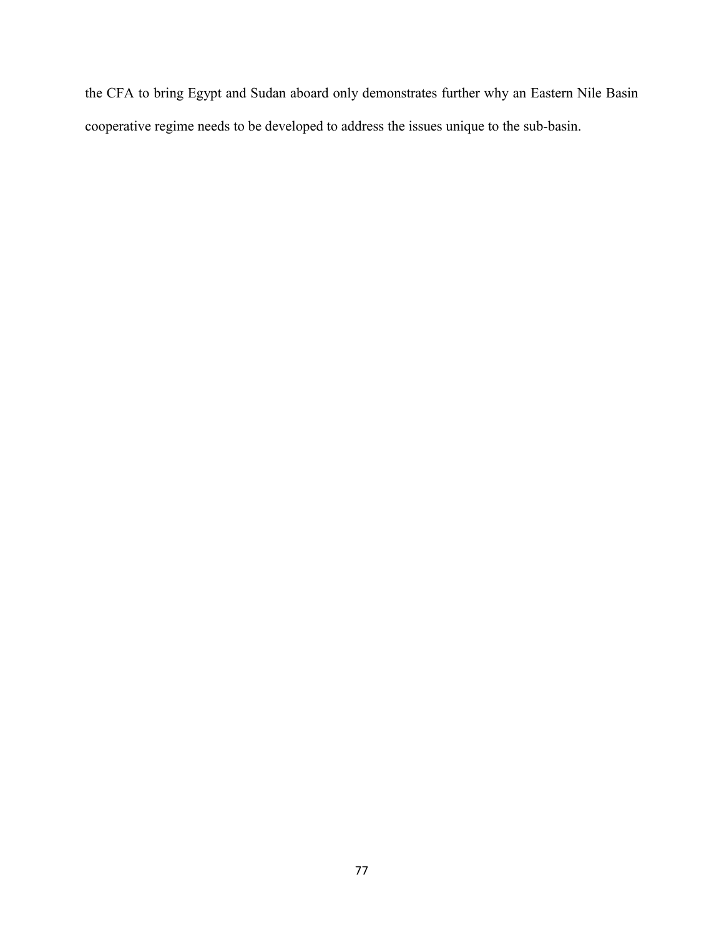the CFA to bring Egypt and Sudan aboard only demonstrates further why an Eastern Nile Basin cooperative regime needs to be developed to address the issues unique to the sub-basin.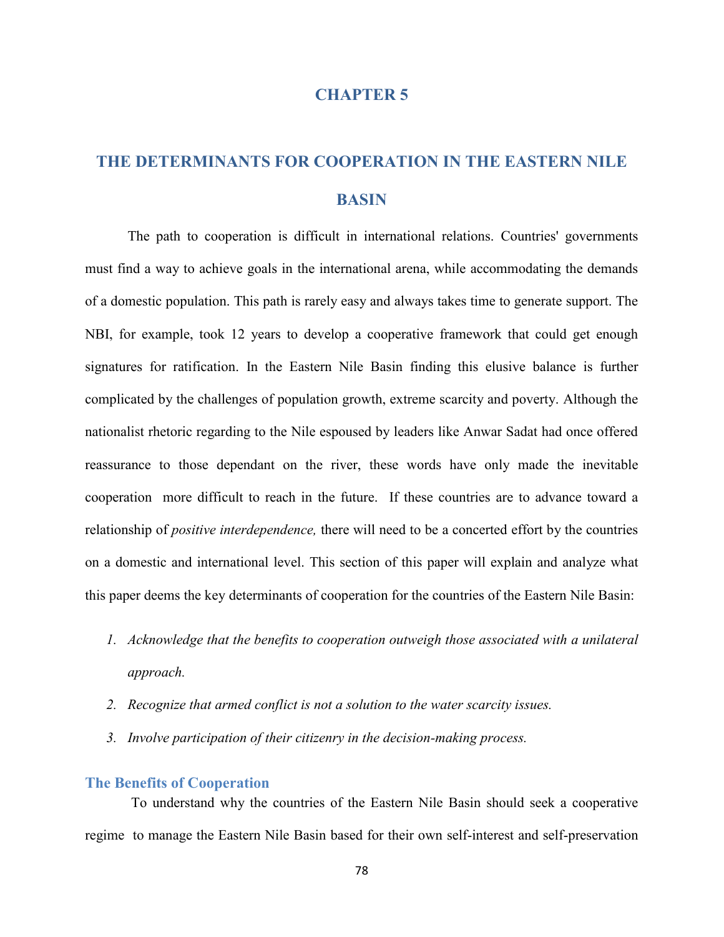## **CHAPTER 5**

# **THE DETERMINANTS FOR COOPERATION IN THE EASTERN NILE BASIN**

The path to cooperation is difficult in international relations. Countries' governments must find a way to achieve goals in the international arena, while accommodating the demands of a domestic population. This path is rarely easy and always takes time to generate support. The NBI, for example, took 12 years to develop a cooperative framework that could get enough signatures for ratification. In the Eastern Nile Basin finding this elusive balance is further complicated by the challenges of population growth, extreme scarcity and poverty. Although the nationalist rhetoric regarding to the Nile espoused by leaders like Anwar Sadat had once offered reassurance to those dependant on the river, these words have only made the inevitable cooperation more difficult to reach in the future. If these countries are to advance toward a relationship of *positive interdependence,* there will need to be a concerted effort by the countries on a domestic and international level. This section of this paper will explain and analyze what this paper deems the key determinants of cooperation for the countries of the Eastern Nile Basin:

- *1. Acknowledge that the benefits to cooperation outweigh those associated with a unilateral approach.*
- *2. Recognize that armed conflict is not a solution to the water scarcity issues.*
- *3. Involve participation of their citizenry in the decision-making process.*

## **The Benefits of Cooperation**

To understand why the countries of the Eastern Nile Basin should seek a cooperative regime to manage the Eastern Nile Basin based for their own self-interest and self-preservation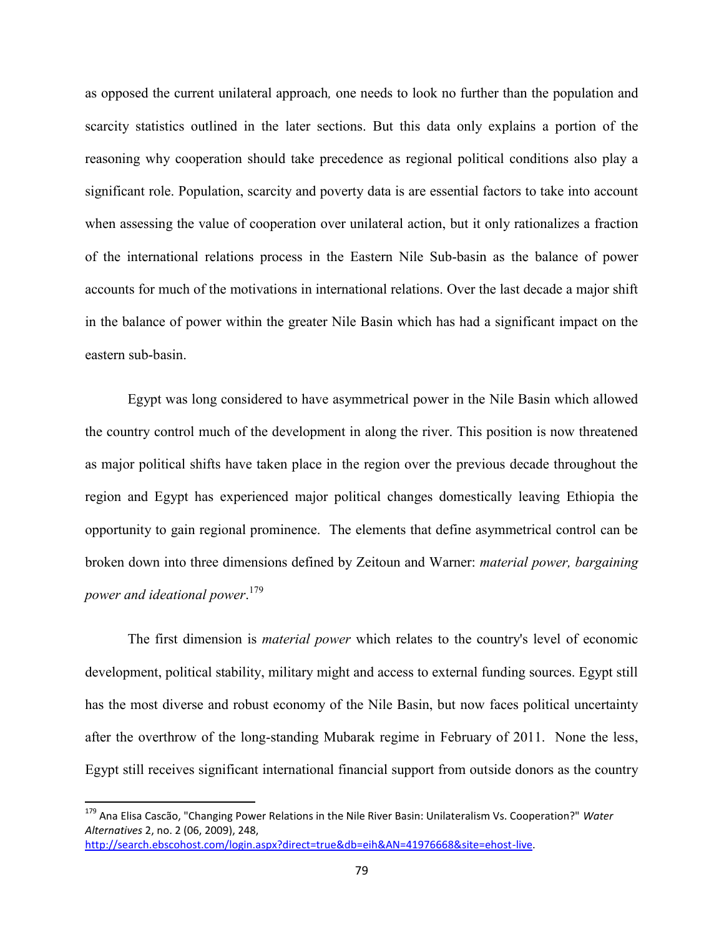as opposed the current unilateral approach*,* one needs to look no further than the population and scarcity statistics outlined in the later sections. But this data only explains a portion of the reasoning why cooperation should take precedence as regional political conditions also play a significant role. Population, scarcity and poverty data is are essential factors to take into account when assessing the value of cooperation over unilateral action, but it only rationalizes a fraction of the international relations process in the Eastern Nile Sub-basin as the balance of power accounts for much of the motivations in international relations. Over the last decade a major shift in the balance of power within the greater Nile Basin which has had a significant impact on the eastern sub-basin.

Egypt was long considered to have asymmetrical power in the Nile Basin which allowed the country control much of the development in along the river. This position is now threatened as major political shifts have taken place in the region over the previous decade throughout the region and Egypt has experienced major political changes domestically leaving Ethiopia the opportunity to gain regional prominence. The elements that define asymmetrical control can be broken down into three dimensions defined by Zeitoun and Warner: *material power, bargaining power and ideational power*. 179

The first dimension is *material power* which relates to the country's level of economic development, political stability, military might and access to external funding sources. Egypt still has the most diverse and robust economy of the Nile Basin, but now faces political uncertainty after the overthrow of the long-standing Mubarak regime in February of 2011. None the less, Egypt still receives significant international financial support from outside donors as the country

<sup>179</sup> Ana Elisa Cascão, "Changing Power Relations in the Nile River Basin: Unilateralism Vs. Cooperation?" *Water Alternatives* 2, no. 2 (06, 2009), 248, http://search.ebscohost.com/login.aspx?direct=true&db=eih&AN=41976668&site=ehost-live.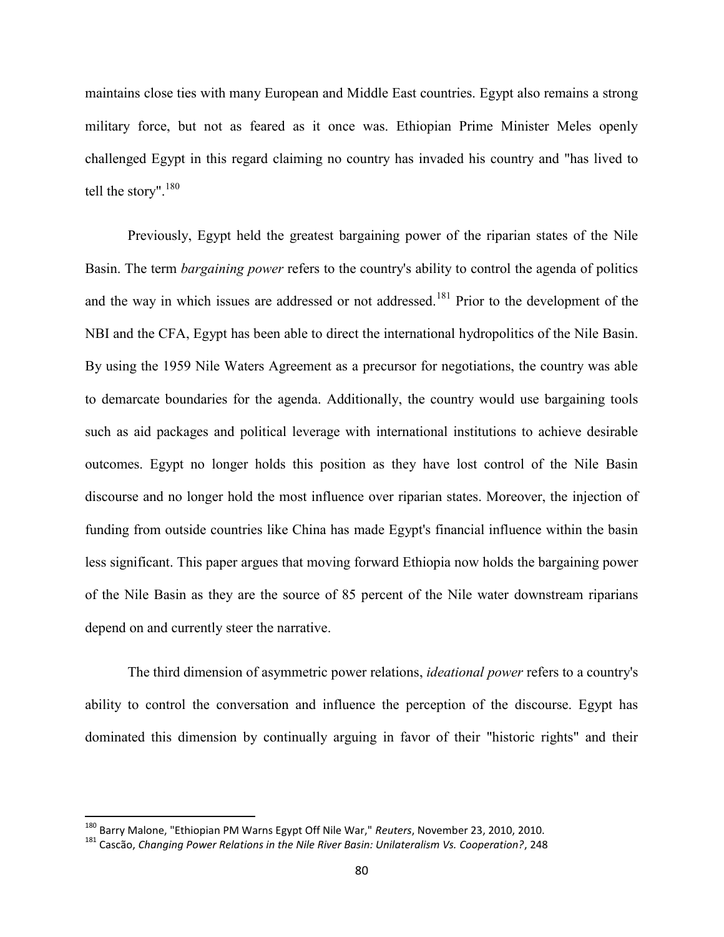maintains close ties with many European and Middle East countries. Egypt also remains a strong military force, but not as feared as it once was. Ethiopian Prime Minister Meles openly challenged Egypt in this regard claiming no country has invaded his country and "has lived to tell the story".<sup>180</sup>

Previously, Egypt held the greatest bargaining power of the riparian states of the Nile Basin. The term *bargaining power* refers to the country's ability to control the agenda of politics and the way in which issues are addressed or not addressed.<sup>181</sup> Prior to the development of the NBI and the CFA, Egypt has been able to direct the international hydropolitics of the Nile Basin. By using the 1959 Nile Waters Agreement as a precursor for negotiations, the country was able to demarcate boundaries for the agenda. Additionally, the country would use bargaining tools such as aid packages and political leverage with international institutions to achieve desirable outcomes. Egypt no longer holds this position as they have lost control of the Nile Basin discourse and no longer hold the most influence over riparian states. Moreover, the injection of funding from outside countries like China has made Egypt's financial influence within the basin less significant. This paper argues that moving forward Ethiopia now holds the bargaining power of the Nile Basin as they are the source of 85 percent of the Nile water downstream riparians depend on and currently steer the narrative.

The third dimension of asymmetric power relations, *ideational power* refers to a country's ability to control the conversation and influence the perception of the discourse. Egypt has dominated this dimension by continually arguing in favor of their "historic rights" and their

<sup>180</sup> Barry Malone, "Ethiopian PM Warns Egypt Off Nile War," *Reuters*, November 23, 2010, 2010.

<sup>181</sup> Cascão, *Changing Power Relations in the Nile River Basin: Unilateralism Vs. Cooperation?*, 248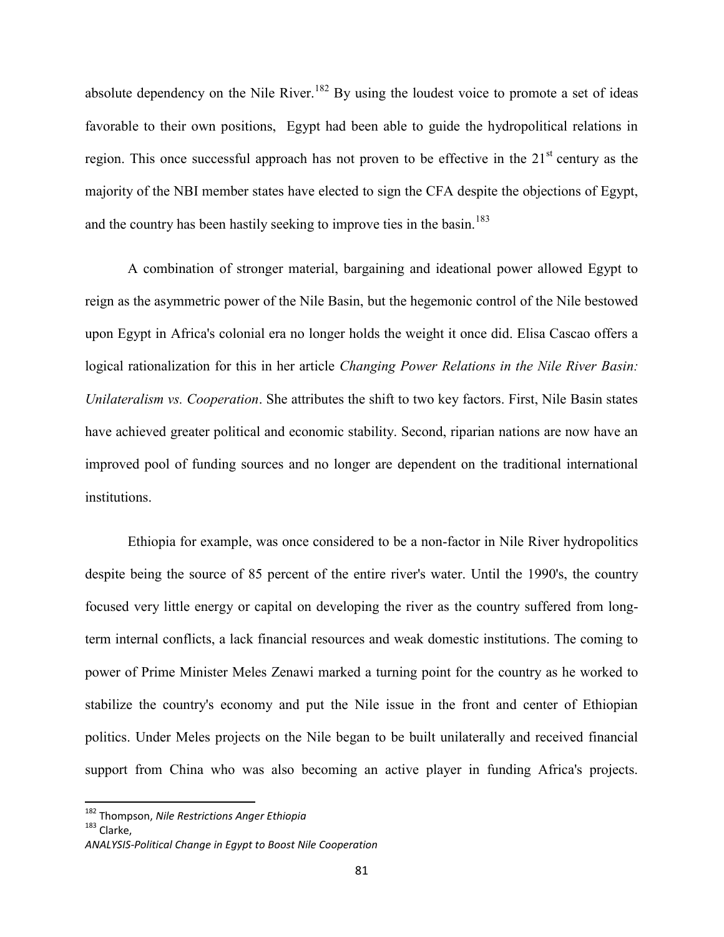absolute dependency on the Nile River.<sup>182</sup> By using the loudest voice to promote a set of ideas favorable to their own positions, Egypt had been able to guide the hydropolitical relations in region. This once successful approach has not proven to be effective in the  $21<sup>st</sup>$  century as the majority of the NBI member states have elected to sign the CFA despite the objections of Egypt, and the country has been hastily seeking to improve ties in the basin.<sup>183</sup>

A combination of stronger material, bargaining and ideational power allowed Egypt to reign as the asymmetric power of the Nile Basin, but the hegemonic control of the Nile bestowed upon Egypt in Africa's colonial era no longer holds the weight it once did. Elisa Cascao offers a logical rationalization for this in her article *Changing Power Relations in the Nile River Basin: Unilateralism vs. Cooperation*. She attributes the shift to two key factors. First, Nile Basin states have achieved greater political and economic stability. Second, riparian nations are now have an improved pool of funding sources and no longer are dependent on the traditional international institutions.

Ethiopia for example, was once considered to be a non-factor in Nile River hydropolitics despite being the source of 85 percent of the entire river's water. Until the 1990's, the country focused very little energy or capital on developing the river as the country suffered from longterm internal conflicts, a lack financial resources and weak domestic institutions. The coming to power of Prime Minister Meles Zenawi marked a turning point for the country as he worked to stabilize the country's economy and put the Nile issue in the front and center of Ethiopian politics. Under Meles projects on the Nile began to be built unilaterally and received financial support from China who was also becoming an active player in funding Africa's projects.

<sup>182</sup> Thompson, *Nile Restrictions Anger Ethiopia*

<sup>183</sup> Clarke,

*ANALYSIS-Political Change in Egypt to Boost Nile Cooperation*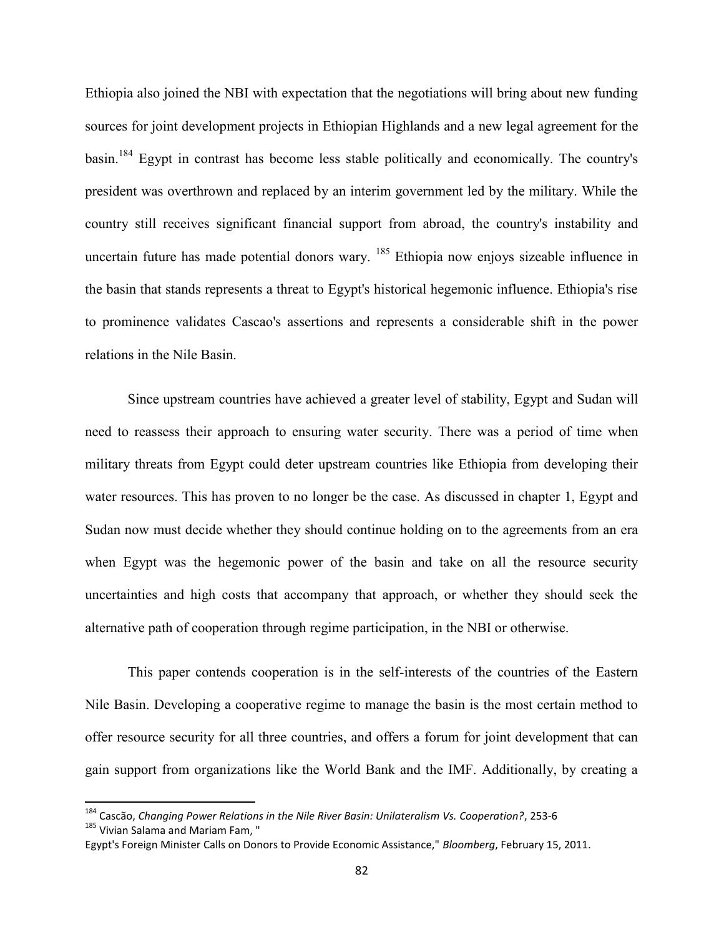Ethiopia also joined the NBI with expectation that the negotiations will bring about new funding sources for joint development projects in Ethiopian Highlands and a new legal agreement for the basin.<sup>184</sup> Egypt in contrast has become less stable politically and economically. The country's president was overthrown and replaced by an interim government led by the military. While the country still receives significant financial support from abroad, the country's instability and uncertain future has made potential donors wary. <sup>185</sup> Ethiopia now enjoys sizeable influence in the basin that stands represents a threat to Egypt's historical hegemonic influence. Ethiopia's rise to prominence validates Cascao's assertions and represents a considerable shift in the power relations in the Nile Basin.

Since upstream countries have achieved a greater level of stability, Egypt and Sudan will need to reassess their approach to ensuring water security. There was a period of time when military threats from Egypt could deter upstream countries like Ethiopia from developing their water resources. This has proven to no longer be the case. As discussed in chapter 1, Egypt and Sudan now must decide whether they should continue holding on to the agreements from an era when Egypt was the hegemonic power of the basin and take on all the resource security uncertainties and high costs that accompany that approach, or whether they should seek the alternative path of cooperation through regime participation, in the NBI or otherwise.

This paper contends cooperation is in the self-interests of the countries of the Eastern Nile Basin. Developing a cooperative regime to manage the basin is the most certain method to offer resource security for all three countries, and offers a forum for joint development that can gain support from organizations like the World Bank and the IMF. Additionally, by creating a

<sup>184</sup> Cascão, *Changing Power Relations in the Nile River Basin: Unilateralism Vs. Cooperation?*, 253-6 <sup>185</sup> Vivian Salama and Mariam Fam, "

Egypt's Foreign Minister Calls on Donors to Provide Economic Assistance," *Bloomberg*, February 15, 2011.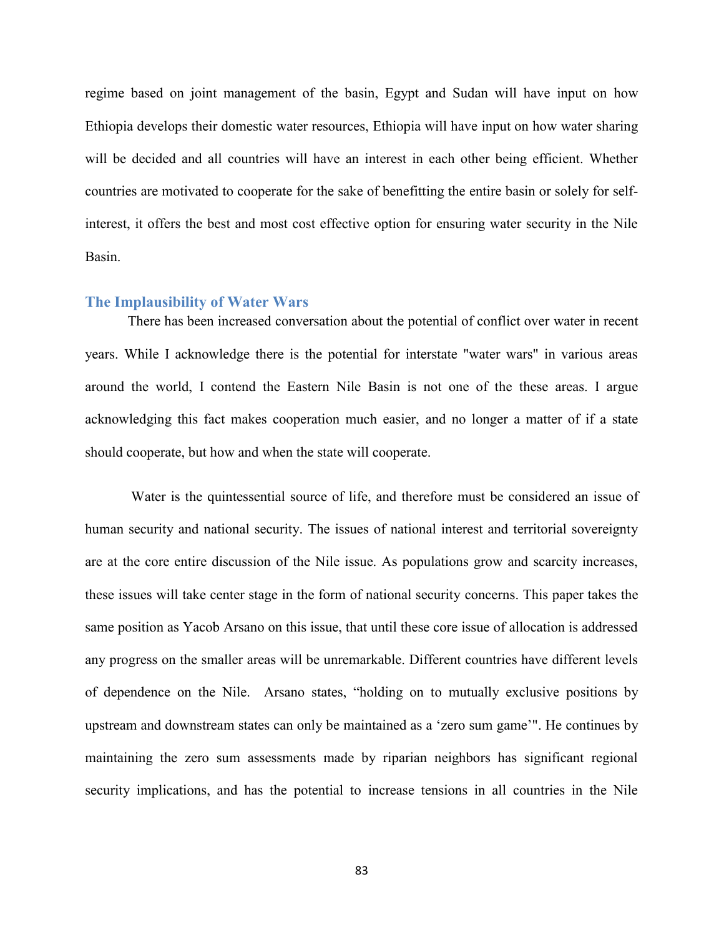regime based on joint management of the basin, Egypt and Sudan will have input on how Ethiopia develops their domestic water resources, Ethiopia will have input on how water sharing will be decided and all countries will have an interest in each other being efficient. Whether countries are motivated to cooperate for the sake of benefitting the entire basin or solely for selfinterest, it offers the best and most cost effective option for ensuring water security in the Nile Basin.

### **The Implausibility of Water Wars**

There has been increased conversation about the potential of conflict over water in recent years. While I acknowledge there is the potential for interstate "water wars" in various areas around the world, I contend the Eastern Nile Basin is not one of the these areas. I argue acknowledging this fact makes cooperation much easier, and no longer a matter of if a state should cooperate, but how and when the state will cooperate.

Water is the quintessential source of life, and therefore must be considered an issue of human security and national security. The issues of national interest and territorial sovereignty are at the core entire discussion of the Nile issue. As populations grow and scarcity increases, these issues will take center stage in the form of national security concerns. This paper takes the same position as Yacob Arsano on this issue, that until these core issue of allocation is addressed any progress on the smaller areas will be unremarkable. Different countries have different levels of dependence on the Nile. Arsano states, "holding on to mutually exclusive positions by upstream and downstream states can only be maintained as a 'zero sum game'". He continues by maintaining the zero sum assessments made by riparian neighbors has significant regional security implications, and has the potential to increase tensions in all countries in the Nile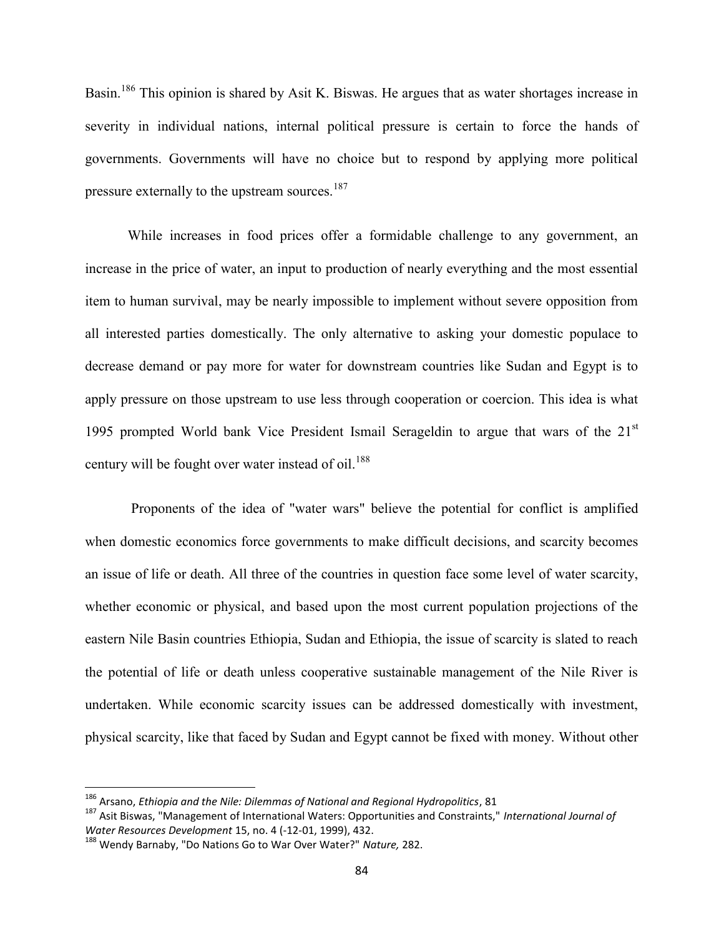Basin.<sup>186</sup> This opinion is shared by Asit K. Biswas. He argues that as water shortages increase in severity in individual nations, internal political pressure is certain to force the hands of governments. Governments will have no choice but to respond by applying more political pressure externally to the upstream sources.<sup>187</sup>

While increases in food prices offer a formidable challenge to any government, an increase in the price of water, an input to production of nearly everything and the most essential item to human survival, may be nearly impossible to implement without severe opposition from all interested parties domestically. The only alternative to asking your domestic populace to decrease demand or pay more for water for downstream countries like Sudan and Egypt is to apply pressure on those upstream to use less through cooperation or coercion. This idea is what 1995 prompted World bank Vice President Ismail Serageldin to argue that wars of the 21<sup>st</sup> century will be fought over water instead of oil.<sup>188</sup>

Proponents of the idea of "water wars" believe the potential for conflict is amplified when domestic economics force governments to make difficult decisions, and scarcity becomes an issue of life or death. All three of the countries in question face some level of water scarcity, whether economic or physical, and based upon the most current population projections of the eastern Nile Basin countries Ethiopia, Sudan and Ethiopia, the issue of scarcity is slated to reach the potential of life or death unless cooperative sustainable management of the Nile River is undertaken. While economic scarcity issues can be addressed domestically with investment, physical scarcity, like that faced by Sudan and Egypt cannot be fixed with money. Without other

<sup>186</sup> Arsano, *Ethiopia and the Nile: Dilemmas of National and Regional Hydropolitics*, 81

<sup>187</sup> Asit Biswas, "Management of International Waters: Opportunities and Constraints," *International Journal of Water Resources Development* 15, no. 4 (-12-01, 1999), 432.

<sup>188</sup> Wendy Barnaby, "Do Nations Go to War Over Water?" *Nature,* 282.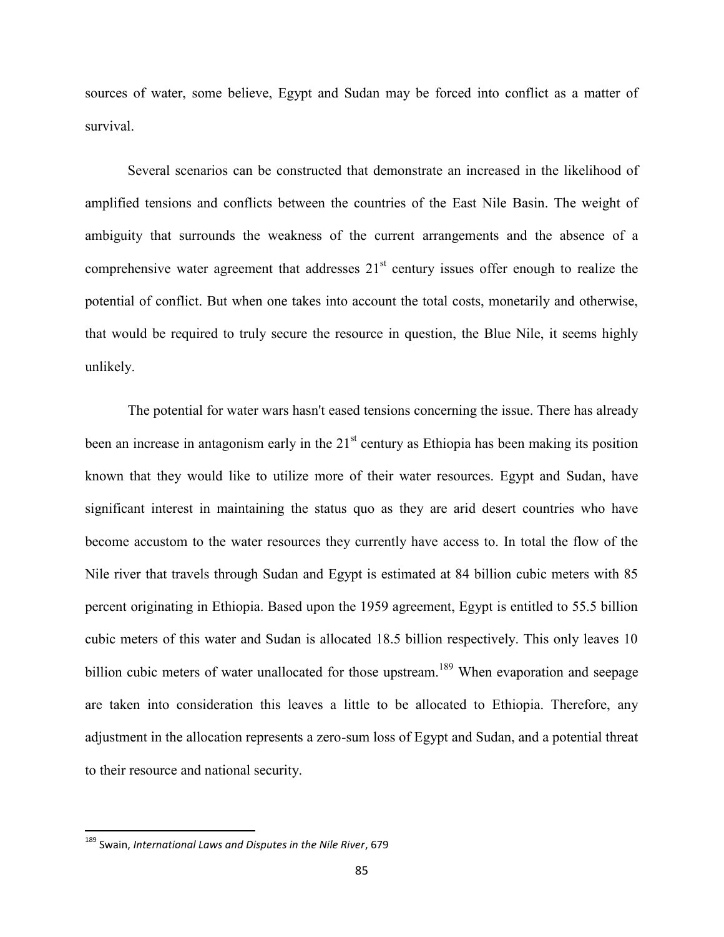sources of water, some believe, Egypt and Sudan may be forced into conflict as a matter of survival.

Several scenarios can be constructed that demonstrate an increased in the likelihood of amplified tensions and conflicts between the countries of the East Nile Basin. The weight of ambiguity that surrounds the weakness of the current arrangements and the absence of a comprehensive water agreement that addresses  $21<sup>st</sup>$  century issues offer enough to realize the potential of conflict. But when one takes into account the total costs, monetarily and otherwise, that would be required to truly secure the resource in question, the Blue Nile, it seems highly unlikely.

The potential for water wars hasn't eased tensions concerning the issue. There has already been an increase in antagonism early in the  $21<sup>st</sup>$  century as Ethiopia has been making its position known that they would like to utilize more of their water resources. Egypt and Sudan, have significant interest in maintaining the status quo as they are arid desert countries who have become accustom to the water resources they currently have access to. In total the flow of the Nile river that travels through Sudan and Egypt is estimated at 84 billion cubic meters with 85 percent originating in Ethiopia. Based upon the 1959 agreement, Egypt is entitled to 55.5 billion cubic meters of this water and Sudan is allocated 18.5 billion respectively. This only leaves 10 billion cubic meters of water unallocated for those upstream.<sup>189</sup> When evaporation and seepage are taken into consideration this leaves a little to be allocated to Ethiopia. Therefore, any adjustment in the allocation represents a zero-sum loss of Egypt and Sudan, and a potential threat to their resource and national security.

<sup>189</sup> Swain, *International Laws and Disputes in the Nile River*, 679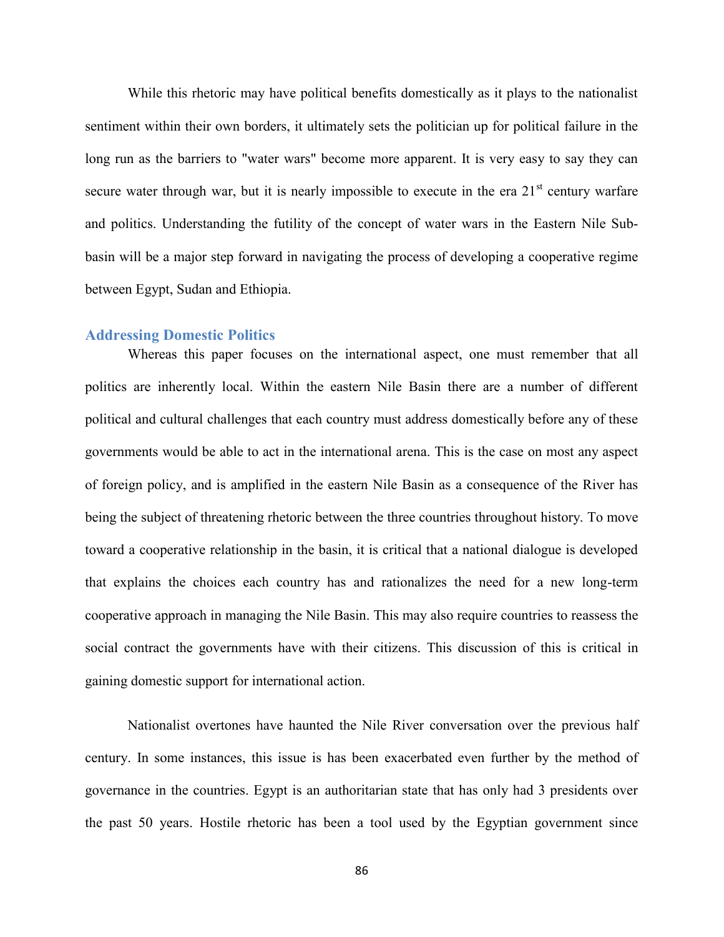While this rhetoric may have political benefits domestically as it plays to the nationalist sentiment within their own borders, it ultimately sets the politician up for political failure in the long run as the barriers to "water wars" become more apparent. It is very easy to say they can secure water through war, but it is nearly impossible to execute in the era  $21<sup>st</sup>$  century warfare and politics. Understanding the futility of the concept of water wars in the Eastern Nile Subbasin will be a major step forward in navigating the process of developing a cooperative regime between Egypt, Sudan and Ethiopia.

## **Addressing Domestic Politics**

Whereas this paper focuses on the international aspect, one must remember that all politics are inherently local. Within the eastern Nile Basin there are a number of different political and cultural challenges that each country must address domestically before any of these governments would be able to act in the international arena. This is the case on most any aspect of foreign policy, and is amplified in the eastern Nile Basin as a consequence of the River has being the subject of threatening rhetoric between the three countries throughout history. To move toward a cooperative relationship in the basin, it is critical that a national dialogue is developed that explains the choices each country has and rationalizes the need for a new long-term cooperative approach in managing the Nile Basin. This may also require countries to reassess the social contract the governments have with their citizens. This discussion of this is critical in gaining domestic support for international action.

Nationalist overtones have haunted the Nile River conversation over the previous half century. In some instances, this issue is has been exacerbated even further by the method of governance in the countries. Egypt is an authoritarian state that has only had 3 presidents over the past 50 years. Hostile rhetoric has been a tool used by the Egyptian government since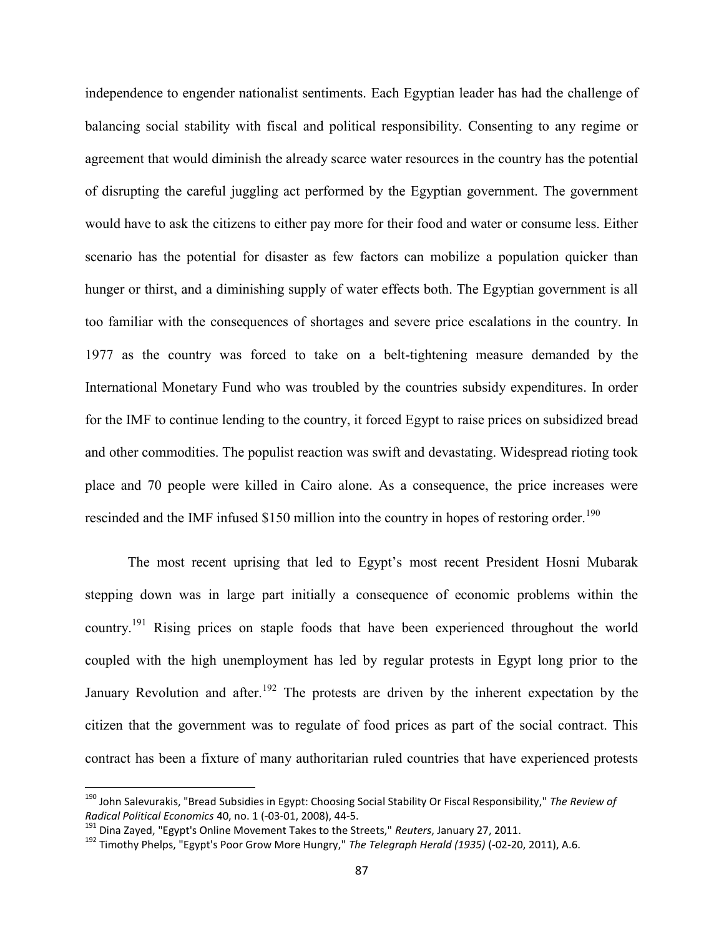independence to engender nationalist sentiments. Each Egyptian leader has had the challenge of balancing social stability with fiscal and political responsibility. Consenting to any regime or agreement that would diminish the already scarce water resources in the country has the potential of disrupting the careful juggling act performed by the Egyptian government. The government would have to ask the citizens to either pay more for their food and water or consume less. Either scenario has the potential for disaster as few factors can mobilize a population quicker than hunger or thirst, and a diminishing supply of water effects both. The Egyptian government is all too familiar with the consequences of shortages and severe price escalations in the country. In 1977 as the country was forced to take on a belt-tightening measure demanded by the International Monetary Fund who was troubled by the countries subsidy expenditures. In order for the IMF to continue lending to the country, it forced Egypt to raise prices on subsidized bread and other commodities. The populist reaction was swift and devastating. Widespread rioting took place and 70 people were killed in Cairo alone. As a consequence, the price increases were rescinded and the IMF infused \$150 million into the country in hopes of restoring order.<sup>190</sup>

The most recent uprising that led to Egypt's most recent President Hosni Mubarak stepping down was in large part initially a consequence of economic problems within the country.<sup>191</sup> Rising prices on staple foods that have been experienced throughout the world coupled with the high unemployment has led by regular protests in Egypt long prior to the January Revolution and after.<sup>192</sup> The protests are driven by the inherent expectation by the citizen that the government was to regulate of food prices as part of the social contract. This contract has been a fixture of many authoritarian ruled countries that have experienced protests

<sup>190</sup> John Salevurakis, "Bread Subsidies in Egypt: Choosing Social Stability Or Fiscal Responsibility," *The Review of Radical Political Economics* 40, no. 1 (-03-01, 2008), 44-5.

<sup>191</sup> Dina Zayed, "Egypt's Online Movement Takes to the Streets," *Reuters*, January 27, 2011.

<sup>192</sup> Timothy Phelps, "Egypt's Poor Grow More Hungry," *The Telegraph Herald (1935)* (-02-20, 2011), A.6.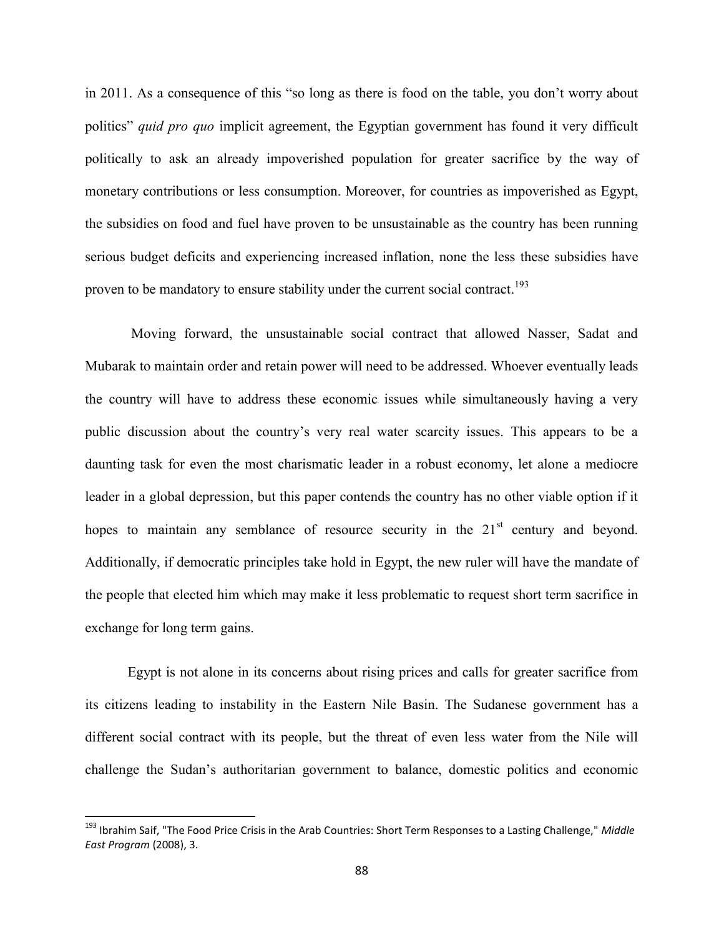in 2011. As a consequence of this "so long as there is food on the table, you don't worry about politics" *quid pro quo* implicit agreement, the Egyptian government has found it very difficult politically to ask an already impoverished population for greater sacrifice by the way of monetary contributions or less consumption. Moreover, for countries as impoverished as Egypt, the subsidies on food and fuel have proven to be unsustainable as the country has been running serious budget deficits and experiencing increased inflation, none the less these subsidies have proven to be mandatory to ensure stability under the current social contract.<sup>193</sup>

Moving forward, the unsustainable social contract that allowed Nasser, Sadat and Mubarak to maintain order and retain power will need to be addressed. Whoever eventually leads the country will have to address these economic issues while simultaneously having a very public discussion about the country's very real water scarcity issues. This appears to be a daunting task for even the most charismatic leader in a robust economy, let alone a mediocre leader in a global depression, but this paper contends the country has no other viable option if it hopes to maintain any semblance of resource security in the  $21<sup>st</sup>$  century and beyond. Additionally, if democratic principles take hold in Egypt, the new ruler will have the mandate of the people that elected him which may make it less problematic to request short term sacrifice in exchange for long term gains.

Egypt is not alone in its concerns about rising prices and calls for greater sacrifice from its citizens leading to instability in the Eastern Nile Basin. The Sudanese government has a different social contract with its people, but the threat of even less water from the Nile will challenge the Sudan's authoritarian government to balance, domestic politics and economic

<sup>193</sup> Ibrahim Saif, "The Food Price Crisis in the Arab Countries: Short Term Responses to a Lasting Challenge," *Middle East Program* (2008), 3.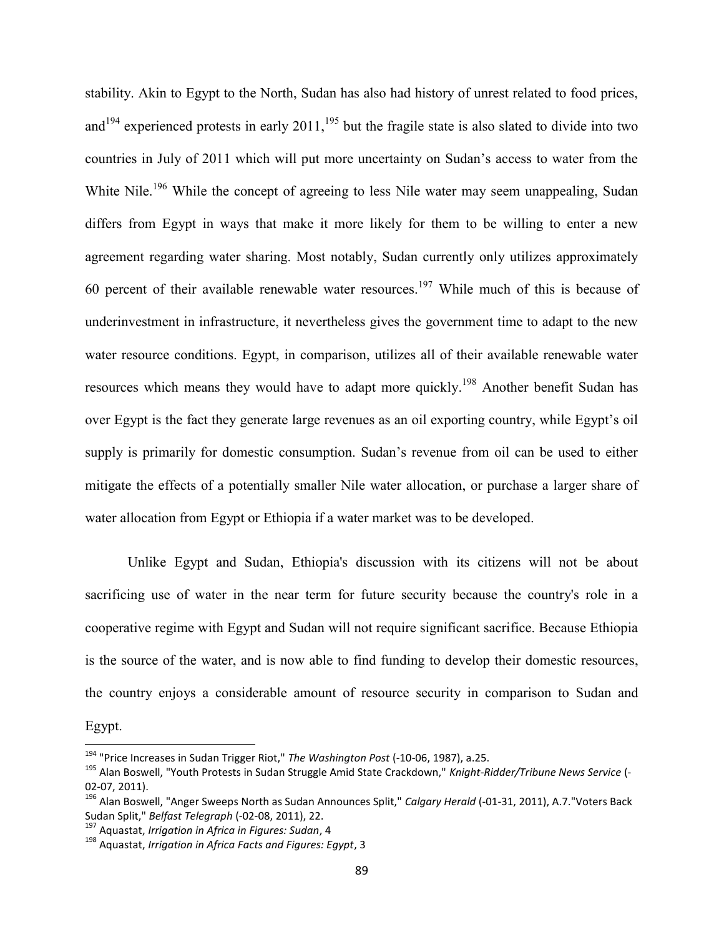stability. Akin to Egypt to the North, Sudan has also had history of unrest related to food prices, and<sup>194</sup> experienced protests in early  $2011$ ,<sup>195</sup> but the fragile state is also slated to divide into two countries in July of 2011 which will put more uncertainty on Sudan's access to water from the White Nile.<sup>196</sup> While the concept of agreeing to less Nile water may seem unappealing, Sudan differs from Egypt in ways that make it more likely for them to be willing to enter a new agreement regarding water sharing. Most notably, Sudan currently only utilizes approximately 60 percent of their available renewable water resources.<sup>197</sup> While much of this is because of underinvestment in infrastructure, it nevertheless gives the government time to adapt to the new water resource conditions. Egypt, in comparison, utilizes all of their available renewable water resources which means they would have to adapt more quickly.<sup>198</sup> Another benefit Sudan has over Egypt is the fact they generate large revenues as an oil exporting country, while Egypt's oil supply is primarily for domestic consumption. Sudan's revenue from oil can be used to either mitigate the effects of a potentially smaller Nile water allocation, or purchase a larger share of water allocation from Egypt or Ethiopia if a water market was to be developed.

Unlike Egypt and Sudan, Ethiopia's discussion with its citizens will not be about sacrificing use of water in the near term for future security because the country's role in a cooperative regime with Egypt and Sudan will not require significant sacrifice. Because Ethiopia is the source of the water, and is now able to find funding to develop their domestic resources, the country enjoys a considerable amount of resource security in comparison to Sudan and

Egypt.

<sup>194</sup> "Price Increases in Sudan Trigger Riot," *The Washington Post* (-10-06, 1987), a.25.

<sup>195</sup> Alan Boswell, "Youth Protests in Sudan Struggle Amid State Crackdown," *Knight-Ridder/Tribune News Service* (- 02-07, 2011).

<sup>&</sup>lt;sup>196</sup> Alan Boswell, "Anger Sweeps North as Sudan Announces Split," *Calgary Herald* (-01-31, 2011), A.7. "Voters Back Sudan Split," *Belfast Telegraph* (-02-08, 2011), 22.

<sup>197</sup> Aquastat, *Irrigation in Africa in Figures: Sudan*, 4

<sup>198</sup> Aquastat, *Irrigation in Africa Facts and Figures: Egypt*, 3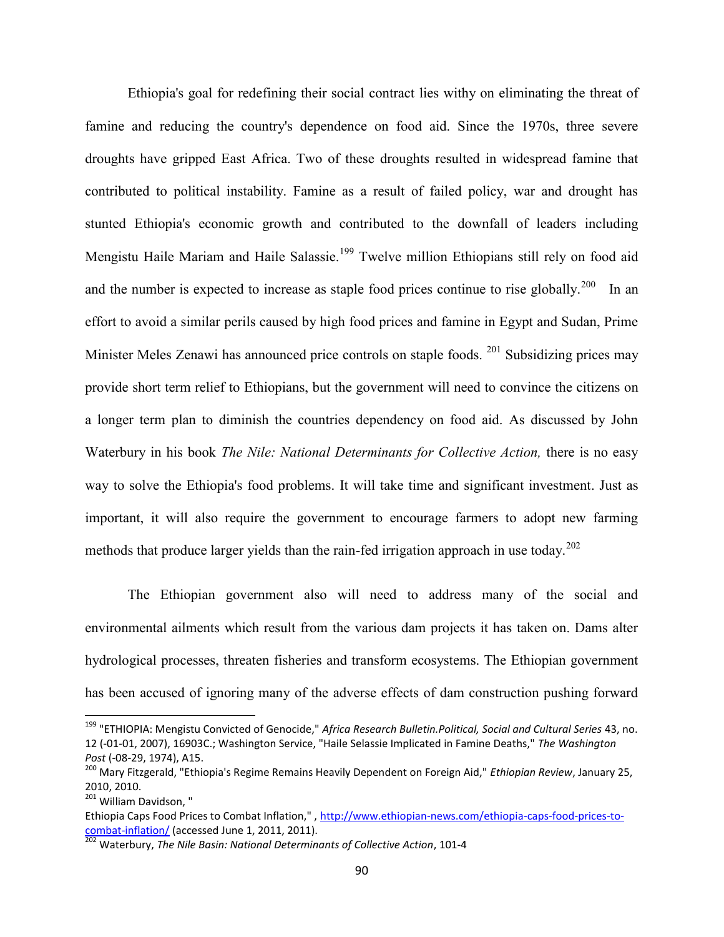Ethiopia's goal for redefining their social contract lies withy on eliminating the threat of famine and reducing the country's dependence on food aid. Since the 1970s, three severe droughts have gripped East Africa. Two of these droughts resulted in widespread famine that contributed to political instability. Famine as a result of failed policy, war and drought has stunted Ethiopia's economic growth and contributed to the downfall of leaders including Mengistu Haile Mariam and Haile Salassie.<sup>199</sup> Twelve million Ethiopians still rely on food aid and the number is expected to increase as staple food prices continue to rise globally.<sup>200</sup> In an effort to avoid a similar perils caused by high food prices and famine in Egypt and Sudan, Prime Minister Meles Zenawi has announced price controls on staple foods. <sup>201</sup> Subsidizing prices may provide short term relief to Ethiopians, but the government will need to convince the citizens on a longer term plan to diminish the countries dependency on food aid. As discussed by John Waterbury in his book *The Nile: National Determinants for Collective Action,* there is no easy way to solve the Ethiopia's food problems. It will take time and significant investment. Just as important, it will also require the government to encourage farmers to adopt new farming methods that produce larger yields than the rain-fed irrigation approach in use today.<sup>202</sup>

The Ethiopian government also will need to address many of the social and environmental ailments which result from the various dam projects it has taken on. Dams alter hydrological processes, threaten fisheries and transform ecosystems. The Ethiopian government has been accused of ignoring many of the adverse effects of dam construction pushing forward

<sup>199</sup> "ETHIOPIA: Mengistu Convicted of Genocide," *Africa Research Bulletin.Political, Social and Cultural Series* 43, no. 12 (-01-01, 2007), 16903C.; Washington Service, "Haile Selassie Implicated in Famine Deaths," *The Washington Post* (-08-29, 1974), A15.

<sup>200</sup> Mary Fitzgerald, "Ethiopia's Regime Remains Heavily Dependent on Foreign Aid," *Ethiopian Review*, January 25, 2010, 2010.

<sup>&</sup>lt;sup>201</sup> William Davidson, "

Ethiopia Caps Food Prices to Combat Inflation,", http://www.ethiopian-news.com/ethiopia-caps-food-prices-tocombat-inflation/ (accessed June 1, 2011, 2011).

<sup>202</sup> Waterbury, *The Nile Basin: National Determinants of Collective Action*, 101-4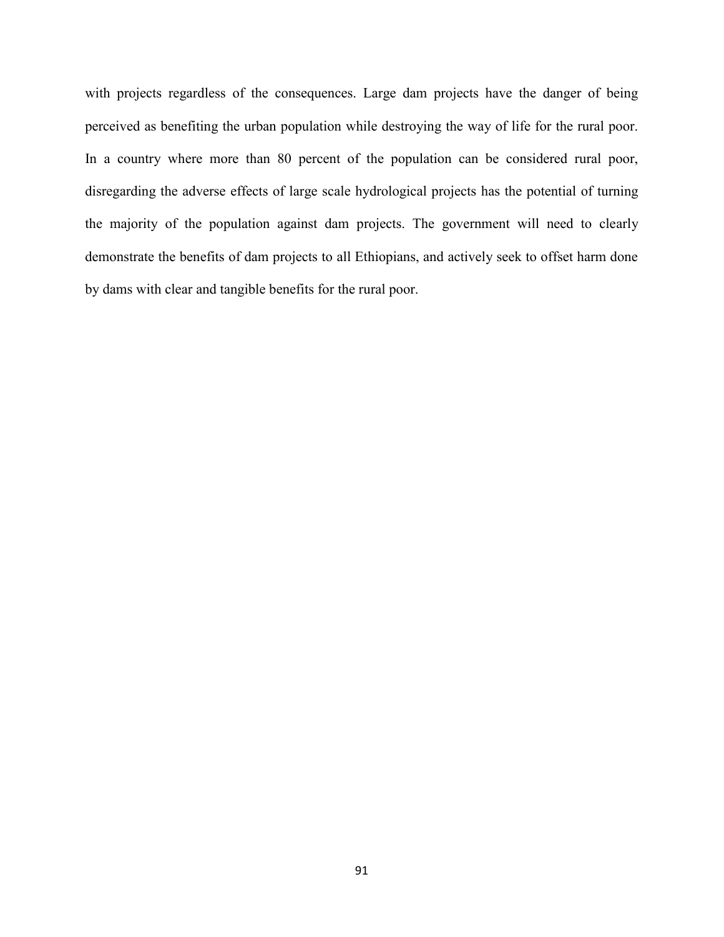with projects regardless of the consequences. Large dam projects have the danger of being perceived as benefiting the urban population while destroying the way of life for the rural poor. In a country where more than 80 percent of the population can be considered rural poor, disregarding the adverse effects of large scale hydrological projects has the potential of turning the majority of the population against dam projects. The government will need to clearly demonstrate the benefits of dam projects to all Ethiopians, and actively seek to offset harm done by dams with clear and tangible benefits for the rural poor.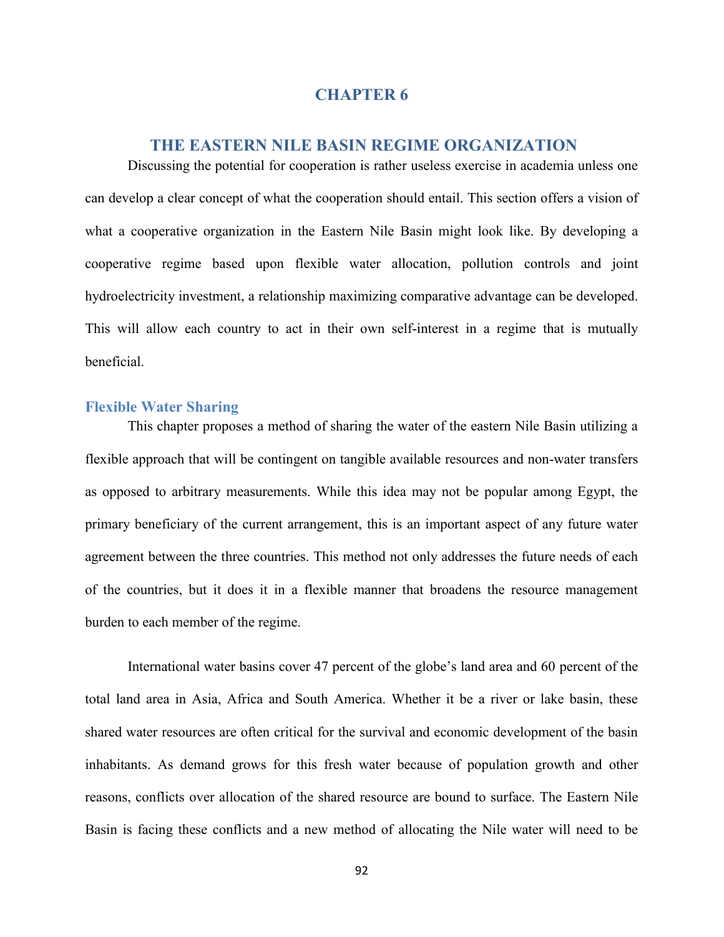## **CHAPTER 6**

## **THE EASTERN NILE BASIN REGIME ORGANIZATION**

Discussing the potential for cooperation is rather useless exercise in academia unless one can develop a clear concept of what the cooperation should entail. This section offers a vision of what a cooperative organization in the Eastern Nile Basin might look like. By developing a cooperative regime based upon flexible water allocation, pollution controls and joint hydroelectricity investment, a relationship maximizing comparative advantage can be developed. This will allow each country to act in their own self-interest in a regime that is mutually beneficial.

### **Flexible Water Sharing**

This chapter proposes a method of sharing the water of the eastern Nile Basin utilizing a flexible approach that will be contingent on tangible available resources and non-water transfers as opposed to arbitrary measurements. While this idea may not be popular among Egypt, the primary beneficiary of the current arrangement, this is an important aspect of any future water agreement between the three countries. This method not only addresses the future needs of each of the countries, but it does it in a flexible manner that broadens the resource management burden to each member of the regime.

International water basins cover 47 percent of the globe's land area and 60 percent of the total land area in Asia, Africa and South America. Whether it be a river or lake basin, these shared water resources are often critical for the survival and economic development of the basin inhabitants. As demand grows for this fresh water because of population growth and other reasons, conflicts over allocation of the shared resource are bound to surface. The Eastern Nile Basin is facing these conflicts and a new method of allocating the Nile water will need to be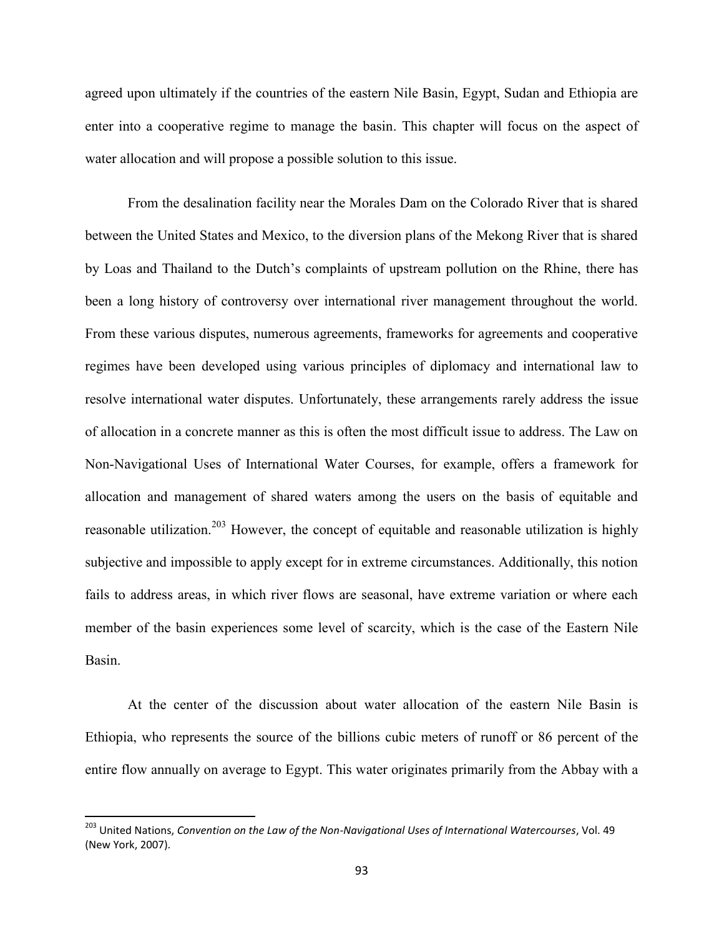agreed upon ultimately if the countries of the eastern Nile Basin, Egypt, Sudan and Ethiopia are enter into a cooperative regime to manage the basin. This chapter will focus on the aspect of water allocation and will propose a possible solution to this issue.

From the desalination facility near the Morales Dam on the Colorado River that is shared between the United States and Mexico, to the diversion plans of the Mekong River that is shared by Loas and Thailand to the Dutch's complaints of upstream pollution on the Rhine, there has been a long history of controversy over international river management throughout the world. From these various disputes, numerous agreements, frameworks for agreements and cooperative regimes have been developed using various principles of diplomacy and international law to resolve international water disputes. Unfortunately, these arrangements rarely address the issue of allocation in a concrete manner as this is often the most difficult issue to address. The Law on Non-Navigational Uses of International Water Courses, for example, offers a framework for allocation and management of shared waters among the users on the basis of equitable and reasonable utilization.<sup>203</sup> However, the concept of equitable and reasonable utilization is highly subjective and impossible to apply except for in extreme circumstances. Additionally, this notion fails to address areas, in which river flows are seasonal, have extreme variation or where each member of the basin experiences some level of scarcity, which is the case of the Eastern Nile Basin.

At the center of the discussion about water allocation of the eastern Nile Basin is Ethiopia, who represents the source of the billions cubic meters of runoff or 86 percent of the entire flow annually on average to Egypt. This water originates primarily from the Abbay with a

<sup>203</sup> United Nations, *Convention on the Law of the Non-Navigational Uses of International Watercourses*, Vol. 49 (New York, 2007).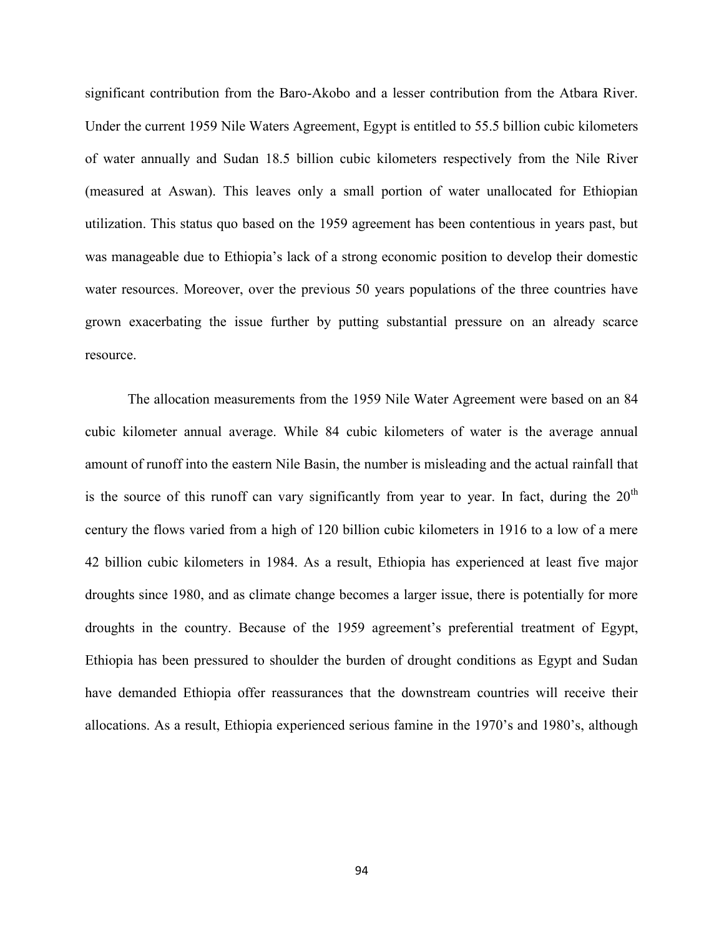significant contribution from the Baro-Akobo and a lesser contribution from the Atbara River. Under the current 1959 Nile Waters Agreement, Egypt is entitled to 55.5 billion cubic kilometers of water annually and Sudan 18.5 billion cubic kilometers respectively from the Nile River (measured at Aswan). This leaves only a small portion of water unallocated for Ethiopian utilization. This status quo based on the 1959 agreement has been contentious in years past, but was manageable due to Ethiopia's lack of a strong economic position to develop their domestic water resources. Moreover, over the previous 50 years populations of the three countries have grown exacerbating the issue further by putting substantial pressure on an already scarce resource.

The allocation measurements from the 1959 Nile Water Agreement were based on an 84 cubic kilometer annual average. While 84 cubic kilometers of water is the average annual amount of runoff into the eastern Nile Basin, the number is misleading and the actual rainfall that is the source of this runoff can vary significantly from year to year. In fact, during the  $20<sup>th</sup>$ century the flows varied from a high of 120 billion cubic kilometers in 1916 to a low of a mere 42 billion cubic kilometers in 1984. As a result, Ethiopia has experienced at least five major droughts since 1980, and as climate change becomes a larger issue, there is potentially for more droughts in the country. Because of the 1959 agreement's preferential treatment of Egypt, Ethiopia has been pressured to shoulder the burden of drought conditions as Egypt and Sudan have demanded Ethiopia offer reassurances that the downstream countries will receive their allocations. As a result, Ethiopia experienced serious famine in the 1970's and 1980's, although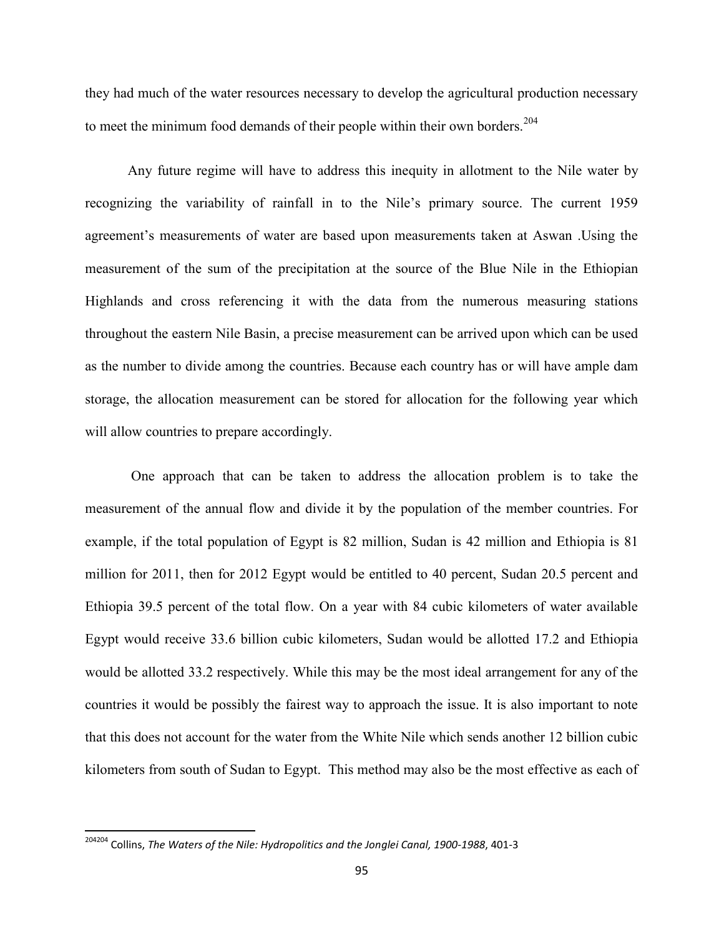they had much of the water resources necessary to develop the agricultural production necessary to meet the minimum food demands of their people within their own borders.<sup>204</sup>

Any future regime will have to address this inequity in allotment to the Nile water by recognizing the variability of rainfall in to the Nile's primary source. The current 1959 agreement's measurements of water are based upon measurements taken at Aswan .Using the measurement of the sum of the precipitation at the source of the Blue Nile in the Ethiopian Highlands and cross referencing it with the data from the numerous measuring stations throughout the eastern Nile Basin, a precise measurement can be arrived upon which can be used as the number to divide among the countries. Because each country has or will have ample dam storage, the allocation measurement can be stored for allocation for the following year which will allow countries to prepare accordingly.

One approach that can be taken to address the allocation problem is to take the measurement of the annual flow and divide it by the population of the member countries. For example, if the total population of Egypt is 82 million, Sudan is 42 million and Ethiopia is 81 million for 2011, then for 2012 Egypt would be entitled to 40 percent, Sudan 20.5 percent and Ethiopia 39.5 percent of the total flow. On a year with 84 cubic kilometers of water available Egypt would receive 33.6 billion cubic kilometers, Sudan would be allotted 17.2 and Ethiopia would be allotted 33.2 respectively. While this may be the most ideal arrangement for any of the countries it would be possibly the fairest way to approach the issue. It is also important to note that this does not account for the water from the White Nile which sends another 12 billion cubic kilometers from south of Sudan to Egypt. This method may also be the most effective as each of

<sup>204204</sup> Collins, *The Waters of the Nile: Hydropolitics and the Jonglei Canal, 1900-1988*, 401-3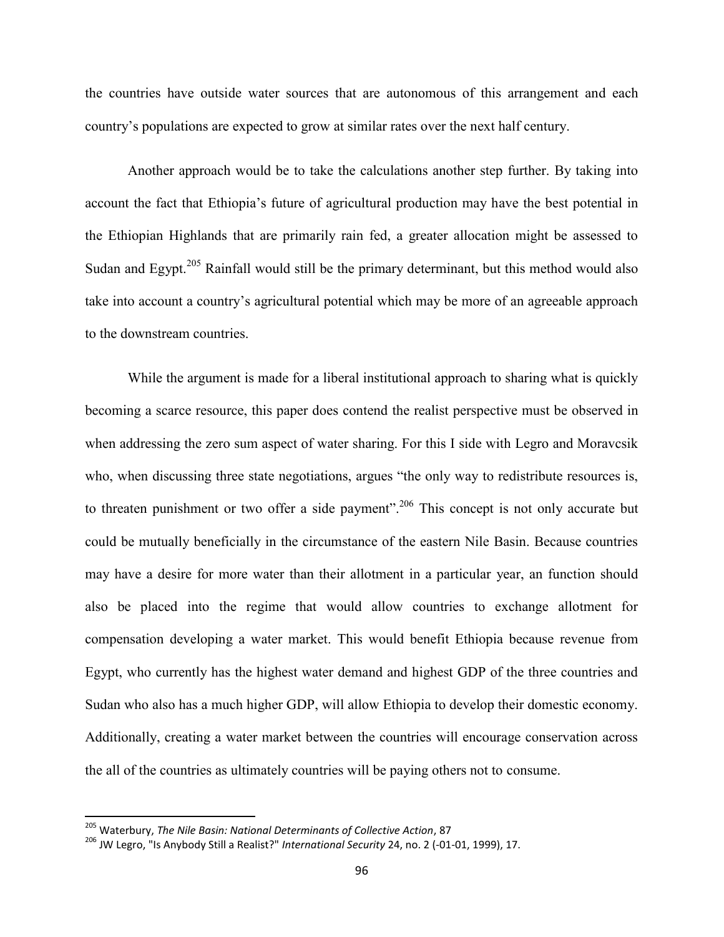the countries have outside water sources that are autonomous of this arrangement and each country's populations are expected to grow at similar rates over the next half century.

Another approach would be to take the calculations another step further. By taking into account the fact that Ethiopia's future of agricultural production may have the best potential in the Ethiopian Highlands that are primarily rain fed, a greater allocation might be assessed to Sudan and Egypt.<sup>205</sup> Rainfall would still be the primary determinant, but this method would also take into account a country's agricultural potential which may be more of an agreeable approach to the downstream countries.

While the argument is made for a liberal institutional approach to sharing what is quickly becoming a scarce resource, this paper does contend the realist perspective must be observed in when addressing the zero sum aspect of water sharing. For this I side with Legro and Moravcsik who, when discussing three state negotiations, argues "the only way to redistribute resources is, to threaten punishment or two offer a side payment".<sup>206</sup> This concept is not only accurate but could be mutually beneficially in the circumstance of the eastern Nile Basin. Because countries may have a desire for more water than their allotment in a particular year, an function should also be placed into the regime that would allow countries to exchange allotment for compensation developing a water market. This would benefit Ethiopia because revenue from Egypt, who currently has the highest water demand and highest GDP of the three countries and Sudan who also has a much higher GDP, will allow Ethiopia to develop their domestic economy. Additionally, creating a water market between the countries will encourage conservation across the all of the countries as ultimately countries will be paying others not to consume.

<sup>205</sup> Waterbury, *The Nile Basin: National Determinants of Collective Action*, 87

<sup>206</sup> JW Legro, "Is Anybody Still a Realist?" *International Security* 24, no. 2 (-01-01, 1999), 17.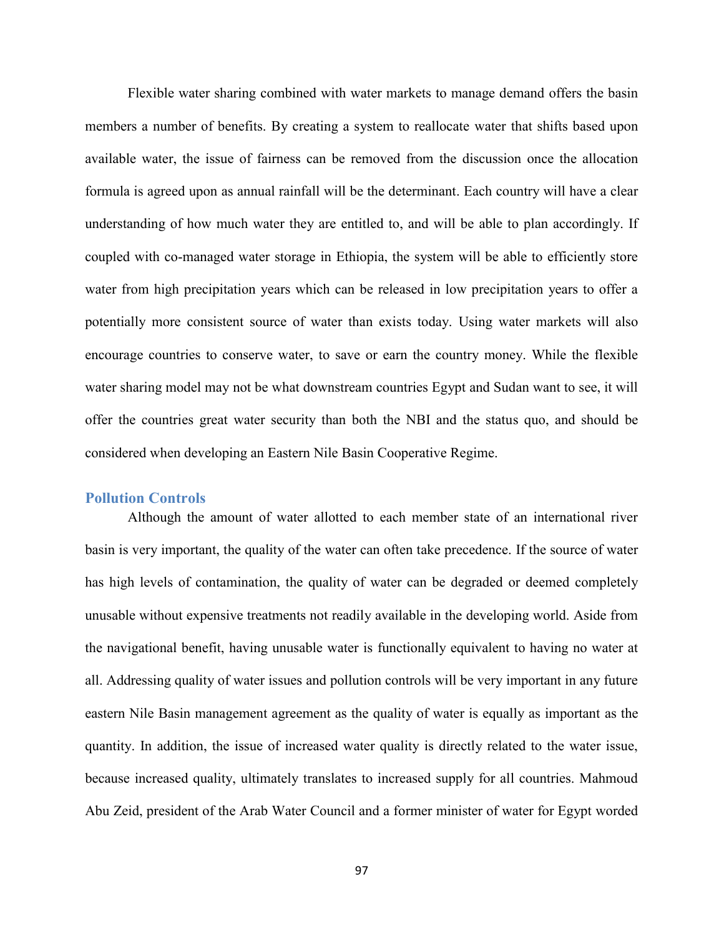Flexible water sharing combined with water markets to manage demand offers the basin members a number of benefits. By creating a system to reallocate water that shifts based upon available water, the issue of fairness can be removed from the discussion once the allocation formula is agreed upon as annual rainfall will be the determinant. Each country will have a clear understanding of how much water they are entitled to, and will be able to plan accordingly. If coupled with co-managed water storage in Ethiopia, the system will be able to efficiently store water from high precipitation years which can be released in low precipitation years to offer a potentially more consistent source of water than exists today. Using water markets will also encourage countries to conserve water, to save or earn the country money. While the flexible water sharing model may not be what downstream countries Egypt and Sudan want to see, it will offer the countries great water security than both the NBI and the status quo, and should be considered when developing an Eastern Nile Basin Cooperative Regime.

#### **Pollution Controls**

Although the amount of water allotted to each member state of an international river basin is very important, the quality of the water can often take precedence. If the source of water has high levels of contamination, the quality of water can be degraded or deemed completely unusable without expensive treatments not readily available in the developing world. Aside from the navigational benefit, having unusable water is functionally equivalent to having no water at all. Addressing quality of water issues and pollution controls will be very important in any future eastern Nile Basin management agreement as the quality of water is equally as important as the quantity. In addition, the issue of increased water quality is directly related to the water issue, because increased quality, ultimately translates to increased supply for all countries. Mahmoud Abu Zeid, president of the Arab Water Council and a former minister of water for Egypt worded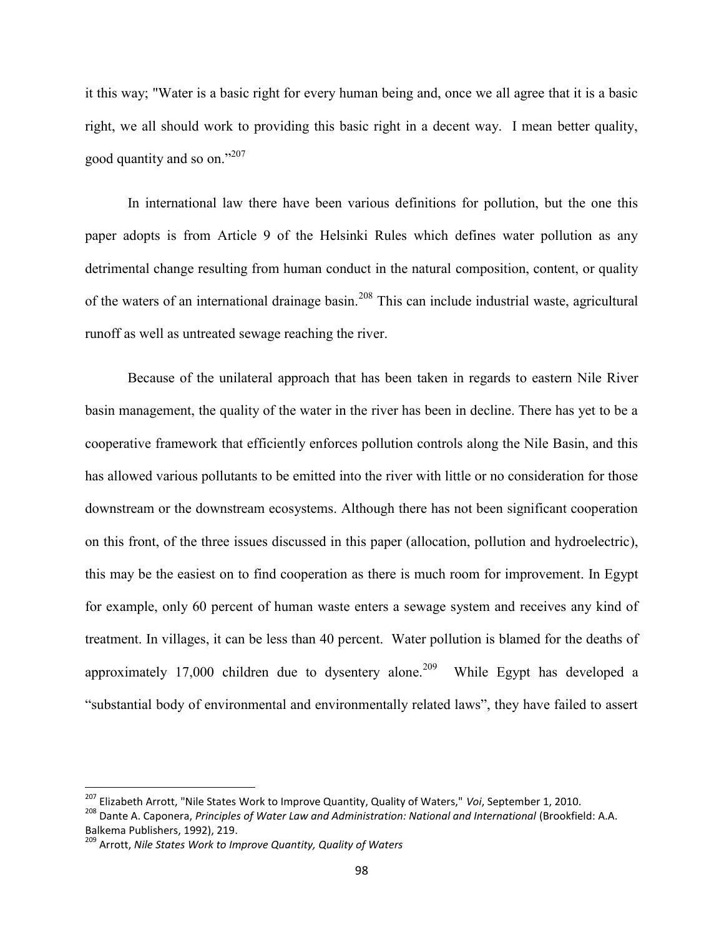it this way; "Water is a basic right for every human being and, once we all agree that it is a basic right, we all should work to providing this basic right in a decent way. I mean better quality, good quantity and so on."<sup>207</sup>

In international law there have been various definitions for pollution, but the one this paper adopts is from Article 9 of the Helsinki Rules which defines water pollution as any detrimental change resulting from human conduct in the natural composition, content, or quality of the waters of an international drainage basin.<sup>208</sup> This can include industrial waste, agricultural runoff as well as untreated sewage reaching the river.

Because of the unilateral approach that has been taken in regards to eastern Nile River basin management, the quality of the water in the river has been in decline. There has yet to be a cooperative framework that efficiently enforces pollution controls along the Nile Basin, and this has allowed various pollutants to be emitted into the river with little or no consideration for those downstream or the downstream ecosystems. Although there has not been significant cooperation on this front, of the three issues discussed in this paper (allocation, pollution and hydroelectric), this may be the easiest on to find cooperation as there is much room for improvement. In Egypt for example, only 60 percent of human waste enters a sewage system and receives any kind of treatment. In villages, it can be less than 40 percent. Water pollution is blamed for the deaths of approximately 17,000 children due to dysentery alone.<sup>209</sup> While Egypt has developed a "substantial body of environmental and environmentally related laws", they have failed to assert

<sup>207</sup> Elizabeth Arrott, "Nile States Work to Improve Quantity, Quality of Waters," *Voi*, September 1, 2010.

<sup>208</sup> Dante A. Caponera, *Principles of Water Law and Administration: National and International* (Brookfield: A.A. Balkema Publishers, 1992), 219.

<sup>209</sup> Arrott, *Nile States Work to Improve Quantity, Quality of Waters*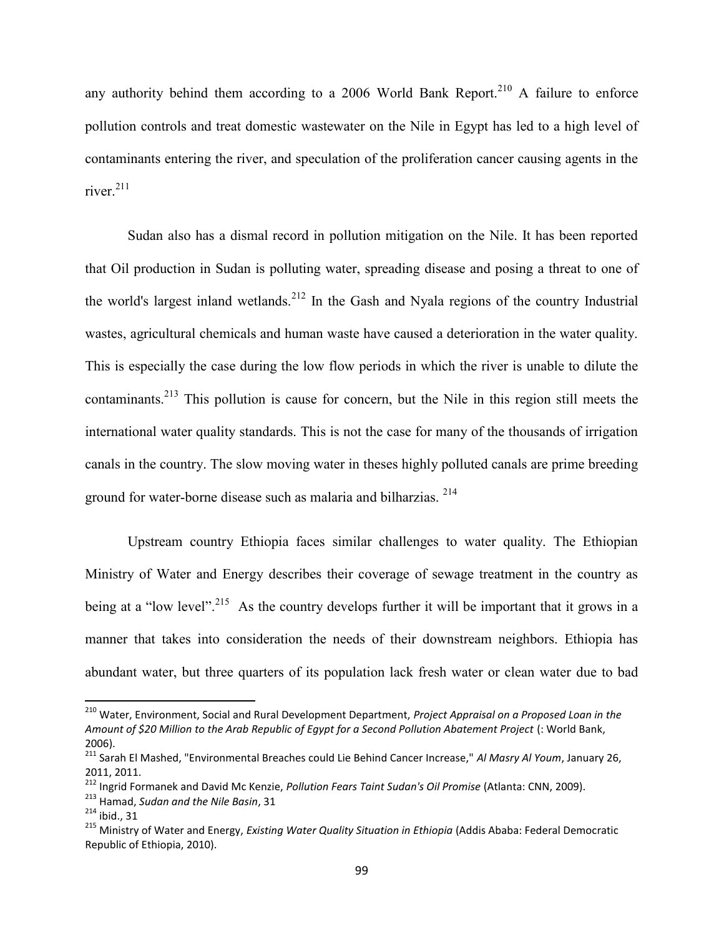any authority behind them according to a 2006 World Bank Report.<sup>210</sup> A failure to enforce pollution controls and treat domestic wastewater on the Nile in Egypt has led to a high level of contaminants entering the river, and speculation of the proliferation cancer causing agents in the river $^{211}$ 

Sudan also has a dismal record in pollution mitigation on the Nile. It has been reported that Oil production in Sudan is polluting water, spreading disease and posing a threat to one of the world's largest inland wetlands.<sup>212</sup> In the Gash and Nyala regions of the country Industrial wastes, agricultural chemicals and human waste have caused a deterioration in the water quality. This is especially the case during the low flow periods in which the river is unable to dilute the contaminants.<sup>213</sup> This pollution is cause for concern, but the Nile in this region still meets the international water quality standards. This is not the case for many of the thousands of irrigation canals in the country. The slow moving water in theses highly polluted canals are prime breeding ground for water-borne disease such as malaria and bilharzias. <sup>214</sup>

Upstream country Ethiopia faces similar challenges to water quality. The Ethiopian Ministry of Water and Energy describes their coverage of sewage treatment in the country as being at a "low level".<sup>215</sup> As the country develops further it will be important that it grows in a manner that takes into consideration the needs of their downstream neighbors. Ethiopia has abundant water, but three quarters of its population lack fresh water or clean water due to bad

<sup>210</sup> Water, Environment, Social and Rural Development Department, *Project Appraisal on a Proposed Loan in the Amount of \$20 Million to the Arab Republic of Egypt for a Second Pollution Abatement Project* (: World Bank, 2006).

<sup>211</sup> Sarah El Mashed, "Environmental Breaches could Lie Behind Cancer Increase," *Al Masry Al Youm*, January 26, 2011, 2011.

<sup>212</sup> Ingrid Formanek and David Mc Kenzie, *Pollution Fears Taint Sudan's Oil Promise* (Atlanta: CNN, 2009).

<sup>213</sup> Hamad, *Sudan and the Nile Basin*, 31

 $214$  ibid., 31

<sup>215</sup> Ministry of Water and Energy, *Existing Water Quality Situation in Ethiopia* (Addis Ababa: Federal Democratic Republic of Ethiopia, 2010).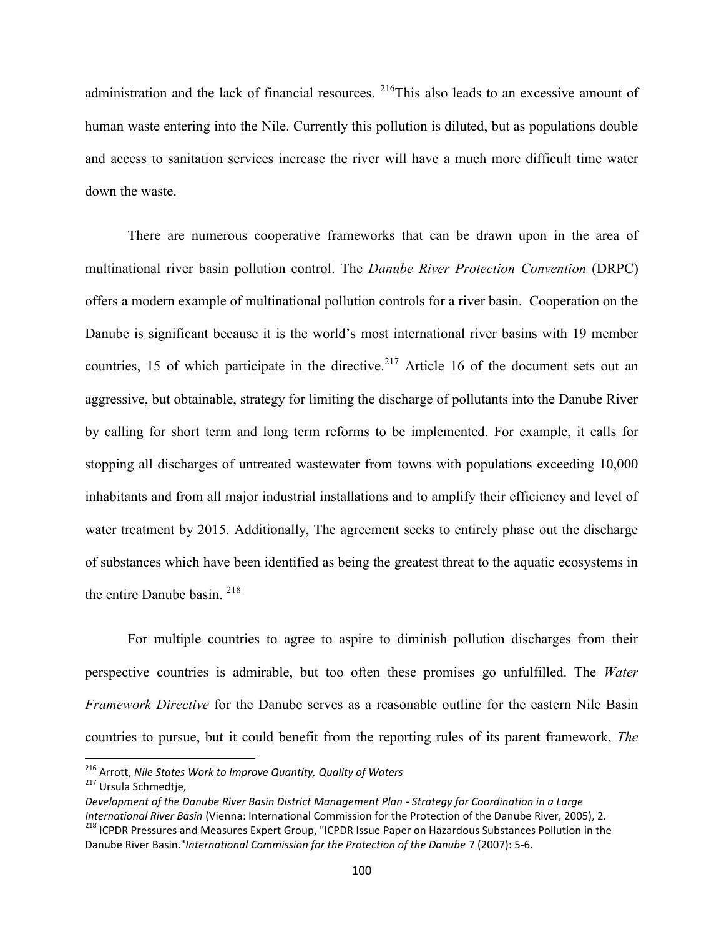administration and the lack of financial resources. <sup>216</sup>This also leads to an excessive amount of human waste entering into the Nile. Currently this pollution is diluted, but as populations double and access to sanitation services increase the river will have a much more difficult time water down the waste.

There are numerous cooperative frameworks that can be drawn upon in the area of multinational river basin pollution control. The *Danube River Protection Convention* (DRPC) offers a modern example of multinational pollution controls for a river basin. Cooperation on the Danube is significant because it is the world's most international river basins with 19 member countries, 15 of which participate in the directive.<sup>217</sup> Article 16 of the document sets out an aggressive, but obtainable, strategy for limiting the discharge of pollutants into the Danube River by calling for short term and long term reforms to be implemented. For example, it calls for stopping all discharges of untreated wastewater from towns with populations exceeding 10,000 inhabitants and from all major industrial installations and to amplify their efficiency and level of water treatment by 2015. Additionally, The agreement seeks to entirely phase out the discharge of substances which have been identified as being the greatest threat to the aquatic ecosystems in the entire Danube basin. <sup>218</sup>

For multiple countries to agree to aspire to diminish pollution discharges from their perspective countries is admirable, but too often these promises go unfulfilled. The *Water Framework Directive* for the Danube serves as a reasonable outline for the eastern Nile Basin countries to pursue, but it could benefit from the reporting rules of its parent framework, *The*

<sup>216</sup> Arrott, *Nile States Work to Improve Quantity, Quality of Waters*

<sup>217</sup> Ursula Schmedtje,

*Development of the Danube River Basin District Management Plan - Strategy for Coordination in a Large International River Basin* (Vienna: International Commission for the Protection of the Danube River, 2005), 2. <sup>218</sup> ICPDR Pressures and Measures Expert Group, "ICPDR Issue Paper on Hazardous Substances Pollution in the Danube River Basin."*International Commission for the Protection of the Danube* 7 (2007): 5-6.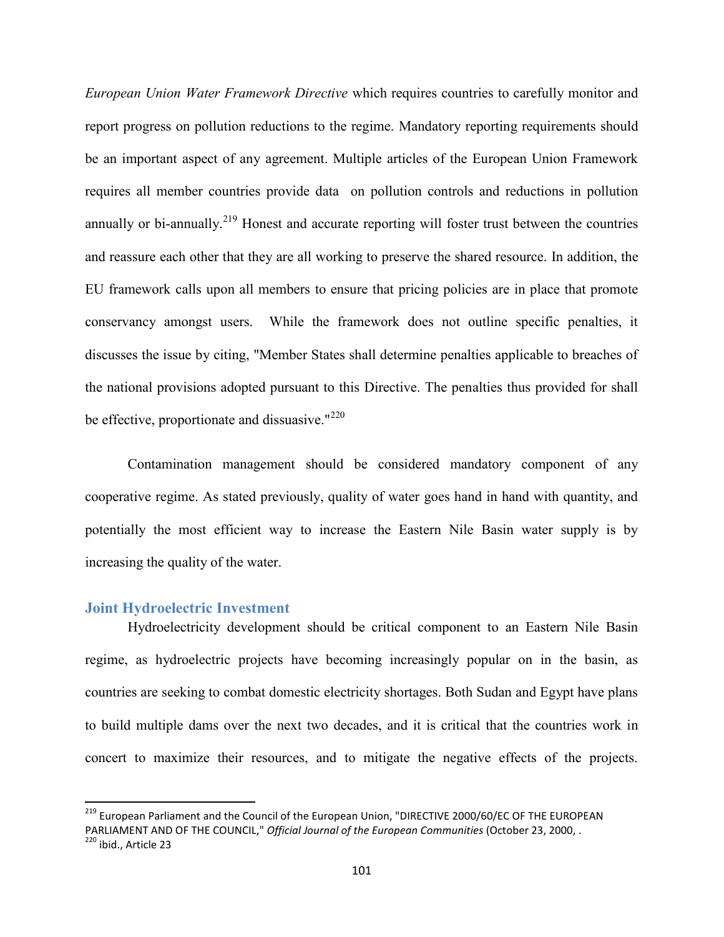*European Union Water Framework Directive* which requires countries to carefully monitor and report progress on pollution reductions to the regime. Mandatory reporting requirements should be an important aspect of any agreement. Multiple articles of the European Union Framework requires all member countries provide data on pollution controls and reductions in pollution annually or bi-annually.<sup>219</sup> Honest and accurate reporting will foster trust between the countries and reassure each other that they are all working to preserve the shared resource. In addition, the EU framework calls upon all members to ensure that pricing policies are in place that promote conservancy amongst users. While the framework does not outline specific penalties, it discusses the issue by citing, "Member States shall determine penalties applicable to breaches of the national provisions adopted pursuant to this Directive. The penalties thus provided for shall be effective, proportionate and dissuasive."<sup>220</sup>

Contamination management should be considered mandatory component of any cooperative regime. As stated previously, quality of water goes hand in hand with quantity, and potentially the most efficient way to increase the Eastern Nile Basin water supply is by increasing the quality of the water.

#### **Joint Hydroelectric Investment**

Hydroelectricity development should be critical component to an Eastern Nile Basin regime, as hydroelectric projects have becoming increasingly popular on in the basin, as countries are seeking to combat domestic electricity shortages. Both Sudan and Egypt have plans to build multiple dams over the next two decades, and it is critical that the countries work in concert to maximize their resources, and to mitigate the negative effects of the projects.

<sup>&</sup>lt;sup>219</sup> European Parliament and the Council of the European Union, "DIRECTIVE 2000/60/EC OF THE EUROPEAN PARLIAMENT AND OF THE COUNCIL," *Official Journal of the European Communities* (October 23, 2000, . <sup>220</sup> ibid., Article 23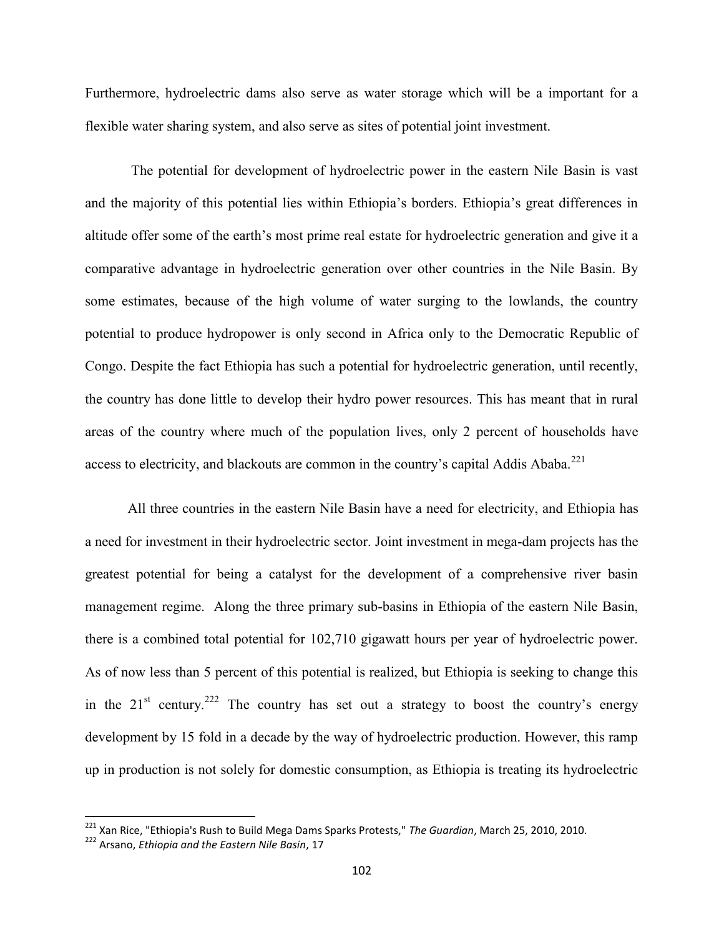Furthermore, hydroelectric dams also serve as water storage which will be a important for a flexible water sharing system, and also serve as sites of potential joint investment.

The potential for development of hydroelectric power in the eastern Nile Basin is vast and the majority of this potential lies within Ethiopia's borders. Ethiopia's great differences in altitude offer some of the earth's most prime real estate for hydroelectric generation and give it a comparative advantage in hydroelectric generation over other countries in the Nile Basin. By some estimates, because of the high volume of water surging to the lowlands, the country potential to produce hydropower is only second in Africa only to the Democratic Republic of Congo. Despite the fact Ethiopia has such a potential for hydroelectric generation, until recently, the country has done little to develop their hydro power resources. This has meant that in rural areas of the country where much of the population lives, only 2 percent of households have access to electricity, and blackouts are common in the country's capital Addis Ababa.<sup>221</sup>

All three countries in the eastern Nile Basin have a need for electricity, and Ethiopia has a need for investment in their hydroelectric sector. Joint investment in mega-dam projects has the greatest potential for being a catalyst for the development of a comprehensive river basin management regime. Along the three primary sub-basins in Ethiopia of the eastern Nile Basin, there is a combined total potential for 102,710 gigawatt hours per year of hydroelectric power. As of now less than 5 percent of this potential is realized, but Ethiopia is seeking to change this in the  $21<sup>st</sup>$  century.<sup>222</sup> The country has set out a strategy to boost the country's energy development by 15 fold in a decade by the way of hydroelectric production. However, this ramp up in production is not solely for domestic consumption, as Ethiopia is treating its hydroelectric

<sup>221</sup> Xan Rice, "Ethiopia's Rush to Build Mega Dams Sparks Protests," *The Guardian*, March 25, 2010, 2010.

<sup>222</sup> Arsano, *Ethiopia and the Eastern Nile Basin*, 17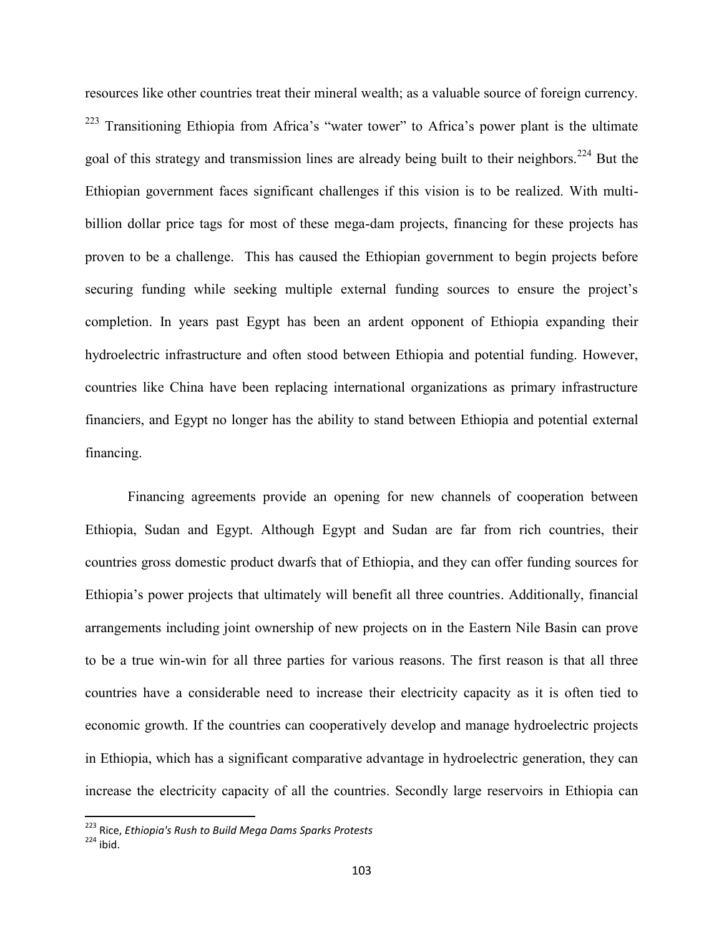resources like other countries treat their mineral wealth; as a valuable source of foreign currency. <sup>223</sup> Transitioning Ethiopia from Africa's "water tower" to Africa's power plant is the ultimate goal of this strategy and transmission lines are already being built to their neighbors.<sup>224</sup> But the Ethiopian government faces significant challenges if this vision is to be realized. With multibillion dollar price tags for most of these mega-dam projects, financing for these projects has proven to be a challenge. This has caused the Ethiopian government to begin projects before securing funding while seeking multiple external funding sources to ensure the project's completion. In years past Egypt has been an ardent opponent of Ethiopia expanding their hydroelectric infrastructure and often stood between Ethiopia and potential funding. However, countries like China have been replacing international organizations as primary infrastructure financiers, and Egypt no longer has the ability to stand between Ethiopia and potential external financing.

Financing agreements provide an opening for new channels of cooperation between Ethiopia, Sudan and Egypt. Although Egypt and Sudan are far from rich countries, their countries gross domestic product dwarfs that of Ethiopia, and they can offer funding sources for Ethiopia's power projects that ultimately will benefit all three countries. Additionally, financial arrangements including joint ownership of new projects on in the Eastern Nile Basin can prove to be a true win-win for all three parties for various reasons. The first reason is that all three countries have a considerable need to increase their electricity capacity as it is often tied to economic growth. If the countries can cooperatively develop and manage hydroelectric projects in Ethiopia, which has a significant comparative advantage in hydroelectric generation, they can increase the electricity capacity of all the countries. Secondly large reservoirs in Ethiopia can

<sup>223</sup> Rice, *Ethiopia's Rush to Build Mega Dams Sparks Protests*

 $224$  ibid.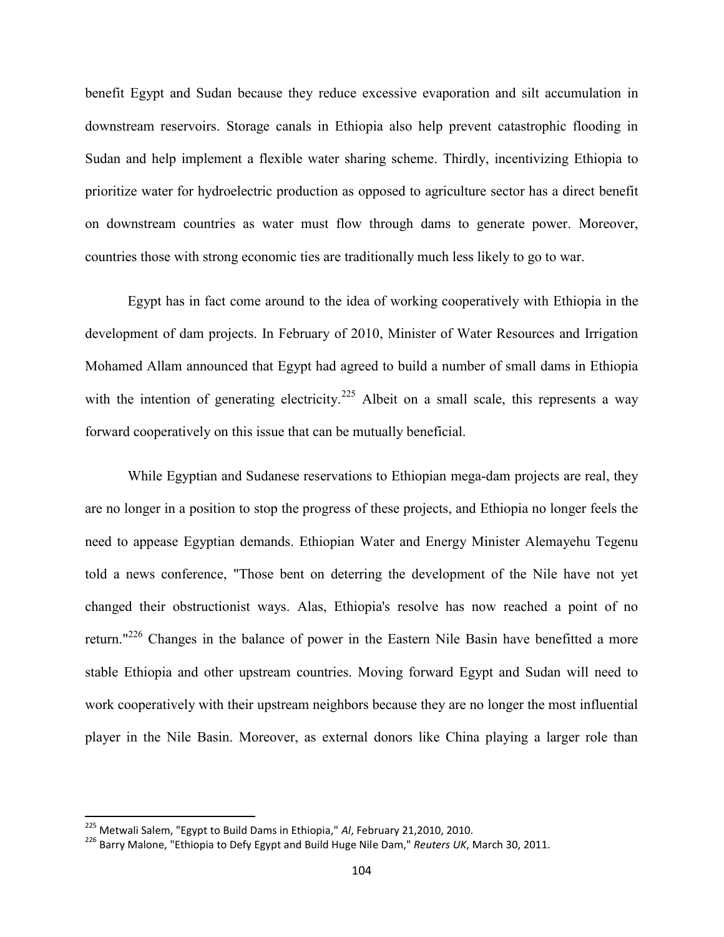benefit Egypt and Sudan because they reduce excessive evaporation and silt accumulation in downstream reservoirs. Storage canals in Ethiopia also help prevent catastrophic flooding in Sudan and help implement a flexible water sharing scheme. Thirdly, incentivizing Ethiopia to prioritize water for hydroelectric production as opposed to agriculture sector has a direct benefit on downstream countries as water must flow through dams to generate power. Moreover, countries those with strong economic ties are traditionally much less likely to go to war.

Egypt has in fact come around to the idea of working cooperatively with Ethiopia in the development of dam projects. In February of 2010, Minister of Water Resources and Irrigation Mohamed Allam announced that Egypt had agreed to build a number of small dams in Ethiopia with the intention of generating electricity.<sup>225</sup> Albeit on a small scale, this represents a way forward cooperatively on this issue that can be mutually beneficial.

While Egyptian and Sudanese reservations to Ethiopian mega-dam projects are real, they are no longer in a position to stop the progress of these projects, and Ethiopia no longer feels the need to appease Egyptian demands. Ethiopian Water and Energy Minister Alemayehu Tegenu told a news conference, "Those bent on deterring the development of the Nile have not yet changed their obstructionist ways. Alas, Ethiopia's resolve has now reached a point of no return."<sup>226</sup> Changes in the balance of power in the Eastern Nile Basin have benefitted a more stable Ethiopia and other upstream countries. Moving forward Egypt and Sudan will need to work cooperatively with their upstream neighbors because they are no longer the most influential player in the Nile Basin. Moreover, as external donors like China playing a larger role than

<sup>225</sup> Metwali Salem, "Egypt to Build Dams in Ethiopia," *Al*, February 21,2010, 2010.

<sup>226</sup> Barry Malone, "Ethiopia to Defy Egypt and Build Huge Nile Dam," *Reuters UK*, March 30, 2011.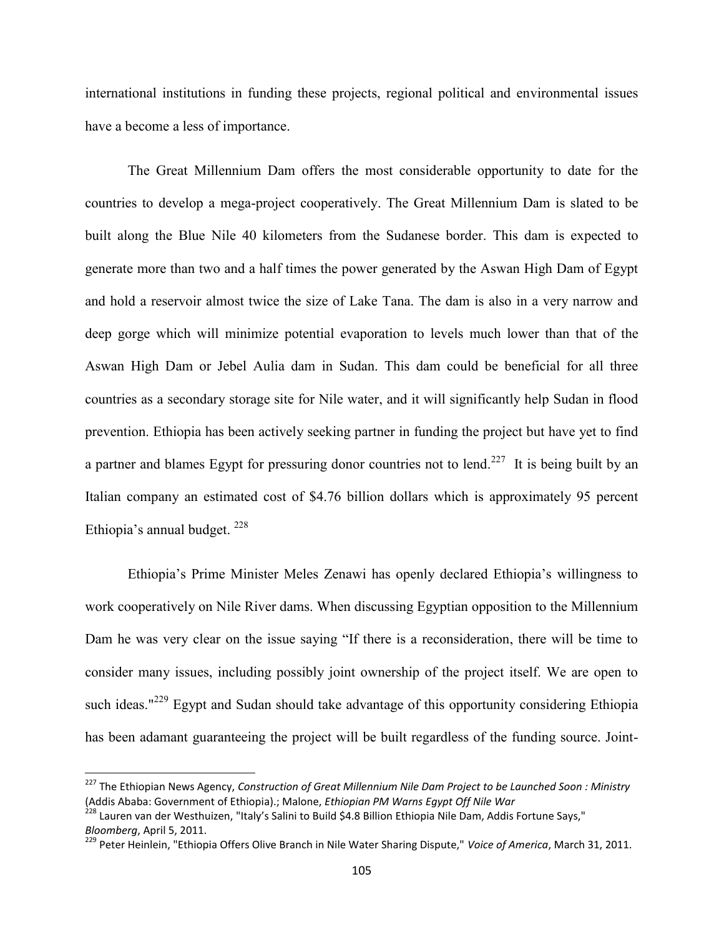international institutions in funding these projects, regional political and environmental issues have a become a less of importance.

The Great Millennium Dam offers the most considerable opportunity to date for the countries to develop a mega-project cooperatively. The Great Millennium Dam is slated to be built along the Blue Nile 40 kilometers from the Sudanese border. This dam is expected to generate more than two and a half times the power generated by the Aswan High Dam of Egypt and hold a reservoir almost twice the size of Lake Tana. The dam is also in a very narrow and deep gorge which will minimize potential evaporation to levels much lower than that of the Aswan High Dam or Jebel Aulia dam in Sudan. This dam could be beneficial for all three countries as a secondary storage site for Nile water, and it will significantly help Sudan in flood prevention. Ethiopia has been actively seeking partner in funding the project but have yet to find a partner and blames Egypt for pressuring donor countries not to lend.<sup>227</sup> It is being built by an Italian company an estimated cost of \$4.76 billion dollars which is approximately 95 percent Ethiopia's annual budget.  $^{228}$ 

Ethiopia's Prime Minister Meles Zenawi has openly declared Ethiopia's willingness to work cooperatively on Nile River dams. When discussing Egyptian opposition to the Millennium Dam he was very clear on the issue saying "If there is a reconsideration, there will be time to consider many issues, including possibly joint ownership of the project itself. We are open to such ideas."<sup>229</sup> Egypt and Sudan should take advantage of this opportunity considering Ethiopia has been adamant guaranteeing the project will be built regardless of the funding source. Joint-

<sup>227</sup> The Ethiopian News Agency, *Construction of Great Millennium Nile Dam Project to be Launched Soon : Ministry* (Addis Ababa: Government of Ethiopia).; Malone, *Ethiopian PM Warns Egypt Off Nile War*

<sup>&</sup>lt;sup>228</sup> Lauren van der Westhuizen, "Italy's Salini to Build \$4.8 Billion Ethiopia Nile Dam, Addis Fortune Says," *Bloomberg*, April 5, 2011.

<sup>229</sup> Peter Heinlein, "Ethiopia Offers Olive Branch in Nile Water Sharing Dispute," *Voice of America*, March 31, 2011.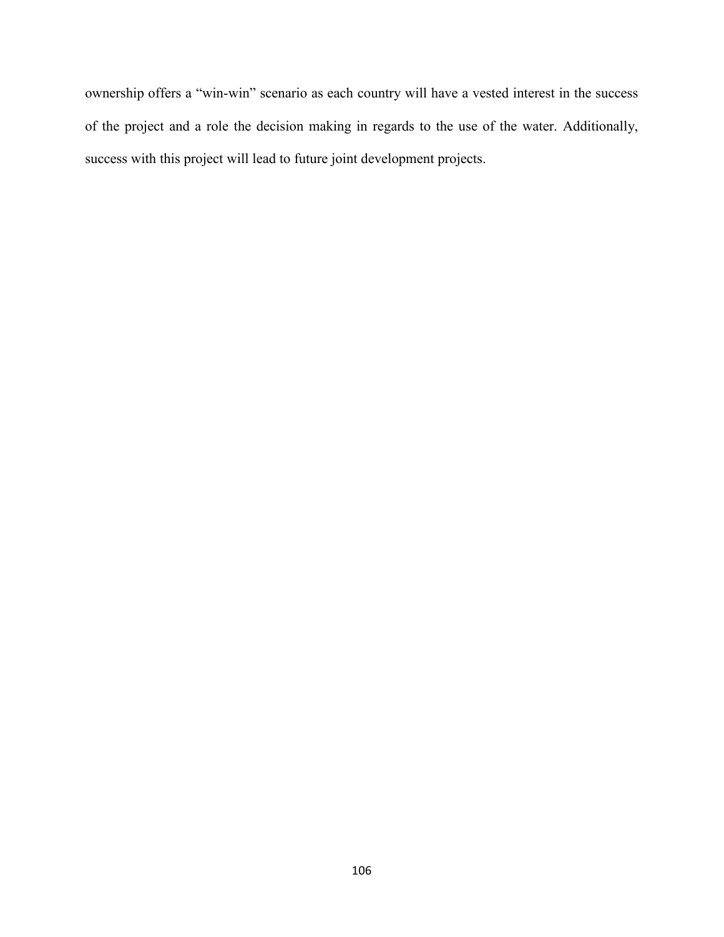ownership offers a "win-win" scenario as each country will have a vested interest in the success of the project and a role the decision making in regards to the use of the water. Additionally, success with this project will lead to future joint development projects.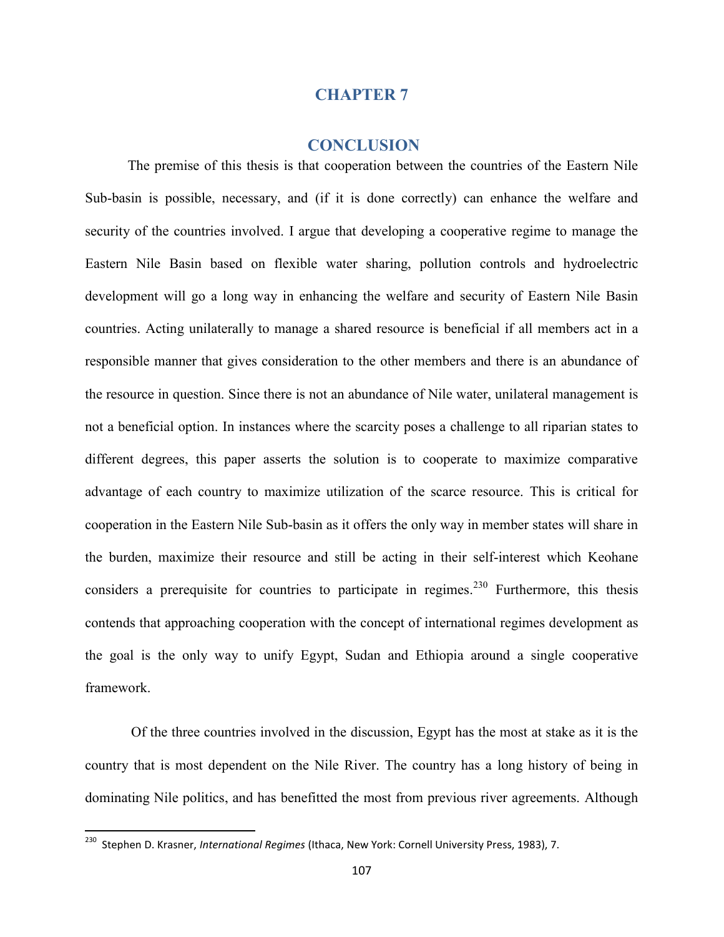## **CHAPTER 7**

## **CONCLUSION**

The premise of this thesis is that cooperation between the countries of the Eastern Nile Sub-basin is possible, necessary, and (if it is done correctly) can enhance the welfare and security of the countries involved. I argue that developing a cooperative regime to manage the Eastern Nile Basin based on flexible water sharing, pollution controls and hydroelectric development will go a long way in enhancing the welfare and security of Eastern Nile Basin countries. Acting unilaterally to manage a shared resource is beneficial if all members act in a responsible manner that gives consideration to the other members and there is an abundance of the resource in question. Since there is not an abundance of Nile water, unilateral management is not a beneficial option. In instances where the scarcity poses a challenge to all riparian states to different degrees, this paper asserts the solution is to cooperate to maximize comparative advantage of each country to maximize utilization of the scarce resource. This is critical for cooperation in the Eastern Nile Sub-basin as it offers the only way in member states will share in the burden, maximize their resource and still be acting in their self-interest which Keohane considers a prerequisite for countries to participate in regimes.<sup>230</sup> Furthermore, this thesis contends that approaching cooperation with the concept of international regimes development as the goal is the only way to unify Egypt, Sudan and Ethiopia around a single cooperative framework.

Of the three countries involved in the discussion, Egypt has the most at stake as it is the country that is most dependent on the Nile River. The country has a long history of being in dominating Nile politics, and has benefitted the most from previous river agreements. Although

<sup>230</sup> Stephen D. Krasner, *International Regimes* (Ithaca, New York: Cornell University Press, 1983), 7.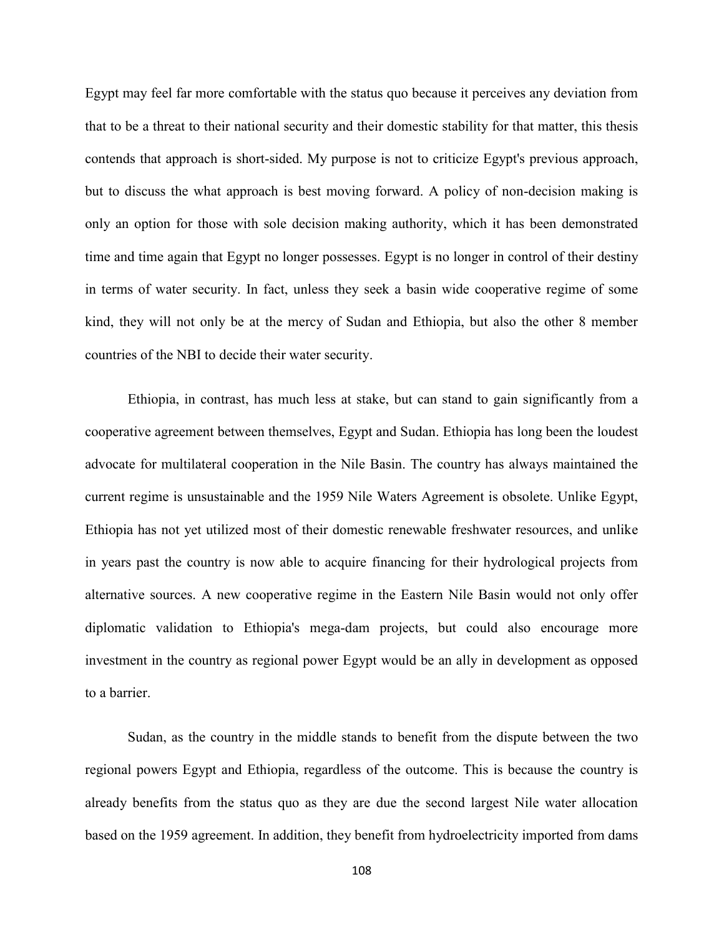Egypt may feel far more comfortable with the status quo because it perceives any deviation from that to be a threat to their national security and their domestic stability for that matter, this thesis contends that approach is short-sided. My purpose is not to criticize Egypt's previous approach, but to discuss the what approach is best moving forward. A policy of non-decision making is only an option for those with sole decision making authority, which it has been demonstrated time and time again that Egypt no longer possesses. Egypt is no longer in control of their destiny in terms of water security. In fact, unless they seek a basin wide cooperative regime of some kind, they will not only be at the mercy of Sudan and Ethiopia, but also the other 8 member countries of the NBI to decide their water security.

Ethiopia, in contrast, has much less at stake, but can stand to gain significantly from a cooperative agreement between themselves, Egypt and Sudan. Ethiopia has long been the loudest advocate for multilateral cooperation in the Nile Basin. The country has always maintained the current regime is unsustainable and the 1959 Nile Waters Agreement is obsolete. Unlike Egypt, Ethiopia has not yet utilized most of their domestic renewable freshwater resources, and unlike in years past the country is now able to acquire financing for their hydrological projects from alternative sources. A new cooperative regime in the Eastern Nile Basin would not only offer diplomatic validation to Ethiopia's mega-dam projects, but could also encourage more investment in the country as regional power Egypt would be an ally in development as opposed to a barrier.

Sudan, as the country in the middle stands to benefit from the dispute between the two regional powers Egypt and Ethiopia, regardless of the outcome. This is because the country is already benefits from the status quo as they are due the second largest Nile water allocation based on the 1959 agreement. In addition, they benefit from hydroelectricity imported from dams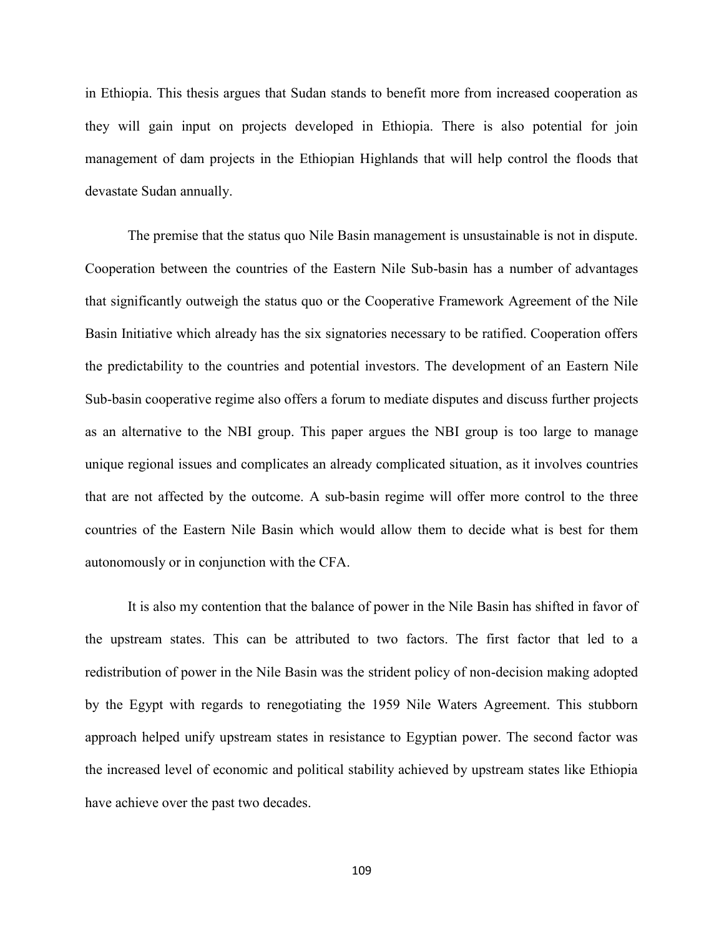in Ethiopia. This thesis argues that Sudan stands to benefit more from increased cooperation as they will gain input on projects developed in Ethiopia. There is also potential for join management of dam projects in the Ethiopian Highlands that will help control the floods that devastate Sudan annually.

The premise that the status quo Nile Basin management is unsustainable is not in dispute. Cooperation between the countries of the Eastern Nile Sub-basin has a number of advantages that significantly outweigh the status quo or the Cooperative Framework Agreement of the Nile Basin Initiative which already has the six signatories necessary to be ratified. Cooperation offers the predictability to the countries and potential investors. The development of an Eastern Nile Sub-basin cooperative regime also offers a forum to mediate disputes and discuss further projects as an alternative to the NBI group. This paper argues the NBI group is too large to manage unique regional issues and complicates an already complicated situation, as it involves countries that are not affected by the outcome. A sub-basin regime will offer more control to the three countries of the Eastern Nile Basin which would allow them to decide what is best for them autonomously or in conjunction with the CFA.

It is also my contention that the balance of power in the Nile Basin has shifted in favor of the upstream states. This can be attributed to two factors. The first factor that led to a redistribution of power in the Nile Basin was the strident policy of non-decision making adopted by the Egypt with regards to renegotiating the 1959 Nile Waters Agreement. This stubborn approach helped unify upstream states in resistance to Egyptian power. The second factor was the increased level of economic and political stability achieved by upstream states like Ethiopia have achieve over the past two decades.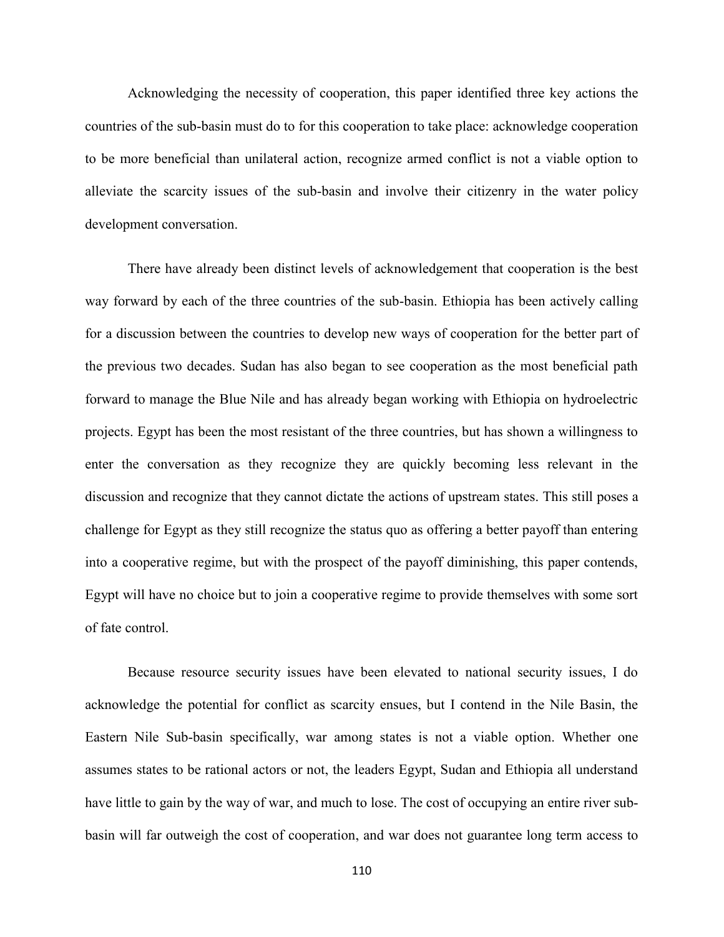Acknowledging the necessity of cooperation, this paper identified three key actions the countries of the sub-basin must do to for this cooperation to take place: acknowledge cooperation to be more beneficial than unilateral action, recognize armed conflict is not a viable option to alleviate the scarcity issues of the sub-basin and involve their citizenry in the water policy development conversation.

There have already been distinct levels of acknowledgement that cooperation is the best way forward by each of the three countries of the sub-basin. Ethiopia has been actively calling for a discussion between the countries to develop new ways of cooperation for the better part of the previous two decades. Sudan has also began to see cooperation as the most beneficial path forward to manage the Blue Nile and has already began working with Ethiopia on hydroelectric projects. Egypt has been the most resistant of the three countries, but has shown a willingness to enter the conversation as they recognize they are quickly becoming less relevant in the discussion and recognize that they cannot dictate the actions of upstream states. This still poses a challenge for Egypt as they still recognize the status quo as offering a better payoff than entering into a cooperative regime, but with the prospect of the payoff diminishing, this paper contends, Egypt will have no choice but to join a cooperative regime to provide themselves with some sort of fate control.

Because resource security issues have been elevated to national security issues, I do acknowledge the potential for conflict as scarcity ensues, but I contend in the Nile Basin, the Eastern Nile Sub-basin specifically, war among states is not a viable option. Whether one assumes states to be rational actors or not, the leaders Egypt, Sudan and Ethiopia all understand have little to gain by the way of war, and much to lose. The cost of occupying an entire river subbasin will far outweigh the cost of cooperation, and war does not guarantee long term access to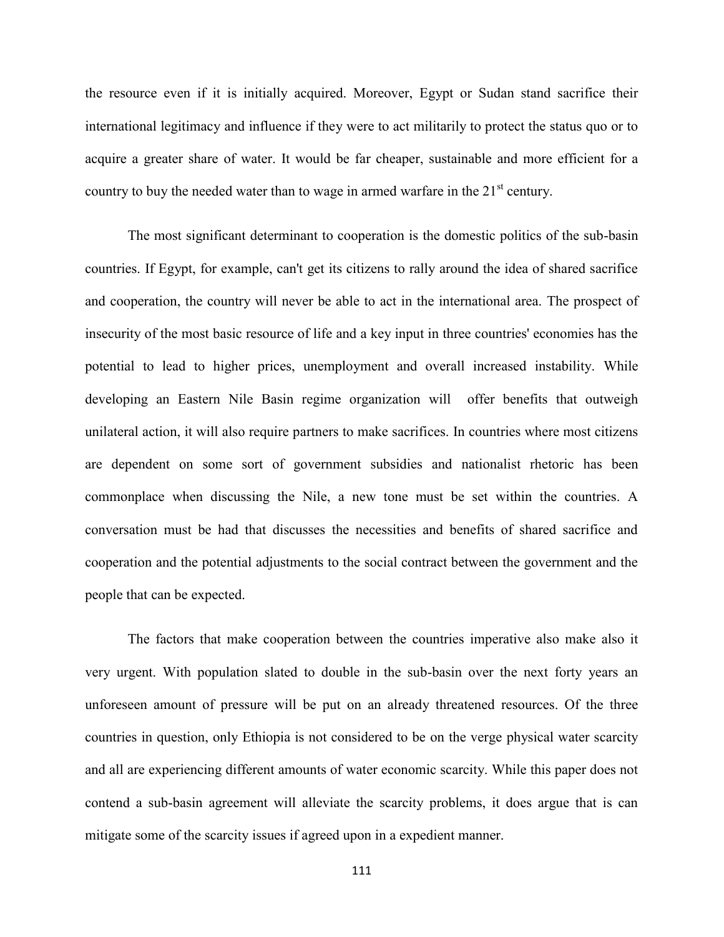the resource even if it is initially acquired. Moreover, Egypt or Sudan stand sacrifice their international legitimacy and influence if they were to act militarily to protect the status quo or to acquire a greater share of water. It would be far cheaper, sustainable and more efficient for a country to buy the needed water than to wage in armed warfare in the  $21<sup>st</sup>$  century.

The most significant determinant to cooperation is the domestic politics of the sub-basin countries. If Egypt, for example, can't get its citizens to rally around the idea of shared sacrifice and cooperation, the country will never be able to act in the international area. The prospect of insecurity of the most basic resource of life and a key input in three countries' economies has the potential to lead to higher prices, unemployment and overall increased instability. While developing an Eastern Nile Basin regime organization will offer benefits that outweigh unilateral action, it will also require partners to make sacrifices. In countries where most citizens are dependent on some sort of government subsidies and nationalist rhetoric has been commonplace when discussing the Nile, a new tone must be set within the countries. A conversation must be had that discusses the necessities and benefits of shared sacrifice and cooperation and the potential adjustments to the social contract between the government and the people that can be expected.

The factors that make cooperation between the countries imperative also make also it very urgent. With population slated to double in the sub-basin over the next forty years an unforeseen amount of pressure will be put on an already threatened resources. Of the three countries in question, only Ethiopia is not considered to be on the verge physical water scarcity and all are experiencing different amounts of water economic scarcity. While this paper does not contend a sub-basin agreement will alleviate the scarcity problems, it does argue that is can mitigate some of the scarcity issues if agreed upon in a expedient manner.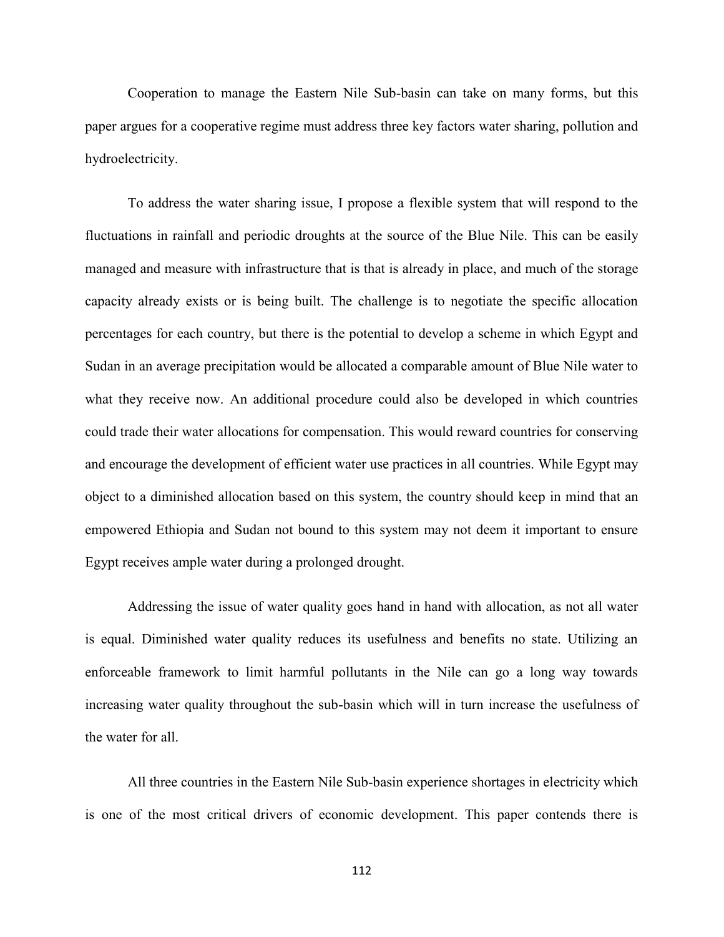Cooperation to manage the Eastern Nile Sub-basin can take on many forms, but this paper argues for a cooperative regime must address three key factors water sharing, pollution and hydroelectricity.

To address the water sharing issue, I propose a flexible system that will respond to the fluctuations in rainfall and periodic droughts at the source of the Blue Nile. This can be easily managed and measure with infrastructure that is that is already in place, and much of the storage capacity already exists or is being built. The challenge is to negotiate the specific allocation percentages for each country, but there is the potential to develop a scheme in which Egypt and Sudan in an average precipitation would be allocated a comparable amount of Blue Nile water to what they receive now. An additional procedure could also be developed in which countries could trade their water allocations for compensation. This would reward countries for conserving and encourage the development of efficient water use practices in all countries. While Egypt may object to a diminished allocation based on this system, the country should keep in mind that an empowered Ethiopia and Sudan not bound to this system may not deem it important to ensure Egypt receives ample water during a prolonged drought.

Addressing the issue of water quality goes hand in hand with allocation, as not all water is equal. Diminished water quality reduces its usefulness and benefits no state. Utilizing an enforceable framework to limit harmful pollutants in the Nile can go a long way towards increasing water quality throughout the sub-basin which will in turn increase the usefulness of the water for all.

All three countries in the Eastern Nile Sub-basin experience shortages in electricity which is one of the most critical drivers of economic development. This paper contends there is

112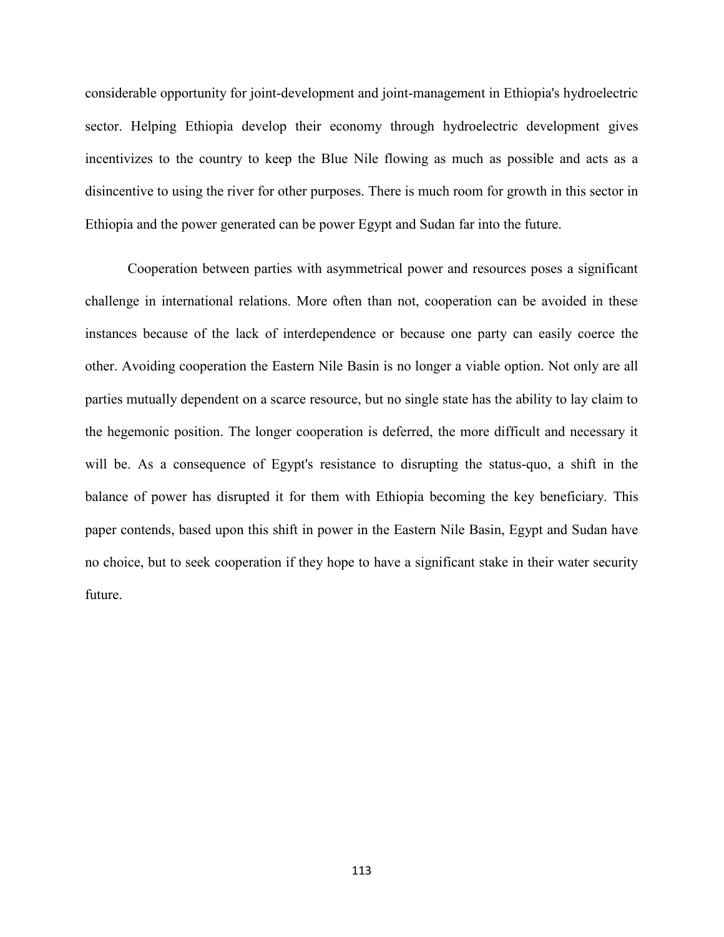considerable opportunity for joint-development and joint-management in Ethiopia's hydroelectric sector. Helping Ethiopia develop their economy through hydroelectric development gives incentivizes to the country to keep the Blue Nile flowing as much as possible and acts as a disincentive to using the river for other purposes. There is much room for growth in this sector in Ethiopia and the power generated can be power Egypt and Sudan far into the future.

Cooperation between parties with asymmetrical power and resources poses a significant challenge in international relations. More often than not, cooperation can be avoided in these instances because of the lack of interdependence or because one party can easily coerce the other. Avoiding cooperation the Eastern Nile Basin is no longer a viable option. Not only are all parties mutually dependent on a scarce resource, but no single state has the ability to lay claim to the hegemonic position. The longer cooperation is deferred, the more difficult and necessary it will be. As a consequence of Egypt's resistance to disrupting the status-quo, a shift in the balance of power has disrupted it for them with Ethiopia becoming the key beneficiary. This paper contends, based upon this shift in power in the Eastern Nile Basin, Egypt and Sudan have no choice, but to seek cooperation if they hope to have a significant stake in their water security future.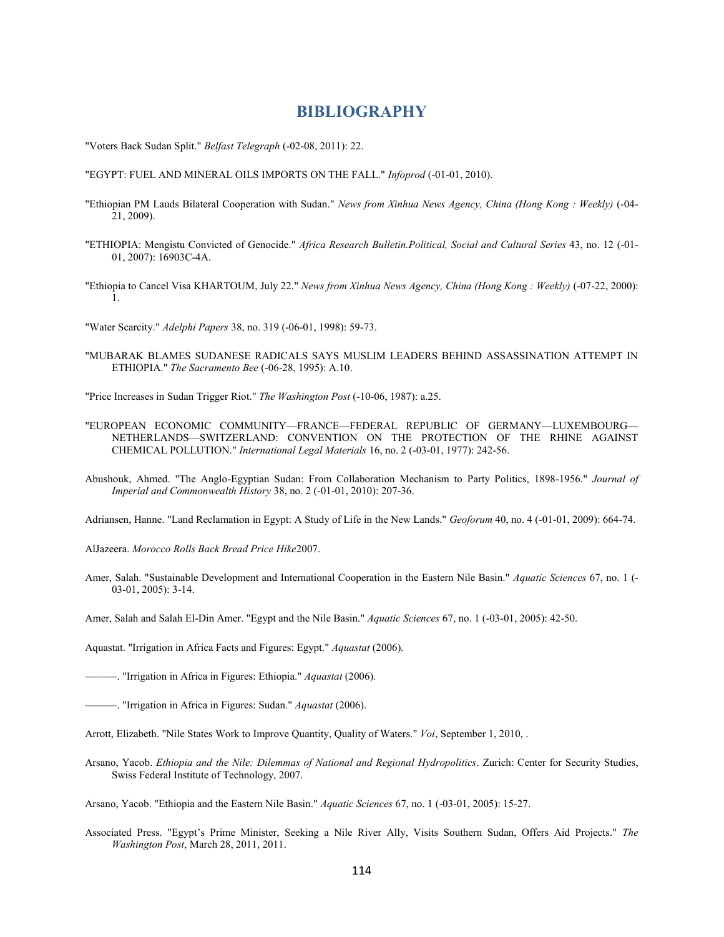## **BIBLIOGRAPHY**

"Voters Back Sudan Split." *Belfast Telegraph* (-02-08, 2011): 22.

"EGYPT: FUEL AND MINERAL OILS IMPORTS ON THE FALL." *Infoprod* (-01-01, 2010).

- "Ethiopian PM Lauds Bilateral Cooperation with Sudan." *News from Xinhua News Agency, China (Hong Kong : Weekly)* (-04- 21, 2009).
- "ETHIOPIA: Mengistu Convicted of Genocide." *Africa Research Bulletin.Political, Social and Cultural Series* 43, no. 12 (-01- 01, 2007): 16903C-4A.
- "Ethiopia to Cancel Visa KHARTOUM, July 22." *News from Xinhua News Agency, China (Hong Kong : Weekly)* (-07-22, 2000): 1.

"Water Scarcity." *Adelphi Papers* 38, no. 319 (-06-01, 1998): 59-73.

"MUBARAK BLAMES SUDANESE RADICALS SAYS MUSLIM LEADERS BEHIND ASSASSINATION ATTEMPT IN ETHIOPIA." *The Sacramento Bee* (-06-28, 1995): A.10.

"Price Increases in Sudan Trigger Riot." *The Washington Post* (-10-06, 1987): a.25.

- "EUROPEAN ECONOMIC COMMUNITY—FRANCE—FEDERAL REPUBLIC OF GERMANY—LUXEMBOURG— NETHERLANDS—SWITZERLAND: CONVENTION ON THE PROTECTION OF THE RHINE AGAINST CHEMICAL POLLUTION." *International Legal Materials* 16, no. 2 (-03-01, 1977): 242-56.
- Abushouk, Ahmed. "The Anglo-Egyptian Sudan: From Collaboration Mechanism to Party Politics, 1898-1956." *Journal of Imperial and Commonwealth History* 38, no. 2 (-01-01, 2010): 207-36.

Adriansen, Hanne. "Land Reclamation in Egypt: A Study of Life in the New Lands." *Geoforum* 40, no. 4 (-01-01, 2009): 664-74.

AlJazeera. *Morocco Rolls Back Bread Price Hike*2007.

Amer, Salah. "Sustainable Development and International Cooperation in the Eastern Nile Basin." *Aquatic Sciences* 67, no. 1 (- 03-01, 2005): 3-14.

Amer, Salah and Salah El-Din Amer. "Egypt and the Nile Basin." *Aquatic Sciences* 67, no. 1 (-03-01, 2005): 42-50.

Aquastat. "Irrigation in Africa Facts and Figures: Egypt." *Aquastat* (2006).

———. "Irrigation in Africa in Figures: Ethiopia." *Aquastat* (2006).

———. "Irrigation in Africa in Figures: Sudan." *Aquastat* (2006).

- Arrott, Elizabeth. "Nile States Work to Improve Quantity, Quality of Waters." *Voi*, September 1, 2010, .
- Arsano, Yacob. *Ethiopia and the Nile: Dilemmas of National and Regional Hydropolitics*. Zurich: Center for Security Studies, Swiss Federal Institute of Technology, 2007.

Associated Press. "Egypt's Prime Minister, Seeking a Nile River Ally, Visits Southern Sudan, Offers Aid Projects." *The Washington Post*, March 28, 2011, 2011.

Arsano, Yacob. "Ethiopia and the Eastern Nile Basin." *Aquatic Sciences* 67, no. 1 (-03-01, 2005): 15-27.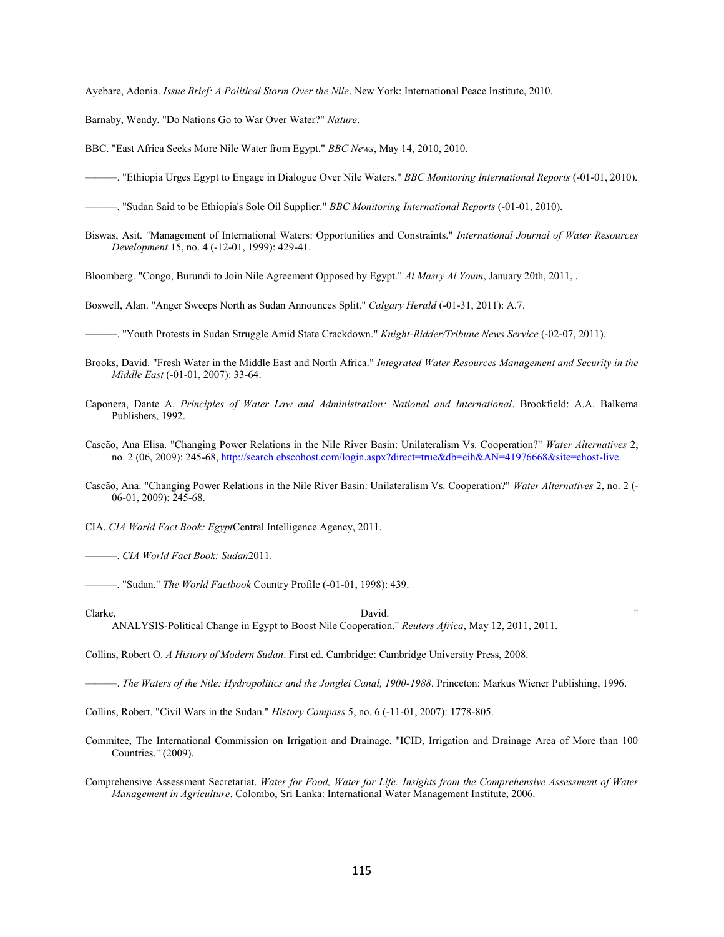Ayebare, Adonia. *Issue Brief: A Political Storm Over the Nile*. New York: International Peace Institute, 2010.

Barnaby, Wendy. "Do Nations Go to War Over Water?" *Nature*.

BBC. "East Africa Seeks More Nile Water from Egypt." *BBC News*, May 14, 2010, 2010.

———. "Ethiopia Urges Egypt to Engage in Dialogue Over Nile Waters." *BBC Monitoring International Reports* (-01-01, 2010).

———. "Sudan Said to be Ethiopia's Sole Oil Supplier." *BBC Monitoring International Reports* (-01-01, 2010).

Biswas, Asit. "Management of International Waters: Opportunities and Constraints." *International Journal of Water Resources Development* 15, no. 4 (-12-01, 1999): 429-41.

Bloomberg. "Congo, Burundi to Join Nile Agreement Opposed by Egypt." *Al Masry Al Youm*, January 20th, 2011, .

Boswell, Alan. "Anger Sweeps North as Sudan Announces Split." *Calgary Herald* (-01-31, 2011): A.7.

———. "Youth Protests in Sudan Struggle Amid State Crackdown." *Knight-Ridder/Tribune News Service* (-02-07, 2011).

Brooks, David. "Fresh Water in the Middle East and North Africa." *Integrated Water Resources Management and Security in the Middle East* (-01-01, 2007): 33-64.

Caponera, Dante A. *Principles of Water Law and Administration: National and International*. Brookfield: A.A. Balkema Publishers, 1992.

Cascão, Ana Elisa. "Changing Power Relations in the Nile River Basin: Unilateralism Vs. Cooperation?" *Water Alternatives* 2, no. 2 (06, 2009): 245-68, http://search.ebscohost.com/login.aspx?direct=true&db=eih&AN=41976668&site=ehost-live.

Cascão, Ana. "Changing Power Relations in the Nile River Basin: Unilateralism Vs. Cooperation?" *Water Alternatives* 2, no. 2 (- 06-01, 2009): 245-68.

CIA. *CIA World Fact Book: Egypt*Central Intelligence Agency, 2011.

———. *CIA World Fact Book: Sudan*2011.

———. "Sudan." *The World Factbook* Country Profile (-01-01, 1998): 439.

Clarke, David. " ANALYSIS-Political Change in Egypt to Boost Nile Cooperation." *Reuters Africa*, May 12, 2011, 2011.

Collins, Robert O. *A History of Modern Sudan*. First ed. Cambridge: Cambridge University Press, 2008.

———. *The Waters of the Nile: Hydropolitics and the Jonglei Canal, 1900-1988*. Princeton: Markus Wiener Publishing, 1996.

Collins, Robert. "Civil Wars in the Sudan." *History Compass* 5, no. 6 (-11-01, 2007): 1778-805.

- Commitee, The International Commission on Irrigation and Drainage. "ICID, Irrigation and Drainage Area of More than 100 Countries." (2009).
- Comprehensive Assessment Secretariat. *Water for Food, Water for Life: Insights from the Comprehensive Assessment of Water Management in Agriculture*. Colombo, Sri Lanka: International Water Management Institute, 2006.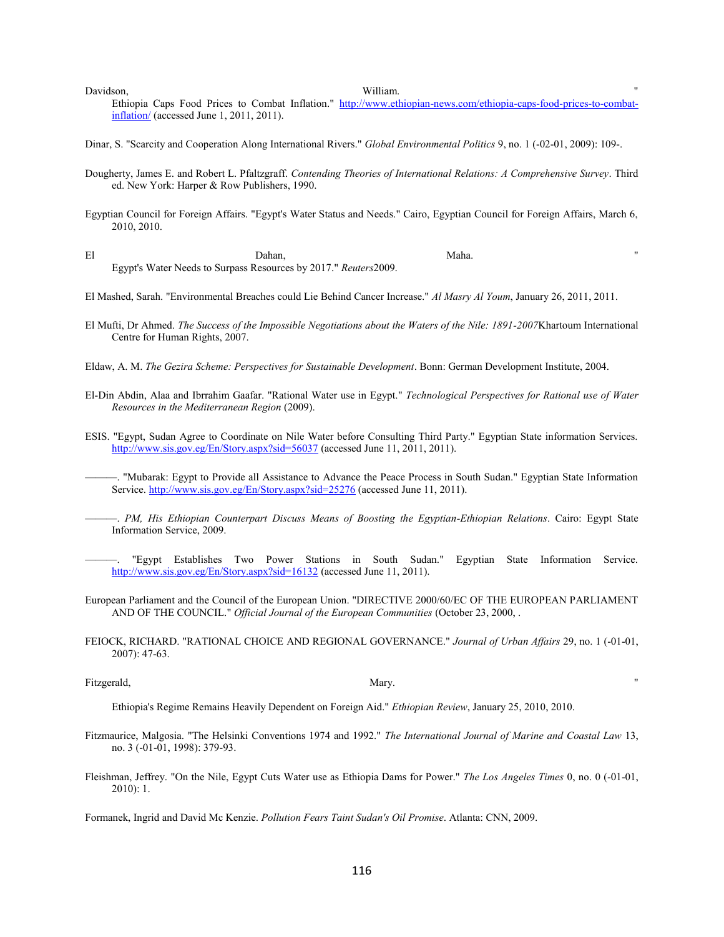Davidson, William. "

Ethiopia Caps Food Prices to Combat Inflation." http://www.ethiopian-news.com/ethiopia-caps-food-prices-to-combatinflation/ (accessed June 1, 2011, 2011).

Dinar, S. "Scarcity and Cooperation Along International Rivers." *Global Environmental Politics* 9, no. 1 (-02-01, 2009): 109-.

- Dougherty, James E. and Robert L. Pfaltzgraff. *Contending Theories of International Relations: A Comprehensive Survey*. Third ed. New York: Harper & Row Publishers, 1990.
- Egyptian Council for Foreign Affairs. "Egypt's Water Status and Needs." Cairo, Egyptian Council for Foreign Affairs, March 6, 2010, 2010.
- El Dahan, Maha. " Egypt's Water Needs to Surpass Resources by 2017." *Reuters*2009.
- El Mashed, Sarah. "Environmental Breaches could Lie Behind Cancer Increase." *Al Masry Al Youm*, January 26, 2011, 2011.
- El Mufti, Dr Ahmed. *The Success of the Impossible Negotiations about the Waters of the Nile: 1891-2007*Khartoum International Centre for Human Rights, 2007.
- Eldaw, A. M. *The Gezira Scheme: Perspectives for Sustainable Development*. Bonn: German Development Institute, 2004.
- El-Din Abdin, Alaa and Ibrrahim Gaafar. "Rational Water use in Egypt." *Technological Perspectives for Rational use of Water Resources in the Mediterranean Region* (2009).
- ESIS. "Egypt, Sudan Agree to Coordinate on Nile Water before Consulting Third Party." Egyptian State information Services. http://www.sis.gov.eg/En/Story.aspx?sid=56037 (accessed June 11, 2011, 2011).

———. "Mubarak: Egypt to Provide all Assistance to Advance the Peace Process in South Sudan." Egyptian State Information Service. http://www.sis.gov.eg/En/Story.aspx?sid=25276 (accessed June 11, 2011).

- ———. *PM, His Ethiopian Counterpart Discuss Means of Boosting the Egyptian-Ethiopian Relations*. Cairo: Egypt State Information Service, 2009.
- ———. "Egypt Establishes Two Power Stations in South Sudan." Egyptian State Information Service. http://www.sis.gov.eg/En/Story.aspx?sid=16132 (accessed June 11, 2011).
- European Parliament and the Council of the European Union. "DIRECTIVE 2000/60/EC OF THE EUROPEAN PARLIAMENT AND OF THE COUNCIL." *Official Journal of the European Communities* (October 23, 2000, .
- FEIOCK, RICHARD. "RATIONAL CHOICE AND REGIONAL GOVERNANCE." *Journal of Urban Affairs* 29, no. 1 (-01-01, 2007): 47-63.

Fitzgerald, Mary. "

Ethiopia's Regime Remains Heavily Dependent on Foreign Aid." *Ethiopian Review*, January 25, 2010, 2010.

- Fitzmaurice, Malgosia. "The Helsinki Conventions 1974 and 1992." *The International Journal of Marine and Coastal Law* 13, no. 3 (-01-01, 1998): 379-93.
- Fleishman, Jeffrey. "On the Nile, Egypt Cuts Water use as Ethiopia Dams for Power." *The Los Angeles Times* 0, no. 0 (-01-01, 2010): 1.

Formanek, Ingrid and David Mc Kenzie. *Pollution Fears Taint Sudan's Oil Promise*. Atlanta: CNN, 2009.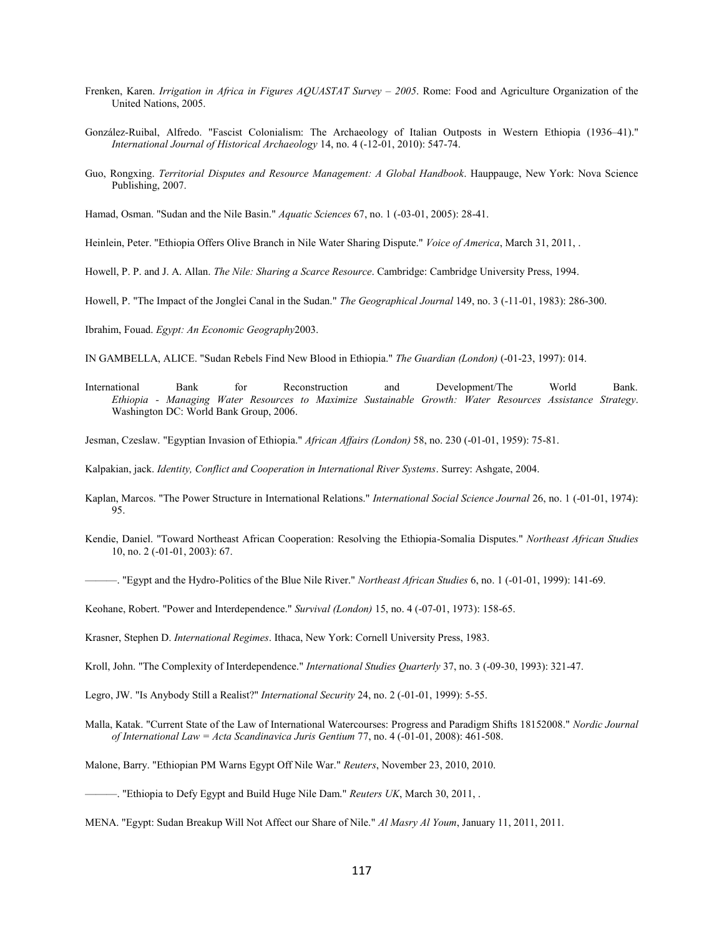- Frenken, Karen. *Irrigation in Africa in Figures AQUASTAT Survey – 2005*. Rome: Food and Agriculture Organization of the United Nations, 2005.
- González-Ruibal, Alfredo. "Fascist Colonialism: The Archaeology of Italian Outposts in Western Ethiopia (1936–41)." *International Journal of Historical Archaeology* 14, no. 4 (-12-01, 2010): 547-74.
- Guo, Rongxing. *Territorial Disputes and Resource Management: A Global Handbook*. Hauppauge, New York: Nova Science Publishing, 2007.

Hamad, Osman. "Sudan and the Nile Basin." *Aquatic Sciences* 67, no. 1 (-03-01, 2005): 28-41.

Heinlein, Peter. "Ethiopia Offers Olive Branch in Nile Water Sharing Dispute." *Voice of America*, March 31, 2011, .

Howell, P. P. and J. A. Allan. *The Nile: Sharing a Scarce Resource*. Cambridge: Cambridge University Press, 1994.

Howell, P. "The Impact of the Jonglei Canal in the Sudan." *The Geographical Journal* 149, no. 3 (-11-01, 1983): 286-300.

Ibrahim, Fouad. *Egypt: An Economic Geography*2003.

IN GAMBELLA, ALICE. "Sudan Rebels Find New Blood in Ethiopia." *The Guardian (London)* (-01-23, 1997): 014.

- International Bank for Reconstruction and Development/The World Bank. *Ethiopia - Managing Water Resources to Maximize Sustainable Growth: Water Resources Assistance Strategy*. Washington DC: World Bank Group, 2006.
- Jesman, Czeslaw. "Egyptian Invasion of Ethiopia." *African Affairs (London)* 58, no. 230 (-01-01, 1959): 75-81.

Kalpakian, jack. *Identity, Conflict and Cooperation in International River Systems*. Surrey: Ashgate, 2004.

- Kaplan, Marcos. "The Power Structure in International Relations." *International Social Science Journal* 26, no. 1 (-01-01, 1974): 95.
- Kendie, Daniel. "Toward Northeast African Cooperation: Resolving the Ethiopia-Somalia Disputes." *Northeast African Studies* 10, no. 2 (-01-01, 2003): 67.
- ———. "Egypt and the Hydro-Politics of the Blue Nile River." *Northeast African Studies* 6, no. 1 (-01-01, 1999): 141-69.

Keohane, Robert. "Power and Interdependence." *Survival (London)* 15, no. 4 (-07-01, 1973): 158-65.

Krasner, Stephen D. *International Regimes*. Ithaca, New York: Cornell University Press, 1983.

Kroll, John. "The Complexity of Interdependence." *International Studies Quarterly* 37, no. 3 (-09-30, 1993): 321-47.

- Legro, JW. "Is Anybody Still a Realist?" *International Security* 24, no. 2 (-01-01, 1999): 5-55.
- Malla, Katak. "Current State of the Law of International Watercourses: Progress and Paradigm Shifts 18152008." *Nordic Journal of International Law = Acta Scandinavica Juris Gentium* 77, no. 4 (-01-01, 2008): 461-508.

Malone, Barry. "Ethiopian PM Warns Egypt Off Nile War." *Reuters*, November 23, 2010, 2010.

<sup>———. &</sup>quot;Ethiopia to Defy Egypt and Build Huge Nile Dam." *Reuters UK*, March 30, 2011, .

MENA. "Egypt: Sudan Breakup Will Not Affect our Share of Nile." *Al Masry Al Youm*, January 11, 2011, 2011.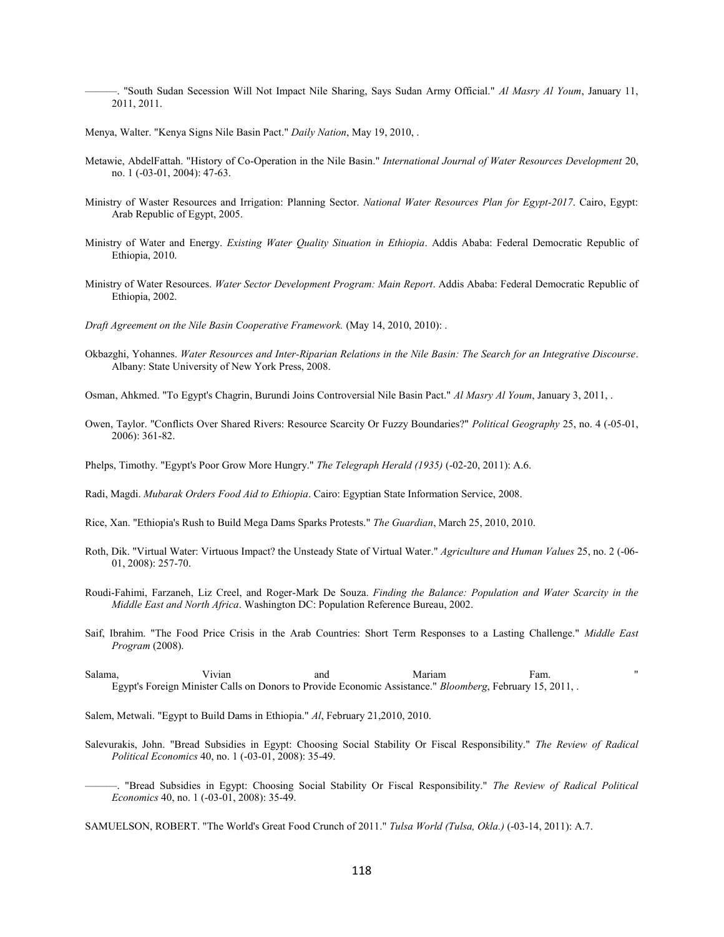———. "South Sudan Secession Will Not Impact Nile Sharing, Says Sudan Army Official." *Al Masry Al Youm*, January 11, 2011, 2011.

Menya, Walter. "Kenya Signs Nile Basin Pact." *Daily Nation*, May 19, 2010, .

- Metawie, AbdelFattah. "History of Co-Operation in the Nile Basin." *International Journal of Water Resources Development* 20, no. 1 (-03-01, 2004): 47-63.
- Ministry of Waster Resources and Irrigation: Planning Sector. *National Water Resources Plan for Egypt-2017*. Cairo, Egypt: Arab Republic of Egypt, 2005.
- Ministry of Water and Energy. *Existing Water Quality Situation in Ethiopia*. Addis Ababa: Federal Democratic Republic of Ethiopia, 2010.
- Ministry of Water Resources. *Water Sector Development Program: Main Report*. Addis Ababa: Federal Democratic Republic of Ethiopia, 2002.
- *Draft Agreement on the Nile Basin Cooperative Framework.* (May 14, 2010, 2010): .
- Okbazghi, Yohannes. *Water Resources and Inter-Riparian Relations in the Nile Basin: The Search for an Integrative Discourse*. Albany: State University of New York Press, 2008.

Osman, Ahkmed. "To Egypt's Chagrin, Burundi Joins Controversial Nile Basin Pact." *Al Masry Al Youm*, January 3, 2011, .

- Owen, Taylor. "Conflicts Over Shared Rivers: Resource Scarcity Or Fuzzy Boundaries?" *Political Geography* 25, no. 4 (-05-01, 2006): 361-82.
- Phelps, Timothy. "Egypt's Poor Grow More Hungry." *The Telegraph Herald (1935)* (-02-20, 2011): A.6.
- Radi, Magdi. *Mubarak Orders Food Aid to Ethiopia*. Cairo: Egyptian State Information Service, 2008.
- Rice, Xan. "Ethiopia's Rush to Build Mega Dams Sparks Protests." *The Guardian*, March 25, 2010, 2010.
- Roth, Dik. "Virtual Water: Virtuous Impact? the Unsteady State of Virtual Water." *Agriculture and Human Values* 25, no. 2 (-06- 01, 2008): 257-70.
- Roudi-Fahimi, Farzaneh, Liz Creel, and Roger-Mark De Souza. *Finding the Balance: Population and Water Scarcity in the Middle East and North Africa*. Washington DC: Population Reference Bureau, 2002.
- Saif, Ibrahim. "The Food Price Crisis in the Arab Countries: Short Term Responses to a Lasting Challenge." *Middle East Program* (2008).
- Salama, Vivian and Mariam Fam. " Egypt's Foreign Minister Calls on Donors to Provide Economic Assistance." *Bloomberg*, February 15, 2011, .

Salem, Metwali. "Egypt to Build Dams in Ethiopia." *Al*, February 21,2010, 2010.

- Salevurakis, John. "Bread Subsidies in Egypt: Choosing Social Stability Or Fiscal Responsibility." *The Review of Radical Political Economics* 40, no. 1 (-03-01, 2008): 35-49.
	- ———. "Bread Subsidies in Egypt: Choosing Social Stability Or Fiscal Responsibility." *The Review of Radical Political Economics* 40, no. 1 (-03-01, 2008): 35-49.

SAMUELSON, ROBERT. "The World's Great Food Crunch of 2011." *Tulsa World (Tulsa, Okla.)* (-03-14, 2011): A.7.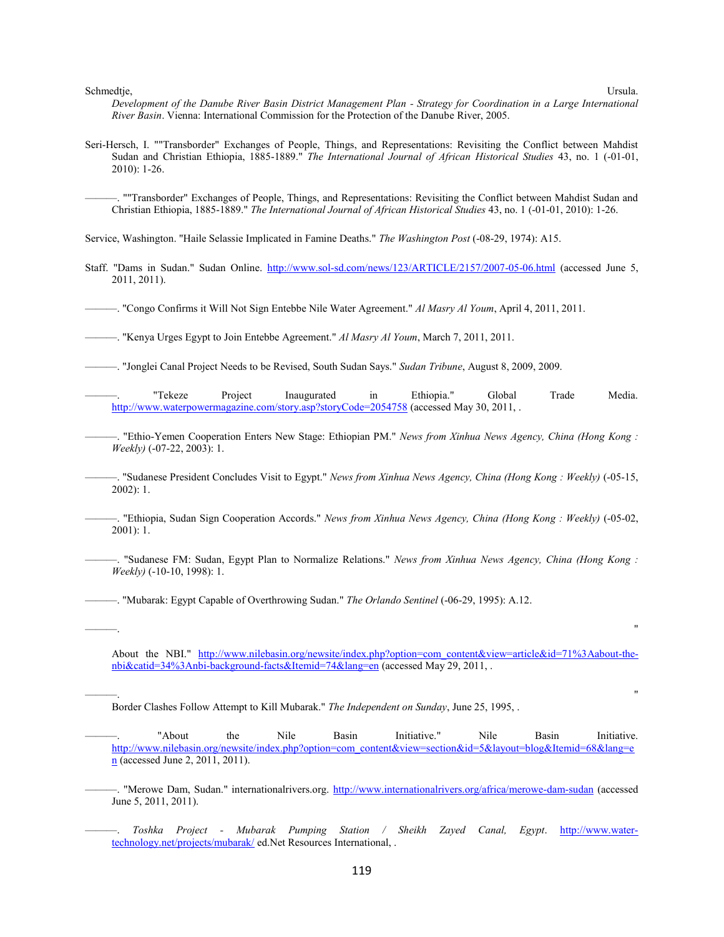Schmedtje, Ursula.

*Development of the Danube River Basin District Management Plan - Strategy for Coordination in a Large International River Basin*. Vienna: International Commission for the Protection of the Danube River, 2005.

Seri-Hersch, I. ""Transborder" Exchanges of People, Things, and Representations: Revisiting the Conflict between Mahdist Sudan and Christian Ethiopia, 1885-1889." *The International Journal of African Historical Studies* 43, no. 1 (-01-01, 2010): 1-26.

———. ""Transborder" Exchanges of People, Things, and Representations: Revisiting the Conflict between Mahdist Sudan and Christian Ethiopia, 1885-1889." *The International Journal of African Historical Studies* 43, no. 1 (-01-01, 2010): 1-26.

Service, Washington. "Haile Selassie Implicated in Famine Deaths." *The Washington Post* (-08-29, 1974): A15.

Staff. "Dams in Sudan." Sudan Online. http://www.sol-sd.com/news/123/ARTICLE/2157/2007-05-06.html (accessed June 5, 2011, 2011).

———. "Congo Confirms it Will Not Sign Entebbe Nile Water Agreement." *Al Masry Al Youm*, April 4, 2011, 2011.

———. "Kenya Urges Egypt to Join Entebbe Agreement." *Al Masry Al Youm*, March 7, 2011, 2011.

———. "Jonglei Canal Project Needs to be Revised, South Sudan Says." *Sudan Tribune*, August 8, 2009, 2009.

———. "Tekeze Project Inaugurated in Ethiopia." Global Trade Media. http://www.waterpowermagazine.com/story.asp?storyCode=2054758 (accessed May 30, 2011, .

———. "Ethio-Yemen Cooperation Enters New Stage: Ethiopian PM." *News from Xinhua News Agency, China (Hong Kong : Weekly)* (-07-22, 2003): 1.

———. "Sudanese President Concludes Visit to Egypt." *News from Xinhua News Agency, China (Hong Kong : Weekly)* (-05-15, 2002): 1.

———. "Ethiopia, Sudan Sign Cooperation Accords." *News from Xinhua News Agency, China (Hong Kong : Weekly)* (-05-02, 2001): 1.

———. "Sudanese FM: Sudan, Egypt Plan to Normalize Relations." *News from Xinhua News Agency, China (Hong Kong : Weekly)* (-10-10, 1998): 1.

———. "Mubarak: Egypt Capable of Overthrowing Sudan." *The Orlando Sentinel* (-06-29, 1995): A.12.

About the NBI." http://www.nilebasin.org/newsite/index.php?option=com\_content&view=article&id=71%3Aabout-thenbi&catid=34%3Anbi-background-facts&Itemid=74&lang=en (accessed May 29, 2011, .

———. "

———. "

Border Clashes Follow Attempt to Kill Mubarak." *The Independent on Sunday*, June 25, 1995, .

———. "About the Nile Basin Initiative." Nile Basin Initiative. http://www.nilebasin.org/newsite/index.php?option=com\_content&view=section&id=5&layout=blog&Itemid=68&lang=e  $n$  (accessed June 2, 2011, 2011).

———. "Merowe Dam, Sudan." internationalrivers.org. http://www.internationalrivers.org/africa/merowe-dam-sudan (accessed June 5, 2011, 2011).

———. *Toshka Project - Mubarak Pumping Station / Sheikh Zayed Canal, Egypt*. http://www.watertechnology.net/projects/mubarak/ ed.Net Resources International, .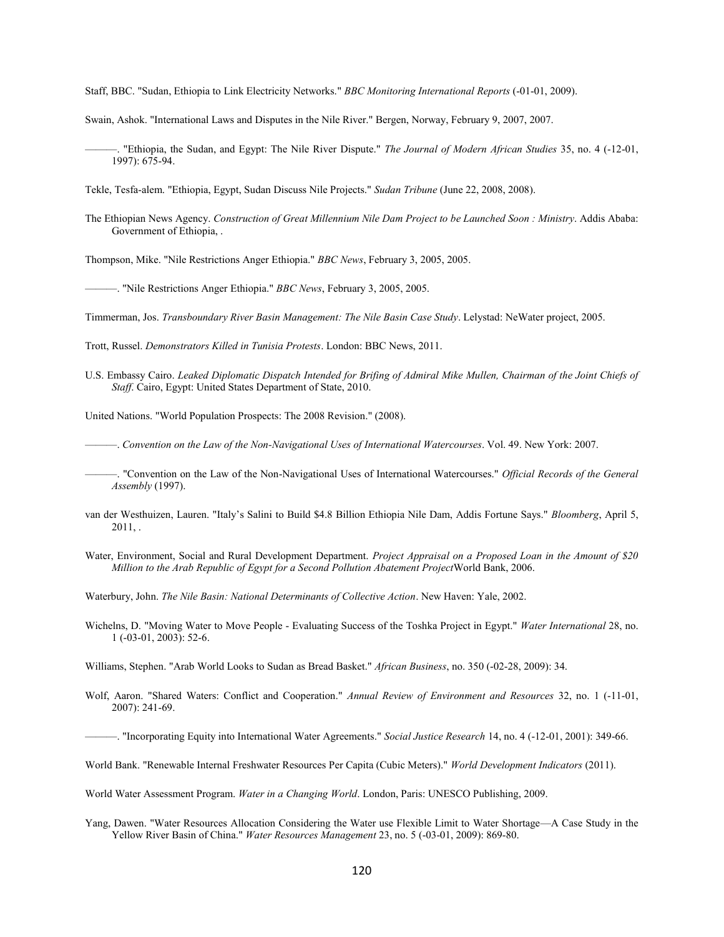Staff, BBC. "Sudan, Ethiopia to Link Electricity Networks." *BBC Monitoring International Reports* (-01-01, 2009).

Swain, Ashok. "International Laws and Disputes in the Nile River." Bergen, Norway, February 9, 2007, 2007.

———. "Ethiopia, the Sudan, and Egypt: The Nile River Dispute." *The Journal of Modern African Studies* 35, no. 4 (-12-01, 1997): 675-94.

Tekle, Tesfa-alem. "Ethiopia, Egypt, Sudan Discuss Nile Projects." *Sudan Tribune* (June 22, 2008, 2008).

The Ethiopian News Agency. *Construction of Great Millennium Nile Dam Project to be Launched Soon : Ministry*. Addis Ababa: Government of Ethiopia, .

Thompson, Mike. "Nile Restrictions Anger Ethiopia." *BBC News*, February 3, 2005, 2005.

———. "Nile Restrictions Anger Ethiopia." *BBC News*, February 3, 2005, 2005.

Timmerman, Jos. *Transboundary River Basin Management: The Nile Basin Case Study*. Lelystad: NeWater project, 2005.

Trott, Russel. *Demonstrators Killed in Tunisia Protests*. London: BBC News, 2011.

U.S. Embassy Cairo. *Leaked Diplomatic Dispatch Intended for Brifing of Admiral Mike Mullen, Chairman of the Joint Chiefs of Staff*. Cairo, Egypt: United States Department of State, 2010.

United Nations. "World Population Prospects: The 2008 Revision." (2008).

———. *Convention on the Law of the Non-Navigational Uses of International Watercourses*. Vol. 49. New York: 2007.

- ———. "Convention on the Law of the Non-Navigational Uses of International Watercourses." *Official Records of the General Assembly* (1997).
- van der Westhuizen, Lauren. "Italy's Salini to Build \$4.8 Billion Ethiopia Nile Dam, Addis Fortune Says." *Bloomberg*, April 5,  $2011,$ .
- Water, Environment, Social and Rural Development Department. *Project Appraisal on a Proposed Loan in the Amount of \$20 Million to the Arab Republic of Egypt for a Second Pollution Abatement Project*World Bank, 2006.
- Waterbury, John. *The Nile Basin: National Determinants of Collective Action*. New Haven: Yale, 2002.
- Wichelns, D. "Moving Water to Move People Evaluating Success of the Toshka Project in Egypt." *Water International* 28, no. 1 (-03-01, 2003): 52-6.

Williams, Stephen. "Arab World Looks to Sudan as Bread Basket." *African Business*, no. 350 (-02-28, 2009): 34.

- Wolf, Aaron. "Shared Waters: Conflict and Cooperation." *Annual Review of Environment and Resources* 32, no. 1 (-11-01, 2007): 241-69.
- ———. "Incorporating Equity into International Water Agreements." *Social Justice Research* 14, no. 4 (-12-01, 2001): 349-66.

World Bank. "Renewable Internal Freshwater Resources Per Capita (Cubic Meters)." *World Development Indicators* (2011).

World Water Assessment Program. *Water in a Changing World*. London, Paris: UNESCO Publishing, 2009.

Yang, Dawen. "Water Resources Allocation Considering the Water use Flexible Limit to Water Shortage—A Case Study in the Yellow River Basin of China." *Water Resources Management* 23, no. 5 (-03-01, 2009): 869-80.